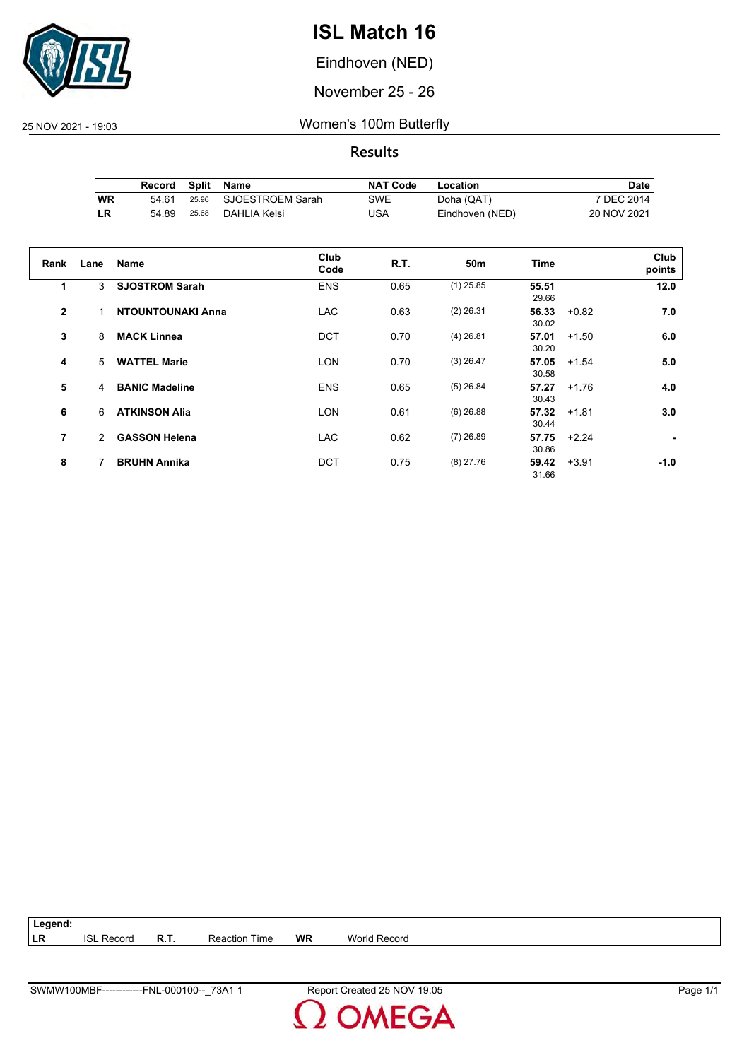

Eindhoven (NED)

November 25 - 26

25 NOV 2021 - 19:03 Women's 100m Butterfly

**Results**

|           | Record | Split | Name             | <b>NAT Code</b> | Location        | Date .      |
|-----------|--------|-------|------------------|-----------------|-----------------|-------------|
| <b>WR</b> | 54.61  | 25.96 | SJOESTROEM Sarah | SWE             | Doha (QAT)      | 7 DEC 2014  |
| ILR       | 54.89  | 25.68 | DAHLIA Kelsi     | USA             | Eindhoven (NED) | 20 NOV 2021 |

| Rank         | Lane | <b>Name</b>              | Club<br>Code | <b>R.T.</b> | 50m         | Time           |         | Club<br>points |
|--------------|------|--------------------------|--------------|-------------|-------------|----------------|---------|----------------|
| 1            | 3    | <b>SJOSTROM Sarah</b>    | <b>ENS</b>   | 0.65        | $(1)$ 25.85 | 55.51<br>29.66 |         | 12.0           |
| $\mathbf{2}$ |      | <b>NTOUNTOUNAKI Anna</b> | <b>LAC</b>   | 0.63        | $(2)$ 26.31 | 56.33<br>30.02 | $+0.82$ | 7.0            |
| 3            | 8    | <b>MACK Linnea</b>       | <b>DCT</b>   | 0.70        | $(4)$ 26.81 | 57.01<br>30.20 | $+1.50$ | 6.0            |
| 4            | 5    | <b>WATTEL Marie</b>      | <b>LON</b>   | 0.70        | $(3)$ 26.47 | 57.05<br>30.58 | $+1.54$ | 5.0            |
| 5            | 4    | <b>BANIC Madeline</b>    | <b>ENS</b>   | 0.65        | $(5)$ 26.84 | 57.27<br>30.43 | $+1.76$ | 4.0            |
| 6            | 6    | <b>ATKINSON Alia</b>     | <b>LON</b>   | 0.61        | $(6)$ 26.88 | 57.32<br>30.44 | $+1.81$ | 3.0            |
| 7            | 2    | <b>GASSON Helena</b>     | <b>LAC</b>   | 0.62        | $(7)$ 26.89 | 57.75<br>30.86 | $+2.24$ |                |
| 8            |      | <b>BRUHN Annika</b>      | <b>DCT</b>   | 0.75        | $(8)$ 27.76 | 59.42<br>31.66 | $+3.91$ | $-1.0$         |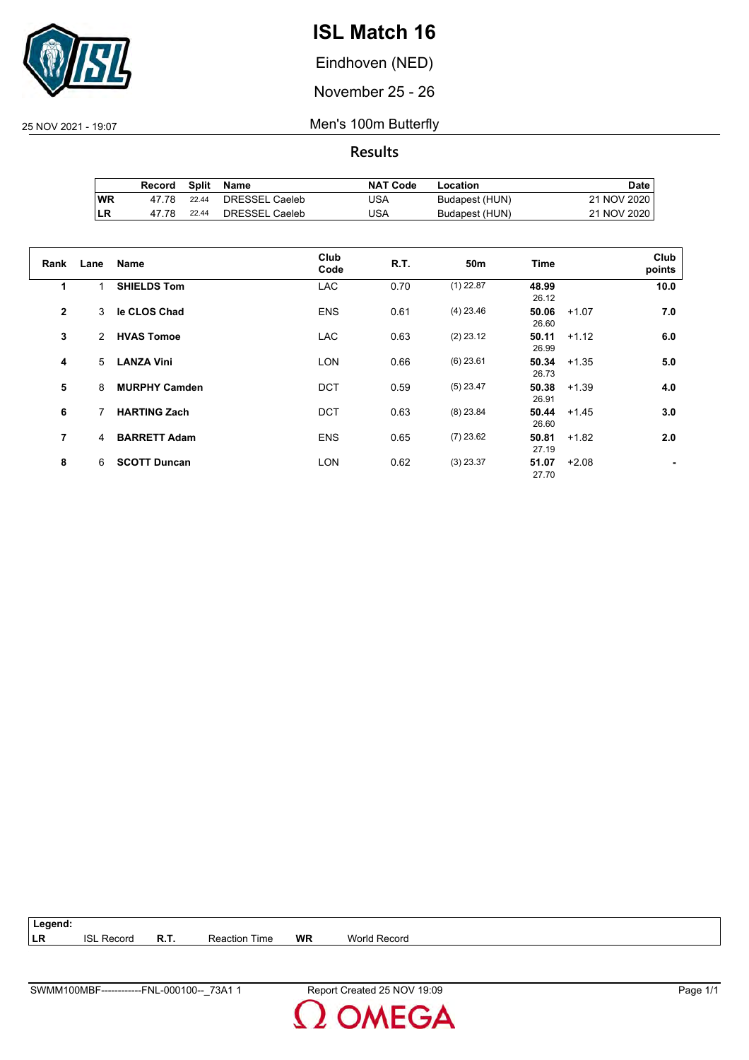

Eindhoven (NED)

November 25 - 26

25 NOV 2021 - 19:07 Men's 100m Butterfly

**Results**

|     | Record | Split | Name           | <b>NAT Code</b> | Location       | Date l      |
|-----|--------|-------|----------------|-----------------|----------------|-------------|
| 'WR | 47 78  | 22.44 | DRESSEL Caeleb | JSA             | Budapest (HUN) | 21 NOV 2020 |
| ILR | 47.78  | 22.44 | DRESSEL Caeleb | USA             | Budapest (HUN) | 21 NOV 2020 |

| Rank         | Lane | Name                 | Club<br>Code | R.T. | 50m         | <b>Time</b>    |         | Club<br>points |
|--------------|------|----------------------|--------------|------|-------------|----------------|---------|----------------|
| 1            |      | <b>SHIELDS Tom</b>   | <b>LAC</b>   | 0.70 | $(1)$ 22.87 | 48.99<br>26.12 |         | 10.0           |
| $\mathbf{2}$ | 3    | le CLOS Chad         | <b>ENS</b>   | 0.61 | $(4)$ 23.46 | 50.06<br>26.60 | $+1.07$ | 7.0            |
| 3            | 2    | <b>HVAS Tomoe</b>    | <b>LAC</b>   | 0.63 | $(2)$ 23.12 | 50.11<br>26.99 | $+1.12$ | 6.0            |
| 4            | 5    | <b>LANZA Vini</b>    | <b>LON</b>   | 0.66 | $(6)$ 23.61 | 50.34<br>26.73 | $+1.35$ | 5.0            |
| 5            | 8    | <b>MURPHY Camden</b> | <b>DCT</b>   | 0.59 | $(5)$ 23.47 | 50.38<br>26.91 | $+1.39$ | 4.0            |
| 6            | 7    | <b>HARTING Zach</b>  | <b>DCT</b>   | 0.63 | $(8)$ 23.84 | 50.44<br>26.60 | $+1.45$ | 3.0            |
| 7            | 4    | <b>BARRETT Adam</b>  | <b>ENS</b>   | 0.65 | $(7)$ 23.62 | 50.81<br>27.19 | $+1.82$ | 2.0            |
| 8            | 6    | <b>SCOTT Duncan</b>  | <b>LON</b>   | 0.62 | $(3)$ 23.37 | 51.07<br>27.70 | $+2.08$ |                |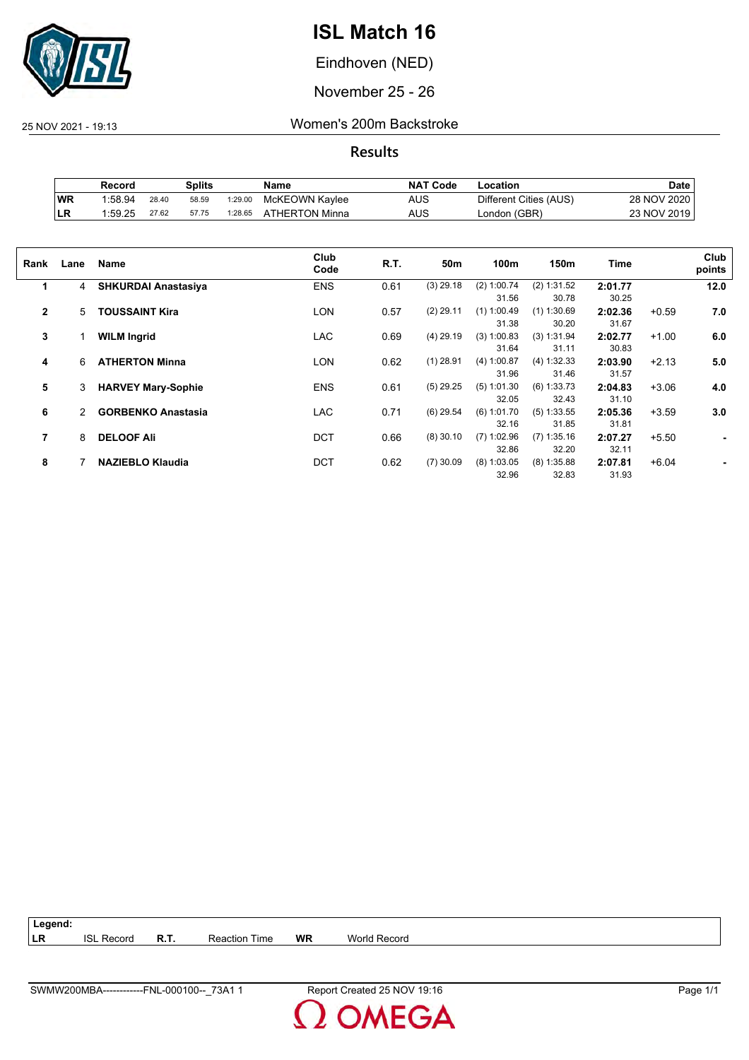

Eindhoven (NED)

November 25 - 26

25 NOV 2021 - 19:13 Women's 200m Backstroke

|           | Record  |       | Splits |         | Name           | <b>NAT Code</b> | ∟ocation               | Date        |
|-----------|---------|-------|--------|---------|----------------|-----------------|------------------------|-------------|
| WR        | 1:58.94 | 28.40 | 58.59  | 1:29.00 | McKEOWN Kaylee | <b>AUS</b>      | Different Cities (AUS) | 28 NOV 2020 |
| <b>LR</b> | 1:59.25 | 27.62 | 57.75  | 1:28.65 | ATHERTON Minna | AUS             | London (GBR)           | 23 NOV 2019 |

| Rank           | Lane | Name                       | Club<br>Code | R.T. | 50m         | 100m          | 150m          | Time    |         | Club<br>points |
|----------------|------|----------------------------|--------------|------|-------------|---------------|---------------|---------|---------|----------------|
| 1              | 4    | <b>SHKURDAI Anastasiya</b> | <b>ENS</b>   | 0.61 | $(3)$ 29.18 | (2) 1:00.74   | (2) 1:31.52   | 2:01.77 |         | 12.0           |
|                |      |                            |              |      |             | 31.56         | 30.78         | 30.25   |         |                |
| $\mathbf{2}$   | 5    | <b>TOUSSAINT Kira</b>      | LON          | 0.57 | $(2)$ 29.11 | $(1)$ 1:00.49 | $(1)$ 1:30.69 | 2:02.36 | $+0.59$ | 7.0            |
|                |      |                            |              |      |             | 31.38         | 30.20         | 31.67   |         |                |
| 3              |      | <b>WILM Ingrid</b>         | LAC          | 0.69 | $(4)$ 29.19 | $(3)$ 1:00.83 | (3) 1:31.94   | 2:02.77 | $+1.00$ | 6.0            |
|                |      |                            |              |      |             | 31.64         | 31.11         | 30.83   |         |                |
| 4              | 6    | <b>ATHERTON Minna</b>      | <b>LON</b>   | 0.62 | $(1)$ 28.91 | (4) 1:00.87   | (4) 1:32.33   | 2:03.90 | $+2.13$ | 5.0            |
|                |      |                            |              |      |             | 31.96         | 31.46         | 31.57   |         |                |
| 5              | 3    | <b>HARVEY Mary-Sophie</b>  | <b>ENS</b>   | 0.61 | $(5)$ 29.25 | $(5)$ 1:01.30 | $(6)$ 1:33.73 | 2:04.83 | $+3.06$ | 4.0            |
|                |      |                            |              |      |             | 32.05         | 32.43         | 31.10   |         |                |
| 6              | 2    | <b>GORBENKO Anastasia</b>  | LAC          | 0.71 | $(6)$ 29.54 | $(6)$ 1:01.70 | $(5)$ 1:33.55 | 2:05.36 | $+3.59$ | 3.0            |
|                |      |                            |              |      |             | 32.16         | 31.85         | 31.81   |         |                |
| $\overline{7}$ | 8    | <b>DELOOF Ali</b>          | <b>DCT</b>   | 0.66 | $(8)$ 30.10 | $(7)$ 1:02.96 | $(7)$ 1:35.16 | 2:07.27 | $+5.50$ | ٠              |
|                |      |                            |              |      |             | 32.86         | 32.20         | 32.11   |         |                |
| 8              |      | <b>NAZIEBLO Klaudia</b>    | <b>DCT</b>   | 0.62 | $(7)$ 30.09 | $(8)$ 1:03.05 | $(8)$ 1:35.88 | 2:07.81 | $+6.04$ |                |
|                |      |                            |              |      |             | 32.96         | 32.83         | 31.93   |         |                |
|                |      |                            |              |      |             |               |               |         |         |                |

| $ $ Legend: |                   |             |                      |    |              |
|-------------|-------------------|-------------|----------------------|----|--------------|
| <b>LR</b>   | <b>ISL Record</b> | <b>R.T.</b> | <b>Reaction Time</b> | WR | World Record |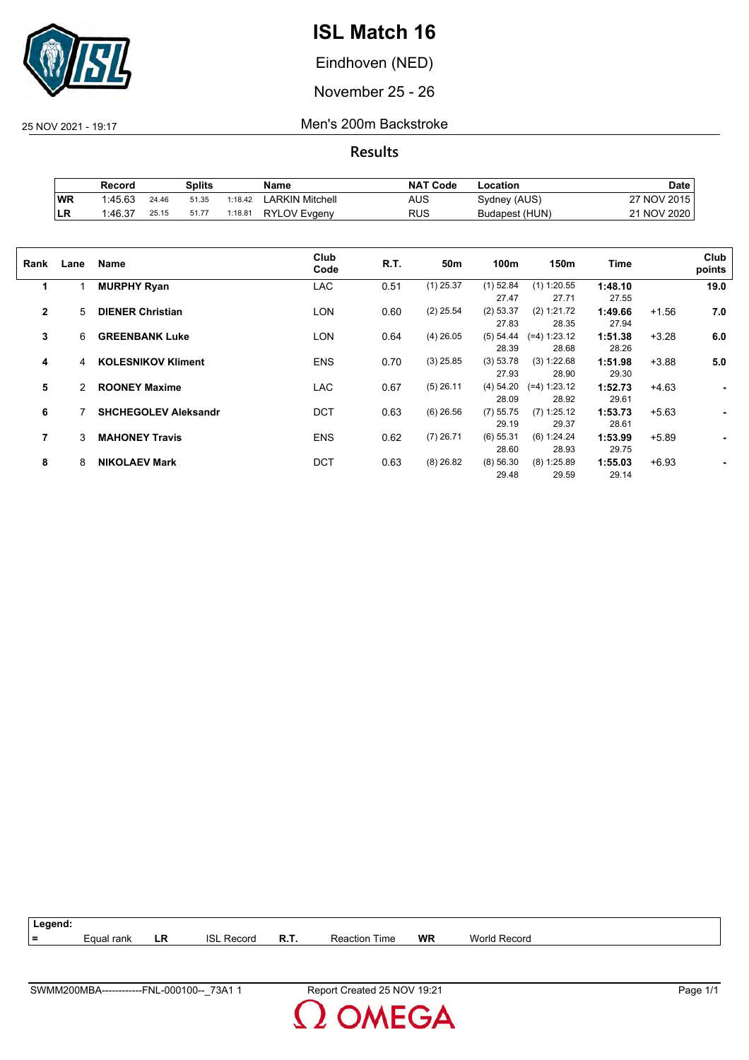

Eindhoven (NED)

November 25 - 26

25 NOV 2021 - 19:17 Men's 200m Backstroke

|    | Record  |       | Splits |         | Name                | <b>NAT Code</b> | ∟ocation       | <b>Date</b>      |
|----|---------|-------|--------|---------|---------------------|-----------------|----------------|------------------|
| WR | 1:45.63 | 24.46 | 51.35  | 1:18.42 | LARKIN Mitchell     | AUS             | Sydney (AUS)   | 7 NOV 2015<br>っァ |
| LR | 1:46.37 | 25.15 | 51.77  | 1:18.81 | <b>RYLOV Evgeny</b> | RUS             | Budapest (HUN) | 21 NOV 2020      |

| Rank           | Lane | Name                        | Club<br>Code | R.T. | 50m         | 100m        | 150m           | Time    |         | Club<br>points |
|----------------|------|-----------------------------|--------------|------|-------------|-------------|----------------|---------|---------|----------------|
| 1              |      | <b>MURPHY Ryan</b>          | <b>LAC</b>   | 0.51 | $(1)$ 25.37 | $(1)$ 52.84 | $(1)$ 1:20.55  | 1:48.10 |         | 19.0           |
|                |      |                             |              |      |             | 27.47       | 27.71          | 27.55   |         |                |
| $\overline{2}$ | 5    | <b>DIENER Christian</b>     | <b>LON</b>   | 0.60 | $(2)$ 25.54 | (2) 53.37   | (2) 1:21.72    | 1:49.66 | $+1.56$ | 7.0            |
|                |      |                             |              |      |             | 27.83       | 28.35          | 27.94   |         |                |
| 3              | 6    | <b>GREENBANK Luke</b>       | LON          | 0.64 | $(4)$ 26.05 | (5) 54.44   | $(=4) 1:23.12$ | 1:51.38 | $+3.28$ | 6.0            |
|                |      |                             |              |      |             | 28.39       | 28.68          | 28.26   |         |                |
| 4              | 4    | <b>KOLESNIKOV Kliment</b>   | <b>ENS</b>   | 0.70 | $(3)$ 25.85 | (3) 53.78   | (3) 1:22.68    | 1:51.98 | $+3.88$ | 5.0            |
|                |      |                             |              |      |             | 27.93       | 28.90          | 29.30   |         |                |
| 5              | 2    | <b>ROONEY Maxime</b>        | <b>LAC</b>   | 0.67 | $(5)$ 26.11 | (4) 54.20   | $(=4) 1:23.12$ | 1:52.73 | $+4.63$ | ۰              |
|                |      |                             |              |      |             | 28.09       | 28.92          | 29.61   |         |                |
| 6              |      | <b>SHCHEGOLEV Aleksandr</b> | <b>DCT</b>   | 0.63 | $(6)$ 26.56 | $(7)$ 55.75 | $(7)$ 1:25.12  | 1:53.73 | $+5.63$ |                |
|                |      |                             |              |      |             | 29.19       | 29.37          | 28.61   |         |                |
| 7              | 3    | <b>MAHONEY Travis</b>       | <b>ENS</b>   | 0.62 | $(7)$ 26.71 | $(6)$ 55.31 | (6) 1:24.24    | 1:53.99 | $+5.89$ |                |
|                |      |                             |              |      |             | 28.60       | 28.93          | 29.75   |         |                |
| 8              | 8    | <b>NIKOLAEV Mark</b>        | <b>DCT</b>   | 0.63 | $(8)$ 26.82 | (8) 56.30   | $(8)$ 1:25.89  | 1:55.03 | $+6.93$ |                |
|                |      |                             |              |      |             | 29.48       | 29.59          | 29.14   |         |                |
|                |      |                             |              |      |             |             |                |         |         |                |

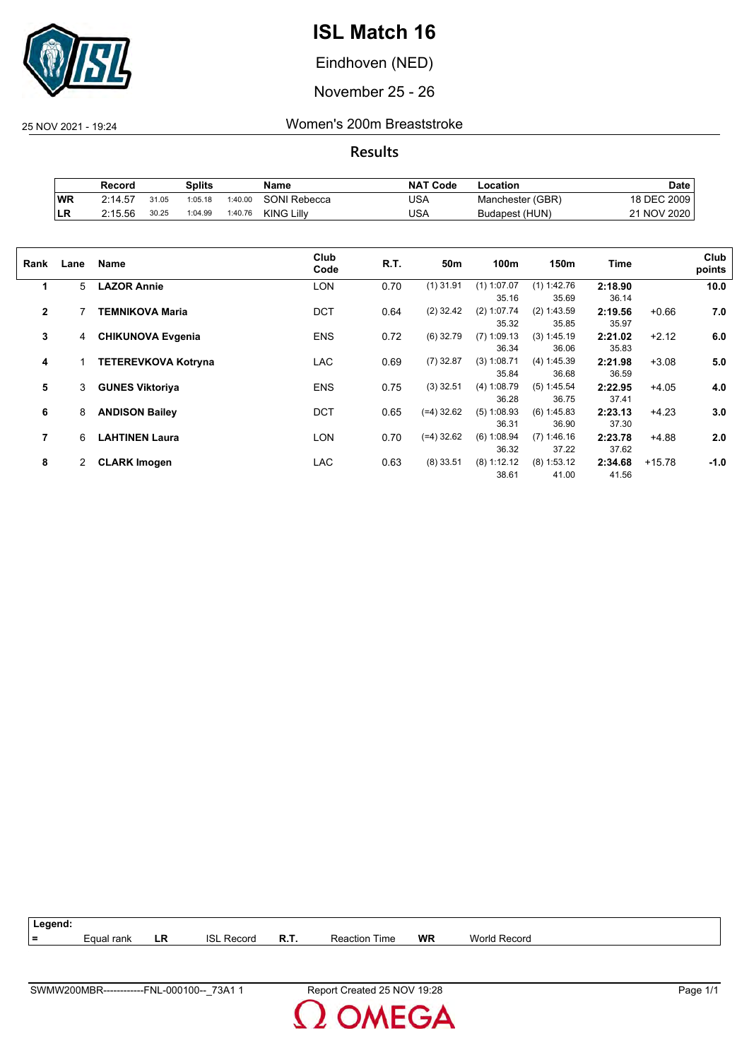

Eindhoven (NED)

November 25 - 26

25 NOV 2021 - 19:24 Women's 200m Breaststroke

|    | Record  |       | Splits  |         | Name              | <b>NAT Code</b> | ∟ocation         | Date        |
|----|---------|-------|---------|---------|-------------------|-----------------|------------------|-------------|
| WR | 2:14.57 | 31.05 | 1:05.18 | 1:40.00 | SONI Rebecca      | JSA             | Manchester (GBR) | 18 DEC 2009 |
| LR | 2:15.56 | 30.25 | 1:04.99 | 1:40.76 | <b>KING Lilly</b> | USA             | Budapest (HUN)   | 21 NOV 2020 |

| Rank         | Lane | <b>Name</b>                | Club<br>Code | R.T. | 50m          | 100 <sub>m</sub>       | 150m                   | Time             |          | Club<br>points |
|--------------|------|----------------------------|--------------|------|--------------|------------------------|------------------------|------------------|----------|----------------|
| 1            | 5    | <b>LAZOR Annie</b>         | <b>LON</b>   | 0.70 | $(1)$ 31.91  | $(1)$ 1:07.07<br>35.16 | $(1)$ 1:42.76<br>35.69 | 2:18.90<br>36.14 |          | 10.0           |
| $\mathbf{2}$ |      | <b>TEMNIKOVA Maria</b>     | <b>DCT</b>   | 0.64 | $(2)$ 32.42  | $(2)$ 1:07.74<br>35.32 | (2) 1:43.59<br>35.85   | 2:19.56<br>35.97 | $+0.66$  | 7.0            |
| 3            | 4    | <b>CHIKUNOVA Evgenia</b>   | <b>ENS</b>   | 0.72 | $(6)$ 32.79  | $(7)$ 1:09.13<br>36.34 | (3) 1:45.19<br>36.06   | 2:21.02<br>35.83 | $+2.12$  | 6.0            |
| 4            |      | <b>TETEREVKOVA Kotryna</b> | <b>LAC</b>   | 0.69 | $(7)$ 32.87  | (3) 1:08.71<br>35.84   | (4) 1:45.39<br>36.68   | 2:21.98<br>36.59 | $+3.08$  | 5.0            |
| 5            | 3    | <b>GUNES Viktoriya</b>     | <b>ENS</b>   | 0.75 | $(3)$ 32.51  | (4) 1:08.79<br>36.28   | $(5)$ 1:45.54<br>36.75 | 2:22.95<br>37.41 | $+4.05$  | 4.0            |
| 6            | 8    | <b>ANDISON Bailey</b>      | <b>DCT</b>   | 0.65 | $(=4)$ 32.62 | $(5)$ 1:08.93<br>36.31 | (6) 1:45.83<br>36.90   | 2:23.13<br>37.30 | $+4.23$  | 3.0            |
| 7            | 6    | <b>LAHTINEN Laura</b>      | <b>LON</b>   | 0.70 | $(=4)$ 32.62 | (6) 1:08.94<br>36.32   | (7) 1:46.16<br>37.22   | 2:23.78<br>37.62 | $+4.88$  | 2.0            |
| 8            | 2    | <b>CLARK Imogen</b>        | <b>LAC</b>   | 0.63 | $(8)$ 33.51  | (8) 1:12.12<br>38.61   | $(8)$ 1:53.12<br>41.00 | 2:34.68<br>41.56 | $+15.78$ | $-1.0$         |

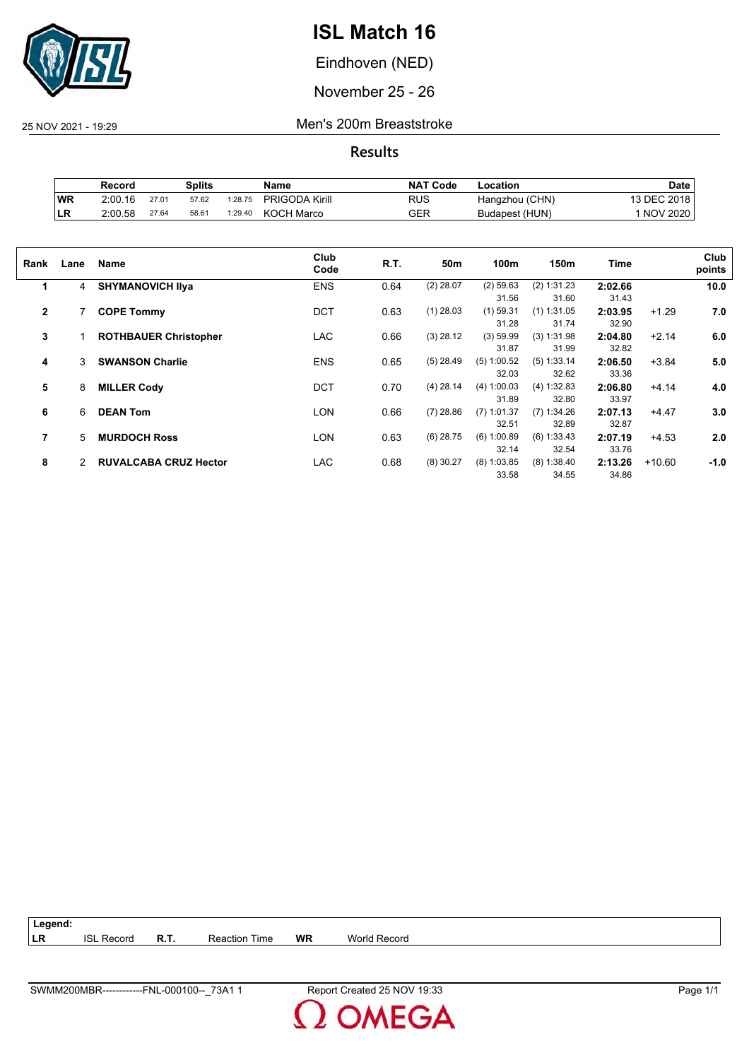

Eindhoven (NED)

November 25 - 26

25 NOV 2021 - 19:29 Men's 200m Breaststroke

|     | Record  |       | Splits |         | Name                  | <b>NAT Code</b> | Location       | Date        |
|-----|---------|-------|--------|---------|-----------------------|-----------------|----------------|-------------|
| WR  | 2:00.16 | 27.01 | 57.62  | 1:28.75 | <b>PRIGODA Kirill</b> | RUS             | Hangzhou (CHN) | 13 DEC 2018 |
| ILR | 2.00.58 | 27.64 | 58.61  | 1:29.40 | <b>KOCH Marco</b>     | GER             | Budapest (HUN) | 1 NOV 2020  |

| Rank         | Lane | Name                         | Club<br>Code | R.T. | 50m         | 100m          | 150m          | Time    |          | Club<br>points |
|--------------|------|------------------------------|--------------|------|-------------|---------------|---------------|---------|----------|----------------|
| 1            | 4    | <b>SHYMANOVICH IIva</b>      | <b>ENS</b>   | 0.64 | $(2)$ 28.07 | $(2)$ 59.63   | (2) 1:31.23   | 2:02.66 |          | 10.0           |
|              |      |                              |              |      |             | 31.56         | 31.60         | 31.43   |          |                |
| $\mathbf{2}$ |      | <b>COPE Tommy</b>            | <b>DCT</b>   | 0.63 | $(1)$ 28.03 | $(1)$ 59.31   | $(1)$ 1:31.05 | 2:03.95 | $+1.29$  | 7.0            |
|              |      |                              |              |      |             | 31.28         | 31.74         | 32.90   |          |                |
| 3            |      | <b>ROTHBAUER Christopher</b> | <b>LAC</b>   | 0.66 | $(3)$ 28.12 | (3) 59.99     | (3) 1:31.98   | 2:04.80 | $+2.14$  | 6.0            |
|              |      |                              |              |      |             | 31.87         | 31.99         | 32.82   |          |                |
| 4            | 3    | <b>SWANSON Charlie</b>       | <b>ENS</b>   | 0.65 | $(5)$ 28.49 | (5) 1:00.52   | $(5)$ 1:33.14 | 2:06.50 | $+3.84$  | 5.0            |
|              |      |                              |              |      |             | 32.03         | 32.62         | 33.36   |          |                |
| 5            | 8    | <b>MILLER Cody</b>           | <b>DCT</b>   | 0.70 | $(4)$ 28.14 | (4) 1:00.03   | (4) 1:32.83   | 2:06.80 | $+4.14$  | 4.0            |
|              |      |                              |              |      |             | 31.89         | 32.80         | 33.97   |          |                |
| 6            | 6    | <b>DEAN Tom</b>              | <b>LON</b>   | 0.66 | $(7)$ 28.86 | $(7)$ 1:01.37 | (7) 1:34.26   | 2:07.13 | $+4.47$  | 3.0            |
|              |      |                              |              |      |             | 32.51         | 32.89         | 32.87   |          |                |
| 7            | 5    | <b>MURDOCH Ross</b>          | LON          | 0.63 | $(6)$ 28.75 | (6) 1:00.89   | $(6)$ 1:33.43 | 2:07.19 | $+4.53$  | 2.0            |
|              |      |                              |              |      |             | 32.14         | 32.54         | 33.76   |          |                |
| 8            | 2    | <b>RUVALCABA CRUZ Hector</b> | LAC          | 0.68 | $(8)$ 30.27 | $(8)$ 1:03.85 | (8) 1:38.40   | 2:13.26 | $+10.60$ | $-1.0$         |
|              |      |                              |              |      |             | 33.58         | 34.55         | 34.86   |          |                |

| Legend: |                   |             |                      |           |              |
|---------|-------------------|-------------|----------------------|-----------|--------------|
| I LR    | <b>ISL Record</b> | <b>R.T.</b> | <b>Reaction Time</b> | <b>WR</b> | World Record |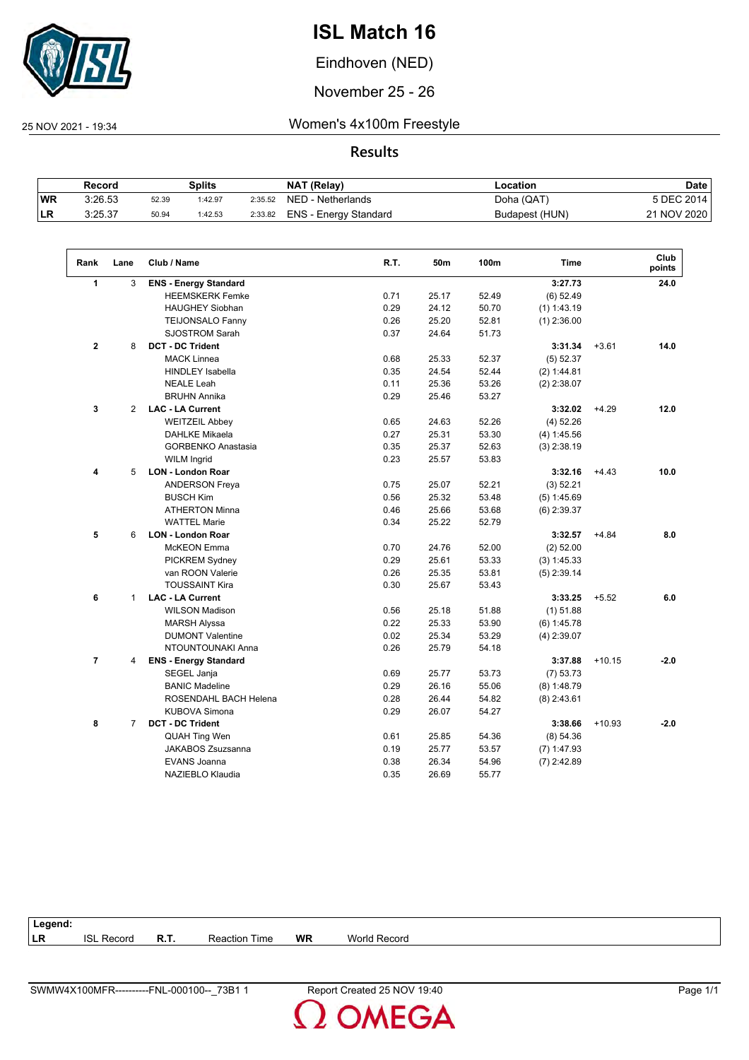

Eindhoven (NED)

November 25 - 26

 $\overline{\phantom{a}}$ 

25 NOV 2021 - 19:34 Women's 4x100m Freestyle

**Results**

|            | Record  |       | Splits  |         | NAT (Relay)           | ∟ocation       | <b>Date</b> |
|------------|---------|-------|---------|---------|-----------------------|----------------|-------------|
| <b>WR</b>  | 3:26.53 | 52.39 | 1:42.97 | 2:35.52 | NED - Netherlands     | Doha (QAT)     | 5 DEC 2014  |
| <b>ILR</b> | 3:25.37 | 50.94 | 1:42.53 | 2:33.82 | ENS - Energy Standard | Budapest (HUN) | 21 NOV 2020 |

| Rank<br>Lane        | Club / Name                  | R.T. | 50m   | 100m  | <b>Time</b>   |          | Club<br>points |
|---------------------|------------------------------|------|-------|-------|---------------|----------|----------------|
| 1<br>3              | <b>ENS - Energy Standard</b> |      |       |       | 3:27.73       |          | 24.0           |
|                     | <b>HEEMSKERK Femke</b>       | 0.71 | 25.17 | 52.49 | $(6)$ 52.49   |          |                |
|                     | <b>HAUGHEY Siobhan</b>       | 0.29 | 24.12 | 50.70 | $(1)$ 1:43.19 |          |                |
|                     | <b>TEIJONSALO Fanny</b>      | 0.26 | 25.20 | 52.81 | $(1)$ 2:36.00 |          |                |
|                     | <b>SJOSTROM Sarah</b>        | 0.37 | 24.64 | 51.73 |               |          |                |
| $\mathbf 2$<br>8    | <b>DCT - DC Trident</b>      |      |       |       | 3:31.34       | $+3.61$  | 14.0           |
|                     | <b>MACK Linnea</b>           | 0.68 | 25.33 | 52.37 | $(5)$ 52.37   |          |                |
|                     | <b>HINDLEY Isabella</b>      | 0.35 | 24.54 | 52.44 | (2) 1:44.81   |          |                |
|                     | <b>NEALE Leah</b>            | 0.11 | 25.36 | 53.26 | $(2)$ 2:38.07 |          |                |
|                     | <b>BRUHN Annika</b>          | 0.29 | 25.46 | 53.27 |               |          |                |
| 3<br>2              | <b>LAC - LA Current</b>      |      |       |       | 3:32.02       | $+4.29$  | 12.0           |
|                     | <b>WEITZEIL Abbey</b>        | 0.65 | 24.63 | 52.26 | $(4)$ 52.26   |          |                |
|                     | <b>DAHLKE Mikaela</b>        | 0.27 | 25.31 | 53.30 | (4) 1:45.56   |          |                |
|                     | <b>GORBENKO Anastasia</b>    | 0.35 | 25.37 | 52.63 | $(3)$ 2:38.19 |          |                |
|                     | <b>WILM Ingrid</b>           | 0.23 | 25.57 | 53.83 |               |          |                |
| 5<br>4              | <b>LON - London Roar</b>     |      |       |       | 3:32.16       | $+4.43$  | 10.0           |
|                     | <b>ANDERSON Freya</b>        | 0.75 | 25.07 | 52.21 | (3) 52.21     |          |                |
|                     | <b>BUSCH Kim</b>             | 0.56 | 25.32 | 53.48 | (5) 1:45.69   |          |                |
|                     | <b>ATHERTON Minna</b>        | 0.46 | 25.66 | 53.68 | $(6)$ 2:39.37 |          |                |
|                     | <b>WATTEL Marie</b>          | 0.34 | 25.22 | 52.79 |               |          |                |
| 5<br>6              | <b>LON - London Roar</b>     |      |       |       | 3:32.57       | $+4.84$  | 8.0            |
|                     | McKEON Emma                  | 0.70 | 24.76 | 52.00 | $(2)$ 52.00   |          |                |
|                     | PICKREM Sydney               | 0.29 | 25.61 | 53.33 | (3) 1:45.33   |          |                |
|                     | van ROON Valerie             | 0.26 | 25.35 | 53.81 | $(5)$ 2:39.14 |          |                |
|                     | <b>TOUSSAINT Kira</b>        | 0.30 | 25.67 | 53.43 |               |          |                |
| 6<br>$\mathbf{1}$   | <b>LAC - LA Current</b>      |      |       |       | 3:33.25       | $+5.52$  | 6.0            |
|                     | <b>WILSON Madison</b>        | 0.56 | 25.18 | 51.88 | $(1)$ 51.88   |          |                |
|                     | <b>MARSH Alyssa</b>          | 0.22 | 25.33 | 53.90 | $(6)$ 1:45.78 |          |                |
|                     | <b>DUMONT Valentine</b>      | 0.02 | 25.34 | 53.29 | $(4)$ 2:39.07 |          |                |
|                     | NTOUNTOUNAKI Anna            | 0.26 | 25.79 | 54.18 |               |          |                |
| $\overline{7}$<br>4 | <b>ENS - Energy Standard</b> |      |       |       | 3:37.88       | $+10.15$ | $-2.0$         |
|                     | SEGEL Janja                  | 0.69 | 25.77 | 53.73 | (7) 53.73     |          |                |
|                     | <b>BANIC Madeline</b>        | 0.29 | 26.16 | 55.06 | $(8)$ 1:48.79 |          |                |
|                     | ROSENDAHL BACH Helena        | 0.28 | 26.44 | 54.82 | $(8)$ 2:43.61 |          |                |
|                     | <b>KUBOVA Simona</b>         | 0.29 | 26.07 | 54.27 |               |          |                |
| 8<br>$\overline{7}$ | <b>DCT - DC Trident</b>      |      |       |       | 3:38.66       | $+10.93$ | $-2.0$         |
|                     | <b>QUAH Ting Wen</b>         | 0.61 | 25.85 | 54.36 | (8) 54.36     |          |                |
|                     | <b>JAKABOS Zsuzsanna</b>     | 0.19 | 25.77 | 53.57 | $(7)$ 1:47.93 |          |                |
|                     | <b>EVANS Joanna</b>          | 0.38 | 26.34 | 54.96 | $(7)$ 2:42.89 |          |                |
|                     | NAZIEBLO Klaudia             | 0.35 | 26.69 | 55.77 |               |          |                |

| Legend: |                   |      |                      |           |                        |
|---------|-------------------|------|----------------------|-----------|------------------------|
| LR      | <b>ISL Record</b> | R.T. | <b>Reaction Time</b> | <b>WR</b> | <b>World</b><br>Record |

**OMEGA**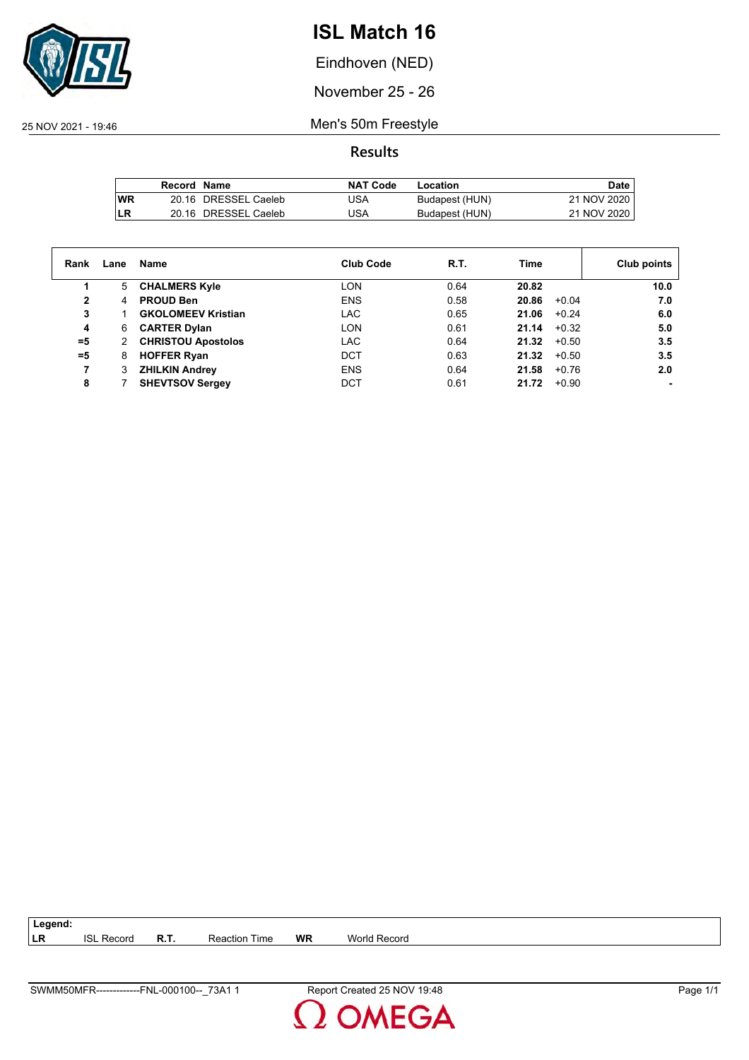

Eindhoven (NED)

November 25 - 26

25 NOV 2021 - 19:46 Men's 50m Freestyle

|           | Record Name |                      | <b>NAT Code</b> | Location       | Date        |
|-----------|-------------|----------------------|-----------------|----------------|-------------|
| <b>WR</b> |             | 20.16 DRESSEL Caeleb | JSA             | Budapest (HUN) | 21 NOV 2020 |
| LR        |             | 20.16 DRESSEL Caeleb | JSA             | Budapest (HUN) | 21 NOV 2020 |

| Rank  | Lane | Name                      | <b>Club Code</b> | R.T. | Time             | Club points |
|-------|------|---------------------------|------------------|------|------------------|-------------|
|       | 5    | <b>CHALMERS Kyle</b>      | <b>LON</b>       | 0.64 | 20.82            | 10.0        |
| 2     | 4    | <b>PROUD Ben</b>          | <b>ENS</b>       | 0.58 | 20.86<br>$+0.04$ | 7.0         |
| 3     |      | <b>GKOLOMEEV Kristian</b> | <b>LAC</b>       | 0.65 | 21.06<br>$+0.24$ | 6.0         |
| 4     | 6    | <b>CARTER Dylan</b>       | <b>LON</b>       | 0.61 | 21.14<br>$+0.32$ | 5.0         |
| $= 5$ |      | <b>CHRISTOU Apostolos</b> | <b>LAC</b>       | 0.64 | 21.32<br>$+0.50$ | 3.5         |
| $=5$  | 8    | <b>HOFFER Ryan</b>        | <b>DCT</b>       | 0.63 | 21.32<br>$+0.50$ | 3.5         |
| 7     |      | <b>ZHILKIN Andrey</b>     | <b>ENS</b>       | 0.64 | 21.58<br>$+0.76$ | 2.0         |
| 8     |      | <b>SHEVTSOV Sergey</b>    | DCT              | 0.61 | 21.72<br>$+0.90$ |             |

| $\vert$ Legend: |                   |                      |    |              |
|-----------------|-------------------|----------------------|----|--------------|
| LR              | <b>ISL Record</b> | <b>Reaction Time</b> | WR | World Record |

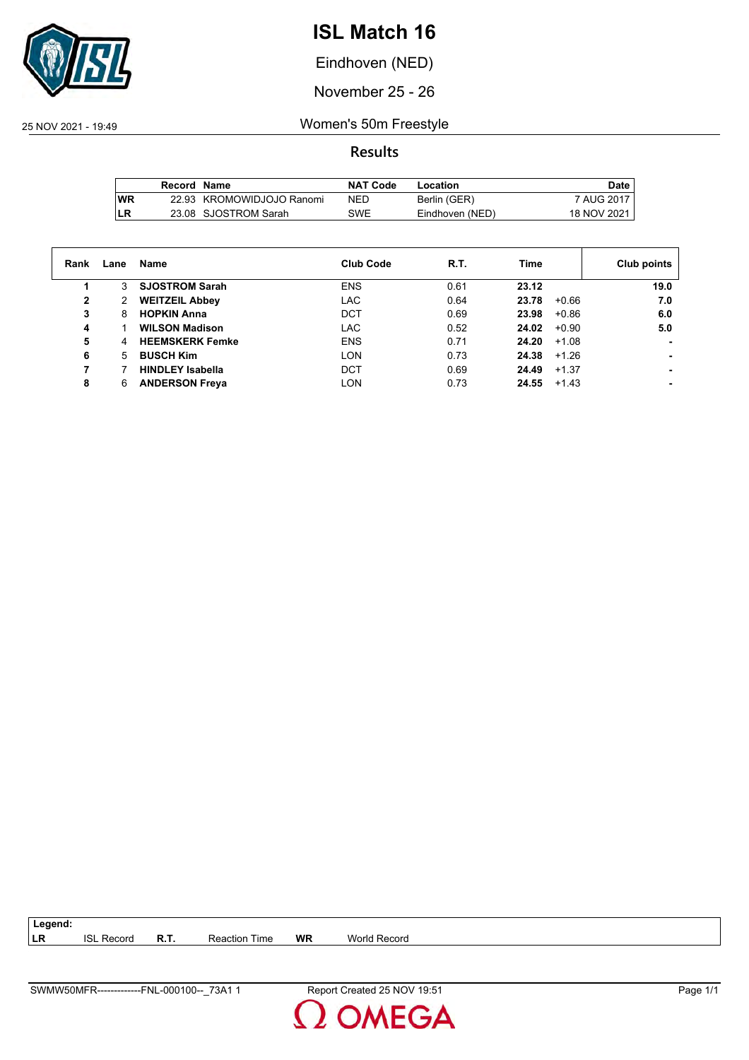

Eindhoven (NED)

November 25 - 26

25 NOV 2021 - 19:49 Women's 50m Freestyle

**Results**

|     | Record Name |                           | <b>NAT Code</b> | Location        | Date,         |
|-----|-------------|---------------------------|-----------------|-----------------|---------------|
| lWR |             | 22.93 KROMOWIDJOJO Ranomi | NED             | Berlin (GER)    | 7 AUG 2017    |
| LR  |             | 23.08 SJOSTROM Sarah      | SWE             | Eindhoven (NED) | 18 NOV 2021 I |

| Rank | Lane | Name                    | <b>Club Code</b> | R.T. | Time             | Club points |
|------|------|-------------------------|------------------|------|------------------|-------------|
|      | 3.   | <b>SJOSTROM Sarah</b>   | <b>ENS</b>       | 0.61 | 23.12            | 19.0        |
| 2    | 2    | <b>WEITZEIL Abbey</b>   | <b>LAC</b>       | 0.64 | $+0.66$<br>23.78 | 7.0         |
| 3    | 8    | <b>HOPKIN Anna</b>      | DCT              | 0.69 | 23.98<br>$+0.86$ | 6.0         |
| 4    |      | <b>WILSON Madison</b>   | <b>LAC</b>       | 0.52 | 24.02<br>$+0.90$ | 5.0         |
| 5    | 4    | <b>HEEMSKERK Femke</b>  | <b>ENS</b>       | 0.71 | 24.20<br>$+1.08$ |             |
| 6    | 5    | <b>BUSCH Kim</b>        | <b>LON</b>       | 0.73 | 24.38<br>$+1.26$ |             |
|      |      | <b>HINDLEY Isabella</b> | DCT              | 0.69 | $+1.37$<br>24.49 |             |
| 8    | 6    | <b>ANDERSON Freya</b>   | <b>LON</b>       | 0.73 | 24.55<br>+1.43   |             |

**LR** ISL Record **R.T.** Reaction Time **WR** World Record

**Legend:**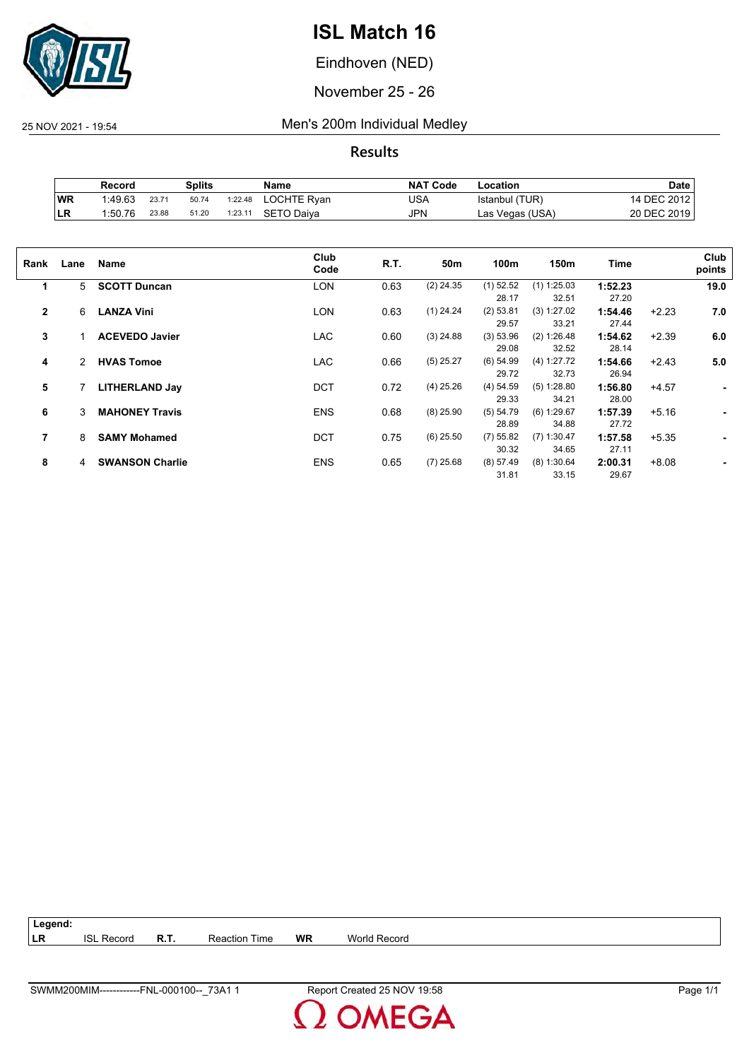

Eindhoven (NED)

November 25 - 26

25 NOV 2021 - 19:54 Men's 200m Individual Medley

|    | Record  |       | Splits |         | Name        | <b>NAT Code</b> | Location        | Date        |
|----|---------|-------|--------|---------|-------------|-----------------|-----------------|-------------|
| WR | 1:49.63 | 23.71 | 50.74  | 1:22.48 | LOCHTE Ryan | USA             | Istanbul (TUR)  | 14 DEC 2012 |
| LR | 1:50.76 | 23.88 | 51.20  | 1:23.11 | SETO Daiva  | JPN             | Las Vegas (USA) | 20 DEC 2019 |

| Rank           | Lane | Name                   | Club<br>Code | R.T. | 50m         | 100m        | 150m          | Time    |         | Club<br>points |
|----------------|------|------------------------|--------------|------|-------------|-------------|---------------|---------|---------|----------------|
| 1              | 5    | <b>SCOTT Duncan</b>    | <b>LON</b>   | 0.63 | $(2)$ 24.35 | $(1)$ 52.52 | $(1)$ 1:25.03 | 1:52.23 |         | 19.0           |
|                |      |                        |              |      |             | 28.17       | 32.51         | 27.20   |         |                |
| $\overline{2}$ | 6    | <b>LANZA Vini</b>      | <b>LON</b>   | 0.63 | $(1)$ 24.24 | $(2)$ 53.81 | (3) 1:27.02   | 1:54.46 | $+2.23$ | 7.0            |
|                |      |                        |              |      |             | 29.57       | 33.21         | 27.44   |         |                |
| 3              |      | <b>ACEVEDO Javier</b>  | <b>LAC</b>   | 0.60 | $(3)$ 24.88 | (3) 53.96   | (2) 1:26.48   | 1:54.62 | $+2.39$ | 6.0            |
|                |      |                        |              |      |             | 29.08       | 32.52         | 28.14   |         |                |
| 4              | 2    | <b>HVAS Tomoe</b>      | <b>LAC</b>   | 0.66 | $(5)$ 25.27 | $(6)$ 54.99 | (4) 1:27.72   | 1:54.66 | $+2.43$ | 5.0            |
|                |      |                        |              |      |             | 29.72       | 32.73         | 26.94   |         |                |
| 5              |      | <b>LITHERLAND Jay</b>  | <b>DCT</b>   | 0.72 | $(4)$ 25.26 | (4) 54.59   | (5) 1:28.80   | 1:56.80 | $+4.57$ | ٠              |
|                |      |                        |              |      |             | 29.33       | 34.21         | 28.00   |         |                |
| 6              | 3    | <b>MAHONEY Travis</b>  | <b>ENS</b>   | 0.68 | $(8)$ 25.90 | (5) 54.79   | (6) 1:29.67   | 1:57.39 | $+5.16$ |                |
|                |      |                        |              |      |             | 28.89       | 34.88         | 27.72   |         |                |
| 7              | 8    | <b>SAMY Mohamed</b>    | <b>DCT</b>   | 0.75 | $(6)$ 25.50 | $(7)$ 55.82 | $(7)$ 1:30.47 | 1:57.58 | $+5.35$ |                |
|                |      |                        |              |      |             | 30.32       | 34.65         | 27.11   |         |                |
| 8              | 4    | <b>SWANSON Charlie</b> | <b>ENS</b>   | 0.65 | $(7)$ 25.68 | (8) 57.49   | (8) 1:30.64   | 2:00.31 | $+8.08$ |                |
|                |      |                        |              |      |             | 31.81       | 33.15         | 29.67   |         |                |

| $\vert$ Legend: |                   |      |               |    |              |
|-----------------|-------------------|------|---------------|----|--------------|
| <b>ILR</b>      | <b>ISL Record</b> | R.T. | Reaction Time | WR | World Record |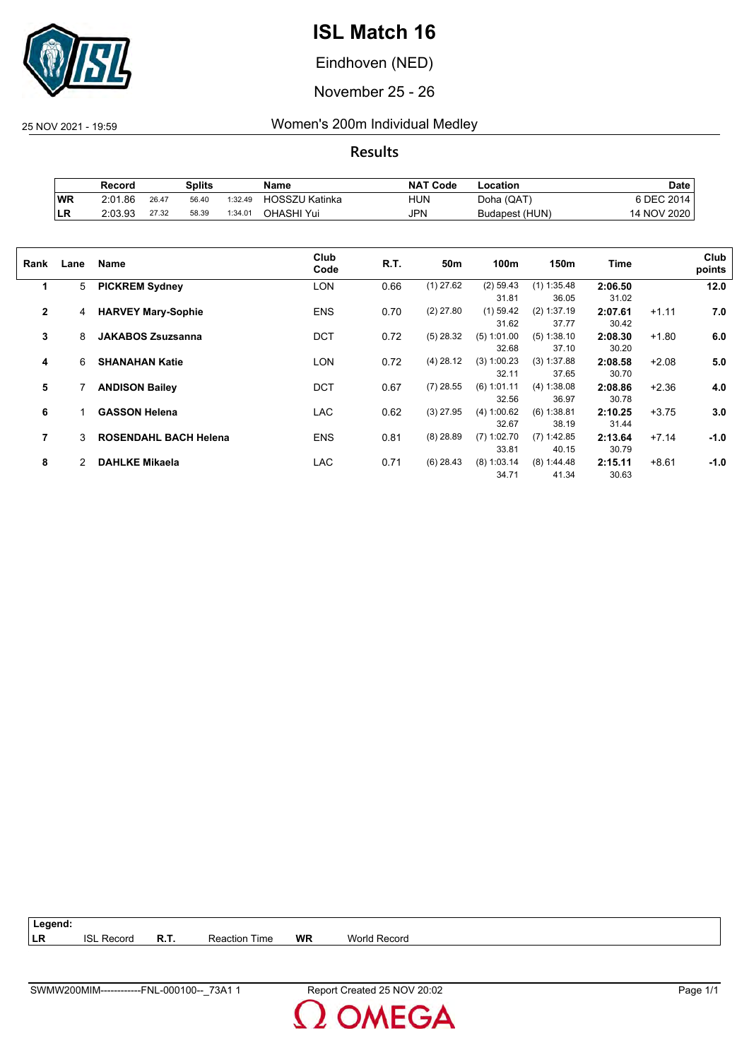

Eindhoven (NED)

November 25 - 26

25 NOV 2021 - 19:59 Women's 200m Individual Medley

**Results**

|           | Record  |       | Splits |         | Name                  | <b>NAT Code</b> | Location       | Date             |
|-----------|---------|-------|--------|---------|-----------------------|-----------------|----------------|------------------|
| <b>WR</b> | 2:01.86 | 26.47 | 56.40  | 1:32.49 | <b>HOSSZU Katinka</b> | HUN             | Doha (QAT)     | <b>SDEC 2014</b> |
| ∣LR       | 2:03.93 | 27.32 | 58.39  | 1:34.01 | OHASHI Yui            | <b>JPN</b>      | Budapest (HUN) | 14 NOV 2020      |

| Rank           | Lane | Name                         | Club<br>Code | R.T. | 50m         | 100m          | 150m          | Time    |         | Club<br>points |
|----------------|------|------------------------------|--------------|------|-------------|---------------|---------------|---------|---------|----------------|
| 1              | 5    | <b>PICKREM Sydney</b>        | LON          | 0.66 | $(1)$ 27.62 | $(2)$ 59.43   | $(1)$ 1:35.48 | 2:06.50 |         | 12.0           |
|                |      |                              |              |      |             | 31.81         | 36.05         | 31.02   |         |                |
| $\overline{2}$ | 4    | <b>HARVEY Mary-Sophie</b>    | <b>ENS</b>   | 0.70 | $(2)$ 27.80 | $(1)$ 59.42   | $(2)$ 1:37.19 | 2:07.61 | $+1.11$ | 7.0            |
|                |      |                              |              |      |             | 31.62         | 37.77         | 30.42   |         |                |
| 3              | 8    | <b>JAKABOS Zsuzsanna</b>     | <b>DCT</b>   | 0.72 | $(5)$ 28.32 | $(5)$ 1:01.00 | (5) 1:38.10   | 2:08.30 | $+1.80$ | 6.0            |
|                |      |                              |              |      |             | 32.68         | 37.10         | 30.20   |         |                |
| 4              | 6    | <b>SHANAHAN Katie</b>        | <b>LON</b>   | 0.72 | $(4)$ 28.12 | $(3)$ 1:00.23 | $(3)$ 1:37.88 | 2:08.58 | $+2.08$ | 5.0            |
|                |      |                              |              |      |             | 32.11         | 37.65         | 30.70   |         |                |
| 5              |      | <b>ANDISON Bailey</b>        | <b>DCT</b>   | 0.67 | $(7)$ 28.55 | $(6)$ 1:01.11 | (4) 1:38.08   | 2:08.86 | $+2.36$ | 4.0            |
|                |      |                              |              |      |             | 32.56         | 36.97         | 30.78   |         |                |
| 6              |      | <b>GASSON Helena</b>         | <b>LAC</b>   | 0.62 | $(3)$ 27.95 | (4) 1:00.62   | $(6)$ 1:38.81 | 2:10.25 | $+3.75$ | 3.0            |
|                |      |                              |              |      |             | 32.67         | 38.19         | 31.44   |         |                |
| 7              | 3    | <b>ROSENDAHL BACH Helena</b> | <b>ENS</b>   | 0.81 | $(8)$ 28.89 | $(7)$ 1:02.70 | $(7)$ 1:42.85 | 2:13.64 | $+7.14$ | $-1.0$         |
|                |      |                              |              |      |             | 33.81         | 40.15         | 30.79   |         |                |
| 8              | 2    | <b>DAHLKE Mikaela</b>        | <b>LAC</b>   | 0.71 | $(6)$ 28.43 | $(8)$ 1:03.14 | (8) 1:44.48   | 2:15.11 | $+8.61$ | $-1.0$         |
|                |      |                              |              |      |             | 34.71         | 41.34         | 30.63   |         |                |
|                |      |                              |              |      |             |               |               |         |         |                |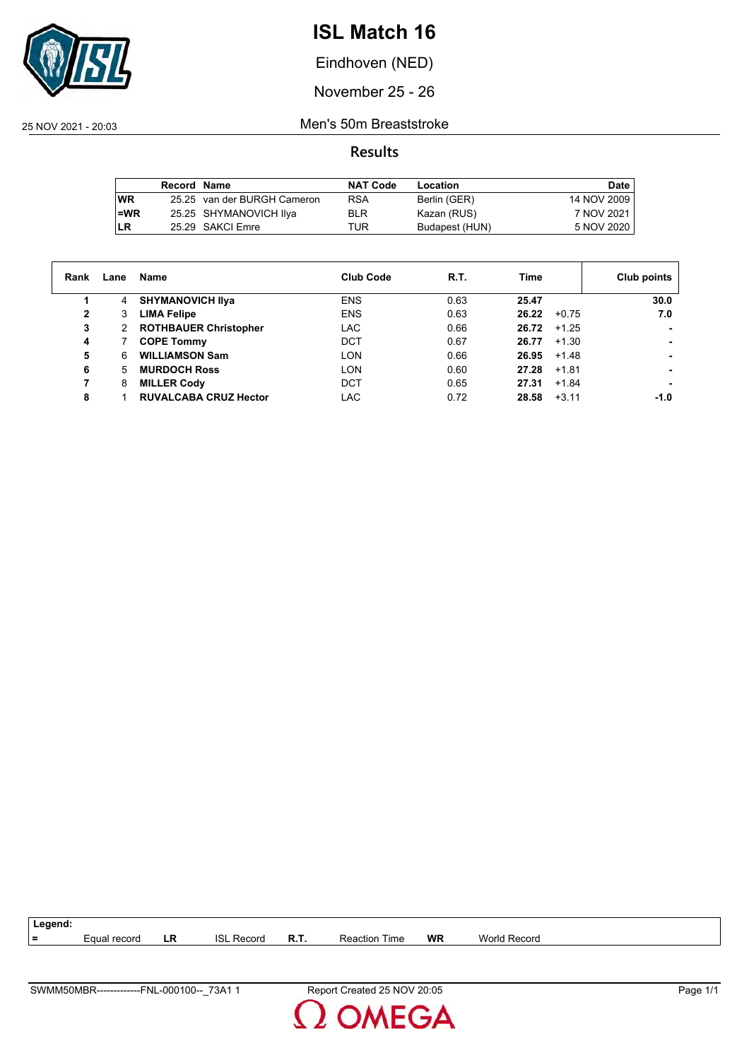

Eindhoven (NED)

November 25 - 26

25 NOV 2021 - 20:03 Men's 50m Breaststroke

**Results**

|           | Record Name |                             | <b>NAT Code</b> | Location       | Date        |
|-----------|-------------|-----------------------------|-----------------|----------------|-------------|
| <b>WR</b> |             | 25.25 van der BURGH Cameron | <b>RSA</b>      | Berlin (GER)   | 14 NOV 2009 |
| $l = WR$  |             | 25.25 SHYMANOVICH IIya      | <b>BLR</b>      | Kazan (RUS)    | 7 NOV 2021  |
| ILR       |             | 25.29 SAKCI Emre            | TUR             | Budapest (HUN) | 5 NOV 2020  |

| Rank | Lane | Name                         | <b>Club Code</b> | R.T. | Time             | Club points |
|------|------|------------------------------|------------------|------|------------------|-------------|
|      | 4    | <b>SHYMANOVICH IIva</b>      | <b>ENS</b>       | 0.63 | 25.47            | 30.0        |
| 2    | 3    | <b>LIMA Felipe</b>           | <b>ENS</b>       | 0.63 | 26.22<br>$+0.75$ | 7.0         |
| 3    | 2    | <b>ROTHBAUER Christopher</b> | LAC              | 0.66 | 26.72<br>$+1.25$ |             |
| 4    |      | <b>COPE Tommy</b>            | <b>DCT</b>       | 0.67 | $+1.30$<br>26.77 |             |
| 5    | 6    | <b>WILLIAMSON Sam</b>        | LON              | 0.66 | 26.95<br>+1.48   |             |
| 6    | 5    | <b>MURDOCH Ross</b>          | LON              | 0.60 | 27.28<br>$+1.81$ |             |
| 7    | 8    | <b>MILLER Cody</b>           | <b>DCT</b>       | 0.65 | 27.31<br>$+1.84$ |             |
| 8    |      | <b>RUVALCABA CRUZ Hector</b> | LAC              | 0.72 | $+3.11$<br>28.58 | -1.0        |



**MEGA**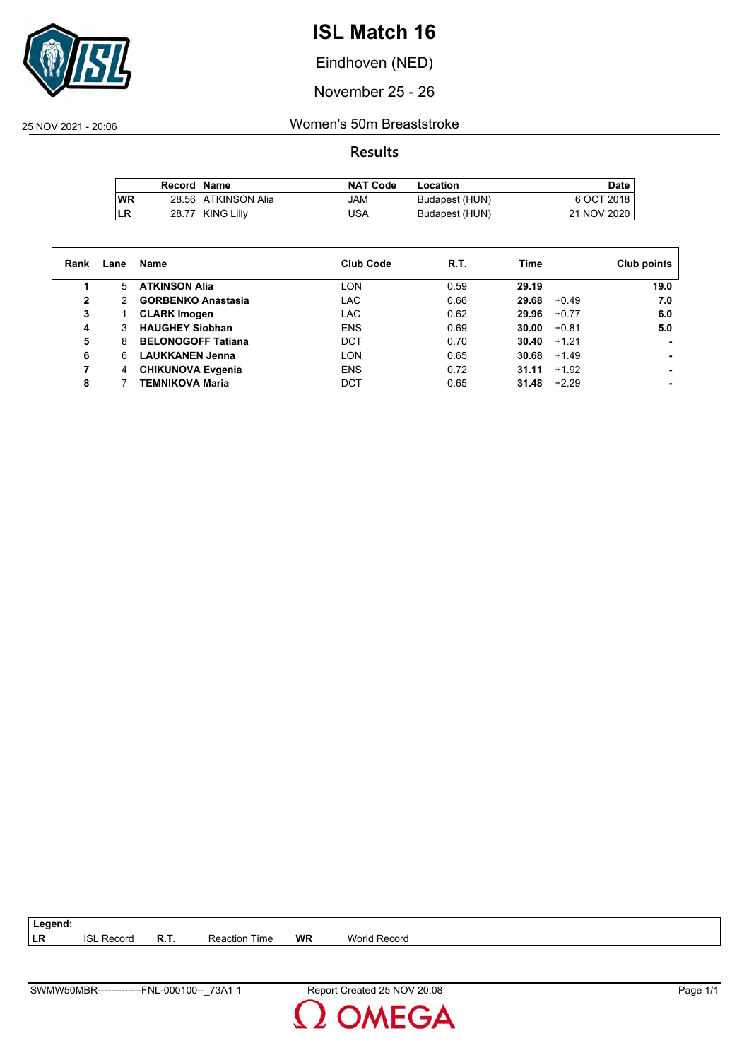

Eindhoven (NED)

November 25 - 26

25 NOV 2021 - 20:06 Women's 50m Breaststroke

**Results**

|           | Record Name |                     | <b>NAT Code</b> | Location       | <b>Date</b> |
|-----------|-------------|---------------------|-----------------|----------------|-------------|
| <b>WR</b> |             | 28.56 ATKINSON Alia | MAL             | Budapest (HUN) | 6 OCT 2018  |
| LR        |             | 28.77 KING Lilly    | USA             | Budapest (HUN) | 21 NOV 2020 |

| Rank | Lane | Name                      | <b>Club Code</b> | R.T. | Time             | Club points |
|------|------|---------------------------|------------------|------|------------------|-------------|
|      | 5.   | <b>ATKINSON Alia</b>      | <b>LON</b>       | 0.59 | 29.19            | 19.0        |
| 2    | 2    | <b>GORBENKO Anastasia</b> | <b>LAC</b>       | 0.66 | 29.68<br>$+0.49$ | 7.0         |
| 3    |      | <b>CLARK Imogen</b>       | <b>LAC</b>       | 0.62 | 29.96<br>$+0.77$ | 6.0         |
| 4    |      | <b>HAUGHEY Siobhan</b>    | <b>ENS</b>       | 0.69 | 30.00<br>$+0.81$ | 5.0         |
| 5    | 8    | <b>BELONOGOFF Tatiana</b> | <b>DCT</b>       | 0.70 | $+1.21$<br>30.40 |             |
| 6    | 6.   | <b>LAUKKANEN Jenna</b>    | <b>LON</b>       | 0.65 | 30.68<br>$+1.49$ |             |
|      | 4    | <b>CHIKUNOVA Evgenia</b>  | <b>ENS</b>       | 0.72 | $+1.92$<br>31.11 |             |
| 8    |      | <b>TEMNIKOVA Maria</b>    | DCT              | 0.65 | $+2.29$<br>31.48 |             |

| Record<br>IST | Reaction<br>-l ime | <b>WR</b> | World Record |
|---------------|--------------------|-----------|--------------|
|               |                    |           |              |

**Legend:**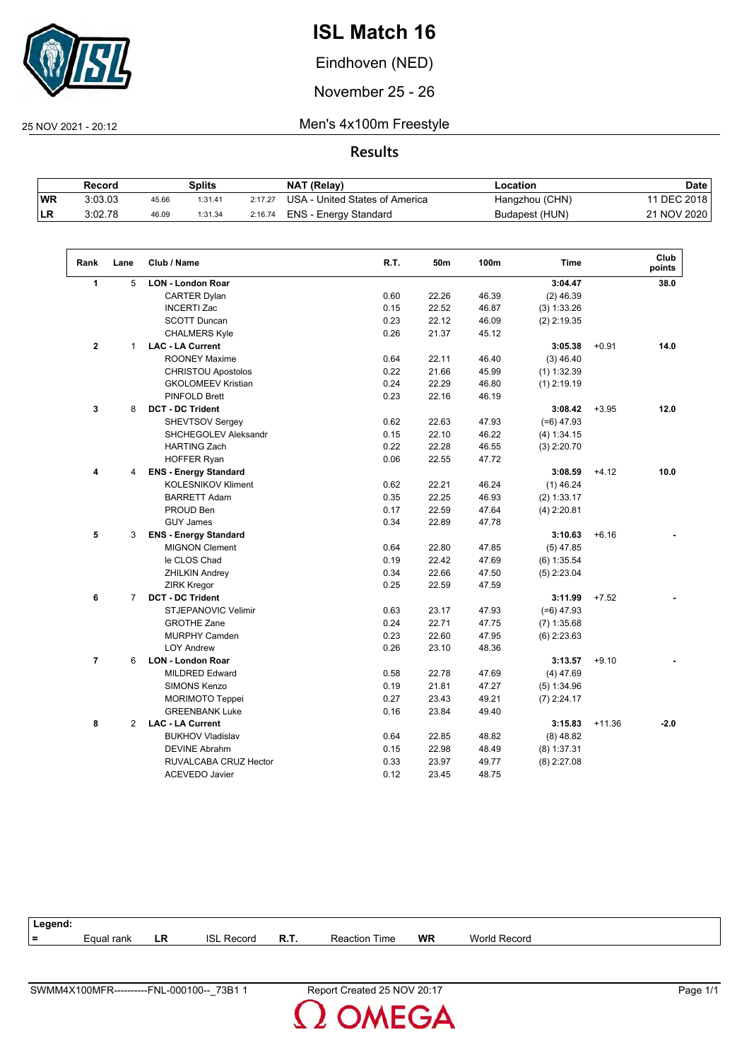

Eindhoven (NED)

November 25 - 26

25 NOV 2021 - 20:12 Men's 4x100m Freestyle

**Results**

|           | Record  |       | Splits  |         | <b>NAT (Relay)</b>             | Location       | <b>Date</b>   |
|-----------|---------|-------|---------|---------|--------------------------------|----------------|---------------|
| <b>WR</b> | 3:03.03 | 45.66 | 1:31.41 | 2:17.27 | USA - United States of America | Hangzhou (CHN) | 11 DEC 2018 I |
| <b>LR</b> | 3:02.78 | 46.09 | 1:31.34 | 2:16.74 | ENS - Energy Standard          | Budapest (HUN) | 21 NOV 2020   |

| Rank           | Lane           | Club / Name                  | R.T. | 50m   | 100m  | <b>Time</b>   |          | Club<br>points |
|----------------|----------------|------------------------------|------|-------|-------|---------------|----------|----------------|
| $\mathbf{1}$   | 5              | <b>LON - London Roar</b>     |      |       |       | 3:04.47       |          | 38.0           |
|                |                | <b>CARTER Dylan</b>          | 0.60 | 22.26 | 46.39 | $(2)$ 46.39   |          |                |
|                |                | <b>INCERTI Zac</b>           | 0.15 | 22.52 | 46.87 | (3) 1:33.26   |          |                |
|                |                | <b>SCOTT Duncan</b>          | 0.23 | 22.12 | 46.09 | $(2)$ 2:19.35 |          |                |
|                |                | <b>CHALMERS Kyle</b>         | 0.26 | 21.37 | 45.12 |               |          |                |
| $\mathbf{2}$   | $\mathbf{1}$   | <b>LAC - LA Current</b>      |      |       |       | 3:05.38       | $+0.91$  | 14.0           |
|                |                | <b>ROONEY Maxime</b>         | 0.64 | 22.11 | 46.40 | $(3)$ 46.40   |          |                |
|                |                | <b>CHRISTOU Apostolos</b>    | 0.22 | 21.66 | 45.99 | $(1)$ 1:32.39 |          |                |
|                |                | <b>GKOLOMEEV Kristian</b>    | 0.24 | 22.29 | 46.80 | $(1)$ 2:19.19 |          |                |
|                |                | <b>PINFOLD Brett</b>         | 0.23 | 22.16 | 46.19 |               |          |                |
| 3              | 8              | <b>DCT - DC Trident</b>      |      |       |       | 3:08.42       | $+3.95$  | 12.0           |
|                |                | SHEVTSOV Sergey              | 0.62 | 22.63 | 47.93 | $(=6)$ 47.93  |          |                |
|                |                | SHCHEGOLEV Aleksandr         | 0.15 | 22.10 | 46.22 | (4) 1:34.15   |          |                |
|                |                | <b>HARTING Zach</b>          | 0.22 | 22.28 | 46.55 | $(3)$ 2:20.70 |          |                |
|                |                | <b>HOFFER Ryan</b>           | 0.06 | 22.55 | 47.72 |               |          |                |
| 4              | 4              | <b>ENS - Energy Standard</b> |      |       |       | 3:08.59       | $+4.12$  | 10.0           |
|                |                | KOLESNIKOV Kliment           | 0.62 | 22.21 | 46.24 | $(1)$ 46.24   |          |                |
|                |                | <b>BARRETT Adam</b>          | 0.35 | 22.25 | 46.93 | (2) 1:33.17   |          |                |
|                |                | PROUD Ben                    | 0.17 | 22.59 | 47.64 | $(4)$ 2:20.81 |          |                |
|                |                | <b>GUY James</b>             | 0.34 | 22.89 | 47.78 |               |          |                |
| 5              | 3              | <b>ENS - Energy Standard</b> |      |       |       | 3:10.63       | $+6.16$  |                |
|                |                | <b>MIGNON Clement</b>        | 0.64 | 22.80 | 47.85 | $(5)$ 47.85   |          |                |
|                |                | le CLOS Chad                 | 0.19 | 22.42 | 47.69 | $(6)$ 1:35.54 |          |                |
|                |                | <b>ZHILKIN Andrey</b>        | 0.34 | 22.66 | 47.50 | $(5)$ 2:23.04 |          |                |
|                |                | <b>ZIRK Kregor</b>           | 0.25 | 22.59 | 47.59 |               |          |                |
| 6              | $\overline{7}$ | <b>DCT - DC Trident</b>      |      |       |       | 3:11.99       | $+7.52$  |                |
|                |                | <b>STJEPANOVIC Velimir</b>   | 0.63 | 23.17 | 47.93 | $(=6)$ 47.93  |          |                |
|                |                | <b>GROTHE Zane</b>           | 0.24 | 22.71 | 47.75 | $(7)$ 1:35.68 |          |                |
|                |                | <b>MURPHY Camden</b>         | 0.23 | 22.60 | 47.95 | $(6)$ 2:23.63 |          |                |
|                |                | <b>LOY Andrew</b>            | 0.26 | 23.10 | 48.36 |               |          |                |
| $\overline{7}$ | 6              | <b>LON - London Roar</b>     |      |       |       | 3:13.57       | $+9.10$  |                |
|                |                | <b>MILDRED Edward</b>        | 0.58 | 22.78 | 47.69 | $(4)$ 47.69   |          |                |
|                |                | <b>SIMONS Kenzo</b>          | 0.19 | 21.81 | 47.27 | (5) 1:34.96   |          |                |
|                |                | <b>MORIMOTO Teppei</b>       | 0.27 | 23.43 | 49.21 | $(7)$ 2:24.17 |          |                |
|                |                | <b>GREENBANK Luke</b>        | 0.16 | 23.84 | 49.40 |               |          |                |
| 8              | $\overline{2}$ | <b>LAC - LA Current</b>      |      |       |       | 3:15.83       | $+11.36$ | $-2.0$         |
|                |                | <b>BUKHOV Vladislav</b>      | 0.64 | 22.85 | 48.82 | $(8)$ 48.82   |          |                |
|                |                | <b>DEVINE Abrahm</b>         | 0.15 | 22.98 | 48.49 | $(8)$ 1:37.31 |          |                |
|                |                | RUVALCABA CRUZ Hector        | 0.33 | 23.97 | 49.77 | $(8)$ 2:27.08 |          |                |
|                |                | <b>ACEVEDO Javier</b>        | 0.12 | 23.45 | 48.75 |               |          |                |

| Legend: |            |    |                        |      |                      |           |              |
|---------|------------|----|------------------------|------|----------------------|-----------|--------------|
| $=$     | Equal rank | LR | <b>ISL</b><br>. Record | R.T. | <b>Reaction Time</b> | <b>WR</b> | World Record |
|         |            |    |                        |      |                      |           |              |

2 OMEGA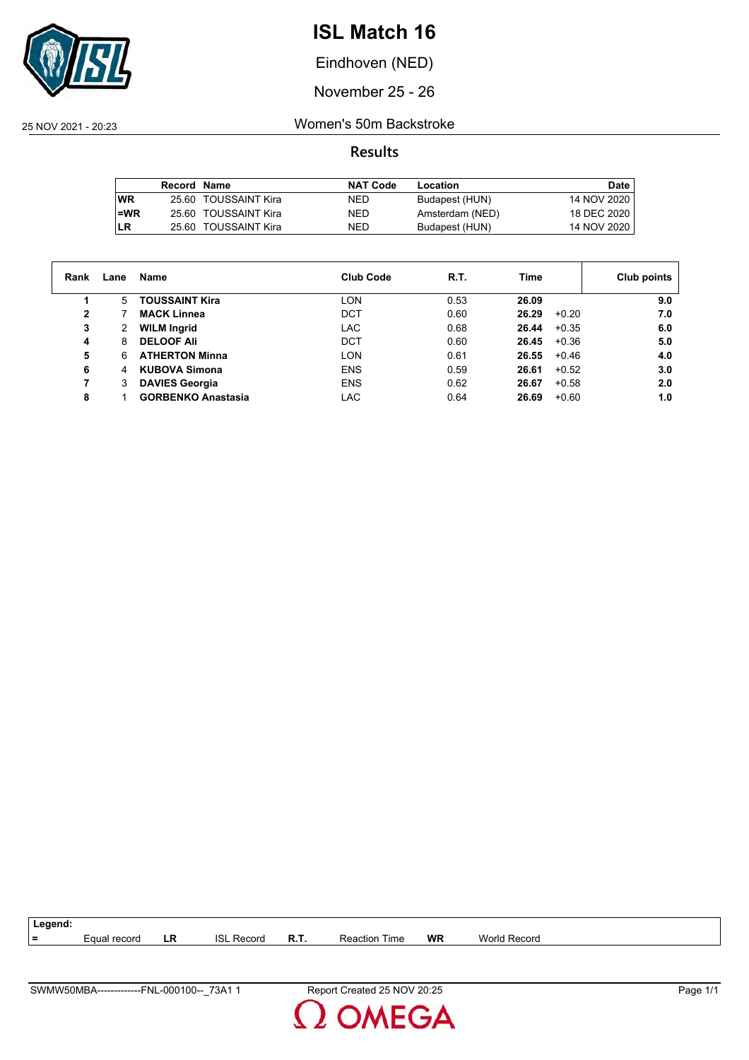

Eindhoven (NED)

November 25 - 26

25 NOV 2021 - 20:23 Women's 50m Backstroke

|      | Record Name |                      | <b>NAT Code</b> | Location        | Date        |
|------|-------------|----------------------|-----------------|-----------------|-------------|
| l WR |             | 25.60 TOUSSAINT Kira | NED.            | Budapest (HUN)  | 14 NOV 2020 |
| l=WR |             | 25.60 TOUSSAINT Kira | NED.            | Amsterdam (NED) | 18 DEC 2020 |
| LR   |             | 25.60 TOUSSAINT Kira | NED.            | Budapest (HUN)  | 14 NOV 2020 |

| Rank | Lane | Name                      | <b>Club Code</b> | R.T. | Time             | Club points |
|------|------|---------------------------|------------------|------|------------------|-------------|
|      | 5    | <b>TOUSSAINT Kira</b>     | LON              | 0.53 | 26.09            | 9.0         |
| 2    |      | <b>MACK Linnea</b>        | <b>DCT</b>       | 0.60 | 26.29<br>$+0.20$ | 7.0         |
| 3    | 2    | <b>WILM Ingrid</b>        | LAC              | 0.68 | $+0.35$<br>26.44 | 6.0         |
| 4    | 8    | <b>DELOOF Ali</b>         | <b>DCT</b>       | 0.60 | $+0.36$<br>26.45 | 5.0         |
| 5    | 6    | <b>ATHERTON Minna</b>     | LON              | 0.61 | 26.55<br>$+0.46$ | 4.0         |
| 6    | 4    | <b>KUBOVA Simona</b>      | <b>ENS</b>       | 0.59 | 26.61<br>$+0.52$ | 3.0         |
| 7    | 3    | <b>DAVIES Georgia</b>     | <b>ENS</b>       | 0.62 | 26.67<br>$+0.58$ | 2.0         |
| 8    |      | <b>GORBENKO Anastasia</b> | LAC              | 0.64 | 26.69<br>$+0.60$ | 1.0         |

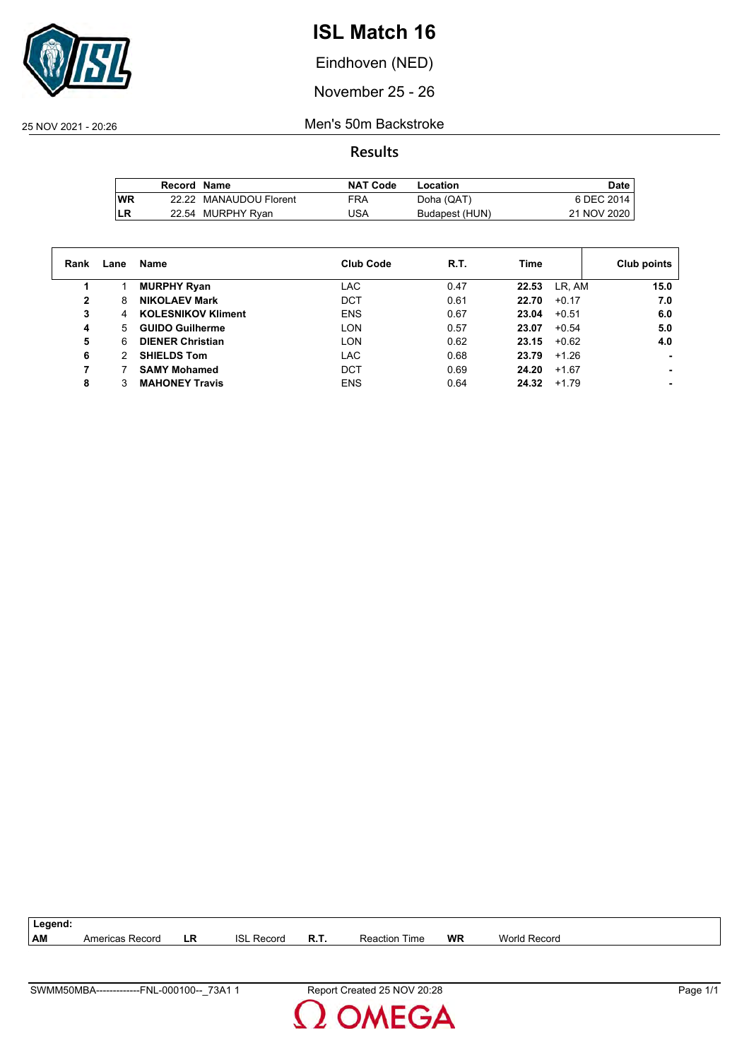

Eindhoven (NED)

November 25 - 26

25 NOV 2021 - 20:26 Men's 50m Backstroke

|           | Record Name |                        | <b>NAT Code</b> | Location       | Date.       |
|-----------|-------------|------------------------|-----------------|----------------|-------------|
| <b>WR</b> |             | 22.22 MANAUDOU Florent | <b>FRA</b>      | Doha (QAT)     | 6 DEC 2014  |
| LR        |             | 22.54 MURPHY Ryan      | 'JSA            | Budapest (HUN) | 21 NOV 2020 |

| Rank | Lane | Name                      | <b>Club Code</b> | R.T. | Time             | Club points |
|------|------|---------------------------|------------------|------|------------------|-------------|
|      |      | <b>MURPHY Ryan</b>        | LAC              | 0.47 | LR, AM<br>22.53  | 15.0        |
| 2    | 8    | <b>NIKOLAEV Mark</b>      | <b>DCT</b>       | 0.61 | $+0.17$<br>22.70 | 7.0         |
| 3    | 4    | <b>KOLESNIKOV Kliment</b> | <b>ENS</b>       | 0.67 | 23.04<br>$+0.51$ | 6.0         |
| 4    | 5.   | <b>GUIDO Guilherme</b>    | LON              | 0.57 | $+0.54$<br>23.07 | 5.0         |
| 5    | 6    | <b>DIENER Christian</b>   | <b>LON</b>       | 0.62 | 23.15<br>$+0.62$ | 4.0         |
| 6    |      | <b>SHIELDS Tom</b>        | <b>LAC</b>       | 0.68 | 23.79<br>$+1.26$ |             |
|      |      | <b>SAMY Mohamed</b>       | DCT              | 0.69 | 24.20<br>$+1.67$ |             |
| 8    |      | <b>MAHONEY Travis</b>     | <b>ENS</b>       | 0.64 | 24.32<br>$+1.79$ |             |

| ∟egend: |                 |    |                      |          |                  |           |                     |
|---------|-----------------|----|----------------------|----------|------------------|-----------|---------------------|
| AM      | Americas Record | LR | <b>ISL</b><br>Record | o<br>в., | Time<br>Reaction | <b>WR</b> | <b>World Record</b> |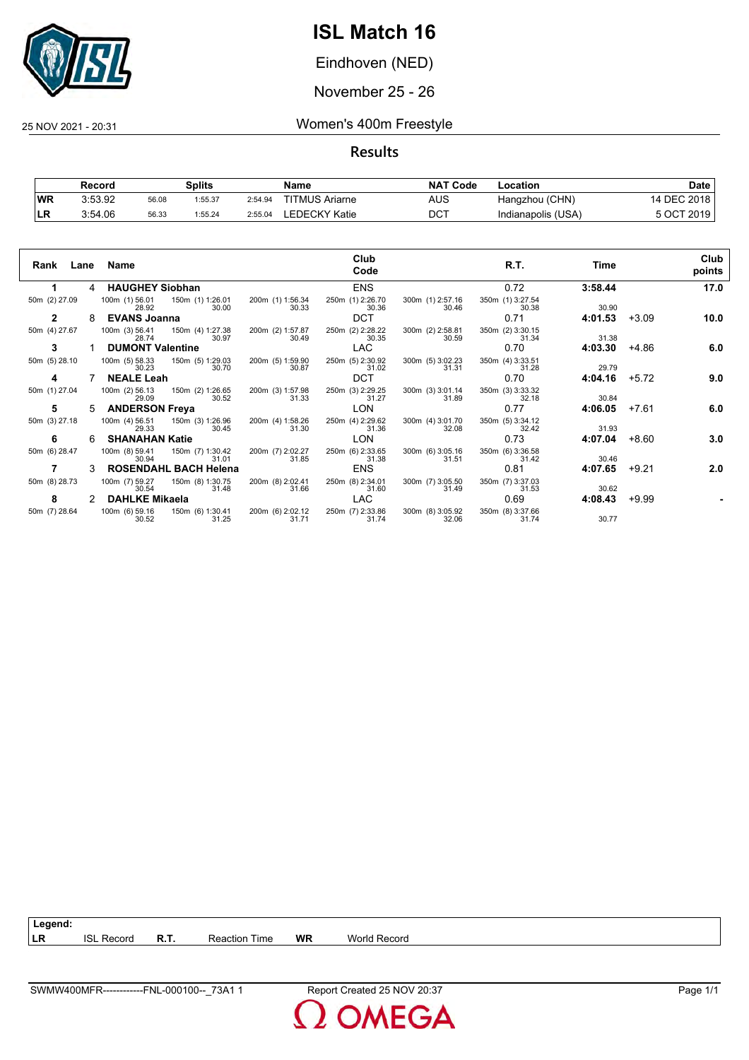

Eindhoven (NED)

November 25 - 26

25 NOV 2021 - 20:31 Women's 400m Freestyle

**Results**

|           | Record  |       | Splits  |         | Name                  | <b>NAT Code</b> | Location           | Date        |
|-----------|---------|-------|---------|---------|-----------------------|-----------------|--------------------|-------------|
| <b>WR</b> | 3:53.92 | 56.08 | 1:55.37 | 2:54.94 | <b>TITMUS Ariarne</b> | AUS             | Hangzhou (CHN)     | 14 DEC 2018 |
| ∣LR       | 3:54.06 | 56.33 | 1:55.24 | 2:55.04 | EDECKY Katie.         | DCT             | Indianapolis (USA) | 5 OCT 2019  |

| Lane<br>Rank  |   | Name                                        |                                    | Club<br>Code              |                           | R.T.                      | Time    |         | Club<br>points |
|---------------|---|---------------------------------------------|------------------------------------|---------------------------|---------------------------|---------------------------|---------|---------|----------------|
|               | 4 | <b>HAUGHEY Siobhan</b>                      |                                    | <b>ENS</b>                |                           | 0.72                      | 3:58.44 |         | 17.0           |
| 50m (2) 27.09 |   | 100m (1) 56.01<br>150m (1) 1:26.01<br>28.92 | 200m (1) 1:56.34<br>30.33<br>30.00 | 250m (1) 2:26.70<br>30.36 | 300m (1) 2:57.16<br>30.46 | 350m (1) 3:27.54<br>30.38 | 30.90   |         |                |
| 2             | 8 | <b>EVANS Joanna</b>                         |                                    | <b>DCT</b>                |                           | 0.71                      | 4:01.53 | $+3.09$ | 10.0           |
| 50m (4) 27.67 |   | 100m (3) 56.41<br>150m (4) 1:27.38<br>28.74 | 200m (2) 1:57.87<br>30.49<br>30.97 | 250m (2) 2:28.22<br>30.35 | 300m (2) 2:58.81<br>30.59 | 350m (2) 3:30.15<br>31.34 | 31.38   |         |                |
| 3             |   | <b>DUMONT Valentine</b>                     |                                    | LAC.                      |                           | 0.70                      | 4:03.30 | +4.86   | 6.0            |
| 50m (5) 28.10 |   | 100m (5) 58.33<br>150m (5) 1:29.03<br>30.23 | 200m (5) 1:59.90<br>30.87<br>30.70 | 250m (5) 2:30.92<br>31.02 | 300m (5) 3:02.23<br>31.31 | 350m (4) 3:33.51<br>31.28 | 29.79   |         |                |
| 4             |   | <b>NEALE Leah</b>                           |                                    | <b>DCT</b>                |                           | 0.70                      | 4:04.16 | $+5.72$ | 9.0            |
| 50m (1) 27.04 |   | 100m (2) 56.13<br>150m (2) 1:26.65<br>29.09 | 200m (3) 1:57.98<br>31.33<br>30.52 | 250m (3) 2:29.25<br>31.27 | 300m (3) 3:01.14<br>31.89 | 350m (3) 3:33.32<br>32.18 | 30.84   |         |                |
| 5             | 5 | <b>ANDERSON Freya</b>                       |                                    | <b>LON</b>                |                           | 0.77                      | 4:06.05 | $+7.61$ | 6.0            |
| 50m (3) 27.18 |   | 100m (4) 56.51<br>150m (3) 1:26.96<br>29.33 | 200m (4) 1:58.26<br>31.30<br>30.45 | 250m (4) 2:29.62<br>31.36 | 300m (4) 3:01.70<br>32.08 | 350m (5) 3:34.12<br>32.42 | 31.93   |         |                |
| 6             | 6 | <b>SHANAHAN Katie</b>                       |                                    | LON                       |                           | 0.73                      | 4:07.04 | $+8.60$ | 3.0            |
| 50m (6) 28.47 |   | 100m (8) 59.41<br>150m (7) 1:30.42<br>30.94 | 200m (7) 2:02.27<br>31.85<br>31.01 | 250m (6) 2:33.65<br>31.38 | 300m (6) 3:05.16<br>31.51 | 350m (6) 3:36.58<br>31.42 | 30.46   |         |                |
|               |   | <b>ROSENDAHL BACH Helena</b>                |                                    | <b>ENS</b>                |                           | 0.81                      | 4:07.65 | $+9.21$ | 2.0            |
| 50m (8) 28.73 |   | 100m (7) 59.27<br>150m (8) 1:30.75<br>30.54 | 200m (8) 2:02.41<br>31.48<br>31.66 | 250m (8) 2:34.01<br>31.60 | 300m (7) 3:05.50<br>31.49 | 350m (7) 3:37.03<br>31.53 | 30.62   |         |                |
| 8             |   | <b>DAHLKE Mikaela</b>                       |                                    | <b>LAC</b>                |                           | 0.69                      | 4:08.43 | $+9.99$ |                |
| 50m (7) 28.64 |   | 100m (6) 59.16<br>150m (6) 1:30.41<br>30.52 | 200m (6) 2:02.12<br>31.25<br>31.71 | 250m (7) 2:33.86<br>31.74 | 300m (8) 3:05.92<br>32.06 | 350m (8) 3:37.66<br>31.74 | 30.77   |         |                |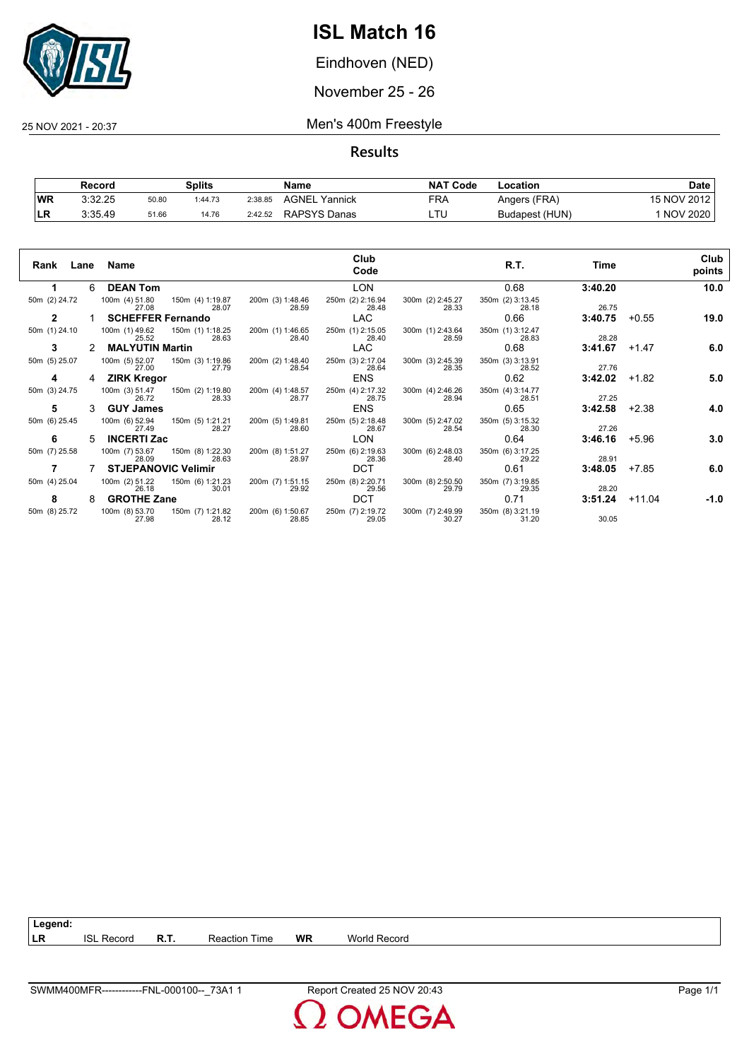

Eindhoven (NED)

November 25 - 26

25 NOV 2021 - 20:37 Men's 400m Freestyle

**Results**

|           | Record  |       | Splits  |         | Name             | <b>NAT</b><br>' Code | Location       | Date            |
|-----------|---------|-------|---------|---------|------------------|----------------------|----------------|-----------------|
| <b>WR</b> | 3:32.25 | 50.80 | 1:44.73 | 2:38.85 | AGNEL<br>Yannick | FRA                  | Angers (FRA)   | 15 NOV 2012     |
| LR        | 3:35.49 | 51.66 | 14.76   | 2:42.52 | RAPSYS Danas     | LTL                  | Budapest (HUN) | <b>NOV 2020</b> |

| Rank          |    | Lane Name                  |                           |                           | Club<br>Code              |                           | R.T.                      | Time    |          | Club<br>points |
|---------------|----|----------------------------|---------------------------|---------------------------|---------------------------|---------------------------|---------------------------|---------|----------|----------------|
|               | 6  | <b>DEAN Tom</b>            |                           |                           | <b>LON</b>                |                           | 0.68                      | 3:40.20 |          | 10.0           |
| 50m (2) 24.72 |    | 100m (4) 51.80<br>27.08    | 150m (4) 1:19.87<br>28.07 | 200m (3) 1:48.46<br>28.59 | 250m (2) 2:16.94<br>28.48 | 300m (2) 2:45.27<br>28.33 | 350m (2) 3:13.45<br>28.18 | 26.75   |          |                |
| 2             |    | <b>SCHEFFER Fernando</b>   |                           |                           | <b>LAC</b>                |                           | 0.66                      | 3:40.75 | $+0.55$  | 19.0           |
| 50m (1) 24.10 |    | 100m (1) 49.62<br>25.52    | 150m (1) 1:18.25<br>28.63 | 200m (1) 1:46.65<br>28.40 | 250m (1) 2:15.05<br>28.40 | 300m (1) 2:43.64<br>28.59 | 350m (1) 3:12.47<br>28.83 | 28.28   |          |                |
| 3             |    | <b>MALYUTIN Martin</b>     |                           |                           | LAC                       |                           | 0.68                      | 3:41.67 | $+1.47$  | 6.0            |
| 50m (5) 25.07 |    | 100m (5) 52.07<br>27.00    | 150m (3) 1:19.86<br>27.79 | 200m (2) 1:48.40<br>28.54 | 250m (3) 2:17.04<br>28.64 | 300m (3) 2:45.39<br>28.35 | 350m (3) 3:13.91<br>28.52 | 27.76   |          |                |
| 4             | 4  | <b>ZIRK Kregor</b>         |                           |                           | <b>ENS</b>                |                           | 0.62                      | 3:42.02 | $+1.82$  | 5.0            |
| 50m (3) 24.75 |    | 100m (3) 51.47<br>26.72    | 150m (2) 1:19.80<br>28.33 | 200m (4) 1:48.57<br>28.77 | 250m (4) 2:17.32<br>28.75 | 300m (4) 2:46.26<br>28.94 | 350m (4) 3:14.77<br>28.51 | 27.25   |          |                |
| 5             |    | <b>GUY James</b>           |                           |                           | <b>ENS</b>                |                           | 0.65                      | 3:42.58 | $+2.38$  | 4.0            |
| 50m (6) 25.45 |    | 100m (6) 52.94<br>27.49    | 150m (5) 1:21.21<br>28.27 | 200m (5) 1:49.81<br>28.60 | 250m (5) 2:18.48<br>28.67 | 300m (5) 2:47.02<br>28.54 | 350m (5) 3:15.32<br>28.30 | 27.26   |          |                |
| 6             | 5. | <b>INCERTI Zac</b>         |                           |                           | LON                       |                           | 0.64                      | 3:46.16 | $+5.96$  | 3.0            |
| 50m (7) 25.58 |    | 100m (7) 53.67<br>28.09    | 150m (8) 1:22.30<br>28.63 | 200m (8) 1:51.27<br>28.97 | 250m (6) 2:19.63<br>28.36 | 300m (6) 2:48.03<br>28.40 | 350m (6) 3:17.25<br>29.22 | 28.91   |          |                |
|               |    | <b>STJEPANOVIC Velimir</b> |                           |                           | <b>DCT</b>                |                           | 0.61                      | 3:48.05 | $+7.85$  | 6.0            |
| 50m (4) 25.04 |    | 100m (2) 51.22<br>26.18    | 150m (6) 1:21.23<br>30.01 | 200m (7) 1:51.15<br>29.92 | 250m (8) 2:20.71<br>29.56 | 300m (8) 2:50.50<br>29.79 | 350m (7) 3:19.85<br>29.35 | 28.20   |          |                |
| 8             | 8  | <b>GROTHE Zane</b>         |                           |                           | <b>DCT</b>                |                           | 0.71                      | 3:51.24 | $+11.04$ | $-1.0$         |
| 50m (8) 25.72 |    | 100m (8) 53.70<br>27.98    | 150m (7) 1:21.82<br>28.12 | 200m (6) 1:50.67<br>28.85 | 250m (7) 2:19.72<br>29.05 | 300m (7) 2:49.99<br>30.27 | 350m (8) 3:21.19<br>31.20 | 30.05   |          |                |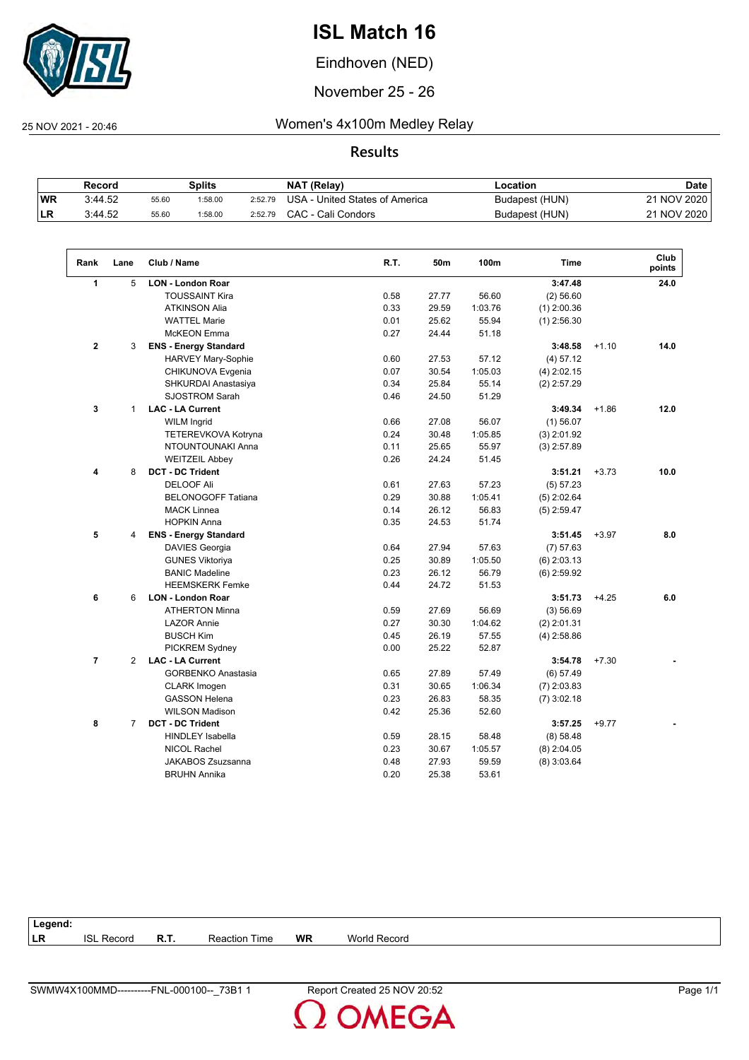

Eindhoven (NED)

November 25 - 26

 $\sqrt{2}$ 

25 NOV 2021 - 20:46 Women's 4x100m Medley Relay

|           | Record  |       | Splits  |         | <b>NAT (Relay)</b>             | ∟ocation       | <b>Date</b> |
|-----------|---------|-------|---------|---------|--------------------------------|----------------|-------------|
| <b>WR</b> | 3:44.52 | 55.60 | 1:58.00 | 2:52.79 | USA - United States of America | Budapest (HUN) | 21 NOV 2020 |
| <b>LR</b> | 3:44.52 | 55.60 | 1:58.00 | 2:52.79 | CAC - Cali Condors             | Budapest (HUN) | 21 NOV 2020 |

| Rank           | Lane           | Club / Name                  | R.T. | 50m   | 100m    | <b>Time</b>   |         | Club<br>points |
|----------------|----------------|------------------------------|------|-------|---------|---------------|---------|----------------|
| $\mathbf{1}$   | 5              | <b>LON - London Roar</b>     |      |       |         | 3:47.48       |         | 24.0           |
|                |                | <b>TOUSSAINT Kira</b>        | 0.58 | 27.77 | 56.60   | (2) 56.60     |         |                |
|                |                | <b>ATKINSON Alia</b>         | 0.33 | 29.59 | 1:03.76 | $(1)$ 2:00.36 |         |                |
|                |                | <b>WATTEL Marie</b>          | 0.01 | 25.62 | 55.94   | $(1)$ 2:56.30 |         |                |
|                |                | <b>McKEON</b> Emma           | 0.27 | 24.44 | 51.18   |               |         |                |
| $\overline{2}$ | 3              | <b>ENS - Energy Standard</b> |      |       |         | 3:48.58       | $+1.10$ | 14.0           |
|                |                | HARVEY Mary-Sophie           | 0.60 | 27.53 | 57.12   | (4) 57.12     |         |                |
|                |                | CHIKUNOVA Evgenia            | 0.07 | 30.54 | 1:05.03 | $(4)$ 2:02.15 |         |                |
|                |                | SHKURDAI Anastasiya          | 0.34 | 25.84 | 55.14   | $(2)$ 2:57.29 |         |                |
|                |                | <b>SJOSTROM Sarah</b>        | 0.46 | 24.50 | 51.29   |               |         |                |
| 3              | $\mathbf{1}$   | <b>LAC - LA Current</b>      |      |       |         | 3:49.34       | $+1.86$ | 12.0           |
|                |                | <b>WILM Ingrid</b>           | 0.66 | 27.08 | 56.07   | $(1)$ 56.07   |         |                |
|                |                | TETEREVKOVA Kotryna          | 0.24 | 30.48 | 1:05.85 | $(3)$ 2:01.92 |         |                |
|                |                | NTOUNTOUNAKI Anna            | 0.11 | 25.65 | 55.97   | $(3)$ 2:57.89 |         |                |
|                |                | <b>WEITZEIL Abbey</b>        | 0.26 | 24.24 | 51.45   |               |         |                |
| 4              | 8              | <b>DCT - DC Trident</b>      |      |       |         | 3:51.21       | $+3.73$ | 10.0           |
|                |                | <b>DELOOF Ali</b>            | 0.61 | 27.63 | 57.23   | (5) 57.23     |         |                |
|                |                | <b>BELONOGOFF Tatiana</b>    | 0.29 | 30.88 | 1:05.41 | $(5)$ 2:02.64 |         |                |
|                |                | <b>MACK Linnea</b>           | 0.14 | 26.12 | 56.83   | $(5)$ 2:59.47 |         |                |
|                |                | <b>HOPKIN Anna</b>           | 0.35 | 24.53 | 51.74   |               |         |                |
| 5              | 4              | <b>ENS - Energy Standard</b> |      |       |         | 3:51.45       | $+3.97$ | 8.0            |
|                |                | <b>DAVIES Georgia</b>        | 0.64 | 27.94 | 57.63   | $(7)$ 57.63   |         |                |
|                |                | <b>GUNES Viktoriya</b>       | 0.25 | 30.89 | 1:05.50 | $(6)$ 2:03.13 |         |                |
|                |                | <b>BANIC Madeline</b>        | 0.23 | 26.12 | 56.79   | $(6)$ 2:59.92 |         |                |
|                |                | <b>HEEMSKERK Femke</b>       | 0.44 | 24.72 | 51.53   |               |         |                |
| 6              | 6              | <b>LON - London Roar</b>     |      |       |         | 3:51.73       | $+4.25$ | 6.0            |
|                |                | <b>ATHERTON Minna</b>        | 0.59 | 27.69 | 56.69   | (3) 56.69     |         |                |
|                |                | <b>LAZOR Annie</b>           | 0.27 | 30.30 | 1:04.62 | $(2)$ 2:01.31 |         |                |
|                |                | <b>BUSCH Kim</b>             | 0.45 | 26.19 | 57.55   | $(4)$ 2:58.86 |         |                |
|                |                | PICKREM Sydney               | 0.00 | 25.22 | 52.87   |               |         |                |
| $\overline{7}$ | 2              | <b>LAC - LA Current</b>      |      |       |         | 3:54.78       | $+7.30$ |                |
|                |                | <b>GORBENKO Anastasia</b>    | 0.65 | 27.89 | 57.49   | (6) 57.49     |         |                |
|                |                | <b>CLARK Imogen</b>          | 0.31 | 30.65 | 1:06.34 | $(7)$ 2:03.83 |         |                |
|                |                | <b>GASSON Helena</b>         | 0.23 | 26.83 | 58.35   | $(7)$ 3:02.18 |         |                |
|                |                | <b>WILSON Madison</b>        | 0.42 | 25.36 | 52.60   |               |         |                |
| 8              | $\overline{7}$ | <b>DCT - DC Trident</b>      |      |       |         | 3:57.25       | $+9.77$ |                |
|                |                | <b>HINDLEY Isabella</b>      | 0.59 | 28.15 | 58.48   | (8) 58.48     |         |                |
|                |                | <b>NICOL Rachel</b>          | 0.23 | 30.67 | 1:05.57 | $(8)$ 2:04.05 |         |                |
|                |                | <b>JAKABOS Zsuzsanna</b>     | 0.48 | 27.93 | 59.59   | $(8)$ 3:03.64 |         |                |
|                |                | <b>BRUHN Annika</b>          | 0.20 | 25.38 | 53.61   |               |         |                |

| Legend: |               |             |      |           |                        |
|---------|---------------|-------------|------|-----------|------------------------|
| LR      | Record<br>ופו | <b>R.T.</b> | ⊺ime | <b>WR</b> | <b>World</b><br>Record |
|         |               |             |      |           |                        |

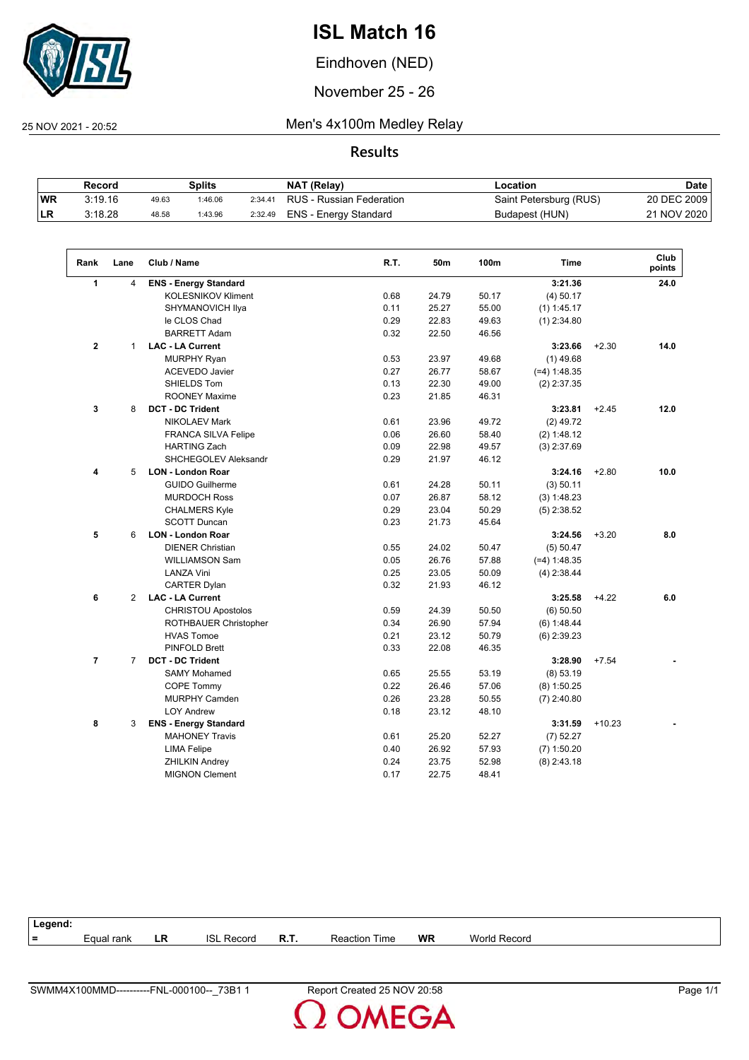

Eindhoven (NED)

November 25 - 26

 $\sqrt{2}$ 

25 NOV 2021 - 20:52 Men's 4x100m Medley Relay

**Results**

|           | Record  |       | Splits  |         | NAT (Relay)              | Location               | Date        |
|-----------|---------|-------|---------|---------|--------------------------|------------------------|-------------|
| <b>WR</b> | 3:19.16 | 49.63 | 1:46.06 | 2:34.41 | RUS - Russian Federation | Saint Petersburg (RUS) | 20 DEC 2009 |
| LR        | 3:18.28 | 48.58 | 1:43.96 | 2:32.49 | ENS - Energy Standard    | Budapest (HUN)         | 21 NOV 2020 |

| Rank           | Lane           | Club / Name                  | R.T. | 50m   | 100m  | <b>Time</b>    |          | Club<br>points |
|----------------|----------------|------------------------------|------|-------|-------|----------------|----------|----------------|
| 1              | 4              | <b>ENS - Energy Standard</b> |      |       |       | 3:21.36        |          | 24.0           |
|                |                | <b>KOLESNIKOV Kliment</b>    | 0.68 | 24.79 | 50.17 | $(4)$ 50.17    |          |                |
|                |                | SHYMANOVICH IIya             | 0.11 | 25.27 | 55.00 | $(1)$ 1:45.17  |          |                |
|                |                | le CLOS Chad                 | 0.29 | 22.83 | 49.63 | $(1)$ 2:34.80  |          |                |
|                |                | <b>BARRETT Adam</b>          | 0.32 | 22.50 | 46.56 |                |          |                |
| $\mathbf{2}$   | 1              | <b>LAC - LA Current</b>      |      |       |       | 3:23.66        | $+2.30$  | 14.0           |
|                |                | <b>MURPHY Ryan</b>           | 0.53 | 23.97 | 49.68 | $(1)$ 49.68    |          |                |
|                |                | <b>ACEVEDO Javier</b>        | 0.27 | 26.77 | 58.67 | $(-4) 1:48.35$ |          |                |
|                |                | SHIELDS Tom                  | 0.13 | 22.30 | 49.00 | $(2)$ 2:37.35  |          |                |
|                |                | <b>ROONEY Maxime</b>         | 0.23 | 21.85 | 46.31 |                |          |                |
| 3              | 8              | <b>DCT - DC Trident</b>      |      |       |       | 3:23.81        | $+2.45$  | 12.0           |
|                |                | <b>NIKOLAEV Mark</b>         | 0.61 | 23.96 | 49.72 | $(2)$ 49.72    |          |                |
|                |                | <b>FRANCA SILVA Felipe</b>   | 0.06 | 26.60 | 58.40 | (2) 1:48.12    |          |                |
|                |                | <b>HARTING Zach</b>          | 0.09 | 22.98 | 49.57 | $(3)$ 2:37.69  |          |                |
|                |                | SHCHEGOLEV Aleksandr         | 0.29 | 21.97 | 46.12 |                |          |                |
| 4              | 5              | <b>LON - London Roar</b>     |      |       |       | 3:24.16        | $+2.80$  | 10.0           |
|                |                | <b>GUIDO Guilherme</b>       | 0.61 | 24.28 | 50.11 | $(3)$ 50.11    |          |                |
|                |                | <b>MURDOCH Ross</b>          | 0.07 | 26.87 | 58.12 | (3) 1:48.23    |          |                |
|                |                | <b>CHALMERS Kyle</b>         | 0.29 | 23.04 | 50.29 | $(5)$ 2:38.52  |          |                |
|                |                | <b>SCOTT Duncan</b>          | 0.23 | 21.73 | 45.64 |                |          |                |
| 5              | 6              | <b>LON - London Roar</b>     |      |       |       | 3:24.56        | $+3.20$  | 8.0            |
|                |                | <b>DIENER Christian</b>      | 0.55 | 24.02 | 50.47 | (5) 50.47      |          |                |
|                |                | <b>WILLIAMSON Sam</b>        | 0.05 | 26.76 | 57.88 | $(-4) 1:48.35$ |          |                |
|                |                | <b>LANZA Vini</b>            | 0.25 | 23.05 | 50.09 | $(4)$ 2:38.44  |          |                |
|                |                | <b>CARTER Dylan</b>          | 0.32 | 21.93 | 46.12 |                |          |                |
| 6              | 2              | <b>LAC - LA Current</b>      |      |       |       | 3:25.58        | $+4.22$  | 6.0            |
|                |                | <b>CHRISTOU Apostolos</b>    | 0.59 | 24.39 | 50.50 | $(6)$ 50.50    |          |                |
|                |                | ROTHBAUER Christopher        | 0.34 | 26.90 | 57.94 | (6) 1:48.44    |          |                |
|                |                | <b>HVAS Tomoe</b>            | 0.21 | 23.12 | 50.79 | $(6)$ 2:39.23  |          |                |
|                |                | <b>PINFOLD Brett</b>         | 0.33 | 22.08 | 46.35 |                |          |                |
| $\overline{7}$ | $\overline{7}$ | <b>DCT - DC Trident</b>      |      |       |       | 3:28.90        | $+7.54$  |                |
|                |                | <b>SAMY Mohamed</b>          | 0.65 | 25.55 | 53.19 | (8) 53.19      |          |                |
|                |                | <b>COPE Tommy</b>            | 0.22 | 26.46 | 57.06 | $(8)$ 1:50.25  |          |                |
|                |                | <b>MURPHY Camden</b>         | 0.26 | 23.28 | 50.55 | $(7)$ 2:40.80  |          |                |
|                |                | <b>LOY Andrew</b>            | 0.18 | 23.12 | 48.10 |                |          |                |
| 8              | 3              | <b>ENS - Energy Standard</b> |      |       |       | 3:31.59        | $+10.23$ |                |
|                |                | <b>MAHONEY Travis</b>        | 0.61 | 25.20 | 52.27 | $(7)$ 52.27    |          |                |
|                |                | <b>LIMA Felipe</b>           | 0.40 | 26.92 | 57.93 | $(7)$ 1:50.20  |          |                |
|                |                | <b>ZHILKIN Andrey</b>        | 0.24 | 23.75 | 52.98 | $(8)$ 2:43.18  |          |                |
|                |                | <b>MIGNON Clement</b>        | 0.17 | 22.75 | 48.41 |                |          |                |
|                |                |                              |      |       |       |                |          |                |

| Legend: |                    |    |               |      |                      |           |              |
|---------|--------------------|----|---------------|------|----------------------|-----------|--------------|
| $=$     | <i>E</i> qual rank | LR | ISL<br>Record | R.T. | <b>Reaction Time</b> | <b>WR</b> | World Record |
|         |                    |    |               |      |                      |           |              |

**OMEGA**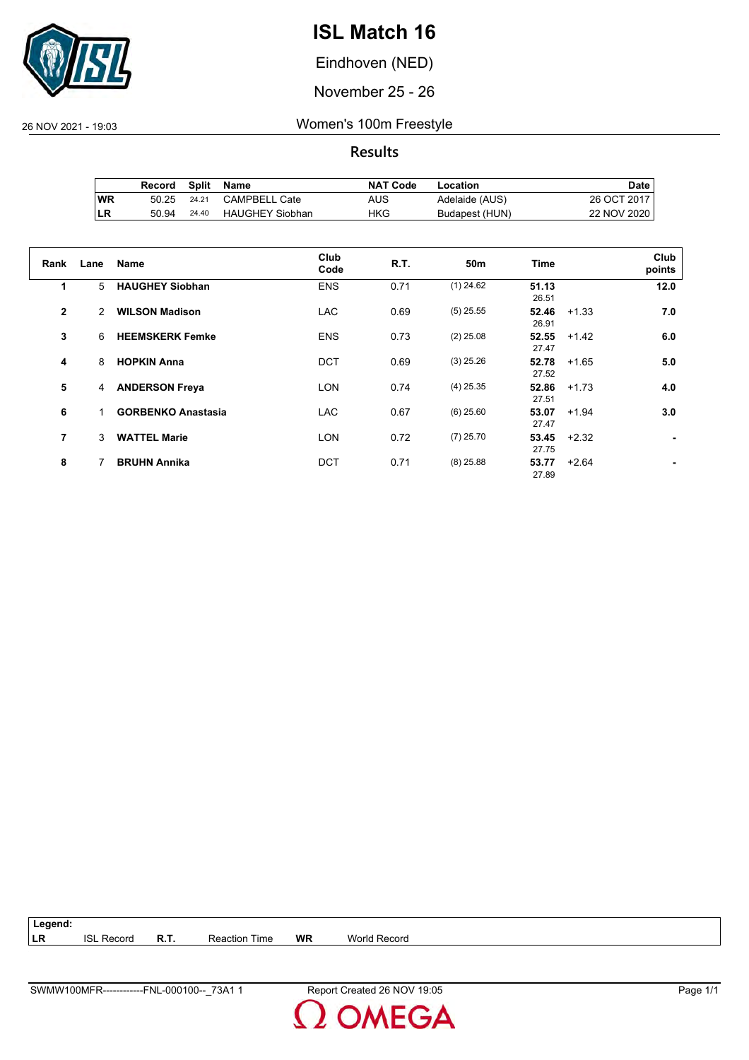

Eindhoven (NED)

November 25 - 26

26 NOV 2021 - 19:03 Women's 100m Freestyle

**Results**

|           | Record | Split | Name                   | <b>NAT Code</b> | Location       | Date .      |
|-----------|--------|-------|------------------------|-----------------|----------------|-------------|
| <b>WR</b> | 50.25  | 24.21 | <b>CAMPBELL Cate</b>   | AUS             | Adelaide (AUS) | 26 OCT 2017 |
| ILR       | 50.94  | 24.40 | <b>HAUGHEY Siobhan</b> | HKG             | Budapest (HUN) | 22 NOV 2020 |

| Rank           | Lane | Name                      | Club<br>Code | R.T. | 50 <sub>m</sub> | <b>Time</b>    |         | Club<br>points |
|----------------|------|---------------------------|--------------|------|-----------------|----------------|---------|----------------|
| 1              | 5    | <b>HAUGHEY Siobhan</b>    | <b>ENS</b>   | 0.71 | $(1)$ 24.62     | 51.13<br>26.51 |         | 12.0           |
| $\overline{2}$ | 2    | <b>WILSON Madison</b>     | <b>LAC</b>   | 0.69 | $(5)$ 25.55     | 52.46<br>26.91 | $+1.33$ | 7.0            |
| 3              | 6    | <b>HEEMSKERK Femke</b>    | <b>ENS</b>   | 0.73 | $(2)$ 25.08     | 52.55<br>27.47 | $+1.42$ | 6.0            |
| 4              | 8    | <b>HOPKIN Anna</b>        | <b>DCT</b>   | 0.69 | $(3)$ 25.26     | 52.78<br>27.52 | $+1.65$ | 5.0            |
| 5              | 4    | <b>ANDERSON Freya</b>     | <b>LON</b>   | 0.74 | $(4)$ 25.35     | 52.86<br>27.51 | $+1.73$ | 4.0            |
| 6              |      | <b>GORBENKO Anastasia</b> | <b>LAC</b>   | 0.67 | $(6)$ 25.60     | 53.07<br>27.47 | $+1.94$ | 3.0            |
| 7              | 3    | <b>WATTEL Marie</b>       | <b>LON</b>   | 0.72 | $(7)$ 25.70     | 53.45<br>27.75 | $+2.32$ |                |
| 8              |      | <b>BRUHN Annika</b>       | <b>DCT</b>   | 0.71 | $(8)$ 25.88     | 53.77<br>27.89 | $+2.64$ |                |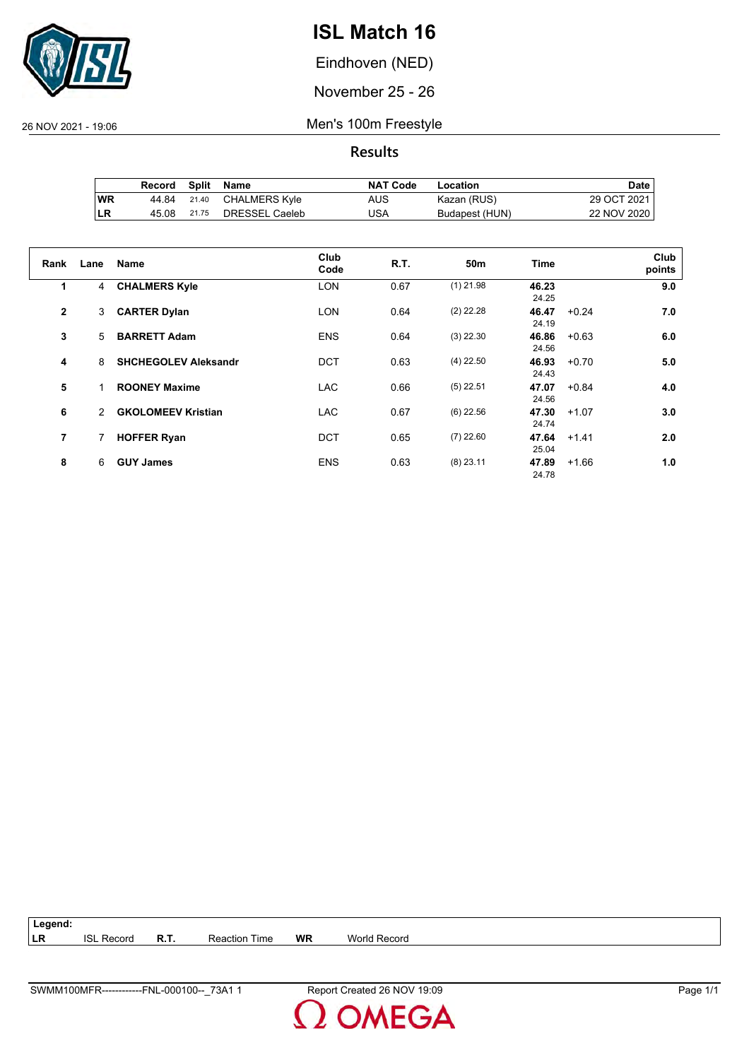

Eindhoven (NED)

November 25 - 26

26 NOV 2021 - 19:06 Men's 100m Freestyle

**Results**

|            | Record | Split | Name           | <b>NAT Code</b> | Location       | Date i      |
|------------|--------|-------|----------------|-----------------|----------------|-------------|
| <b>WR</b>  | 44.84  | 21.40 | CHALMERS Kyle  | AUS             | Kazan (RUS)    | 29 OCT 2021 |
| <b>ILR</b> | 45.08  | 21.75 | DRESSEL Caeleb | USA             | Budapest (HUN) | 22 NOV 2020 |

| Rank           | Lane | <b>Name</b>                 | Club<br>Code | R.T. | 50 <sub>m</sub> | <b>Time</b>    |         | Club<br>points |
|----------------|------|-----------------------------|--------------|------|-----------------|----------------|---------|----------------|
| 1              | 4    | <b>CHALMERS Kyle</b>        | <b>LON</b>   | 0.67 | $(1)$ 21.98     | 46.23<br>24.25 |         | 9.0            |
| $\overline{2}$ | 3    | <b>CARTER Dylan</b>         | <b>LON</b>   | 0.64 | $(2)$ 22.28     | 46.47<br>24.19 | $+0.24$ | 7.0            |
| 3              | 5    | <b>BARRETT Adam</b>         | <b>ENS</b>   | 0.64 | $(3)$ 22.30     | 46.86<br>24.56 | $+0.63$ | 6.0            |
| 4              | 8    | <b>SHCHEGOLEV Aleksandr</b> | <b>DCT</b>   | 0.63 | $(4)$ 22.50     | 46.93<br>24.43 | $+0.70$ | 5.0            |
| 5              |      | <b>ROONEY Maxime</b>        | <b>LAC</b>   | 0.66 | $(5)$ 22.51     | 47.07<br>24.56 | $+0.84$ | 4.0            |
| 6              | 2    | <b>GKOLOMEEV Kristian</b>   | <b>LAC</b>   | 0.67 | $(6)$ 22.56     | 47.30<br>24.74 | $+1.07$ | 3.0            |
| $\overline{7}$ | 7    | <b>HOFFER Ryan</b>          | <b>DCT</b>   | 0.65 | $(7)$ 22.60     | 47.64<br>25.04 | $+1.41$ | 2.0            |
| 8              | 6    | <b>GUY James</b>            | <b>ENS</b>   | 0.63 | $(8)$ 23.11     | 47.89<br>24.78 | $+1.66$ | 1.0            |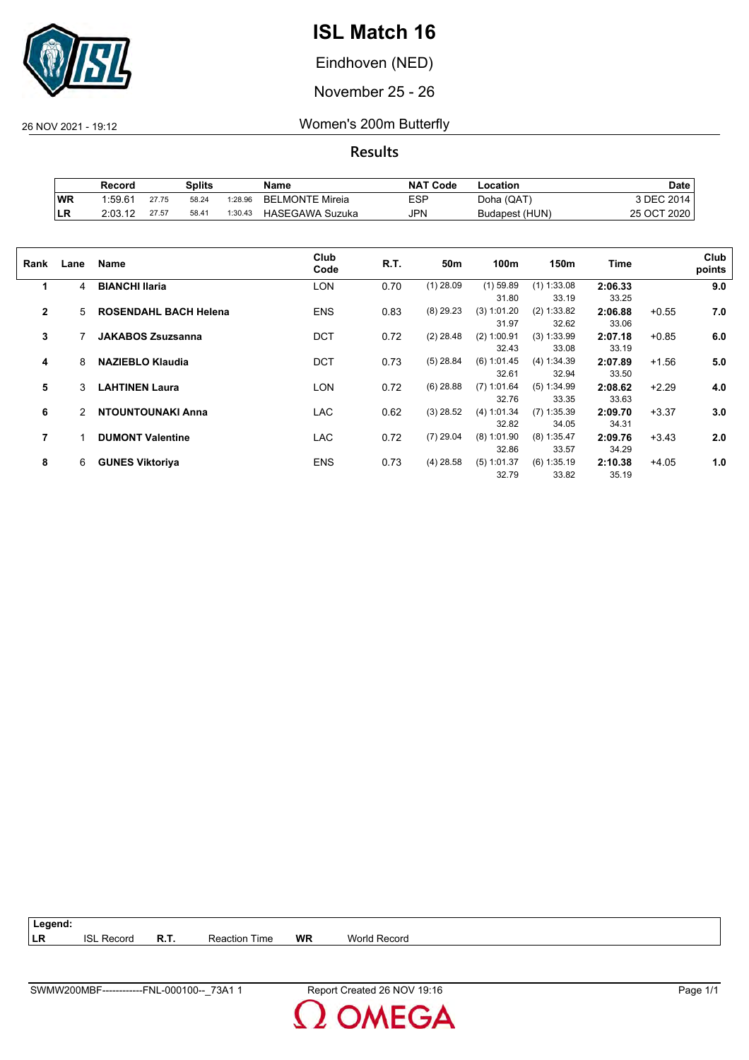

Eindhoven (NED)

November 25 - 26

26 NOV 2021 - 19:12 Women's 200m Butterfly

**Results**

|           | Record  |       | Splits |         | Name                   | <b>NAT Code</b> | -ocation       | Date        |
|-----------|---------|-------|--------|---------|------------------------|-----------------|----------------|-------------|
| <b>WR</b> | 1:59.61 | 27.75 | 58.24  | 1:28.96 | <b>BELMONTE Mireia</b> | ESP             | Doha (QAT)     | 3 DEC 2014  |
| ILR       | 2:03.12 | 27.57 | 58.41  | 1:30.43 | HASEGAWA Suzuka        | JPN             | Budapest (HUN) | 25 OCT 2020 |

| Rank         | Lane | Name                         | Club<br>Code | R.T. | 50m         | 100m                   | 150m                   | <b>Time</b>      |         | Club<br>points |
|--------------|------|------------------------------|--------------|------|-------------|------------------------|------------------------|------------------|---------|----------------|
| 1            | 4    | <b>BIANCHI Ilaria</b>        | LON          | 0.70 | $(1)$ 28.09 | $(1)$ 59.89<br>31.80   | $(1)$ 1:33.08<br>33.19 | 2:06.33<br>33.25 |         | 9.0            |
| $\mathbf{2}$ | 5    | <b>ROSENDAHL BACH Helena</b> | <b>ENS</b>   | 0.83 | $(8)$ 29.23 | (3) 1:01.20<br>31.97   | (2) 1:33.82<br>32.62   | 2:06.88<br>33.06 | $+0.55$ | 7.0            |
| 3            |      | <b>JAKABOS Zsuzsanna</b>     | <b>DCT</b>   | 0.72 | $(2)$ 28.48 | $(2)$ 1:00.91<br>32.43 | $(3)$ 1:33.99<br>33.08 | 2:07.18<br>33.19 | $+0.85$ | 6.0            |
| 4            | 8    | <b>NAZIEBLO Klaudia</b>      | <b>DCT</b>   | 0.73 | $(5)$ 28.84 | (6) 1:01.45<br>32.61   | (4) 1:34.39<br>32.94   | 2:07.89<br>33.50 | $+1.56$ | 5.0            |
| 5            | 3    | <b>LAHTINEN Laura</b>        | LON          | 0.72 | $(6)$ 28.88 | $(7)$ 1:01.64<br>32.76 | (5) 1:34.99<br>33.35   | 2:08.62<br>33.63 | $+2.29$ | 4.0            |
| 6            | 2    | <b>NTOUNTOUNAKI Anna</b>     | <b>LAC</b>   | 0.62 | $(3)$ 28.52 | (4) 1:01.34<br>32.82   | $(7)$ 1:35.39<br>34.05 | 2:09.70<br>34.31 | $+3.37$ | 3.0            |
| 7            |      | <b>DUMONT Valentine</b>      | <b>LAC</b>   | 0.72 | $(7)$ 29.04 | $(8)$ 1:01.90<br>32.86 | $(8)$ 1:35.47<br>33.57 | 2:09.76<br>34.29 | $+3.43$ | 2.0            |
| 8            | 6    | <b>GUNES Viktoriya</b>       | <b>ENS</b>   | 0.73 | $(4)$ 28.58 | $(5)$ 1:01.37<br>32.79 | $(6)$ 1:35.19<br>33.82 | 2:10.38<br>35.19 | $+4.05$ | 1.0            |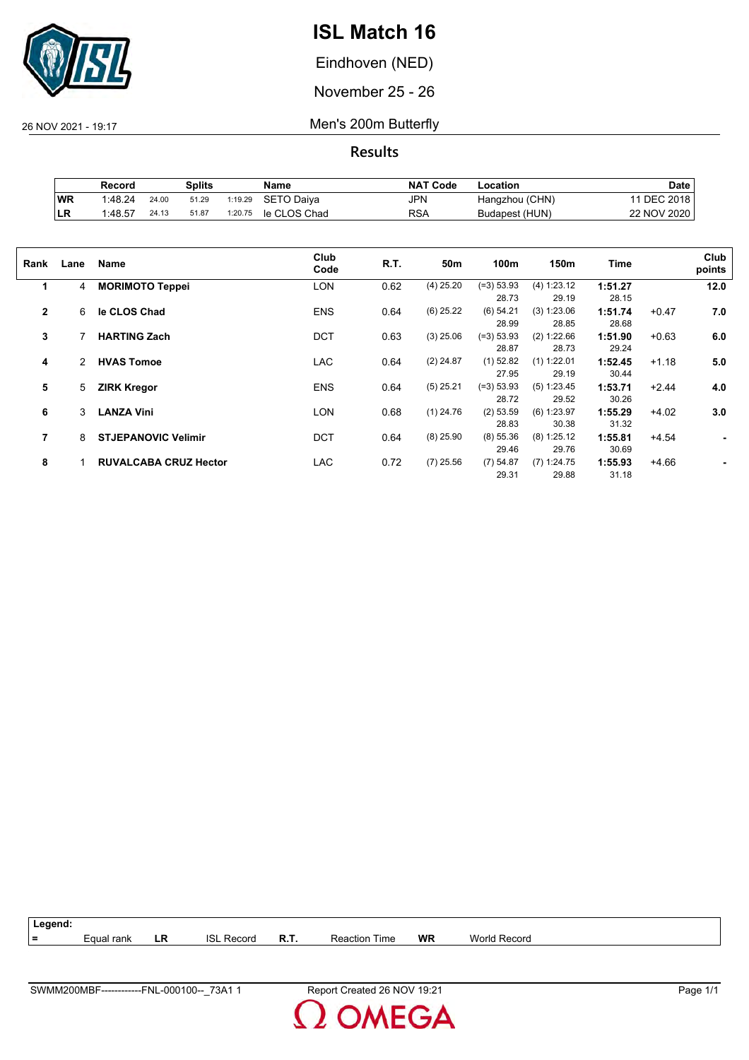

Eindhoven (NED)

November 25 - 26

26 NOV 2021 - 19:17 Men's 200m Butterfly

|    | Record  |       | Splits |         | Name         | <b>NAT Code</b> | -ocation       | Date        |
|----|---------|-------|--------|---------|--------------|-----------------|----------------|-------------|
| WR | 1:48.24 | 24.00 | 51.29  | 1:19.29 | SETO Daiva   | <b>JPN</b>      | Hangzhou (CHN) | 11 DEC 2018 |
| LR | 1:48.57 | 24.13 | 51.87  | 1:20.75 | le CLOS Chad | RSA             | Budapest (HUN) | 22 NOV 2020 |

| Rank           | Lane | Name                         | Club<br>Code | R.T. | 50m         | 100m                  | 150m                   | Time             |         | Club<br>points |
|----------------|------|------------------------------|--------------|------|-------------|-----------------------|------------------------|------------------|---------|----------------|
| 1              | 4    | <b>MORIMOTO Teppei</b>       | LON          | 0.62 | $(4)$ 25.20 | $(=3) 53.93$<br>28.73 | (4) 1:23.12<br>29.19   | 1:51.27<br>28.15 |         | 12.0           |
| $\overline{2}$ | 6    | le CLOS Chad                 | <b>ENS</b>   | 0.64 | $(6)$ 25.22 | (6) 54.21<br>28.99    | (3) 1:23.06<br>28.85   | 1:51.74<br>28.68 | $+0.47$ | 7.0            |
| 3              |      | <b>HARTING Zach</b>          | <b>DCT</b>   | 0.63 | $(3)$ 25.06 | $(=3) 53.93$<br>28.87 | (2) 1:22.66<br>28.73   | 1:51.90<br>29.24 | $+0.63$ | 6.0            |
| 4              | 2    | <b>HVAS Tomoe</b>            | <b>LAC</b>   | 0.64 | $(2)$ 24.87 | $(1)$ 52.82<br>27.95  | $(1)$ 1:22.01<br>29.19 | 1:52.45<br>30.44 | $+1.18$ | 5.0            |
| 5              | 5    | <b>ZIRK Kregor</b>           | <b>ENS</b>   | 0.64 | $(5)$ 25.21 | $(=3) 53.93$<br>28.72 | (5) 1:23.45<br>29.52   | 1:53.71<br>30.26 | $+2.44$ | 4.0            |
| 6              | 3    | <b>LANZA Vini</b>            | <b>LON</b>   | 0.68 | $(1)$ 24.76 | $(2)$ 53.59<br>28.83  | $(6)$ 1:23.97<br>30.38 | 1:55.29<br>31.32 | $+4.02$ | 3.0            |
| 7              | 8    | <b>STJEPANOVIC Velimir</b>   | <b>DCT</b>   | 0.64 | $(8)$ 25.90 | $(8)$ 55.36<br>29.46  | $(8)$ 1:25.12<br>29.76 | 1:55.81<br>30.69 | $+4.54$ | ۰              |
| 8              |      | <b>RUVALCABA CRUZ Hector</b> | <b>LAC</b>   | 0.72 | $(7)$ 25.56 | (7) 54.87<br>29.31    | $(7)$ 1:24.75<br>29.88 | 1:55.93<br>31.18 | $+4.66$ |                |

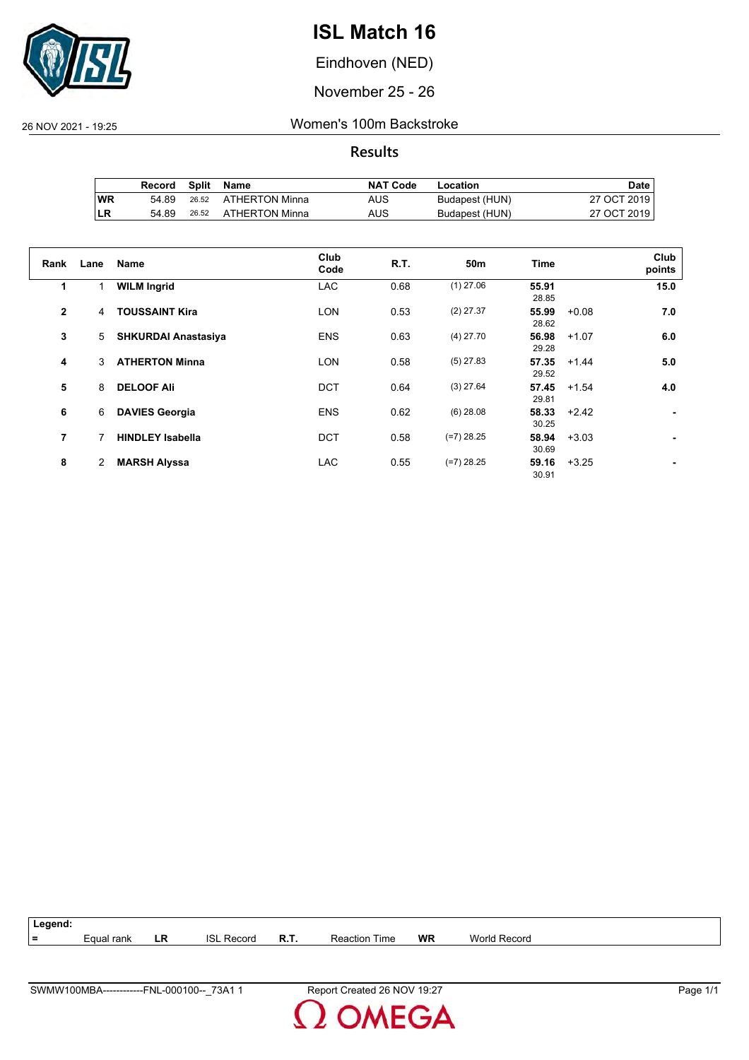

Eindhoven (NED)

November 25 - 26

26 NOV 2021 - 19:25 Women's 100m Backstroke

**Results**

|     | Record | Split | Name           | <b>NAT Code</b> | Location       | Date i      |
|-----|--------|-------|----------------|-----------------|----------------|-------------|
| ∣WR | 54.89  | 26.52 | ATHERTON Minna | AUS             | Budapest (HUN) | 27 OCT 2019 |
| ∣LR | 54.89  | 26.52 | ATHERTON Minna | AUS             | Budapest (HUN) | 27 OCT 2019 |

| Rank           | Lane           | <b>Name</b>                | Club<br>Code | <b>R.T.</b> | 50 <sub>m</sub> | <b>Time</b>    |         | Club<br>points |
|----------------|----------------|----------------------------|--------------|-------------|-----------------|----------------|---------|----------------|
| 1              | 1              | <b>WILM Ingrid</b>         | <b>LAC</b>   | 0.68        | $(1)$ 27.06     | 55.91<br>28.85 |         | 15.0           |
| $\overline{2}$ | 4              | <b>TOUSSAINT Kira</b>      | <b>LON</b>   | 0.53        | $(2)$ 27.37     | 55.99<br>28.62 | $+0.08$ | 7.0            |
| 3              | 5              | <b>SHKURDAI Anastasiya</b> | <b>ENS</b>   | 0.63        | $(4)$ 27.70     | 56.98<br>29.28 | $+1.07$ | 6.0            |
| 4              | 3              | <b>ATHERTON Minna</b>      | <b>LON</b>   | 0.58        | $(5)$ 27.83     | 57.35<br>29.52 | $+1.44$ | 5.0            |
| 5              | 8              | <b>DELOOF Ali</b>          | <b>DCT</b>   | 0.64        | $(3)$ 27.64     | 57.45<br>29.81 | $+1.54$ | 4.0            |
| 6              | 6              | <b>DAVIES Georgia</b>      | <b>ENS</b>   | 0.62        | $(6)$ 28.08     | 58.33<br>30.25 | $+2.42$ |                |
| 7              |                | <b>HINDLEY Isabella</b>    | <b>DCT</b>   | 0.58        | $(=7)$ 28.25    | 58.94<br>30.69 | $+3.03$ |                |
| 8              | $\overline{2}$ | <b>MARSH Alyssa</b>        | <b>LAC</b>   | 0.55        | $(=7)$ 28.25    | 59.16<br>30.91 | $+3.25$ |                |



**MEGA**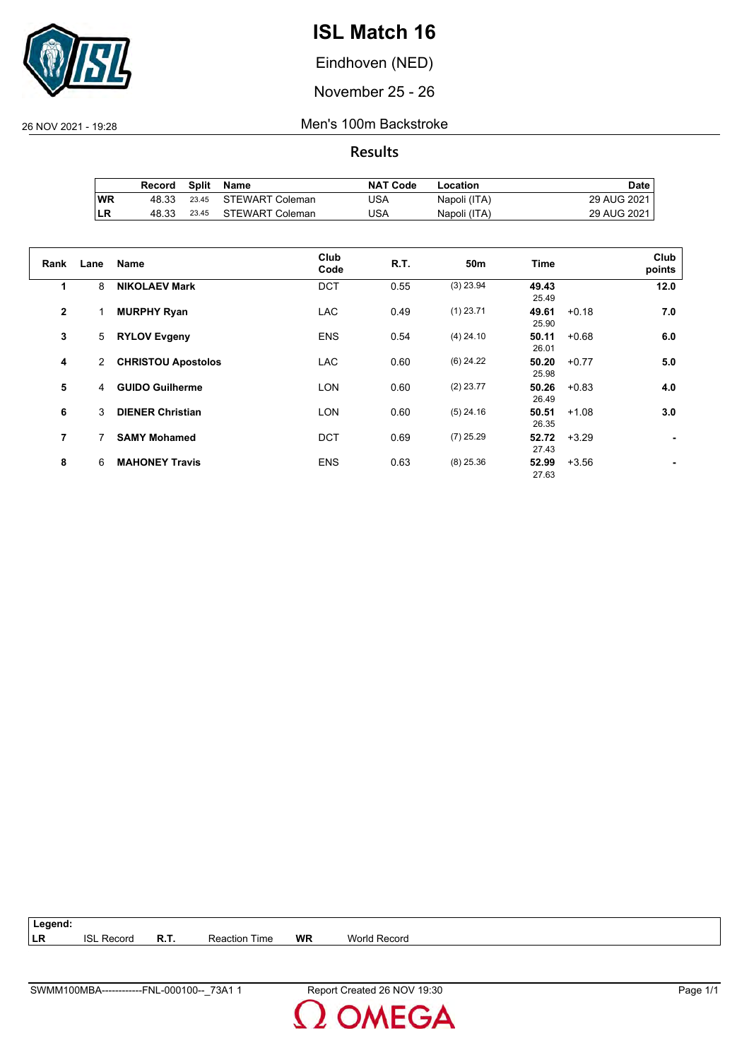

Eindhoven (NED)

November 25 - 26

26 NOV 2021 - 19:28 Men's 100m Backstroke

**Results**

|     | Record | Split | Name                  | <b>NAT Code</b> | Location     | Date i        |
|-----|--------|-------|-----------------------|-----------------|--------------|---------------|
| 'WR | 48.33  |       | 23.45 STEWART Coleman | USA             | Napoli (ITA) | 29 AUG 2021 I |
| ∣LR | 48.33  | 23.45 | STEWART Coleman       | USA             | Napoli (ITA) | 29 AUG 2021   |

| Rank         | Lane | <b>Name</b>               | Club<br>Code | <b>R.T.</b> | 50 <sub>m</sub> | <b>Time</b>    |         | Club<br>points |
|--------------|------|---------------------------|--------------|-------------|-----------------|----------------|---------|----------------|
| 1            | 8    | <b>NIKOLAEV Mark</b>      | <b>DCT</b>   | 0.55        | $(3)$ 23.94     | 49.43<br>25.49 |         | 12.0           |
| $\mathbf{2}$ |      | <b>MURPHY Ryan</b>        | <b>LAC</b>   | 0.49        | $(1)$ 23.71     | 49.61<br>25.90 | $+0.18$ | 7.0            |
| 3            | 5    | <b>RYLOV Evgeny</b>       | <b>ENS</b>   | 0.54        | $(4)$ 24.10     | 50.11<br>26.01 | $+0.68$ | 6.0            |
| 4            | 2    | <b>CHRISTOU Apostolos</b> | <b>LAC</b>   | 0.60        | $(6)$ 24.22     | 50.20<br>25.98 | $+0.77$ | 5.0            |
| 5            | 4    | <b>GUIDO Guilherme</b>    | <b>LON</b>   | 0.60        | $(2)$ 23.77     | 50.26<br>26.49 | $+0.83$ | 4.0            |
| 6            | 3    | <b>DIENER Christian</b>   | <b>LON</b>   | 0.60        | $(5)$ 24.16     | 50.51<br>26.35 | $+1.08$ | 3.0            |
| 7            | 7    | <b>SAMY Mohamed</b>       | <b>DCT</b>   | 0.69        | $(7)$ 25.29     | 52.72<br>27.43 | $+3.29$ |                |
| 8            | 6    | <b>MAHONEY Travis</b>     | <b>ENS</b>   | 0.63        | $(8)$ 25.36     | 52.99<br>27.63 | $+3.56$ |                |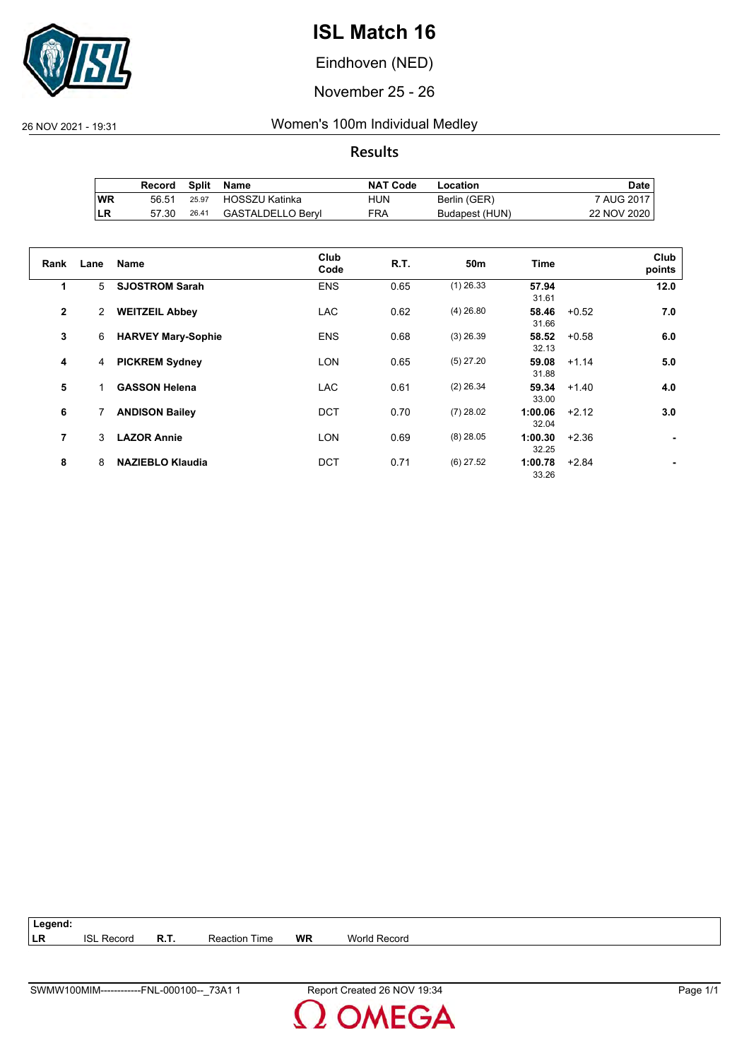

Eindhoven (NED)

November 25 - 26

26 NOV 2021 - 19:31 Women's 100m Individual Medley

**Results**

|           | Record |       | Split Name        | <b>NAT Code</b> | Location       | Date i      |
|-----------|--------|-------|-------------------|-----------------|----------------|-------------|
| <b>WR</b> | 56.51  | 25.97 | HOSSZU Katinka    | HUN             | Berlin (GER)   | 7 AUG 2017  |
| ∣LR       | 57.30  | 26.41 | GASTALDELLO Beryl | FRA             | Budapest (HUN) | 22 NOV 2020 |

| Rank           | Lane           | Name                      | Club<br>Code | R.T. | 50 <sub>m</sub> | <b>Time</b>      |         | Club<br>points |
|----------------|----------------|---------------------------|--------------|------|-----------------|------------------|---------|----------------|
| 1              | 5              | <b>SJOSTROM Sarah</b>     | <b>ENS</b>   | 0.65 | $(1)$ 26.33     | 57.94<br>31.61   |         | 12.0           |
| $\overline{2}$ | $\overline{2}$ | <b>WEITZEIL Abbey</b>     | <b>LAC</b>   | 0.62 | $(4)$ 26.80     | 58.46<br>31.66   | $+0.52$ | 7.0            |
| 3              | 6              | <b>HARVEY Mary-Sophie</b> | <b>ENS</b>   | 0.68 | $(3)$ 26.39     | 58.52<br>32.13   | $+0.58$ | 6.0            |
| 4              | 4              | <b>PICKREM Sydney</b>     | <b>LON</b>   | 0.65 | $(5)$ 27.20     | 59.08<br>31.88   | $+1.14$ | 5.0            |
| 5              |                | <b>GASSON Helena</b>      | <b>LAC</b>   | 0.61 | $(2)$ 26.34     | 59.34<br>33.00   | $+1.40$ | 4.0            |
| 6              |                | <b>ANDISON Bailey</b>     | DCT          | 0.70 | $(7)$ 28.02     | 1:00.06<br>32.04 | $+2.12$ | 3.0            |
| 7              | 3              | <b>LAZOR Annie</b>        | <b>LON</b>   | 0.69 | $(8)$ 28.05     | 1:00.30<br>32.25 | $+2.36$ |                |
| 8              | 8              | <b>NAZIEBLO Klaudia</b>   | <b>DCT</b>   | 0.71 | $(6)$ 27.52     | 1:00.78<br>33.26 | $+2.84$ |                |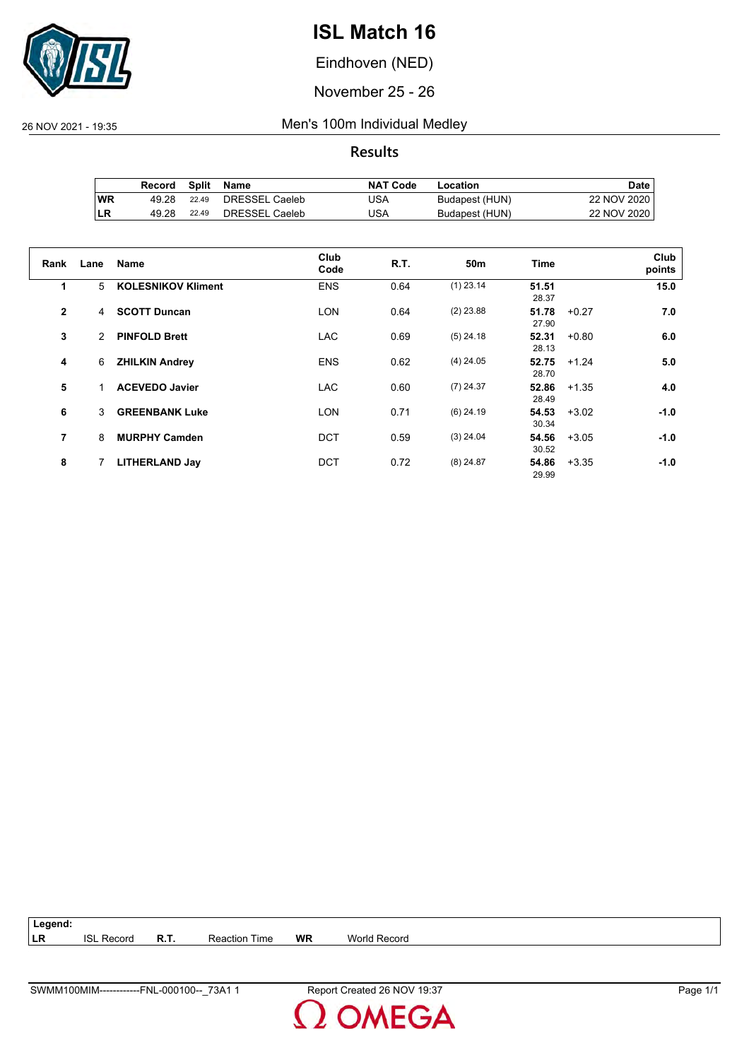

Eindhoven (NED)

November 25 - 26

26 NOV 2021 - 19:35 Men's 100m Individual Medley

**Results**

|     | Record | Split | Name           | <b>NAT Code</b> | Location       | Date i      |
|-----|--------|-------|----------------|-----------------|----------------|-------------|
| 'WR | 49.28  | 22.49 | DRESSEL Caeleb | JSA             | Budapest (HUN) | 22 NOV 2020 |
| ILR | 49.28  | 22.49 | DRESSEL Caeleb | USA             | Budapest (HUN) | 22 NOV 2020 |

| Rank         | Lane | <b>Name</b>               | Club<br>Code | R.T. | 50 <sub>m</sub> | <b>Time</b>    |         | Club<br>points |
|--------------|------|---------------------------|--------------|------|-----------------|----------------|---------|----------------|
| 1            | 5    | <b>KOLESNIKOV Kliment</b> | <b>ENS</b>   | 0.64 | $(1)$ 23.14     | 51.51<br>28.37 |         | 15.0           |
| $\mathbf{2}$ | 4    | <b>SCOTT Duncan</b>       | <b>LON</b>   | 0.64 | $(2)$ 23.88     | 51.78<br>27.90 | $+0.27$ | 7.0            |
| 3            | 2    | <b>PINFOLD Brett</b>      | <b>LAC</b>   | 0.69 | $(5)$ 24.18     | 52.31<br>28.13 | $+0.80$ | 6.0            |
| 4            | 6    | <b>ZHILKIN Andrey</b>     | <b>ENS</b>   | 0.62 | $(4)$ 24.05     | 52.75<br>28.70 | $+1.24$ | 5.0            |
| 5            |      | <b>ACEVEDO Javier</b>     | <b>LAC</b>   | 0.60 | $(7)$ 24.37     | 52.86<br>28.49 | $+1.35$ | 4.0            |
| 6            | 3    | <b>GREENBANK Luke</b>     | <b>LON</b>   | 0.71 | $(6)$ 24.19     | 54.53<br>30.34 | $+3.02$ | $-1.0$         |
| 7            | 8    | <b>MURPHY Camden</b>      | <b>DCT</b>   | 0.59 | $(3)$ 24.04     | 54.56<br>30.52 | $+3.05$ | $-1.0$         |
| 8            | 7    | <b>LITHERLAND Jay</b>     | <b>DCT</b>   | 0.72 | $(8)$ 24.87     | 54.86<br>29.99 | $+3.35$ | $-1.0$         |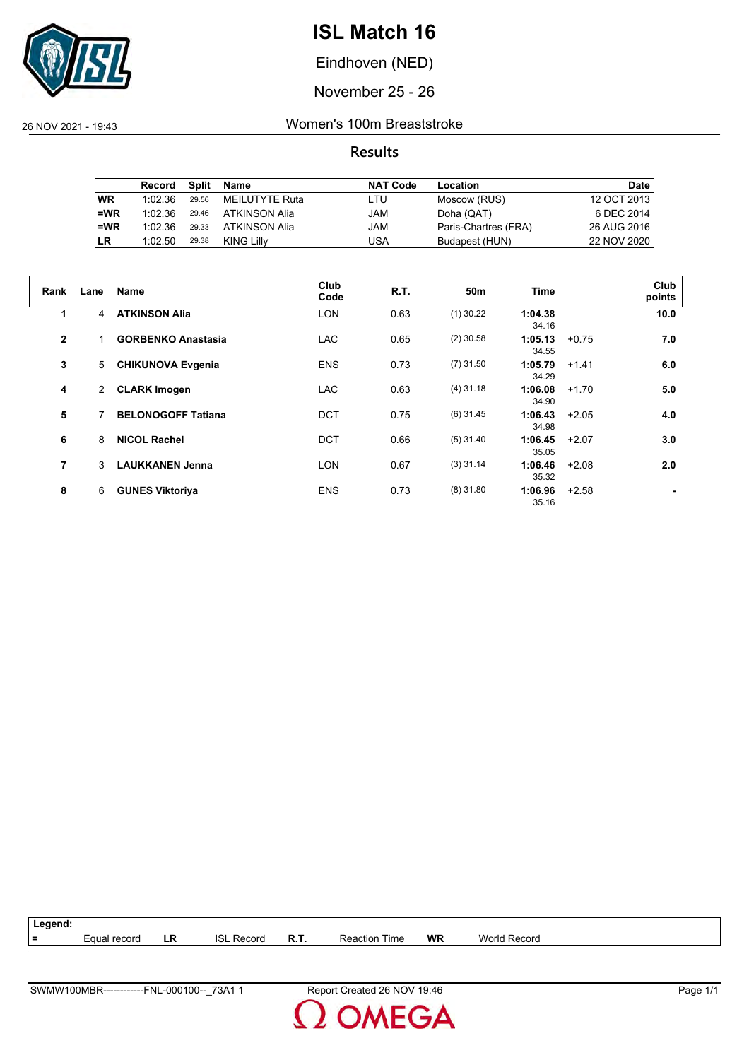

Eindhoven (NED)

November 25 - 26

26 NOV 2021 - 19:43 Women's 100m Breaststroke

**Results**

|           | Record  | Split | Name           | <b>NAT Code</b> | Location             | Date        |
|-----------|---------|-------|----------------|-----------------|----------------------|-------------|
| <b>WR</b> | 1:02.36 | 29.56 | MEILUTYTE Ruta | LTU             | Moscow (RUS)         | 12 OCT 2013 |
| $=WR$     | 1:02.36 | 29.46 | ATKINSON Alia  | JAM             | Doha (QAT)           | 6 DEC 2014  |
| $=WR$     | 1:02.36 | 29.33 | ATKINSON Alia  | JAM             | Paris-Chartres (FRA) | 26 AUG 2016 |
| <b>LR</b> | 1:02.50 | 29.38 | KING Lilly     | USA             | Budapest (HUN)       | 22 NOV 2020 |

| Rank           | Lane           | Name                      | Club<br>Code | <b>R.T.</b> | 50m         | <b>Time</b>      |         | Club<br>points |
|----------------|----------------|---------------------------|--------------|-------------|-------------|------------------|---------|----------------|
| 1              | $\overline{4}$ | <b>ATKINSON Alia</b>      | <b>LON</b>   | 0.63        | $(1)$ 30.22 | 1:04.38<br>34.16 |         | 10.0           |
| $\overline{2}$ | 1              | <b>GORBENKO Anastasia</b> | <b>LAC</b>   | 0.65        | $(2)$ 30.58 | 1:05.13<br>34.55 | $+0.75$ | 7.0            |
| 3              | 5              | <b>CHIKUNOVA Evgenia</b>  | <b>ENS</b>   | 0.73        | $(7)$ 31.50 | 1:05.79<br>34.29 | $+1.41$ | 6.0            |
| 4              | 2              | <b>CLARK Imogen</b>       | <b>LAC</b>   | 0.63        | $(4)$ 31.18 | 1:06.08<br>34.90 | $+1.70$ | 5.0            |
| 5              |                | <b>BELONOGOFF Tatiana</b> | <b>DCT</b>   | 0.75        | $(6)$ 31.45 | 1:06.43<br>34.98 | $+2.05$ | 4.0            |
| 6              | 8              | <b>NICOL Rachel</b>       | <b>DCT</b>   | 0.66        | $(5)$ 31.40 | 1:06.45<br>35.05 | $+2.07$ | 3.0            |
| 7              | 3              | <b>LAUKKANEN Jenna</b>    | LON          | 0.67        | $(3)$ 31.14 | 1:06.46<br>35.32 | $+2.08$ | 2.0            |
| 8              | 6              | <b>GUNES Viktoriya</b>    | <b>ENS</b>   | 0.73        | $(8)$ 31.80 | 1:06.96<br>35.16 | $+2.58$ |                |



**MEGA**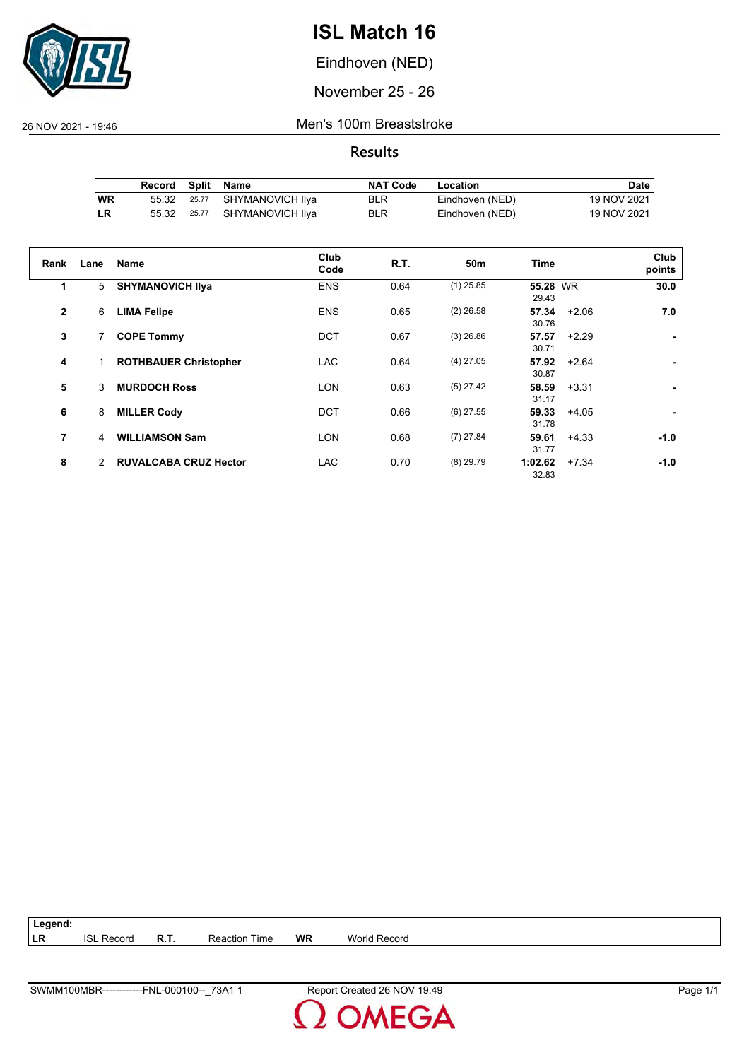

Eindhoven (NED)

November 25 - 26

26 NOV 2021 - 19:46 Men's 100m Breaststroke

**Results**

|     | Record | Split Name             | <b>NAT Code</b> | Location        | Date        |
|-----|--------|------------------------|-----------------|-----------------|-------------|
| ∣WR | 55.32  | 25.77 SHYMANOVICH IIya | <b>BLR</b>      | Eindhoven (NED) | 19 NOV 2021 |
| ILR | 55.32  | 25.77 SHYMANOVICH IIya | <b>BLR</b>      | Eindhoven (NED) | 19 NOV 2021 |

| Rank           | Lane           | <b>Name</b>                  | Club<br>Code | <b>R.T.</b> | 50 <sub>m</sub> | <b>Time</b>       |         | Club<br>points |
|----------------|----------------|------------------------------|--------------|-------------|-----------------|-------------------|---------|----------------|
| 1              | 5              | <b>SHYMANOVICH IIva</b>      | <b>ENS</b>   | 0.64        | $(1)$ 25.85     | 55.28 WR<br>29.43 |         | 30.0           |
| $\overline{2}$ | 6              | <b>LIMA Felipe</b>           | <b>ENS</b>   | 0.65        | $(2)$ 26.58     | 57.34<br>30.76    | $+2.06$ | 7.0            |
| 3              | 7              | <b>COPE Tommy</b>            | <b>DCT</b>   | 0.67        | $(3)$ 26.86     | 57.57<br>30.71    | $+2.29$ |                |
| 4              | $\mathbf{1}$   | <b>ROTHBAUER Christopher</b> | <b>LAC</b>   | 0.64        | $(4)$ 27.05     | 57.92<br>30.87    | $+2.64$ |                |
| 5              | 3              | <b>MURDOCH Ross</b>          | <b>LON</b>   | 0.63        | $(5)$ 27.42     | 58.59<br>31.17    | $+3.31$ |                |
| 6              | 8              | <b>MILLER Cody</b>           | DCT          | 0.66        | $(6)$ 27.55     | 59.33<br>31.78    | $+4.05$ |                |
| 7              | $\overline{4}$ | <b>WILLIAMSON Sam</b>        | <b>LON</b>   | 0.68        | $(7)$ 27.84     | 59.61<br>31.77    | $+4.33$ | $-1.0$         |
| 8              | 2              | <b>RUVALCABA CRUZ Hector</b> | <b>LAC</b>   | 0.70        | $(8)$ 29.79     | 1:02.62<br>32.83  | $+7.34$ | $-1.0$         |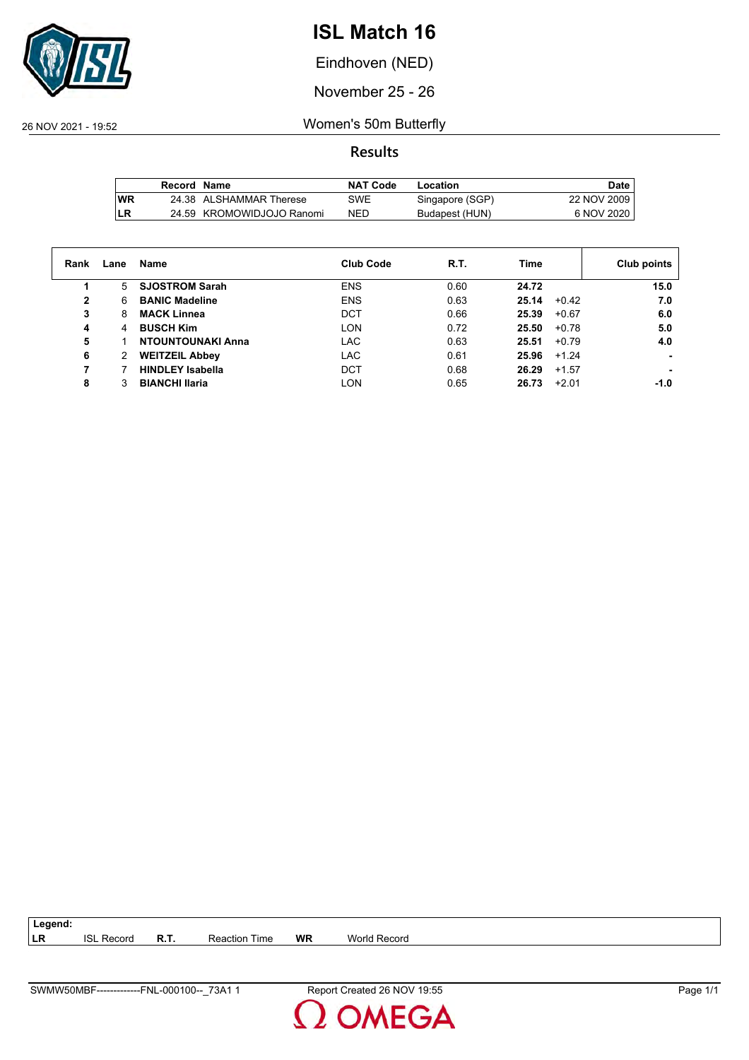

Eindhoven (NED)

November 25 - 26

26 NOV 2021 - 19:52 Women's 50m Butterfly

**Results**

|            | Record Name |                           | NAT Code | Location        | Date,       |
|------------|-------------|---------------------------|----------|-----------------|-------------|
| <b>IWR</b> |             | 24.38 ALSHAMMAR Therese   | SWE      | Singapore (SGP) | 22 NOV 2009 |
| LR         |             | 24.59 KROMOWIDJOJO Ranomi | NED      | Budapest (HUN)  | 6 NOV 2020  |

| Rank | Lane  | Name                     | <b>Club Code</b> | R.T. | Time             | Club points |
|------|-------|--------------------------|------------------|------|------------------|-------------|
|      | $5 -$ | <b>SJOSTROM Sarah</b>    | <b>ENS</b>       | 0.60 | 24.72            | 15.0        |
| 2    | 6     | <b>BANIC Madeline</b>    | <b>ENS</b>       | 0.63 | 25.14<br>$+0.42$ | 7.0         |
| 3    | 8     | <b>MACK Linnea</b>       | <b>DCT</b>       | 0.66 | 25.39<br>$+0.67$ | 6.0         |
| 4    | 4     | <b>BUSCH Kim</b>         | LON              | 0.72 | 25.50<br>$+0.78$ | 5.0         |
| 5    |       | <b>NTOUNTOUNAKI Anna</b> | <b>LAC</b>       | 0.63 | 25.51<br>$+0.79$ | 4.0         |
| 6    | 2     | <b>WEITZEIL Abbey</b>    | <b>LAC</b>       | 0.61 | 25.96<br>$+1.24$ |             |
|      |       | <b>HINDLEY Isabella</b>  | DCT              | 0.68 | 26.29<br>$+1.57$ |             |
| 8    |       | <b>BIANCHI Ilaria</b>    | <b>LON</b>       | 0.65 | $+2.01$<br>26.73 | -1.0        |

| V50MBF<br>73A <sub>1</sub><br><b>SWMV</b><br>0001<br>FNL<br>. UU- | $ \cdot$<br>26<br>וחי '<br>Created<br>$1 - h$<br>≂en<br>∣ ອ.ບປ<br>' v | . .<br>'ane' |
|-------------------------------------------------------------------|-----------------------------------------------------------------------|--------------|

**LR** ISL Record **R.T.** Reaction Time **WR** World Record

**Legend:**

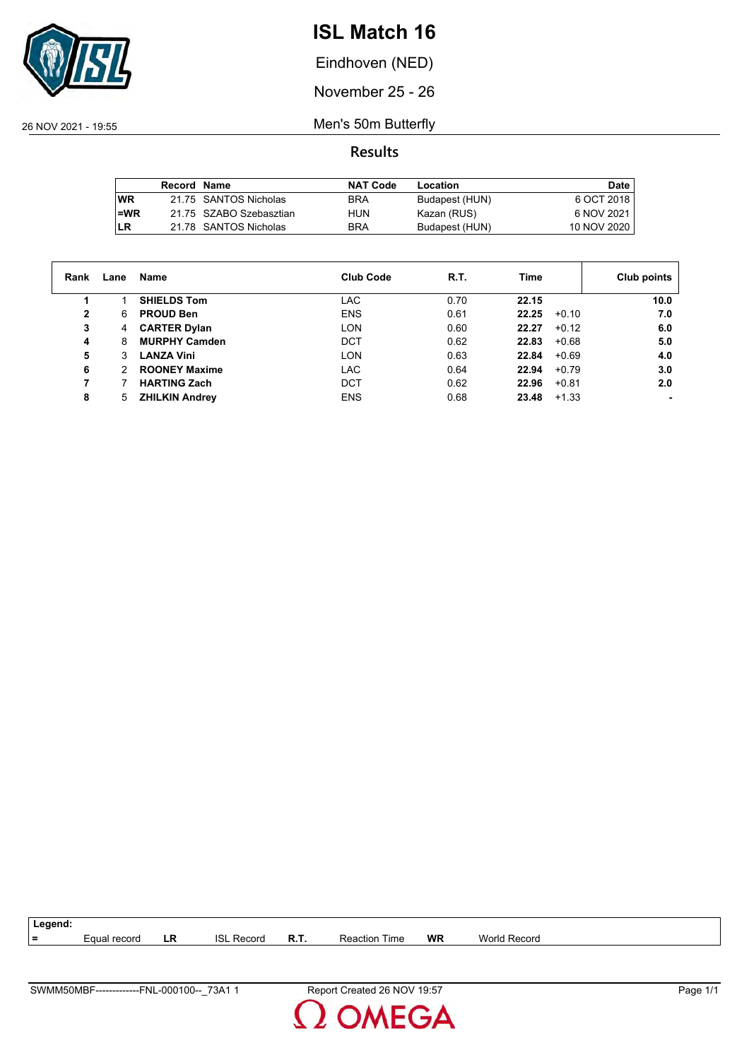

Eindhoven (NED)

November 25 - 26

26 NOV 2021 - 19:55 Men's 50m Butterfly

|           | <b>Record Name</b> |                         | <b>NAT Code</b> | Location       | Date        |
|-----------|--------------------|-------------------------|-----------------|----------------|-------------|
| <b>WR</b> |                    | 21.75 SANTOS Nicholas   | <b>BRA</b>      | Budapest (HUN) | 6 OCT 2018  |
| l=WR      |                    | 21.75 SZABO Szebasztian | HUN             | Kazan (RUS)    | 6 NOV 2021  |
| <b>LR</b> |                    | 21.78 SANTOS Nicholas   | <b>BRA</b>      | Budapest (HUN) | 10 NOV 2020 |

| Rank | Lane | Name                  | <b>Club Code</b> | R.T. | Time             | Club points |
|------|------|-----------------------|------------------|------|------------------|-------------|
|      |      | <b>SHIELDS Tom</b>    | LAC              | 0.70 | 22.15            | 10.0        |
| 2    | 6    | <b>PROUD Ben</b>      | <b>ENS</b>       | 0.61 | 22.25<br>$+0.10$ | 7.0         |
| 3    | 4    | <b>CARTER Dylan</b>   | LON              | 0.60 | 22.27<br>$+0.12$ | 6.0         |
| 4    | 8    | <b>MURPHY Camden</b>  | <b>DCT</b>       | 0.62 | 22.83<br>$+0.68$ | 5.0         |
| 5    | 3    | <b>LANZA Vini</b>     | LON              | 0.63 | 22.84<br>$+0.69$ | 4.0         |
| 6    | 2    | <b>ROONEY Maxime</b>  | LAC              | 0.64 | 22.94<br>$+0.79$ | 3.0         |
| 7    |      | <b>HARTING Zach</b>   | <b>DCT</b>       | 0.62 | 22.96<br>$+0.81$ | 2.0         |
| 8    | 5    | <b>ZHILKIN Andrey</b> | <b>ENS</b>       | 0.68 | $+1.33$<br>23.48 |             |

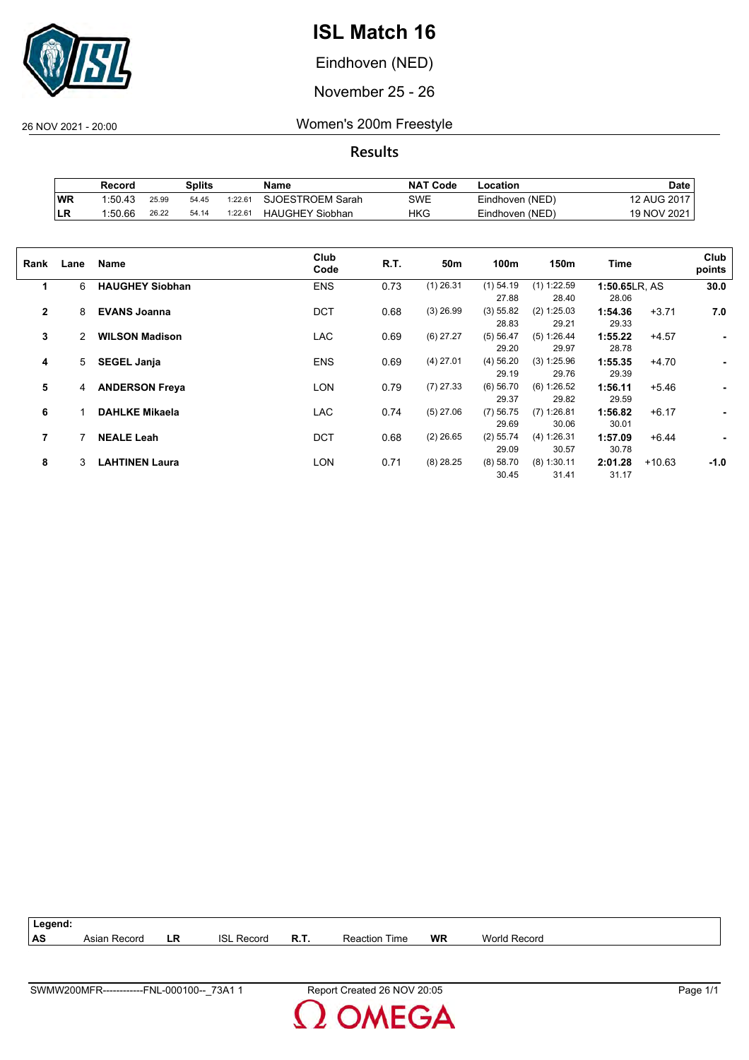

Eindhoven (NED)

November 25 - 26

26 NOV 2021 - 20:00 Women's 200m Freestyle

**Results**

|     | Record  | Splits |       |         | <b>NAT Code</b><br>Name |     | ∟ocation        | Date        |  |
|-----|---------|--------|-------|---------|-------------------------|-----|-----------------|-------------|--|
| ∣WR | 1:50.43 | 25.99  | 54.45 | 1:22.61 | SJOESTROEM Sarah        | SWE | Eindhoven (NED) | 12 AUG 2017 |  |
| ILR | 1:50.66 | 26.22  | 54.14 | 1:22.61 | <b>HAUGHEY Siobhan</b>  | HKG | Eindhoven (NED) | 19 NOV 2021 |  |

| Rank         | Lane | Name                   | Club<br>Code | R.T. | 50m         | 100m        | 150m          | Time          |          | Club<br>points |
|--------------|------|------------------------|--------------|------|-------------|-------------|---------------|---------------|----------|----------------|
| 1            | 6    | <b>HAUGHEY Siobhan</b> | <b>ENS</b>   | 0.73 | $(1)$ 26.31 | $(1)$ 54.19 | $(1)$ 1:22.59 | 1:50.65LR, AS |          | 30.0           |
|              |      |                        |              |      |             | 27.88       | 28.40         | 28.06         |          |                |
| $\mathbf{2}$ | 8    | <b>EVANS Joanna</b>    | <b>DCT</b>   | 0.68 | $(3)$ 26.99 | (3) 55.82   | (2) 1:25.03   | 1:54.36       | $+3.71$  | 7.0            |
|              |      |                        |              |      |             | 28.83       | 29.21         | 29.33         |          |                |
| 3            | 2    | <b>WILSON Madison</b>  | <b>LAC</b>   | 0.69 | $(6)$ 27.27 | (5) 56.47   | (5) 1:26.44   | 1:55.22       | $+4.57$  | ٠              |
|              |      |                        |              |      |             | 29.20       | 29.97         | 28.78         |          |                |
| 4            | 5    | <b>SEGEL Janja</b>     | <b>ENS</b>   | 0.69 | $(4)$ 27.01 | $(4)$ 56.20 | (3) 1:25.96   | 1:55.35       | $+4.70$  | ٠              |
|              |      |                        |              |      |             | 29.19       | 29.76         | 29.39         |          |                |
| 5            | 4    | <b>ANDERSON Freya</b>  | <b>LON</b>   | 0.79 | $(7)$ 27.33 | $(6)$ 56.70 | (6) 1:26.52   | 1:56.11       | $+5.46$  |                |
|              |      |                        |              |      |             | 29.37       | 29.82         | 29.59         |          |                |
| 6            |      | <b>DAHLKE Mikaela</b>  | <b>LAC</b>   | 0.74 | $(5)$ 27.06 | $(7)$ 56.75 | $(7)$ 1:26.81 | 1:56.82       | $+6.17$  | ٠              |
|              |      |                        |              |      |             | 29.69       | 30.06         | 30.01         |          |                |
| 7            |      | <b>NEALE Leah</b>      | <b>DCT</b>   | 0.68 | $(2)$ 26.65 | $(2)$ 55.74 | (4) 1:26.31   | 1:57.09       | $+6.44$  | ۰              |
|              |      |                        |              |      |             | 29.09       | 30.57         | 30.78         |          |                |
| 8            | 3    | <b>LAHTINEN Laura</b>  | <b>LON</b>   | 0.71 | $(8)$ 28.25 | (8) 58.70   | $(8)$ 1:30.11 | 2:01.28       | $+10.63$ | $-1.0$         |
|              |      |                        |              |      |             | 30.45       | 31.41         | 31.17         |          |                |
|              |      |                        |              |      |             |             |               |               |          |                |



**MEGA**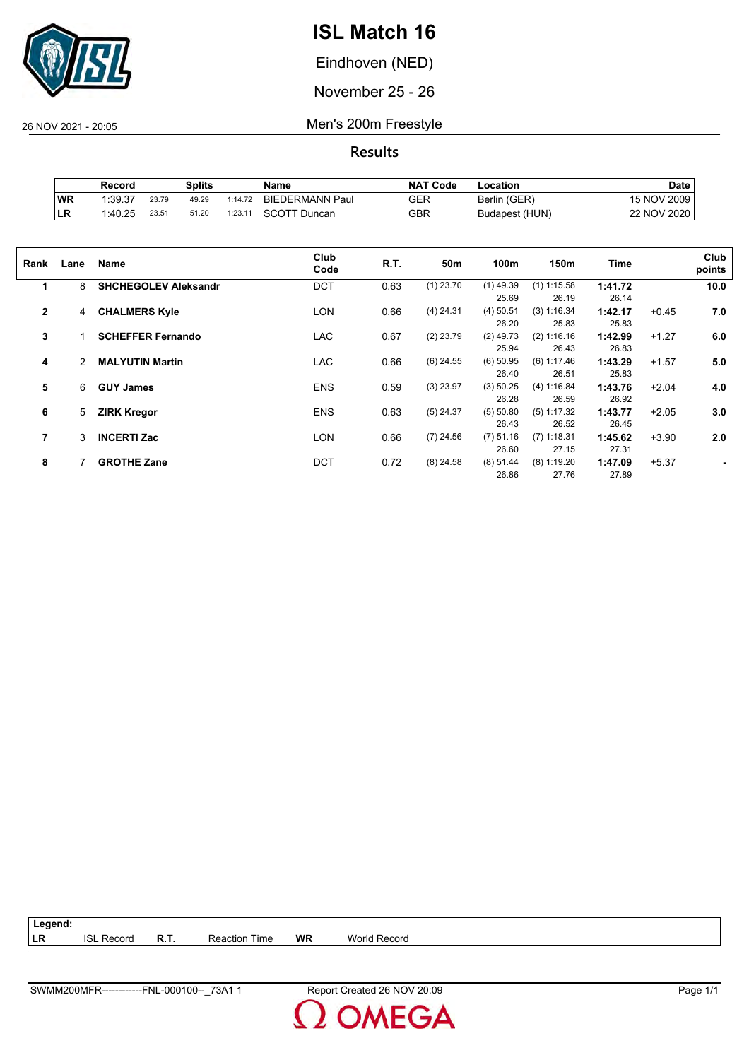

Eindhoven (NED)

November 25 - 26

26 NOV 2021 - 20:05 Men's 200m Freestyle

|            | Record  | Splits |       |         | Name                   | <b>NAT</b><br>' Code | -ocation       | Date        |
|------------|---------|--------|-------|---------|------------------------|----------------------|----------------|-------------|
| WR         | 1:39.37 | 23.79  | 49.29 | 1:14.72 | <b>BIEDERMANN Paul</b> | GER                  | Berlin (GER)   | 15 NOV 2009 |
| <b>ILR</b> | 1:40.25 | 23.51  | 51.20 | 1:23.11 | SCOTT Duncan           | GBR                  | Budapest (HUN) | 22 NOV 2020 |

| Rank           | Lane | Name                        | Club<br>Code | R.T. | 50m         | 100m        | 150m          | Time    |         | Club<br>points |
|----------------|------|-----------------------------|--------------|------|-------------|-------------|---------------|---------|---------|----------------|
| 1              | 8    | <b>SHCHEGOLEV Aleksandr</b> | <b>DCT</b>   | 0.63 | $(1)$ 23.70 | $(1)$ 49.39 | $(1)$ 1:15.58 | 1:41.72 |         | 10.0           |
|                |      |                             |              |      |             | 25.69       | 26.19         | 26.14   |         |                |
| $\overline{2}$ | 4    | <b>CHALMERS Kyle</b>        | LON          | 0.66 | $(4)$ 24.31 | $(4)$ 50.51 | (3) 1:16.34   | 1:42.17 | $+0.45$ | 7.0            |
|                |      |                             |              |      |             | 26.20       | 25.83         | 25.83   |         |                |
| 3              |      | <b>SCHEFFER Fernando</b>    | <b>LAC</b>   | 0.67 | $(2)$ 23.79 | $(2)$ 49.73 | (2) 1:16.16   | 1:42.99 | $+1.27$ | 6.0            |
|                |      |                             |              |      |             | 25.94       | 26.43         | 26.83   |         |                |
| 4              | 2    | <b>MALYUTIN Martin</b>      | <b>LAC</b>   | 0.66 | $(6)$ 24.55 | $(6)$ 50.95 | (6) 1:17.46   | 1:43.29 | $+1.57$ | 5.0            |
|                |      |                             |              |      |             | 26.40       | 26.51         | 25.83   |         |                |
| 5              | 6    | <b>GUY James</b>            | <b>ENS</b>   | 0.59 | $(3)$ 23.97 | (3) 50.25   | (4) 1:16.84   | 1:43.76 | $+2.04$ | 4.0            |
|                |      |                             |              |      |             | 26.28       | 26.59         | 26.92   |         |                |
| 6              | 5    | <b>ZIRK Kregor</b>          | <b>ENS</b>   | 0.63 | $(5)$ 24.37 | (5) 50.80   | $(5)$ 1:17.32 | 1:43.77 | $+2.05$ | 3.0            |
|                |      |                             |              |      |             | 26.43       | 26.52         | 26.45   |         |                |
| 7              | 3    | <b>INCERTI Zac</b>          | LON          | 0.66 | $(7)$ 24.56 | $(7)$ 51.16 | $(7)$ 1:18.31 | 1:45.62 | $+3.90$ | 2.0            |
|                |      |                             |              |      |             | 26.60       | 27.15         | 27.31   |         |                |
|                |      |                             |              |      |             |             |               |         |         |                |
| 8              |      | <b>GROTHE Zane</b>          | <b>DCT</b>   | 0.72 | $(8)$ 24.58 | $(8)$ 51.44 | $(8)$ 1:19.20 | 1:47.09 | $+5.37$ |                |
|                |      |                             |              |      |             | 26.86       | 27.76         | 27.89   |         |                |

| $\vert$ Legend: |                   |      |                      |    |              |
|-----------------|-------------------|------|----------------------|----|--------------|
| LR              | <b>ISL Record</b> | R.T. | <b>Reaction Time</b> | WR | World Record |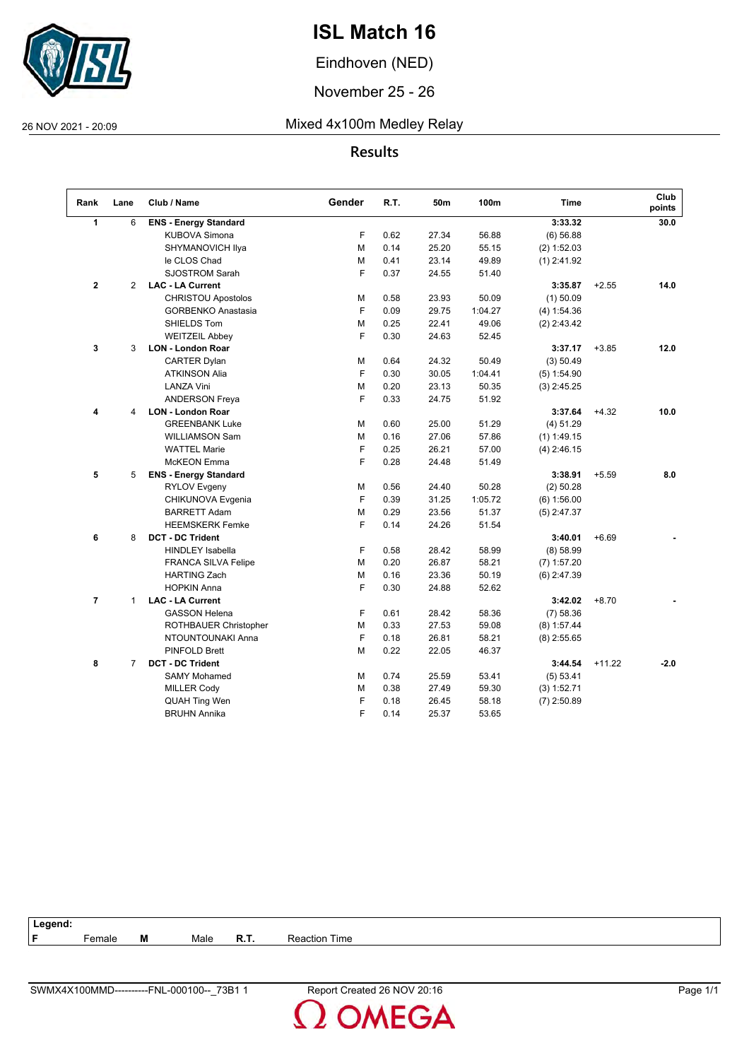

Eindhoven (NED)

November 25 - 26

#### 26 NOV 2021 - 20:09 Mixed 4x100m Medley Relay

#### **Results**

| Rank         | Lane           | Club / Name                  | Gender | R.T. | 50m   | 100m    | <b>Time</b>   |          | Club<br>points |
|--------------|----------------|------------------------------|--------|------|-------|---------|---------------|----------|----------------|
| $\mathbf{1}$ | 6              | <b>ENS - Energy Standard</b> |        |      |       |         | 3:33.32       |          | 30.0           |
|              |                | <b>KUBOVA Simona</b>         | F      | 0.62 | 27.34 | 56.88   | (6) 56.88     |          |                |
|              |                | SHYMANOVICH Ilya             | M      | 0.14 | 25.20 | 55.15   | (2) 1:52.03   |          |                |
|              |                | le CLOS Chad                 | м      | 0.41 | 23.14 | 49.89   | $(1)$ 2:41.92 |          |                |
|              |                | SJOSTROM Sarah               | F      | 0.37 | 24.55 | 51.40   |               |          |                |
| $\bf 2$      | $\overline{2}$ | <b>LAC - LA Current</b>      |        |      |       |         | 3:35.87       | $+2.55$  | 14.0           |
|              |                | <b>CHRISTOU Apostolos</b>    | М      | 0.58 | 23.93 | 50.09   | $(1)$ 50.09   |          |                |
|              |                | GORBENKO Anastasia           | F      | 0.09 | 29.75 | 1:04.27 | (4) 1:54.36   |          |                |
|              |                | SHIELDS Tom                  | M      | 0.25 | 22.41 | 49.06   | $(2)$ 2:43.42 |          |                |
|              |                | <b>WEITZEIL Abbey</b>        | F      | 0.30 | 24.63 | 52.45   |               |          |                |
| 3            | 3              | <b>LON - London Roar</b>     |        |      |       |         | 3:37.17       | $+3.85$  | 12.0           |
|              |                | <b>CARTER Dylan</b>          | М      | 0.64 | 24.32 | 50.49   | (3) 50.49     |          |                |
|              |                | <b>ATKINSON Alia</b>         | F      | 0.30 | 30.05 | 1:04.41 | $(5)$ 1:54.90 |          |                |
|              |                | <b>LANZA Vini</b>            | М      | 0.20 | 23.13 | 50.35   | $(3)$ 2:45.25 |          |                |
|              |                | <b>ANDERSON Freya</b>        | F      | 0.33 | 24.75 | 51.92   |               |          |                |
| 4            | 4              | <b>LON - London Roar</b>     |        |      |       |         | 3:37.64       | $+4.32$  | 10.0           |
|              |                | <b>GREENBANK Luke</b>        | м      | 0.60 | 25.00 | 51.29   | (4) 51.29     |          |                |
|              |                | <b>WILLIAMSON Sam</b>        | M      | 0.16 | 27.06 | 57.86   | $(1)$ 1:49.15 |          |                |
|              |                | <b>WATTEL Marie</b>          | F      | 0.25 | 26.21 | 57.00   | $(4)$ 2:46.15 |          |                |
|              |                | <b>McKEON</b> Emma           | F      | 0.28 | 24.48 | 51.49   |               |          |                |
| 5            | 5              | <b>ENS - Energy Standard</b> |        |      |       |         | 3:38.91       | $+5.59$  | 8.0            |
|              |                | <b>RYLOV Evgeny</b>          | м      | 0.56 | 24.40 | 50.28   | $(2)$ 50.28   |          |                |
|              |                | CHIKUNOVA Evgenia            | F      | 0.39 | 31.25 | 1:05.72 | $(6)$ 1:56.00 |          |                |
|              |                | <b>BARRETT Adam</b>          | М      | 0.29 | 23.56 | 51.37   | $(5)$ 2:47.37 |          |                |
|              |                | <b>HEEMSKERK Femke</b>       | F      | 0.14 | 24.26 | 51.54   |               |          |                |
| 6            | 8              | <b>DCT - DC Trident</b>      |        |      |       |         | 3:40.01       | $+6.69$  |                |
|              |                | <b>HINDLEY Isabella</b>      | F      | 0.58 | 28.42 | 58.99   | (8) 58.99     |          |                |
|              |                | <b>FRANCA SILVA Felipe</b>   | M      | 0.20 | 26.87 | 58.21   | $(7)$ 1:57.20 |          |                |
|              |                | <b>HARTING Zach</b>          | M      | 0.16 | 23.36 | 50.19   | $(6)$ 2:47.39 |          |                |
|              |                | <b>HOPKIN Anna</b>           | F      | 0.30 | 24.88 | 52.62   |               |          |                |
| 7            | $\mathbf{1}$   | <b>LAC - LA Current</b>      |        |      |       |         | 3:42.02       | $+8.70$  |                |
|              |                | <b>GASSON Helena</b>         | F      | 0.61 | 28.42 | 58.36   | (7) 58.36     |          |                |
|              |                | ROTHBAUER Christopher        | М      | 0.33 | 27.53 | 59.08   | $(8)$ 1:57.44 |          |                |
|              |                | NTOUNTOUNAKI Anna            | F      | 0.18 | 26.81 | 58.21   | $(8)$ 2:55.65 |          |                |
|              |                | PINFOLD Brett                | M      | 0.22 | 22.05 | 46.37   |               |          |                |
| 8            | $\overline{7}$ | <b>DCT - DC Trident</b>      |        |      |       |         | 3:44.54       | $+11.22$ | $-2.0$         |
|              |                | <b>SAMY Mohamed</b>          | м      | 0.74 | 25.59 | 53.41   | (5) 53.41     |          |                |
|              |                | <b>MILLER Cody</b>           | M      | 0.38 | 27.49 | 59.30   | (3) 1:52.71   |          |                |
|              |                | <b>QUAH Ting Wen</b>         | F      | 0.18 | 26.45 | 58.18   | $(7)$ 2:50.89 |          |                |
|              |                | <b>BRUHN Annika</b>          | F      | 0.14 | 25.37 | 53.65   |               |          |                |

| Legend:                                 |                  |
|-----------------------------------------|------------------|
| Е.<br>M<br><b>R.T.</b><br>Male<br>emale | Time<br>Reaction |

**OMEGA**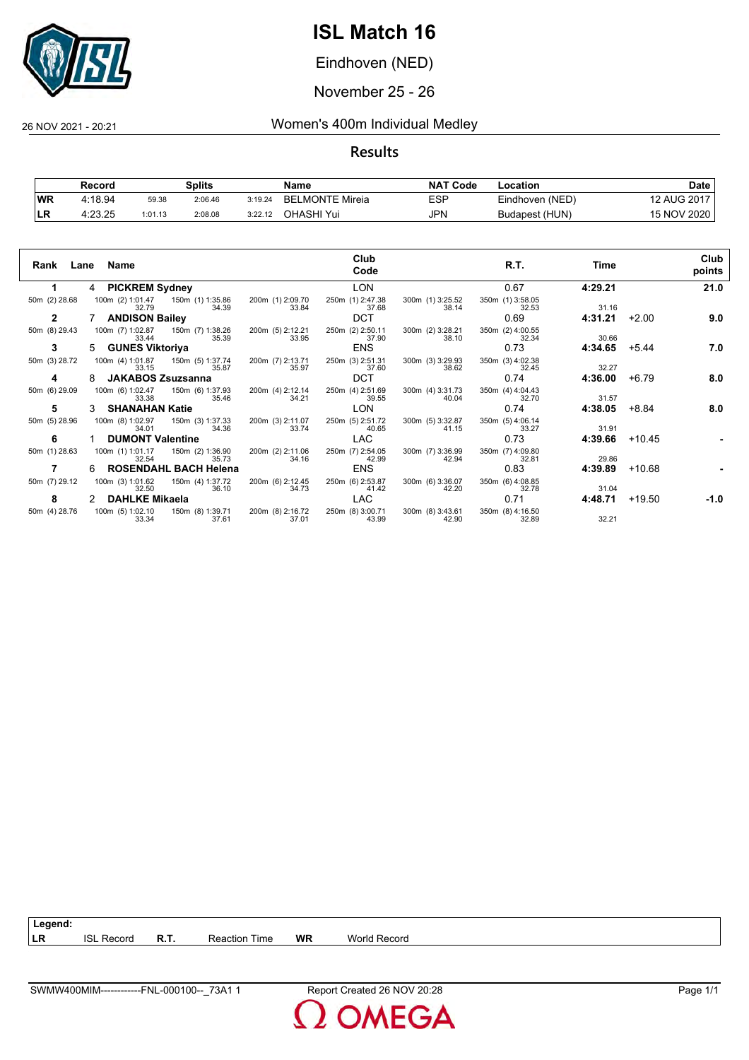

Eindhoven (NED)

November 25 - 26

#### 26 NOV 2021 - 20:21 Women's 400m Individual Medley

|           | Record  |         | Splits  |         | Name            | <b>NAT</b><br>「Code | ∟ocation        | Date        |
|-----------|---------|---------|---------|---------|-----------------|---------------------|-----------------|-------------|
| <b>WR</b> | 4:18.94 | 59.38   | 2:06.46 | 3:19.24 | BELMONTE Mireia | ESP                 | Eindhoven (NED) | 12 AUG 2017 |
| 'LR       | 4:23.25 | 1:01.13 | 2:08.08 | 3:22.12 | OHASHI Yui      | JPN                 | Budapest (HUN)  | 15 NOV 2020 |

|               | Rank Lane Name             |                              |                           | Club<br>Code              |                           | R.T.                      | Time    |          | Club<br>points |
|---------------|----------------------------|------------------------------|---------------------------|---------------------------|---------------------------|---------------------------|---------|----------|----------------|
|               | 4 PICKREM Sydney           |                              |                           | <b>LON</b>                |                           | 0.67                      | 4:29.21 |          | 21.0           |
| 50m (2) 28.68 | 100m (2) 1:01.47<br>32.79  | 150m (1) 1:35.86<br>34.39    | 200m (1) 2:09.70<br>33.84 | 250m (1) 2:47.38<br>37.68 | 300m (1) 3:25.52<br>38.14 | 350m (1) 3:58.05<br>32.53 | 31.16   |          |                |
| $\mathbf{2}$  | <b>ANDISON Bailey</b>      |                              |                           | <b>DCT</b>                |                           | 0.69                      | 4:31.21 | $+2.00$  | 9.0            |
| 50m (8) 29.43 | 100m (7) 1:02.87<br>33.44  | 150m (7) 1:38.26<br>35.39    | 200m (5) 2:12.21<br>33.95 | 250m (2) 2:50.11<br>37.90 | 300m (2) 3:28.21<br>38.10 | 350m (2) 4:00.55<br>32.34 | 30.66   |          |                |
| 3             | <b>GUNES Viktoriya</b>     |                              |                           | <b>ENS</b>                |                           | 0.73                      | 4:34.65 | $+5.44$  | 7.0            |
| 50m (3) 28.72 | 100m (4) 1:01.87<br>33.15  | 150m (5) 1:37.74<br>35.87    | 200m (7) 2:13.71<br>35.97 | 250m (3) 2:51.31<br>37.60 | 300m (3) 3:29.93<br>38.62 | 350m (3) 4:02.38<br>32.45 | 32.27   |          |                |
| 4             | <b>JAKABOS Zsuzsanna</b>   |                              |                           | <b>DCT</b>                |                           | 0.74                      | 4:36.00 | $+6.79$  | 8.0            |
| 50m (6) 29.09 | 100m (6) 1:02.47<br>33.38  | 150m (6) 1:37.93<br>35.46    | 200m (4) 2:12.14<br>34.21 | 250m (4) 2:51.69<br>39.55 | 300m (4) 3:31.73<br>40.04 | 350m (4) 4:04.43<br>32.70 | 31.57   |          |                |
| 5             | <b>SHANAHAN Katie</b>      |                              |                           | <b>LON</b>                |                           | 0.74                      | 4:38.05 | +8.84    | 8.0            |
| 50m (5) 28.96 | 100m (8) 1:02.97<br>34.01  | 150m (3) 1:37.33<br>34.36    | 200m (3) 2:11.07<br>33.74 | 250m (5) 2:51.72<br>40.65 | 300m (5) 3:32.87<br>41.15 | 350m (5) 4:06.14<br>33.27 | 31.91   |          |                |
| 6             | <b>DUMONT Valentine</b>    |                              |                           | <b>LAC</b>                |                           | 0.73                      | 4:39.66 | $+10.45$ |                |
| 50m (1) 28.63 | 100m (1) 1:01.17<br>32.54  | 150m (2) 1:36.90<br>35.73    | 200m (2) 2:11.06<br>34.16 | 250m (7) 2:54.05<br>42.99 | 300m (7) 3:36.99<br>42.94 | 350m (7) 4:09.80<br>32.81 | 29.86   |          |                |
|               | 6.                         | <b>ROSENDAHL BACH Helena</b> |                           | <b>ENS</b>                |                           | 0.83                      | 4:39.89 | $+10.68$ |                |
| 50m (7) 29.12 | 100m (3) 1:01.62<br>32.50  | 150m (4) 1:37.72<br>36.10    | 200m (6) 2:12.45<br>34.73 | 250m (6) 2:53.87<br>41.42 | 300m (6) 3:36.07<br>42.20 | 350m (6) 4:08.85<br>32.78 | 31.04   |          |                |
| 8             | <b>DAHLKE Mikaela</b><br>2 |                              |                           | <b>LAC</b>                |                           | 0.71                      | 4:48.71 | +19.50   | -1.0           |
| 50m (4) 28.76 | 100m (5) 1:02.10<br>33.34  | 150m (8) 1:39.71<br>37.61    | 200m (8) 2:16.72<br>37.01 | 250m (8) 3:00.71<br>43.99 | 300m (8) 3:43.61<br>42.90 | 350m (8) 4:16.50<br>32.89 | 32.21   |          |                |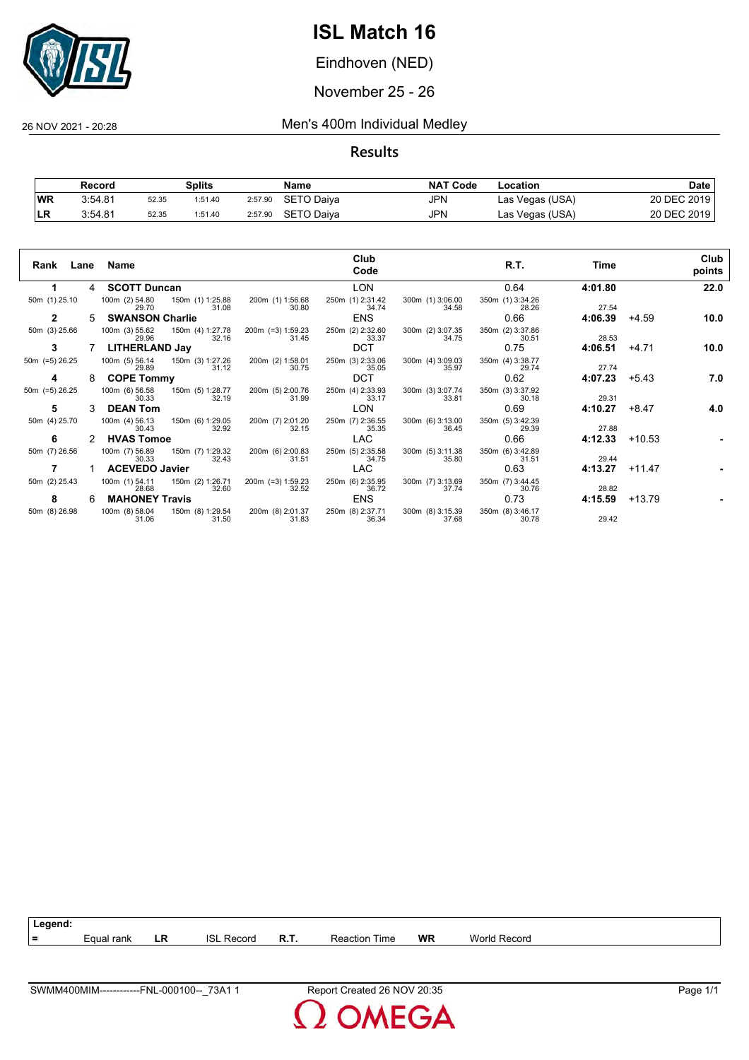

Eindhoven (NED)

November 25 - 26

#### 26 NOV 2021 - 20:28 Men's 400m Individual Medley

**Results**

|           | Record  |       | Splits  |         | Name       | <b>NAT Code</b> | Location        | <b>Date</b> |
|-----------|---------|-------|---------|---------|------------|-----------------|-----------------|-------------|
| <b>WR</b> | 3:54.81 | 52.35 | 1:51.40 | 2:57.90 | SETO Daiya | JPN             | Las Vegas (USA) | 20 DEC 2019 |
| ∣LR       | 3:54.81 | 52.35 | 1:51.40 | 2:57.90 | SETO Daiva | JPN             | Las Vegas (USA) | 20 DEC 2019 |

| Rank           |   | Lane Name               |                                          |                            | Club<br>Code              |                           | R.T.                      | Time    |          | Club<br>points |
|----------------|---|-------------------------|------------------------------------------|----------------------------|---------------------------|---------------------------|---------------------------|---------|----------|----------------|
|                | 4 | <b>SCOTT Duncan</b>     |                                          |                            | <b>LON</b>                |                           | 0.64                      | 4:01.80 |          | 22.0           |
| 50m (1) 25.10  |   | 29.70                   | 100m (2) 54.80 150m (1) 1:25.88<br>31.08 | 200m (1) 1:56.68<br>30.80  | 250m (1) 2:31.42<br>34.74 | 300m (1) 3:06.00<br>34.58 | 350m (1) 3:34.26<br>28.26 | 27.54   |          |                |
| 2              | 5 | <b>SWANSON Charlie</b>  |                                          |                            | <b>ENS</b>                |                           | 0.66                      | 4:06.39 | $+4.59$  | 10.0           |
| 50m (3) 25.66  |   | 100m (3) 55.62<br>29.96 | 150m (4) 1:27.78<br>32.16                | 200m (=3) 1:59.23<br>31.45 | 250m (2) 2:32.60<br>33.37 | 300m (2) 3:07.35<br>34.75 | 350m (2) 3:37.86<br>30.51 | 28.53   |          |                |
| 3              |   | <b>LITHERLAND Jay</b>   |                                          |                            | <b>DCT</b>                |                           | 0.75                      | 4:06.51 | $+4.71$  | 10.0           |
| 50m (=5) 26.25 |   | 100m (5) 56.14<br>29.89 | 150m (3) 1:27.26<br>31.12                | 200m (2) 1:58.01<br>30.75  | 250m (3) 2:33.06<br>35.05 | 300m (4) 3:09.03<br>35.97 | 350m (4) 3:38.77<br>29.74 | 27.74   |          |                |
| 4              | 8 | <b>COPE Tommy</b>       |                                          |                            | <b>DCT</b>                |                           | 0.62                      | 4:07.23 | $+5.43$  | 7.0            |
| 50m (=5) 26.25 |   | 100m (6) 56.58<br>30.33 | 150m (5) 1:28.77<br>32.19                | 200m (5) 2:00.76<br>31.99  | 250m (4) 2:33.93<br>33.17 | 300m (3) 3:07.74<br>33.81 | 350m (3) 3:37.92<br>30.18 | 29.31   |          |                |
| 5              | 3 | <b>DEAN Tom</b>         |                                          |                            | <b>LON</b>                |                           | 0.69                      | 4:10.27 | $+8.47$  | 4.0            |
| 50m (4) 25.70  |   | 100m (4) 56.13<br>30.43 | 150m (6) 1:29.05<br>32.92                | 200m (7) 2:01.20<br>32.15  | 250m (7) 2:36.55<br>35.35 | 300m (6) 3:13.00<br>36.45 | 350m (5) 3:42.39<br>29.39 | 27.88   |          |                |
| 6              |   | <b>HVAS Tomoe</b>       |                                          |                            | LAC                       |                           | 0.66                      | 4:12.33 | $+10.53$ |                |
| 50m (7) 26.56  |   | 100m (7) 56.89<br>30.33 | 150m (7) 1:29.32<br>32.43                | 200m (6) 2:00.83<br>31.51  | 250m (5) 2:35.58<br>34.75 | 300m (5) 3:11.38<br>35.80 | 350m (6) 3:42.89<br>31.51 | 29.44   |          |                |
|                |   | <b>ACEVEDO Javier</b>   |                                          |                            | <b>LAC</b>                |                           | 0.63                      | 4:13.27 | $+11.47$ |                |
| 50m (2) 25.43  |   | 100m (1) 54.11<br>28.68 | 150m (2) 1:26.71<br>32.60                | 200m (=3) 1:59.23<br>32.52 | 250m (6) 2:35.95<br>36.72 | 300m (7) 3:13.69<br>37.74 | 350m (7) 3:44.45<br>30.76 | 28.82   |          |                |
| 8              | 6 | <b>MAHONEY Travis</b>   |                                          |                            | <b>ENS</b>                |                           | 0.73                      | 4:15.59 | +13.79   |                |
| 50m (8) 26.98  |   | 100m (8) 58.04<br>31.06 | 150m (8) 1:29.54<br>31.50                | 200m (8) 2:01.37<br>31.83  | 250m (8) 2:37.71<br>36.34 | 300m (8) 3:15.39<br>37.68 | 350m (8) 3:46.17<br>30.78 | 29.42   |          |                |



**MEGA**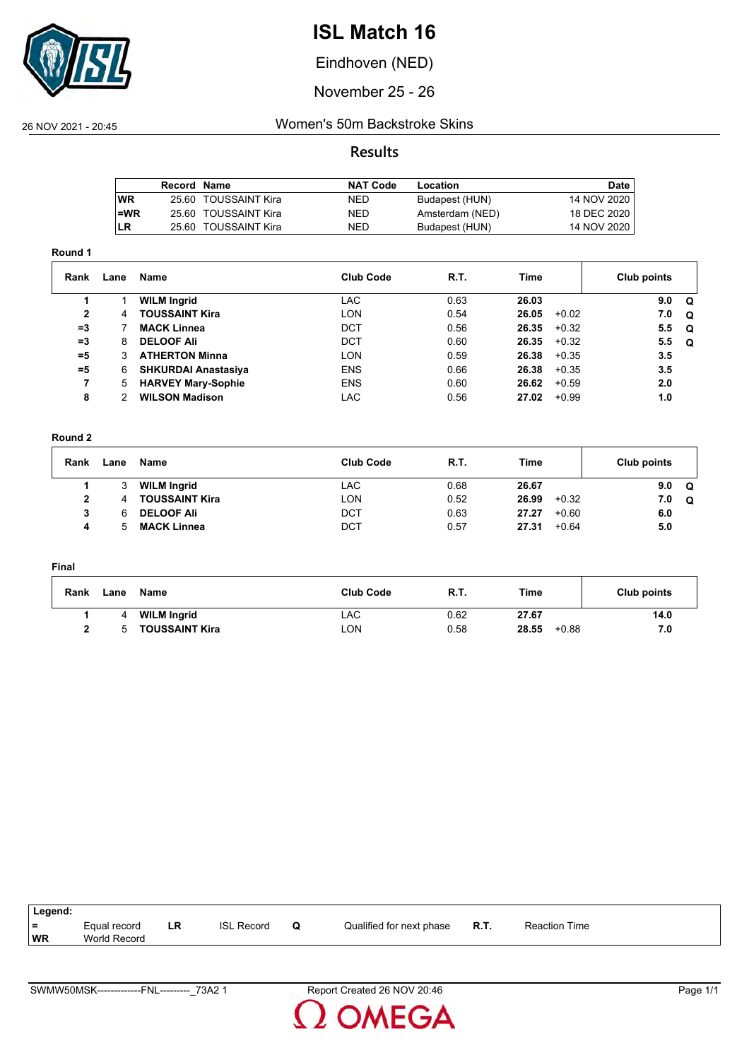

Eindhoven (NED)

November 25 - 26

#### 26 NOV 2021 - 20:45 Women's 50m Backstroke Skins

#### **Results**

|           | Record Name |                      | <b>NAT Code</b> | Location        | Date          |
|-----------|-------------|----------------------|-----------------|-----------------|---------------|
| <b>WR</b> |             | 25.60 TOUSSAINT Kira | <b>NED</b>      | Budapest (HUN)  | 14 NOV 2020   |
| $l = WR$  |             | 25.60 TOUSSAINT Kira | NED             | Amsterdam (NED) | 18 DEC 2020   |
| LR        |             | 25.60 TOUSSAINT Kira | NED             | Budapest (HUN)  | 14 NOV 2020 I |
|           |             |                      |                 |                 |               |

#### **Round 1**

| Rank           | Lane | Name                       | <b>Club Code</b> | R.T. | Time             | Club points     |
|----------------|------|----------------------------|------------------|------|------------------|-----------------|
|                |      | <b>WILM Ingrid</b>         | <b>LAC</b>       | 0.63 | 26.03            | 9.0<br>. വ      |
| $\overline{2}$ | 4    | <b>TOUSSAINT Kira</b>      | LON              | 0.54 | 26.05<br>$+0.02$ | 7.0<br><b>Q</b> |
| $=3$           |      | <b>MACK Linnea</b>         | DCT              | 0.56 | 26.35<br>$+0.32$ | 5.5<br>. വ      |
| $=3$           | 8    | <b>DELOOF Ali</b>          | DCT              | 0.60 | 26.35<br>$+0.32$ | 5.5<br>. വ      |
| $= 5$          | 3    | <b>ATHERTON Minna</b>      | LON              | 0.59 | 26.38<br>$+0.35$ | 3.5             |
| $= 5$          | 6    | <b>SHKURDAI Anastasiya</b> | <b>ENS</b>       | 0.66 | 26.38<br>$+0.35$ | 3.5             |
|                | 5    | <b>HARVEY Mary-Sophie</b>  | <b>ENS</b>       | 0.60 | 26.62<br>$+0.59$ | 2.0             |
| 8              | 2    | <b>WILSON Madison</b>      | <b>LAC</b>       | 0.56 | 27.02<br>$+0.99$ | 1.0             |

#### **Round 2**

| Rank | Lane | Name                  | <b>Club Code</b> | R.T. | Time             | Club points     |
|------|------|-----------------------|------------------|------|------------------|-----------------|
|      | 3    | <b>WILM Ingrid</b>    | LAC              | 0.68 | 26.67            | 9.0<br>$\Omega$ |
|      | 4    | <b>TOUSSAINT Kira</b> | <b>LON</b>       | 0.52 | 26.99<br>$+0.32$ | 7.0<br>Q        |
|      | 6    | <b>DELOOF Ali</b>     | <b>DCT</b>       | 0.63 | 27.27<br>$+0.60$ | 6.0             |
| 4    | 5.   | <b>MACK Linnea</b>    | DCT              | 0.57 | 27.31<br>$+0.64$ | 5.0             |

#### **Final**

| Rank | Lane | Name                  | <b>Club Code</b> | R.T. | Time             | Club points |
|------|------|-----------------------|------------------|------|------------------|-------------|
|      |      | <b>WILM Ingrid</b>    | LAC              | 0.62 | 27.67            | 14.0        |
|      |      | <b>TOUSSAINT Kira</b> | LON              | 0.58 | 28.55<br>$+0.88$ | 7.0         |

| Legend: |              |    |                   |                          |      |                      |
|---------|--------------|----|-------------------|--------------------------|------|----------------------|
| l =     | Equal record | LR | <b>ISL Record</b> | Qualified for next phase | R.T. | <b>Reaction Time</b> |
| WR      | World Record |    |                   |                          |      |                      |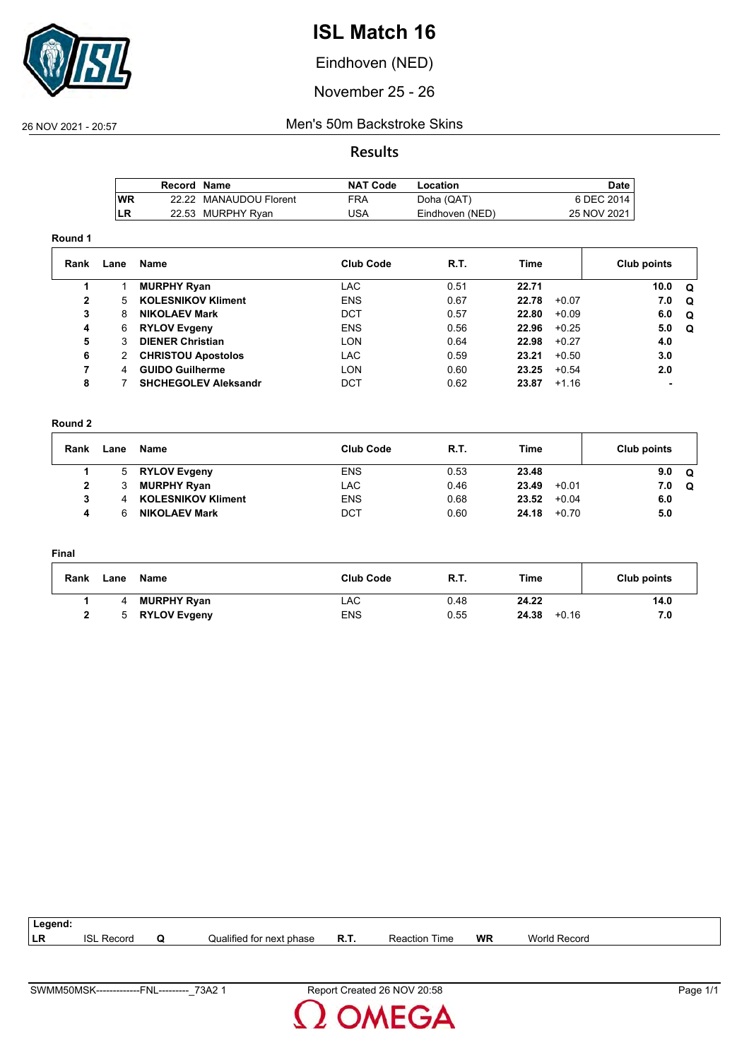

Eindhoven (NED)

November 25 - 26

#### 26 NOV 2021 - 20:57 Men's 50m Backstroke Skins

**Results**

|           | Record Name |                        | NAT Code | Location        | Date        |
|-----------|-------------|------------------------|----------|-----------------|-------------|
| <b>WR</b> |             | 22.22 MANAUDOU Florent | FRA      | Doha (QAT)      | 6 DEC 2014  |
| <b>LR</b> |             | 22.53 MURPHY Ryan      | JSA      | Eindhoven (NED) | 25 NOV 2021 |

#### **Round 1**

| Rank | Lane | Name                        | <b>Club Code</b> | <b>R.T.</b> | Time  |         | Club points |     |
|------|------|-----------------------------|------------------|-------------|-------|---------|-------------|-----|
|      |      | <b>MURPHY Ryan</b>          | LAC              | 0.51        | 22.71 |         | 10.0        | . റ |
| 2    | 5.   | <b>KOLESNIKOV Kliment</b>   | <b>ENS</b>       | 0.67        | 22.78 | $+0.07$ | 7.0         | O   |
| 3    | 8    | <b>NIKOLAEV Mark</b>        | DCT              | 0.57        | 22.80 | $+0.09$ | 6.0         | O   |
| 4    | 6    | <b>RYLOV Evgeny</b>         | <b>ENS</b>       | 0.56        | 22.96 | $+0.25$ | 5.0         | . വ |
| 5    |      | <b>DIENER Christian</b>     | <b>LON</b>       | 0.64        | 22.98 | $+0.27$ | 4.0         |     |
| 6    | 2.   | <b>CHRISTOU Apostolos</b>   | <b>LAC</b>       | 0.59        | 23.21 | $+0.50$ | 3.0         |     |
|      | 4    | <b>GUIDO Guilherme</b>      | LON              | 0.60        | 23.25 | $+0.54$ | 2.0         |     |
| 8    |      | <b>SHCHEGOLEV Aleksandr</b> | DCT              | 0.62        | 23.87 | $+1.16$ |             |     |

#### **Round 2**

| Rank | Lane | Name                      | <b>Club Code</b> | <b>R.T.</b> | Time             | Club points     |
|------|------|---------------------------|------------------|-------------|------------------|-----------------|
|      | 5.   | <b>RYLOV Evgeny</b>       | <b>ENS</b>       | 0.53        | 23.48            | 9.0<br>$\Omega$ |
| 2    |      | <b>MURPHY Ryan</b>        | LAC              | 0.46        | 23.49<br>$+0.01$ | 7.0<br>$\Omega$ |
| 3    |      | <b>KOLESNIKOV Kliment</b> | <b>ENS</b>       | 0.68        | 23.52<br>$+0.04$ | 6.0             |
|      |      | <b>NIKOLAEV Mark</b>      | DCT              | 0.60        | 24.18<br>$+0.70$ | 5.0             |

#### **Final**

| Rank | Lane | Name                | <b>Club Code</b> | <b>R.T.</b> | Time             | Club points |
|------|------|---------------------|------------------|-------------|------------------|-------------|
|      |      | <b>MURPHY Ryan</b>  | LAC              | 0.48        | 24.22            | 14.0        |
|      |      | <b>RYLOV Evgeny</b> | <b>ENS</b>       | 0.55        | 24.38<br>$+0.16$ | 7.0         |

| Legend:   |                   |   |                          |             |                      |    |              |  |
|-----------|-------------------|---|--------------------------|-------------|----------------------|----|--------------|--|
| <b>LR</b> | <b>ISL Record</b> | O | Qualified for next phase | <b>R.T.</b> | <b>Reaction Time</b> | WR | World Record |  |
|           |                   |   |                          |             |                      |    |              |  |

**OMEGA**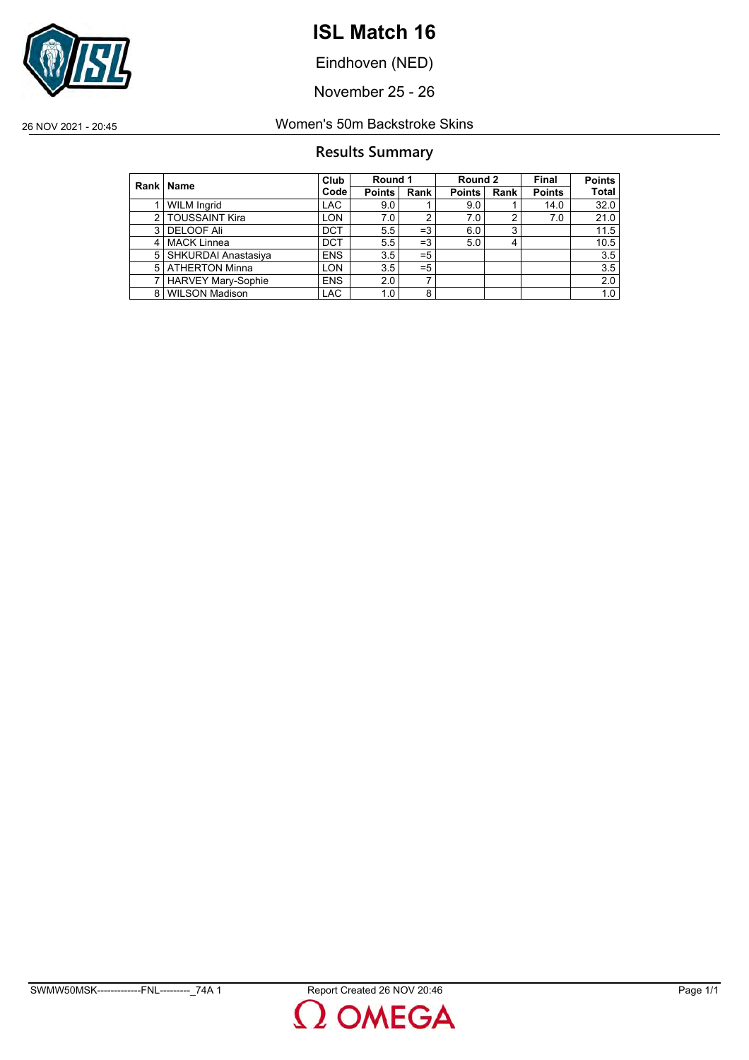

Eindhoven (NED)

November 25 - 26

26 NOV 2021 - 20:45 Women's 50m Backstroke Skins

#### **Results Summary**

|               | Rank   Name               | Club       | Round 1       |       | Round 2       |      | Final         | <b>Points</b> |
|---------------|---------------------------|------------|---------------|-------|---------------|------|---------------|---------------|
|               |                           | Code       | <b>Points</b> | Rank  | <b>Points</b> | Rank | <b>Points</b> | <b>Total</b>  |
|               | <b>WILM Ingrid</b>        | <b>LAC</b> | 9.0           |       | 9.0           |      | 14.0          | 32.0          |
| $\mathcal{P}$ | <b>TOUSSAINT Kira</b>     | <b>LON</b> | 7.0           | 2     | 7.0           | 2    | 7.0           | 21.0          |
| 3             | <b>DELOOF Ali</b>         | <b>DCT</b> | 5.5           | $=3$  | 6.0           | 3    |               | 11.5          |
| 4             | MACK Linnea               | <b>DCT</b> | 5.5           | $=3$  | 5.0           | 4    |               | 10.5          |
| 5             | SHKURDAI Anastasiya       | <b>ENS</b> | 3.5           | $= 5$ |               |      |               | 3.5           |
| 5             | ATHERTON Minna            | <b>LON</b> | 3.5           | $= 5$ |               |      |               | 3.5           |
|               | <b>HARVEY Mary-Sophie</b> | <b>ENS</b> | 2.0           | ⇁     |               |      |               | 2.0           |
| 8             | WILSON Madison            | <b>LAC</b> | 1.0           | 8     |               |      |               | 1.0           |

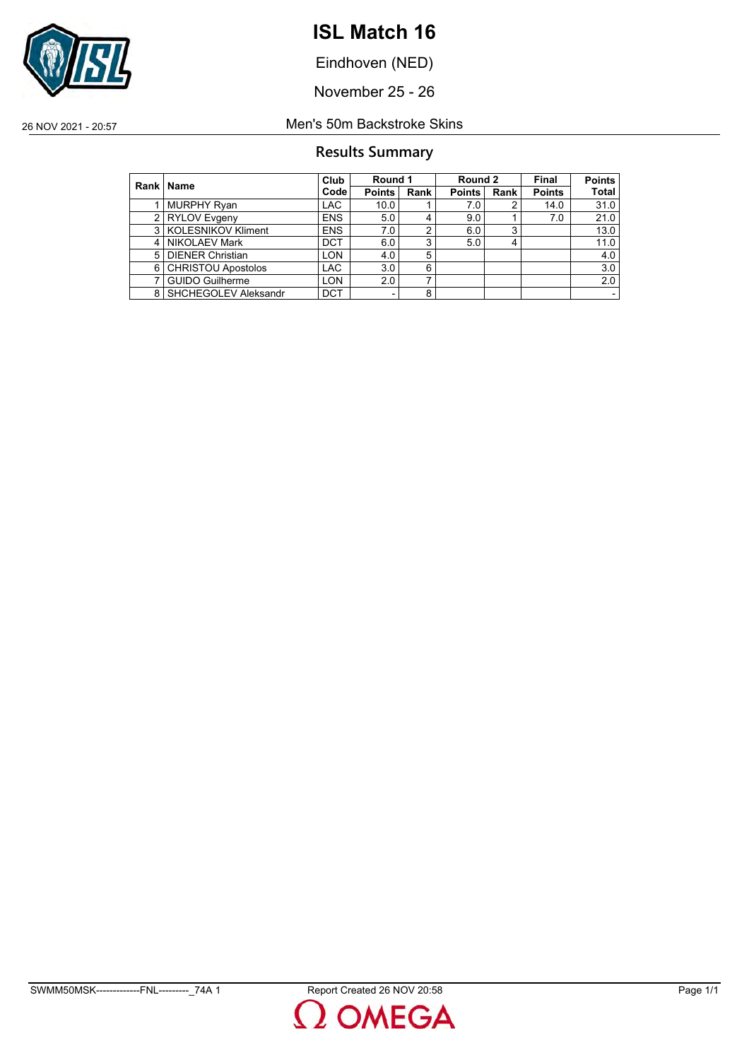

Eindhoven (NED)

November 25 - 26

#### 26 NOV 2021 - 20:57 Men's 50m Backstroke Skins

#### **Results Summary**

|               | Rank   Name               | Club       | Round 1                  |             | Round 2       |      | Final         | <b>Points</b> |
|---------------|---------------------------|------------|--------------------------|-------------|---------------|------|---------------|---------------|
|               |                           | Code       | <b>Points</b>            | <b>Rank</b> | <b>Points</b> | Rank | <b>Points</b> | Total         |
|               | <b>MURPHY Ryan</b>        | <b>LAC</b> | 10.0                     |             | 7.0           |      | 14.0          | 31.0          |
| $\mathcal{P}$ | <b>RYLOV</b> Evgeny       | <b>ENS</b> | 5.0                      | 4           | 9.0           |      | 7.0           | 21.0          |
|               | 3   KOLESNIKOV Kliment    | <b>ENS</b> | 7.0                      | 2           | 6.0           | 3    |               | 13.0          |
|               | 4 NIKOLAEV Mark           | <b>DCT</b> | 6.0                      | 3           | 5.0           |      |               | 11.0          |
| 5             | <b>DIENER Christian</b>   | <b>LON</b> | 4.0                      | 5           |               |      |               | 4.0           |
| 6             | <b>CHRISTOU Apostolos</b> | <b>LAC</b> | 3.0                      | 6           |               |      |               | 3.0           |
|               | <b>GUIDO Guilherme</b>    | <b>LON</b> | 2.0                      | ⇁           |               |      |               | 2.0           |
|               | 8 SHCHEGOLEV Aleksandr    | <b>DCT</b> | $\overline{\phantom{0}}$ | 8           |               |      |               |               |

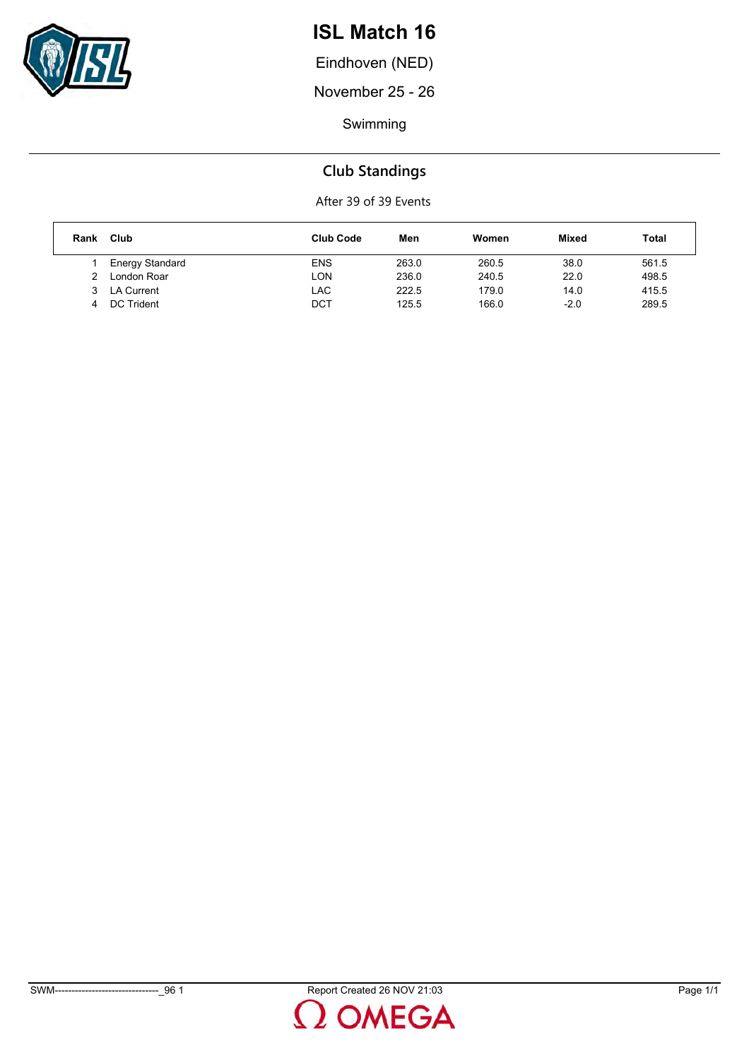

Eindhoven (NED)

November 25 - 26

Swimming

#### **Club Standings**

After 39 of 39 Events

| Rank | Club            | <b>Club Code</b> | Men   | Women | <b>Mixed</b> | Total |
|------|-----------------|------------------|-------|-------|--------------|-------|
|      | Energy Standard | <b>ENS</b>       | 263.0 | 260.5 | 38.0         | 561.5 |
| っ    | London Roar     | LON              | 236.0 | 240.5 | 22.0         | 498.5 |
|      | LA Current      | LAC              | 222.5 | 179.0 | 14.0         | 415.5 |
|      | DC Trident      | <b>DCT</b>       | 125.5 | 166.0 | $-2.0$       | 289.5 |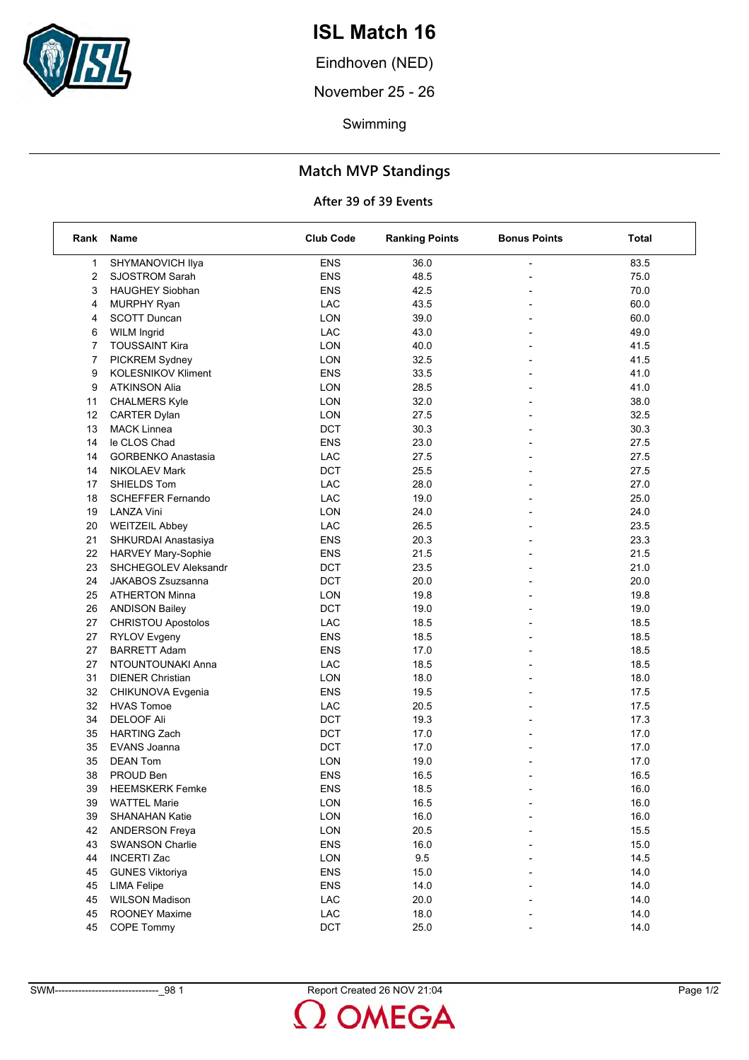

Eindhoven (NED)

November 25 - 26

Swimming

#### **Match MVP Standings**

#### **After 39 of 39 Events**

| Rank | Name                      | <b>Club Code</b> | <b>Ranking Points</b> | <b>Bonus Points</b>      | Total |
|------|---------------------------|------------------|-----------------------|--------------------------|-------|
| 1    | SHYMANOVICH Ilya          | <b>ENS</b>       | 36.0                  |                          | 83.5  |
| 2    | <b>SJOSTROM Sarah</b>     | <b>ENS</b>       | 48.5                  |                          | 75.0  |
| 3    | <b>HAUGHEY Siobhan</b>    | <b>ENS</b>       | 42.5                  |                          | 70.0  |
| 4    | <b>MURPHY Ryan</b>        | LAC              | 43.5                  |                          | 60.0  |
| 4    | <b>SCOTT Duncan</b>       | LON              | 39.0                  |                          | 60.0  |
| 6    | <b>WILM Ingrid</b>        | LAC              | 43.0                  |                          | 49.0  |
| 7    | <b>TOUSSAINT Kira</b>     | LON              | 40.0                  |                          | 41.5  |
| 7    | PICKREM Sydney            | LON              | 32.5                  |                          | 41.5  |
| 9    | <b>KOLESNIKOV Kliment</b> | <b>ENS</b>       | 33.5                  | $\overline{a}$           | 41.0  |
| 9    | <b>ATKINSON Alia</b>      | LON              | 28.5                  |                          | 41.0  |
| 11   | <b>CHALMERS Kyle</b>      | LON              | 32.0                  | $\overline{\phantom{a}}$ | 38.0  |
| 12   | <b>CARTER Dylan</b>       | LON              | 27.5                  |                          | 32.5  |
| 13   | <b>MACK Linnea</b>        | <b>DCT</b>       | 30.3                  |                          | 30.3  |
| 14   | le CLOS Chad              | <b>ENS</b>       | 23.0                  |                          | 27.5  |
| 14   | <b>GORBENKO Anastasia</b> | LAC              | 27.5                  |                          | 27.5  |
| 14   | <b>NIKOLAEV Mark</b>      | <b>DCT</b>       | 25.5                  |                          | 27.5  |
| 17   | SHIELDS Tom               | LAC              | 28.0                  |                          | 27.0  |
| 18   | <b>SCHEFFER Fernando</b>  | LAC              | 19.0                  |                          | 25.0  |
| 19   | <b>LANZA Vini</b>         | LON              | 24.0                  |                          | 24.0  |
| 20   | <b>WEITZEIL Abbey</b>     | LAC              | 26.5                  |                          | 23.5  |
| 21   | SHKURDAI Anastasiya       | <b>ENS</b>       | 20.3                  |                          | 23.3  |
| 22   | <b>HARVEY Mary-Sophie</b> | <b>ENS</b>       | 21.5                  |                          | 21.5  |
| 23   | SHCHEGOLEV Aleksandr      | <b>DCT</b>       | 23.5                  |                          | 21.0  |
| 24   | <b>JAKABOS Zsuzsanna</b>  | <b>DCT</b>       | 20.0                  |                          | 20.0  |
| 25   | <b>ATHERTON Minna</b>     | LON              | 19.8                  |                          | 19.8  |
| 26   | <b>ANDISON Bailey</b>     | DCT              | 19.0                  |                          | 19.0  |
| 27   | <b>CHRISTOU Apostolos</b> | LAC              | 18.5                  |                          | 18.5  |
| 27   | <b>RYLOV Evgeny</b>       | <b>ENS</b>       | 18.5                  |                          | 18.5  |
| 27   | <b>BARRETT Adam</b>       | <b>ENS</b>       | 17.0                  |                          | 18.5  |
| 27   | NTOUNTOUNAKI Anna         | LAC              | 18.5                  |                          | 18.5  |
| 31   | <b>DIENER Christian</b>   | LON              | 18.0                  |                          | 18.0  |
| 32   | CHIKUNOVA Evgenia         | <b>ENS</b>       | 19.5                  |                          | 17.5  |
| 32   | <b>HVAS Tomoe</b>         | LAC              | 20.5                  |                          | 17.5  |
| 34   | <b>DELOOF Ali</b>         | <b>DCT</b>       | 19.3                  |                          | 17.3  |
| 35   | <b>HARTING Zach</b>       | <b>DCT</b>       | 17.0                  | $\overline{\phantom{a}}$ | 17.0  |
| 35   | <b>EVANS Joanna</b>       | <b>DCT</b>       | 17.0                  |                          | 17.0  |
| 35   | <b>DEAN Tom</b>           | <b>LON</b>       | 19.0                  |                          | 17.0  |
| 38   | PROUD Ben                 | <b>ENS</b>       | 16.5                  |                          | 16.5  |
| 39   | <b>HEEMSKERK Femke</b>    | ENS              | 18.5                  |                          | 16.0  |
| 39   | <b>WATTEL Marie</b>       | <b>LON</b>       | 16.5                  |                          | 16.0  |
| 39   | <b>SHANAHAN Katie</b>     | <b>LON</b>       | 16.0                  |                          | 16.0  |
| 42   | <b>ANDERSON Freya</b>     | LON              | 20.5                  |                          | 15.5  |
| 43   | <b>SWANSON Charlie</b>    | <b>ENS</b>       | 16.0                  |                          | 15.0  |
| 44   | <b>INCERTI Zac</b>        | LON              | 9.5                   |                          | 14.5  |
| 45   | <b>GUNES Viktoriya</b>    | <b>ENS</b>       | 15.0                  |                          | 14.0  |
| 45   | <b>LIMA Felipe</b>        | <b>ENS</b>       | 14.0                  |                          | 14.0  |
| 45   | <b>WILSON Madison</b>     | LAC              | 20.0                  |                          | 14.0  |
| 45   | <b>ROONEY Maxime</b>      | LAC              | 18.0                  |                          | 14.0  |
| 45   | COPE Tommy                | DCT              | 25.0                  |                          | 14.0  |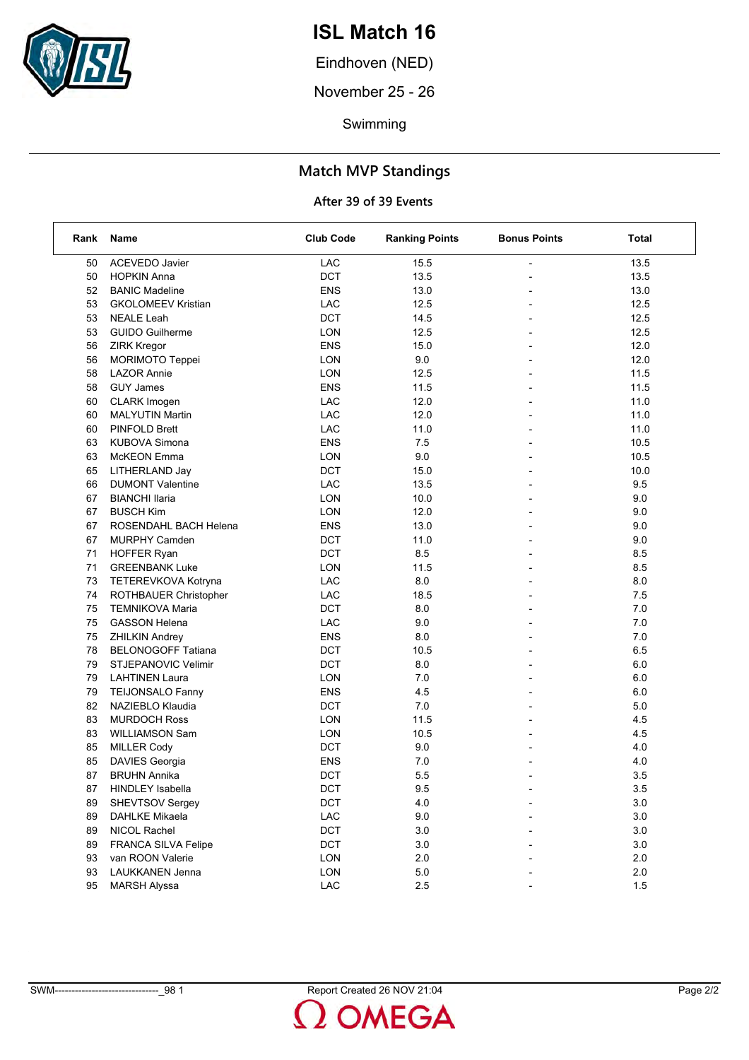

Eindhoven (NED)

November 25 - 26

Swimming

#### **Match MVP Standings**

#### **After 39 of 39 Events**

| Rank | Name                       | <b>Club Code</b> | <b>Ranking Points</b> | <b>Bonus Points</b>      | Total   |
|------|----------------------------|------------------|-----------------------|--------------------------|---------|
| 50   | <b>ACEVEDO Javier</b>      | LAC              | 15.5                  |                          | 13.5    |
| 50   | <b>HOPKIN Anna</b>         | <b>DCT</b>       | 13.5                  |                          | 13.5    |
| 52   | <b>BANIC Madeline</b>      | <b>ENS</b>       | 13.0                  |                          | 13.0    |
| 53   | <b>GKOLOMEEV Kristian</b>  | LAC              | 12.5                  | $\overline{\phantom{0}}$ | 12.5    |
| 53   | <b>NEALE Leah</b>          | <b>DCT</b>       | 14.5                  |                          | 12.5    |
| 53   | <b>GUIDO Guilherme</b>     | <b>LON</b>       | 12.5                  |                          | 12.5    |
| 56   | <b>ZIRK Kregor</b>         | <b>ENS</b>       | 15.0                  | $\overline{\phantom{0}}$ | 12.0    |
| 56   | MORIMOTO Teppei            | <b>LON</b>       | 9.0                   |                          | 12.0    |
| 58   | <b>LAZOR Annie</b>         | <b>LON</b>       | 12.5                  |                          | 11.5    |
| 58   | <b>GUY James</b>           | <b>ENS</b>       | 11.5                  | $\overline{\phantom{0}}$ | 11.5    |
| 60   | <b>CLARK</b> Imogen        | LAC              | 12.0                  |                          | 11.0    |
| 60   | <b>MALYUTIN Martin</b>     | LAC              | 12.0                  |                          | 11.0    |
| 60   | <b>PINFOLD Brett</b>       | LAC              | 11.0                  | $\overline{a}$           | 11.0    |
| 63   | <b>KUBOVA Simona</b>       | ENS              | 7.5                   |                          | 10.5    |
| 63   | McKEON Emma                | <b>LON</b>       | 9.0                   |                          | 10.5    |
| 65   | LITHERLAND Jay             | <b>DCT</b>       | 15.0                  | $\overline{\phantom{0}}$ | 10.0    |
| 66   | <b>DUMONT Valentine</b>    | LAC              | 13.5                  |                          | 9.5     |
| 67   | <b>BIANCHI Ilaria</b>      | <b>LON</b>       | 10.0                  |                          | 9.0     |
| 67   | <b>BUSCH Kim</b>           | <b>LON</b>       | 12.0                  | $\overline{a}$           | 9.0     |
| 67   | ROSENDAHL BACH Helena      | <b>ENS</b>       | 13.0                  |                          | 9.0     |
| 67   | <b>MURPHY Camden</b>       | DCT              | 11.0                  |                          | 9.0     |
| 71   | <b>HOFFER Ryan</b>         | <b>DCT</b>       | 8.5                   | $\overline{\phantom{0}}$ | 8.5     |
| 71   | <b>GREENBANK Luke</b>      | <b>LON</b>       | 11.5                  |                          | 8.5     |
| 73   | TETEREVKOVA Kotryna        | LAC              | 8.0                   |                          | 8.0     |
| 74   | ROTHBAUER Christopher      | LAC              | 18.5                  | $\overline{a}$           | 7.5     |
| 75   | <b>TEMNIKOVA Maria</b>     | <b>DCT</b>       | 8.0                   |                          | 7.0     |
| 75   | <b>GASSON Helena</b>       | LAC              | 9.0                   |                          | 7.0     |
| 75   | <b>ZHILKIN Andrey</b>      | <b>ENS</b>       | 8.0                   | $\overline{\phantom{0}}$ | 7.0     |
| 78   | <b>BELONOGOFF Tatiana</b>  | <b>DCT</b>       | 10.5                  |                          | 6.5     |
| 79   | <b>STJEPANOVIC Velimir</b> | DCT              | 8.0                   |                          | 6.0     |
| 79   | <b>LAHTINEN Laura</b>      | <b>LON</b>       | 7.0                   | $\overline{a}$           | 6.0     |
| 79   | <b>TEIJONSALO Fanny</b>    | <b>ENS</b>       | 4.5                   | $\blacksquare$           | 6.0     |
| 82   | NAZIEBLO Klaudia           | DCT              | 7.0                   |                          | 5.0     |
| 83   | <b>MURDOCH Ross</b>        | <b>LON</b>       | 11.5                  | $\blacksquare$           | 4.5     |
| 83   | <b>WILLIAMSON Sam</b>      | <b>LON</b>       | 10.5                  |                          | 4.5     |
| 85   | <b>MILLER Cody</b>         | DCT              | 9.0                   |                          | 4.0     |
| 85   | DAVIES Georgia             | <b>ENS</b>       | 7.0                   |                          | 4.0     |
| 87   | <b>BRUHN Annika</b>        | <b>DCT</b>       | 5.5                   |                          | 3.5     |
| 87   | HINDLEY Isabella           | DCT              | 9.5                   |                          | 3.5     |
| 89   | SHEVTSOV Sergey            | <b>DCT</b>       | 4.0                   |                          | 3.0     |
| 89   | <b>DAHLKE Mikaela</b>      | LAC              | 9.0                   |                          | $3.0\,$ |
| 89   | NICOL Rachel               | DCT              | 3.0                   |                          | $3.0\,$ |
| 89   | FRANCA SILVA Felipe        | DCT              | 3.0                   |                          | $3.0\,$ |
| 93   | van ROON Valerie           | LON              | 2.0                   |                          | 2.0     |
| 93   | LAUKKANEN Jenna            | <b>LON</b>       | 5.0                   |                          | 2.0     |
| 95   | <b>MARSH Alyssa</b>        | LAC              | 2.5                   |                          | 1.5     |
|      |                            |                  |                       |                          |         |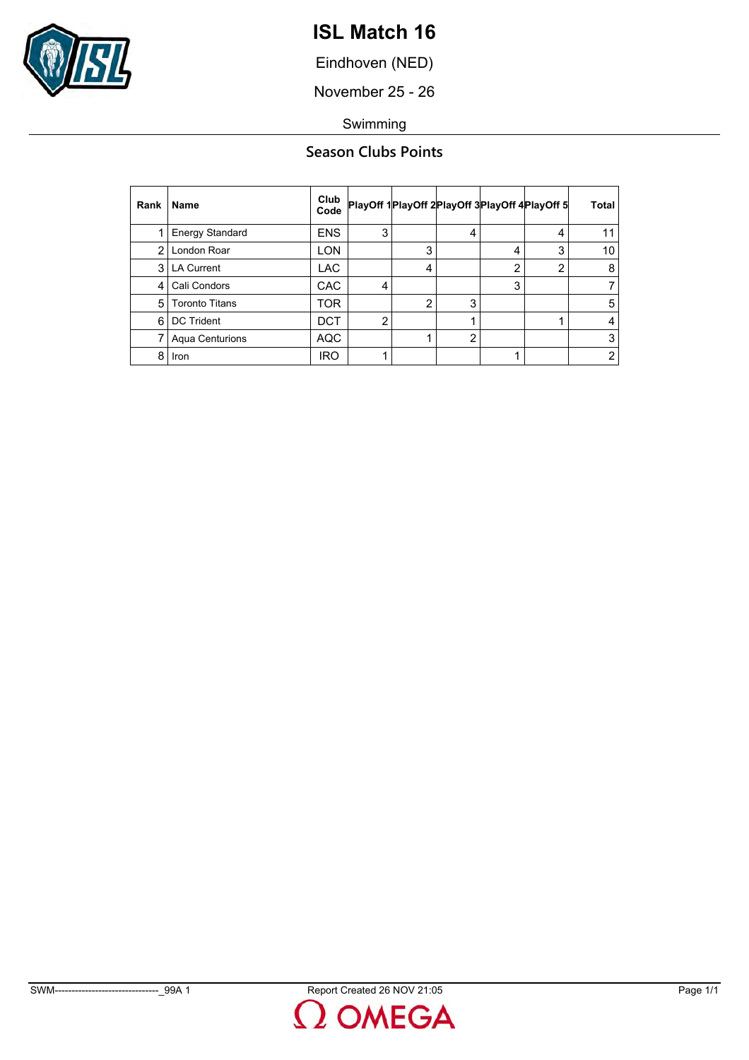

Eindhoven (NED)

November 25 - 26

Swimming

#### **Season Clubs Points**

| Rank | <b>Name</b>            | Club<br>Code |                |   |                |   | PlayOff 1PlayOff 2PlayOff 3PlayOff 4PlayOff 5 | <b>Total</b>   |
|------|------------------------|--------------|----------------|---|----------------|---|-----------------------------------------------|----------------|
|      | <b>Energy Standard</b> | <b>ENS</b>   | 3              |   | 4              |   | 4                                             | 11             |
| 2    | London Roar            | <b>LON</b>   |                | 3 |                | 4 | 3                                             | 10             |
|      | 3   LA Current         | <b>LAC</b>   |                | 4 |                | 2 | 2                                             | 8              |
| 4    | Cali Condors           | <b>CAC</b>   | 4              |   |                | 3 |                                               | 7              |
| 5    | <b>Toronto Titans</b>  | TOR          |                |   | 3              |   |                                               | 5              |
| 6    | <b>DC Trident</b>      | <b>DCT</b>   | $\overline{2}$ |   |                |   |                                               | 4              |
|      | Aqua Centurions        | <b>AQC</b>   |                |   | $\overline{2}$ |   |                                               | 3              |
| 8    | Iron                   | <b>IRO</b>   |                |   |                |   |                                               | $\overline{2}$ |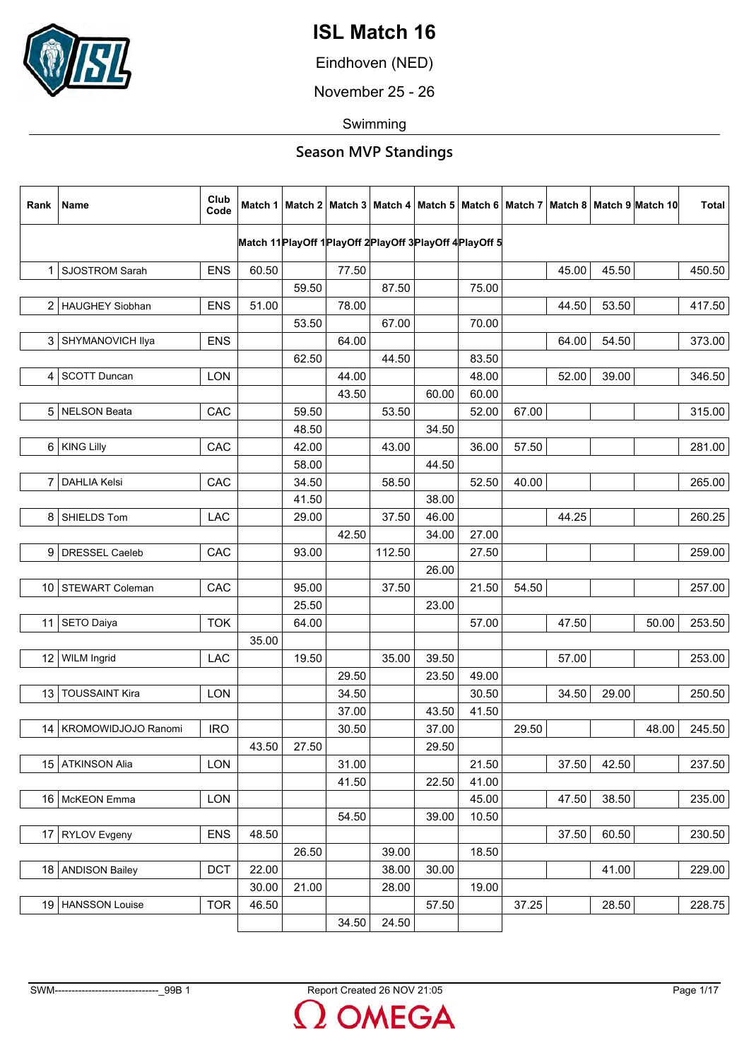

Eindhoven (NED)

November 25 - 26

Swimming

| Rank            | Name                     | Club<br>Code |       |       |                                                            |        |       |       |       |       |       | Match 1   Match 2   Match 3   Match 4   Match 5   Match 6   Match 7   Match 8   Match 9   Match 10 | <b>Total</b> |
|-----------------|--------------------------|--------------|-------|-------|------------------------------------------------------------|--------|-------|-------|-------|-------|-------|----------------------------------------------------------------------------------------------------|--------------|
|                 |                          |              |       |       | Match 11 PlayOff 1 PlayOff 2 PlayOff 3 PlayOff 4 PlayOff 5 |        |       |       |       |       |       |                                                                                                    |              |
| 1 <sup>1</sup>  | SJOSTROM Sarah           | <b>ENS</b>   | 60.50 |       | 77.50                                                      |        |       |       |       | 45.00 | 45.50 |                                                                                                    | 450.50       |
|                 |                          |              |       | 59.50 |                                                            | 87.50  |       | 75.00 |       |       |       |                                                                                                    |              |
|                 | 2 HAUGHEY Siobhan        | <b>ENS</b>   | 51.00 |       | 78.00                                                      |        |       |       |       | 44.50 | 53.50 |                                                                                                    | 417.50       |
|                 |                          |              |       | 53.50 |                                                            | 67.00  |       | 70.00 |       |       |       |                                                                                                    |              |
| 3               | SHYMANOVICH Ilya         | <b>ENS</b>   |       |       | 64.00                                                      |        |       |       |       | 64.00 | 54.50 |                                                                                                    | 373.00       |
|                 |                          |              |       | 62.50 |                                                            | 44.50  |       | 83.50 |       |       |       |                                                                                                    |              |
| 4               | <b>SCOTT Duncan</b>      | LON          |       |       | 44.00                                                      |        |       | 48.00 |       | 52.00 | 39.00 |                                                                                                    | 346.50       |
|                 |                          |              |       |       | 43.50                                                      |        | 60.00 | 60.00 |       |       |       |                                                                                                    |              |
|                 | 5 NELSON Beata           | CAC          |       | 59.50 |                                                            | 53.50  |       | 52.00 | 67.00 |       |       |                                                                                                    | 315.00       |
|                 |                          |              |       | 48.50 |                                                            |        | 34.50 |       |       |       |       |                                                                                                    |              |
| 6               | <b>KING Lilly</b>        | CAC          |       | 42.00 |                                                            | 43.00  |       | 36.00 | 57.50 |       |       |                                                                                                    | 281.00       |
|                 |                          |              |       | 58.00 |                                                            |        | 44.50 |       |       |       |       |                                                                                                    |              |
| 7               | <b>DAHLIA Kelsi</b>      | CAC          |       | 34.50 |                                                            | 58.50  |       | 52.50 | 40.00 |       |       |                                                                                                    | 265.00       |
|                 |                          |              |       | 41.50 |                                                            |        | 38.00 |       |       |       |       |                                                                                                    |              |
|                 | 8 SHIELDS Tom            | LAC          |       | 29.00 |                                                            | 37.50  | 46.00 |       |       | 44.25 |       |                                                                                                    | 260.25       |
|                 |                          |              |       |       | 42.50                                                      |        | 34.00 | 27.00 |       |       |       |                                                                                                    |              |
| 9               | DRESSEL Caeleb           | CAC          |       | 93.00 |                                                            | 112.50 |       | 27.50 |       |       |       |                                                                                                    | 259.00       |
|                 |                          |              |       |       |                                                            |        | 26.00 |       |       |       |       |                                                                                                    |              |
|                 | 10 STEWART Coleman       | CAC          |       | 95.00 |                                                            | 37.50  |       | 21.50 | 54.50 |       |       |                                                                                                    | 257.00       |
|                 |                          |              |       | 25.50 |                                                            |        | 23.00 |       |       |       |       |                                                                                                    |              |
|                 | 11 SETO Daiya            | <b>TOK</b>   |       | 64.00 |                                                            |        |       | 57.00 |       | 47.50 |       | 50.00                                                                                              | 253.50       |
|                 |                          |              | 35.00 |       |                                                            |        |       |       |       |       |       |                                                                                                    |              |
| 12 <sup>°</sup> | <b>WILM Ingrid</b>       | LAC          |       | 19.50 |                                                            | 35.00  | 39.50 |       |       | 57.00 |       |                                                                                                    | 253.00       |
|                 |                          |              |       |       | 29.50                                                      |        | 23.50 | 49.00 |       |       |       |                                                                                                    |              |
| 13 <sub>1</sub> | <b>TOUSSAINT Kira</b>    | LON          |       |       | 34.50                                                      |        |       | 30.50 |       | 34.50 | 29.00 |                                                                                                    | 250.50       |
|                 |                          |              |       |       | 37.00                                                      |        | 43.50 | 41.50 |       |       |       |                                                                                                    |              |
|                 | 14   KROMOWIDJOJO Ranomi | <b>IRO</b>   |       |       | 30.50                                                      |        | 37.00 |       | 29.50 |       |       | 48.00                                                                                              | 245.50       |
|                 |                          |              | 43.50 | 27.50 |                                                            |        | 29.50 |       |       |       |       |                                                                                                    |              |
|                 | 15 ATKINSON Alia         | <b>LON</b>   |       |       | 31.00                                                      |        |       | 21.50 |       | 37.50 | 42.50 |                                                                                                    | 237.50       |
|                 |                          |              |       |       | 41.50                                                      |        | 22.50 | 41.00 |       |       |       |                                                                                                    |              |
|                 | 16   McKEON Emma         | LON          |       |       |                                                            |        |       | 45.00 |       | 47.50 | 38.50 |                                                                                                    | 235.00       |
|                 |                          |              |       |       | 54.50                                                      |        | 39.00 | 10.50 |       |       |       |                                                                                                    |              |
|                 | 17 RYLOV Evgeny          | <b>ENS</b>   | 48.50 |       |                                                            |        |       |       |       | 37.50 | 60.50 |                                                                                                    | 230.50       |
|                 |                          |              |       | 26.50 |                                                            | 39.00  |       | 18.50 |       |       |       |                                                                                                    |              |
|                 | 18 ANDISON Bailey        | DCT          | 22.00 |       |                                                            | 38.00  | 30.00 |       |       |       | 41.00 |                                                                                                    | 229.00       |
|                 |                          |              | 30.00 | 21.00 |                                                            | 28.00  |       | 19.00 |       |       |       |                                                                                                    |              |
|                 | 19   HANSSON Louise      | <b>TOR</b>   | 46.50 |       |                                                            |        | 57.50 |       | 37.25 |       | 28.50 |                                                                                                    | 228.75       |
|                 |                          |              |       |       | 34.50                                                      | 24.50  |       |       |       |       |       |                                                                                                    |              |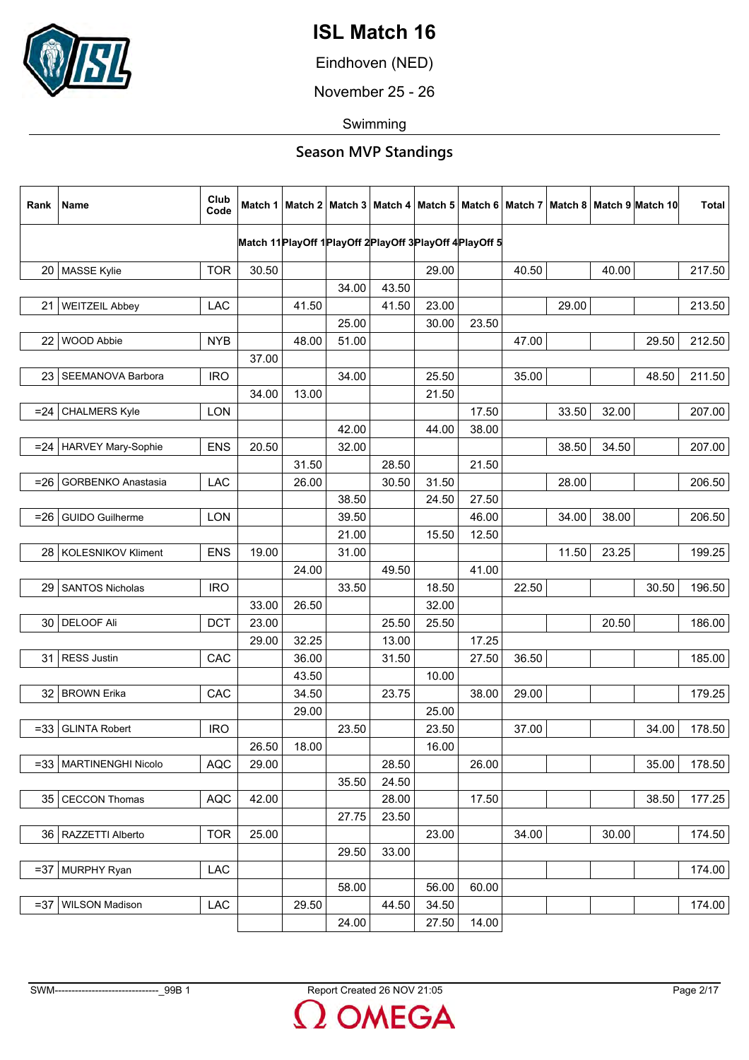

Eindhoven (NED)

November 25 - 26

Swimming

| Rank            | Name                      | Club<br>Code |       |       |                                                                 |       |       |       |       |       |       | Match 1   Match 2   Match 3   Match 4   Match 5   Match 6   Match 7   Match 8   Match 9   Match 10 | Total  |
|-----------------|---------------------------|--------------|-------|-------|-----------------------------------------------------------------|-------|-------|-------|-------|-------|-------|----------------------------------------------------------------------------------------------------|--------|
|                 |                           |              |       |       | Match 11 Play Off 1 Play Off 2 Play Off 3 Play Off 4 Play Off 5 |       |       |       |       |       |       |                                                                                                    |        |
|                 | 20   MASSE Kylie          | <b>TOR</b>   | 30.50 |       |                                                                 |       | 29.00 |       | 40.50 |       | 40.00 |                                                                                                    | 217.50 |
|                 |                           |              |       |       | 34.00                                                           | 43.50 |       |       |       |       |       |                                                                                                    |        |
| 21              | <b>WEITZEIL Abbey</b>     | LAC          |       | 41.50 |                                                                 | 41.50 | 23.00 |       |       | 29.00 |       |                                                                                                    | 213.50 |
|                 |                           |              |       |       | 25.00                                                           |       | 30.00 | 23.50 |       |       |       |                                                                                                    |        |
| 22              | WOOD Abbie                | <b>NYB</b>   |       | 48.00 | 51.00                                                           |       |       |       | 47.00 |       |       | 29.50                                                                                              | 212.50 |
|                 |                           |              | 37.00 |       |                                                                 |       |       |       |       |       |       |                                                                                                    |        |
| 23 <sub>1</sub> | SEEMANOVA Barbora         | <b>IRO</b>   |       |       | 34.00                                                           |       | 25.50 |       | 35.00 |       |       | 48.50                                                                                              | 211.50 |
|                 |                           |              | 34.00 | 13.00 |                                                                 |       | 21.50 |       |       |       |       |                                                                                                    |        |
| $= 24$          | <b>CHALMERS Kyle</b>      | <b>LON</b>   |       |       |                                                                 |       |       | 17.50 |       | 33.50 | 32.00 |                                                                                                    | 207.00 |
|                 |                           |              |       |       | 42.00                                                           |       | 44.00 | 38.00 |       |       |       |                                                                                                    |        |
|                 | =24   HARVEY Mary-Sophie  | <b>ENS</b>   | 20.50 |       | 32.00                                                           |       |       |       |       | 38.50 | 34.50 |                                                                                                    | 207.00 |
|                 |                           |              |       | 31.50 |                                                                 | 28.50 |       | 21.50 |       |       |       |                                                                                                    |        |
| $= 26$          | <b>GORBENKO Anastasia</b> | LAC          |       | 26.00 |                                                                 | 30.50 | 31.50 |       |       | 28.00 |       |                                                                                                    | 206.50 |
|                 |                           |              |       |       | 38.50                                                           |       | 24.50 | 27.50 |       |       |       |                                                                                                    |        |
| $= 26$          | <b>GUIDO Guilherme</b>    | <b>LON</b>   |       |       | 39.50                                                           |       |       | 46.00 |       | 34.00 | 38.00 |                                                                                                    | 206.50 |
|                 |                           |              |       |       | 21.00                                                           |       | 15.50 | 12.50 |       |       |       |                                                                                                    |        |
|                 | 28   KOLESNIKOV Kliment   | <b>ENS</b>   | 19.00 |       | 31.00                                                           |       |       |       |       | 11.50 | 23.25 |                                                                                                    | 199.25 |
|                 |                           |              |       | 24.00 |                                                                 | 49.50 |       | 41.00 |       |       |       |                                                                                                    |        |
|                 | 29   SANTOS Nicholas      | <b>IRO</b>   |       |       | 33.50                                                           |       | 18.50 |       | 22.50 |       |       | 30.50                                                                                              | 196.50 |
|                 |                           |              | 33.00 | 26.50 |                                                                 |       | 32.00 |       |       |       |       |                                                                                                    |        |
|                 | 30 DELOOF Ali             | <b>DCT</b>   | 23.00 |       |                                                                 | 25.50 | 25.50 |       |       |       | 20.50 |                                                                                                    | 186.00 |
|                 |                           |              | 29.00 | 32.25 |                                                                 | 13.00 |       | 17.25 |       |       |       |                                                                                                    |        |
| 31              | RESS Justin               | CAC          |       | 36.00 |                                                                 | 31.50 |       | 27.50 | 36.50 |       |       |                                                                                                    | 185.00 |
|                 |                           |              |       | 43.50 |                                                                 |       | 10.00 |       |       |       |       |                                                                                                    |        |
|                 | 32 BROWN Erika            | CAC          |       | 34.50 |                                                                 | 23.75 |       | 38.00 | 29.00 |       |       |                                                                                                    | 179.25 |
|                 |                           |              |       | 29.00 |                                                                 |       | 25.00 |       |       |       |       |                                                                                                    |        |
| $= 33$          | <b>GLINTA Robert</b>      | <b>IRO</b>   |       |       | 23.50                                                           |       | 23.50 |       | 37.00 |       |       | 34.00                                                                                              | 178.50 |
|                 |                           |              | 26.50 | 18.00 |                                                                 |       | 16.00 |       |       |       |       |                                                                                                    |        |
|                 | =33   MARTINENGHI Nicolo  | <b>AQC</b>   | 29.00 |       |                                                                 | 28.50 |       | 26.00 |       |       |       | 35.00                                                                                              | 178.50 |
|                 |                           |              |       |       | 35.50                                                           | 24.50 |       |       |       |       |       |                                                                                                    |        |
|                 | 35   CECCON Thomas        | <b>AQC</b>   | 42.00 |       |                                                                 | 28.00 |       | 17.50 |       |       |       | 38.50                                                                                              | 177.25 |
|                 |                           |              |       |       | 27.75                                                           | 23.50 |       |       |       |       |       |                                                                                                    |        |
|                 | 36   RAZZETTI Alberto     | <b>TOR</b>   | 25.00 |       |                                                                 |       | 23.00 |       | 34.00 |       | 30.00 |                                                                                                    | 174.50 |
|                 |                           |              |       |       | 29.50                                                           | 33.00 |       |       |       |       |       |                                                                                                    |        |
|                 | $=37$ MURPHY Ryan         | <b>LAC</b>   |       |       |                                                                 |       |       |       |       |       |       |                                                                                                    | 174.00 |
|                 |                           |              |       |       | 58.00                                                           |       | 56.00 | 60.00 |       |       |       |                                                                                                    |        |
| $=37$           | <b>WILSON Madison</b>     | LAC          |       | 29.50 |                                                                 | 44.50 | 34.50 |       |       |       |       |                                                                                                    | 174.00 |
|                 |                           |              |       |       | 24.00                                                           |       | 27.50 | 14.00 |       |       |       |                                                                                                    |        |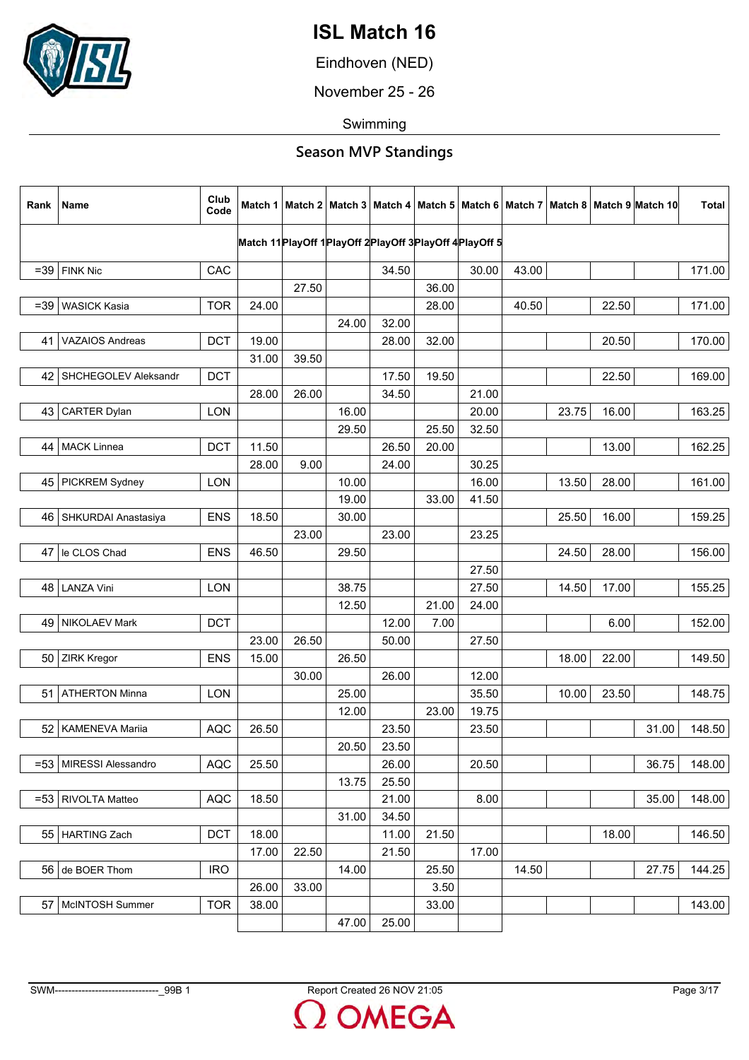

Eindhoven (NED)

November 25 - 26

Swimming

| Rank  | Name                      | Club<br>Code | Match 1 |       |       |       |       |                                                            |       |       |       | Match 2   Match 3   Match 4   Match 5   Match 6   Match 7   Match 8   Match 9   Match 10 | <b>Total</b> |
|-------|---------------------------|--------------|---------|-------|-------|-------|-------|------------------------------------------------------------|-------|-------|-------|------------------------------------------------------------------------------------------|--------------|
|       |                           |              |         |       |       |       |       | Match 11 PlayOff 1 PlayOff 2 PlayOff 3 PlayOff 4 PlayOff 5 |       |       |       |                                                                                          |              |
|       | $=39$ FINK Nic            | CAC          |         |       |       | 34.50 |       | 30.00                                                      | 43.00 |       |       |                                                                                          | 171.00       |
|       |                           |              |         | 27.50 |       |       | 36.00 |                                                            |       |       |       |                                                                                          |              |
| $=39$ | <b>WASICK Kasia</b>       | <b>TOR</b>   | 24.00   |       |       |       | 28.00 |                                                            | 40.50 |       | 22.50 |                                                                                          | 171.00       |
|       |                           |              |         |       | 24.00 | 32.00 |       |                                                            |       |       |       |                                                                                          |              |
| 41    | <b>VAZAIOS Andreas</b>    | <b>DCT</b>   | 19.00   |       |       | 28.00 | 32.00 |                                                            |       |       | 20.50 |                                                                                          | 170.00       |
|       |                           |              | 31.00   | 39.50 |       |       |       |                                                            |       |       |       |                                                                                          |              |
|       | 42   SHCHEGOLEV Aleksandr | <b>DCT</b>   |         |       |       | 17.50 | 19.50 |                                                            |       |       | 22.50 |                                                                                          | 169.00       |
|       |                           |              | 28.00   | 26.00 |       | 34.50 |       | 21.00                                                      |       |       |       |                                                                                          |              |
| 43 I  | <b>CARTER Dylan</b>       | <b>LON</b>   |         |       | 16.00 |       |       | 20.00                                                      |       | 23.75 | 16.00 |                                                                                          | 163.25       |
|       |                           |              |         |       | 29.50 |       | 25.50 | 32.50                                                      |       |       |       |                                                                                          |              |
|       | 44   MACK Linnea          | <b>DCT</b>   | 11.50   |       |       | 26.50 | 20.00 |                                                            |       |       | 13.00 |                                                                                          | 162.25       |
|       |                           |              | 28.00   | 9.00  |       | 24.00 |       | 30.25                                                      |       |       |       |                                                                                          |              |
|       | 45   PICKREM Sydney       | LON          |         |       | 10.00 |       |       | 16.00                                                      |       | 13.50 | 28.00 |                                                                                          | 161.00       |
|       |                           |              |         |       | 19.00 |       | 33.00 | 41.50                                                      |       |       |       |                                                                                          |              |
|       | 46   SHKURDAI Anastasiya  | <b>ENS</b>   | 18.50   |       | 30.00 |       |       |                                                            |       | 25.50 | 16.00 |                                                                                          | 159.25       |
|       |                           |              |         | 23.00 |       | 23.00 |       | 23.25                                                      |       |       |       |                                                                                          |              |
| 47    | le CLOS Chad              | <b>ENS</b>   | 46.50   |       | 29.50 |       |       |                                                            |       | 24.50 | 28.00 |                                                                                          | 156.00       |
|       |                           |              |         |       |       |       |       | 27.50                                                      |       |       |       |                                                                                          |              |
| 48    | <b>LANZA Vini</b>         | LON          |         |       | 38.75 |       |       | 27.50                                                      |       | 14.50 | 17.00 |                                                                                          | 155.25       |
|       |                           |              |         |       | 12.50 |       | 21.00 | 24.00                                                      |       |       |       |                                                                                          |              |
|       | 49   NIKOLAEV Mark        | <b>DCT</b>   |         |       |       | 12.00 | 7.00  |                                                            |       |       | 6.00  |                                                                                          | 152.00       |
|       |                           |              | 23.00   | 26.50 |       | 50.00 |       | 27.50                                                      |       |       |       |                                                                                          |              |
|       | 50 ZIRK Kregor            | <b>ENS</b>   | 15.00   |       | 26.50 |       |       |                                                            |       | 18.00 | 22.00 |                                                                                          | 149.50       |
|       |                           |              |         | 30.00 |       | 26.00 |       | 12.00                                                      |       |       |       |                                                                                          |              |
| 51 I  | <b>ATHERTON Minna</b>     | LON          |         |       | 25.00 |       |       | 35.50                                                      |       | 10.00 | 23.50 |                                                                                          | 148.75       |
|       |                           |              |         |       | 12.00 |       | 23.00 | 19.75                                                      |       |       |       |                                                                                          |              |
| 52    | KAMENEVA Mariia           | <b>AQC</b>   | 26.50   |       |       | 23.50 |       | 23.50                                                      |       |       |       | 31.00                                                                                    | 148.50       |
|       |                           |              |         |       | 20.50 | 23.50 |       |                                                            |       |       |       |                                                                                          |              |
|       | =53   MIRESSI Alessandro  | <b>AQC</b>   | 25.50   |       |       | 26.00 |       | 20.50                                                      |       |       |       | 36.75                                                                                    | 148.00       |
|       |                           |              |         |       | 13.75 | 25.50 |       |                                                            |       |       |       |                                                                                          |              |
|       | =53   RIVOLTA Matteo      | <b>AQC</b>   | 18.50   |       |       | 21.00 |       | 8.00                                                       |       |       |       | 35.00                                                                                    | 148.00       |
|       |                           |              |         |       | 31.00 | 34.50 |       |                                                            |       |       |       |                                                                                          |              |
|       | 55   HARTING Zach         | <b>DCT</b>   | 18.00   |       |       | 11.00 | 21.50 |                                                            |       |       | 18.00 |                                                                                          | 146.50       |
|       |                           |              | 17.00   | 22.50 |       | 21.50 |       | 17.00                                                      |       |       |       |                                                                                          |              |
|       | 56 de BOER Thom           | <b>IRO</b>   |         |       | 14.00 |       | 25.50 |                                                            | 14.50 |       |       | 27.75                                                                                    | 144.25       |
|       |                           |              | 26.00   | 33.00 |       |       | 3.50  |                                                            |       |       |       |                                                                                          |              |
|       | 57   McINTOSH Summer      | <b>TOR</b>   | 38.00   |       |       |       | 33.00 |                                                            |       |       |       |                                                                                          | 143.00       |
|       |                           |              |         |       | 47.00 | 25.00 |       |                                                            |       |       |       |                                                                                          |              |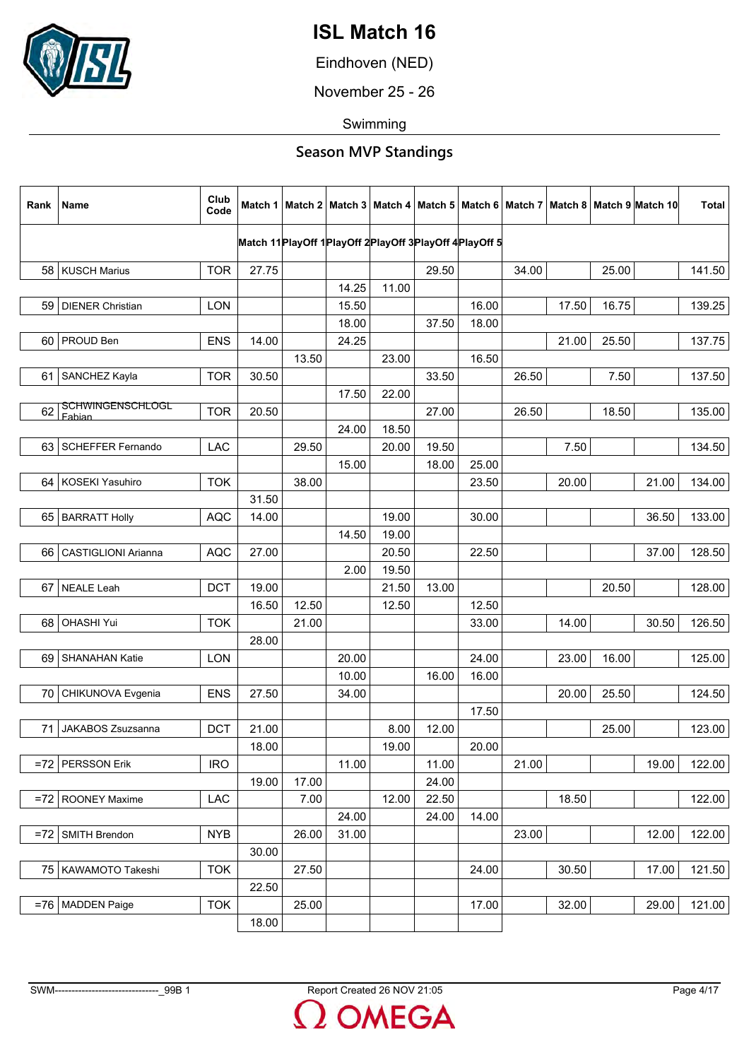

Eindhoven (NED)

November 25 - 26

Swimming

| Rank  | Name                              | Club<br>Code |       |       |                                                            |       |       |       |       |       |       | Match 1   Match 2   Match 3   Match 4   Match 5   Match 6   Match 7   Match 8   Match 9   Match 10 | <b>Total</b> |
|-------|-----------------------------------|--------------|-------|-------|------------------------------------------------------------|-------|-------|-------|-------|-------|-------|----------------------------------------------------------------------------------------------------|--------------|
|       |                                   |              |       |       | Match 11 PlayOff 1 PlayOff 2 PlayOff 3 PlayOff 4 PlayOff 5 |       |       |       |       |       |       |                                                                                                    |              |
|       |                                   |              |       |       |                                                            |       |       |       |       |       |       |                                                                                                    |              |
|       | 58   KUSCH Marius                 | <b>TOR</b>   | 27.75 |       |                                                            |       | 29.50 |       | 34.00 |       | 25.00 |                                                                                                    | 141.50       |
|       |                                   |              |       |       | 14.25                                                      | 11.00 |       |       |       |       |       |                                                                                                    |              |
| 59    | <b>DIENER Christian</b>           | <b>LON</b>   |       |       | 15.50                                                      |       |       | 16.00 |       | 17.50 | 16.75 |                                                                                                    | 139.25       |
|       |                                   |              |       |       | 18.00                                                      |       | 37.50 | 18.00 |       |       |       |                                                                                                    |              |
| 60    | PROUD Ben                         | <b>ENS</b>   | 14.00 |       | 24.25                                                      |       |       |       |       | 21.00 | 25.50 |                                                                                                    | 137.75       |
|       |                                   |              |       | 13.50 |                                                            | 23.00 |       | 16.50 |       |       |       |                                                                                                    |              |
| 61    | SANCHEZ Kayla                     | <b>TOR</b>   | 30.50 |       |                                                            |       | 33.50 |       | 26.50 |       | 7.50  |                                                                                                    | 137.50       |
|       |                                   |              |       |       | 17.50                                                      | 22.00 |       |       |       |       |       |                                                                                                    |              |
| 62    | <b>SCHWINGENSCHLOGL</b><br>Fabian | <b>TOR</b>   | 20.50 |       |                                                            |       | 27.00 |       | 26.50 |       | 18.50 |                                                                                                    | 135.00       |
|       |                                   |              |       |       | 24.00                                                      | 18.50 |       |       |       |       |       |                                                                                                    |              |
| 63    | <b>SCHEFFER Fernando</b>          | <b>LAC</b>   |       | 29.50 |                                                            | 20.00 | 19.50 |       |       | 7.50  |       |                                                                                                    | 134.50       |
|       |                                   |              |       |       | 15.00                                                      |       | 18.00 | 25.00 |       |       |       |                                                                                                    |              |
|       | 64   KOSEKI Yasuhiro              | <b>TOK</b>   |       | 38.00 |                                                            |       |       | 23.50 |       | 20.00 |       | 21.00                                                                                              | 134.00       |
|       |                                   |              | 31.50 |       |                                                            |       |       |       |       |       |       |                                                                                                    |              |
|       | 65   BARRATT Holly                | <b>AQC</b>   | 14.00 |       |                                                            | 19.00 |       | 30.00 |       |       |       | 36.50                                                                                              | 133.00       |
|       |                                   |              |       |       | 14.50                                                      | 19.00 |       |       |       |       |       |                                                                                                    |              |
| 66    | <b>CASTIGLIONI Arianna</b>        | <b>AQC</b>   | 27.00 |       |                                                            | 20.50 |       | 22.50 |       |       |       | 37.00                                                                                              | 128.50       |
|       |                                   |              |       |       | 2.00                                                       | 19.50 |       |       |       |       |       |                                                                                                    |              |
| 67    | NEALE Leah                        | <b>DCT</b>   | 19.00 |       |                                                            | 21.50 | 13.00 |       |       |       | 20.50 |                                                                                                    | 128.00       |
|       |                                   |              | 16.50 | 12.50 |                                                            | 12.50 |       | 12.50 |       |       |       |                                                                                                    |              |
| 68    | <b>OHASHI Yui</b>                 | <b>TOK</b>   |       | 21.00 |                                                            |       |       | 33.00 |       | 14.00 |       | 30.50                                                                                              | 126.50       |
|       |                                   |              | 28.00 |       |                                                            |       |       |       |       |       |       |                                                                                                    |              |
| 69    | SHANAHAN Katie                    | LON          |       |       | 20.00                                                      |       |       | 24.00 |       | 23.00 | 16.00 |                                                                                                    | 125.00       |
|       |                                   |              |       |       | 10.00                                                      |       | 16.00 | 16.00 |       |       |       |                                                                                                    |              |
| 70    | CHIKUNOVA Evgenia                 | <b>ENS</b>   | 27.50 |       | 34.00                                                      |       |       |       |       | 20.00 | 25.50 |                                                                                                    | 124.50       |
|       |                                   |              |       |       |                                                            |       |       | 17.50 |       |       |       |                                                                                                    |              |
|       |                                   |              |       |       |                                                            |       |       |       |       |       |       |                                                                                                    |              |
| 71    | JAKABOS Zsuzsanna                 | <b>DCT</b>   | 21.00 |       |                                                            | 8.00  | 12.00 |       |       |       | 25.00 |                                                                                                    | 123.00       |
|       |                                   |              | 18.00 |       |                                                            | 19.00 |       | 20.00 |       |       |       |                                                                                                    |              |
|       | $=72$ PERSSON Erik                | <b>IRO</b>   |       |       | 11.00                                                      |       | 11.00 |       | 21.00 |       |       | 19.00                                                                                              | 122.00       |
|       |                                   |              | 19.00 | 17.00 |                                                            |       | 24.00 |       |       |       |       |                                                                                                    |              |
|       | =72   ROONEY Maxime               | <b>LAC</b>   |       | 7.00  |                                                            | 12.00 | 22.50 |       |       | 18.50 |       |                                                                                                    | 122.00       |
|       |                                   |              |       |       | 24.00                                                      |       | 24.00 | 14.00 |       |       |       |                                                                                                    |              |
| $=72$ | SMITH Brendon                     | <b>NYB</b>   |       | 26.00 | 31.00                                                      |       |       |       | 23.00 |       |       | 12.00                                                                                              | 122.00       |
|       |                                   |              | 30.00 |       |                                                            |       |       |       |       |       |       |                                                                                                    |              |
|       | 75   KAWAMOTO Takeshi             | <b>TOK</b>   |       | 27.50 |                                                            |       |       | 24.00 |       | 30.50 |       | 17.00                                                                                              | 121.50       |
|       |                                   |              | 22.50 |       |                                                            |       |       |       |       |       |       |                                                                                                    |              |
|       | $=76$ MADDEN Paige                | <b>TOK</b>   |       | 25.00 |                                                            |       |       | 17.00 |       | 32.00 |       | 29.00                                                                                              | 121.00       |
|       |                                   |              | 18.00 |       |                                                            |       |       |       |       |       |       |                                                                                                    |              |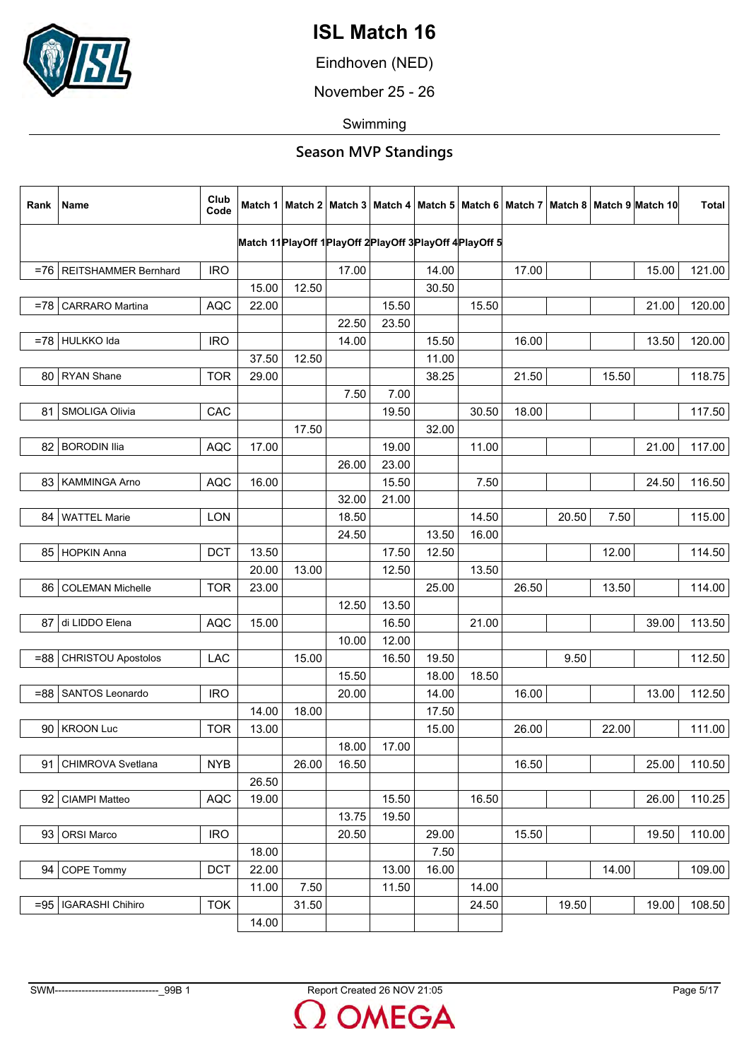

Eindhoven (NED)

November 25 - 26

Swimming

| Rank   | Name                       | Club<br>Code |       |       |                                                            |       |       |       |       |       |       | Match 1   Match 2   Match 3   Match 4   Match 5   Match 6   Match 7   Match 8   Match 9   Match 10 | <b>Total</b> |
|--------|----------------------------|--------------|-------|-------|------------------------------------------------------------|-------|-------|-------|-------|-------|-------|----------------------------------------------------------------------------------------------------|--------------|
|        |                            |              |       |       | Match 11 PlayOff 1 PlayOff 2 PlayOff 3 PlayOff 4 PlayOff 5 |       |       |       |       |       |       |                                                                                                    |              |
|        |                            |              |       |       |                                                            |       |       |       |       |       |       |                                                                                                    |              |
|        | =76   REITSHAMMER Bernhard | <b>IRO</b>   |       |       | 17.00                                                      |       | 14.00 |       | 17.00 |       |       | 15.00                                                                                              | 121.00       |
|        |                            |              | 15.00 | 12.50 |                                                            |       | 30.50 |       |       |       |       |                                                                                                    |              |
| $= 78$ | <b>CARRARO</b> Martina     | <b>AQC</b>   | 22.00 |       |                                                            | 15.50 |       | 15.50 |       |       |       | 21.00                                                                                              | 120.00       |
|        |                            |              |       |       | 22.50                                                      | 23.50 |       |       |       |       |       |                                                                                                    |              |
|        | =78 HULKKO Ida             | <b>IRO</b>   |       |       | 14.00                                                      |       | 15.50 |       | 16.00 |       |       | 13.50                                                                                              | 120.00       |
|        |                            |              | 37.50 | 12.50 |                                                            |       | 11.00 |       |       |       |       |                                                                                                    |              |
|        | 80   RYAN Shane            | <b>TOR</b>   | 29.00 |       |                                                            |       | 38.25 |       | 21.50 |       | 15.50 |                                                                                                    | 118.75       |
|        |                            |              |       |       | 7.50                                                       | 7.00  |       |       |       |       |       |                                                                                                    |              |
| 81     | SMOLIGA Olivia             | CAC          |       |       |                                                            | 19.50 |       | 30.50 | 18.00 |       |       |                                                                                                    | 117.50       |
|        |                            |              |       | 17.50 |                                                            |       | 32.00 |       |       |       |       |                                                                                                    |              |
| 82     | <b>BORODIN Ilia</b>        | <b>AQC</b>   | 17.00 |       |                                                            | 19.00 |       | 11.00 |       |       |       | 21.00                                                                                              | 117.00       |
|        |                            |              |       |       | 26.00                                                      | 23.00 |       |       |       |       |       |                                                                                                    |              |
|        | 83   KAMMINGA Arno         | <b>AQC</b>   | 16.00 |       |                                                            | 15.50 |       | 7.50  |       |       |       | 24.50                                                                                              | 116.50       |
|        |                            |              |       |       | 32.00                                                      | 21.00 |       |       |       |       |       |                                                                                                    |              |
| 84     | <b>WATTEL Marie</b>        | <b>LON</b>   |       |       | 18.50                                                      |       |       | 14.50 |       | 20.50 | 7.50  |                                                                                                    | 115.00       |
|        |                            |              |       |       | 24.50                                                      |       | 13.50 | 16.00 |       |       |       |                                                                                                    |              |
|        | 85 HOPKIN Anna             | <b>DCT</b>   | 13.50 |       |                                                            | 17.50 | 12.50 |       |       |       | 12.00 |                                                                                                    | 114.50       |
|        |                            |              | 20.00 | 13.00 |                                                            | 12.50 |       | 13.50 |       |       |       |                                                                                                    |              |
|        | 86   COLEMAN Michelle      | <b>TOR</b>   | 23.00 |       |                                                            |       | 25.00 |       | 26.50 |       | 13.50 |                                                                                                    | 114.00       |
|        |                            |              |       |       | 12.50                                                      | 13.50 |       |       |       |       |       |                                                                                                    |              |
| 87     | di LIDDO Elena             | <b>AQC</b>   | 15.00 |       |                                                            | 16.50 |       | 21.00 |       |       |       | 39.00                                                                                              | 113.50       |
|        |                            |              |       |       | 10.00                                                      | 12.00 |       |       |       |       |       |                                                                                                    |              |
| =88    | <b>CHRISTOU Apostolos</b>  | LAC          |       | 15.00 |                                                            | 16.50 | 19.50 |       |       | 9.50  |       |                                                                                                    | 112.50       |
|        |                            |              |       |       | 15.50                                                      |       | 18.00 | 18.50 |       |       |       |                                                                                                    |              |
|        | =88   SANTOS Leonardo      | <b>IRO</b>   |       |       | 20.00                                                      |       | 14.00 |       | 16.00 |       |       | 13.00                                                                                              | 112.50       |
|        |                            |              | 14.00 | 18.00 |                                                            |       | 17.50 |       |       |       |       |                                                                                                    |              |
| 90     | <b>KROON Luc</b>           | <b>TOR</b>   | 13.00 |       |                                                            |       | 15.00 |       | 26.00 |       | 22.00 |                                                                                                    | 111.00       |
|        |                            |              |       |       | 18.00                                                      | 17.00 |       |       |       |       |       |                                                                                                    |              |
| 91     | CHIMROVA Svetlana          | <b>NYB</b>   |       | 26.00 | 16.50                                                      |       |       |       | 16.50 |       |       | 25.00                                                                                              | 110.50       |
|        |                            |              | 26.50 |       |                                                            |       |       |       |       |       |       |                                                                                                    |              |
| 92     | CIAMPI Matteo              | <b>AQC</b>   | 19.00 |       |                                                            | 15.50 |       | 16.50 |       |       |       | 26.00                                                                                              | 110.25       |
|        |                            |              |       |       | 13.75                                                      | 19.50 |       |       |       |       |       |                                                                                                    |              |
| 93     | <b>ORSI Marco</b>          | <b>IRO</b>   |       |       | 20.50                                                      |       | 29.00 |       | 15.50 |       |       | 19.50                                                                                              | 110.00       |
|        |                            |              | 18.00 |       |                                                            |       | 7.50  |       |       |       |       |                                                                                                    |              |
| 94     | <b>COPE Tommy</b>          | DCT          | 22.00 |       |                                                            | 13.00 | 16.00 |       |       |       | 14.00 |                                                                                                    | 109.00       |
|        |                            |              | 11.00 | 7.50  |                                                            | 11.50 |       | 14.00 |       |       |       |                                                                                                    |              |
|        | =95   IGARASHI Chihiro     | <b>TOK</b>   |       | 31.50 |                                                            |       |       | 24.50 |       | 19.50 |       | 19.00                                                                                              | 108.50       |
|        |                            |              | 14.00 |       |                                                            |       |       |       |       |       |       |                                                                                                    |              |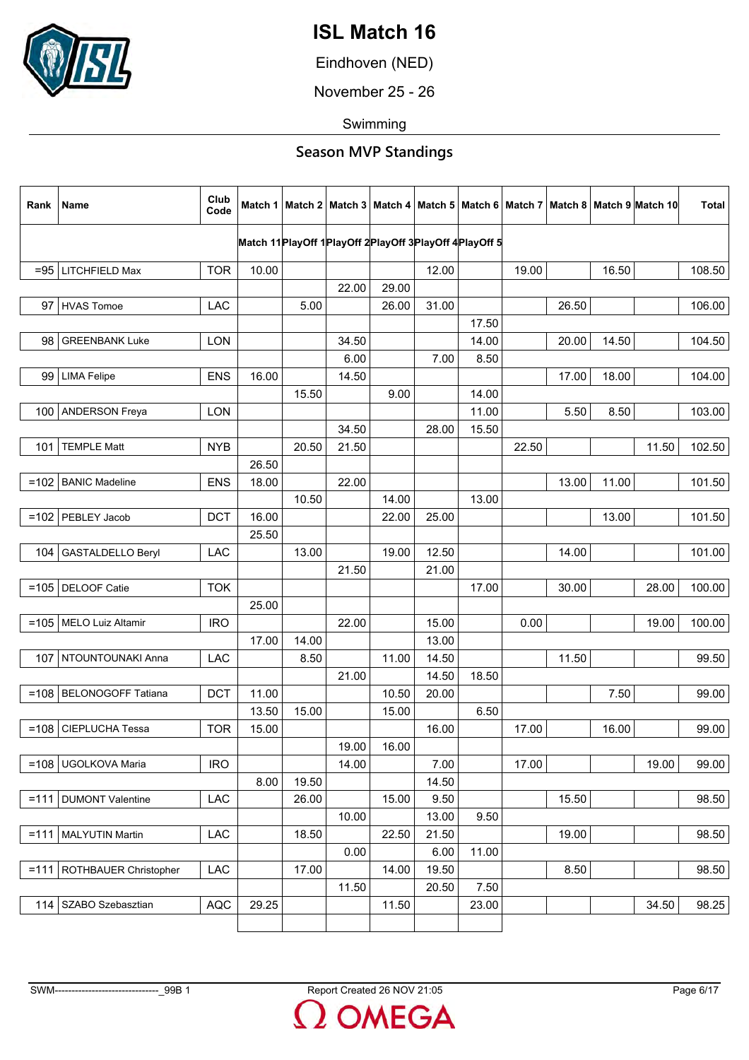

Eindhoven (NED)

November 25 - 26

Swimming

| Rank    | Name                         | Club<br>Code | Match 1 |       |       |       |                |                                                            |       |       |       | Match 2   Match 3   Match 4   Match 5   Match 6   Match 7   Match 8   Match 9  Match 10 | Total  |
|---------|------------------------------|--------------|---------|-------|-------|-------|----------------|------------------------------------------------------------|-------|-------|-------|-----------------------------------------------------------------------------------------|--------|
|         |                              |              |         |       |       |       |                | Match 11 PlayOff 1 PlayOff 2 PlayOff 3 PlayOff 4 PlayOff 5 |       |       |       |                                                                                         |        |
|         | $= 95$ LITCHFIELD Max        | <b>TOR</b>   | 10.00   |       |       |       | 12.00          |                                                            | 19.00 |       | 16.50 |                                                                                         | 108.50 |
|         |                              |              |         |       | 22.00 | 29.00 |                |                                                            |       |       |       |                                                                                         |        |
| 97      | HVAS Tomoe                   | LAC          |         | 5.00  |       | 26.00 | 31.00          |                                                            |       | 26.50 |       |                                                                                         | 106.00 |
|         |                              |              |         |       |       |       |                | 17.50                                                      |       |       |       |                                                                                         |        |
| 98      | <b>GREENBANK Luke</b>        | <b>LON</b>   |         |       | 34.50 |       |                | 14.00                                                      |       | 20.00 | 14.50 |                                                                                         | 104.50 |
|         |                              |              |         |       | 6.00  |       | 7.00           | 8.50                                                       |       |       |       |                                                                                         |        |
|         | 99 LIMA Felipe               | <b>ENS</b>   | 16.00   |       | 14.50 |       |                |                                                            |       | 17.00 | 18.00 |                                                                                         | 104.00 |
|         |                              |              |         | 15.50 |       | 9.00  |                | 14.00                                                      |       |       |       |                                                                                         |        |
| 100     | <b>ANDERSON Freya</b>        | <b>LON</b>   |         |       |       |       |                | 11.00                                                      |       | 5.50  | 8.50  |                                                                                         | 103.00 |
|         |                              |              |         |       | 34.50 |       | 28.00          | 15.50                                                      |       |       |       |                                                                                         |        |
| 101     | <b>TEMPLE Matt</b>           | <b>NYB</b>   |         | 20.50 | 21.50 |       |                |                                                            | 22.50 |       |       | 11.50                                                                                   | 102.50 |
|         |                              |              | 26.50   |       |       |       |                |                                                            |       |       |       |                                                                                         |        |
|         | =102   BANIC Madeline        | <b>ENS</b>   | 18.00   |       | 22.00 |       |                |                                                            |       | 13.00 | 11.00 |                                                                                         | 101.50 |
|         |                              |              |         | 10.50 |       | 14.00 |                | 13.00                                                      |       |       |       |                                                                                         |        |
| $=102$  | PEBLEY Jacob                 | <b>DCT</b>   | 16.00   |       |       | 22.00 | 25.00          |                                                            |       |       | 13.00 |                                                                                         | 101.50 |
|         |                              |              | 25.50   |       |       |       |                |                                                            |       |       |       |                                                                                         |        |
| 104     | <b>GASTALDELLO Beryl</b>     | <b>LAC</b>   |         | 13.00 |       | 19.00 | 12.50          |                                                            |       | 14.00 |       |                                                                                         | 101.00 |
|         |                              |              |         |       | 21.50 |       | 21.00          |                                                            |       |       |       |                                                                                         |        |
|         | =105   DELOOF Catie          | <b>TOK</b>   |         |       |       |       |                | 17.00                                                      |       | 30.00 |       | 28.00                                                                                   | 100.00 |
|         |                              |              | 25.00   |       |       |       |                |                                                            |       |       |       |                                                                                         |        |
|         | =105   MELO Luiz Altamir     | <b>IRO</b>   | 17.00   | 14.00 | 22.00 |       | 15.00<br>13.00 |                                                            | 0.00  |       |       | 19.00                                                                                   | 100.00 |
|         | 107   NTOUNTOUNAKI Anna      | LAC          |         | 8.50  |       | 11.00 | 14.50          |                                                            |       | 11.50 |       |                                                                                         | 99.50  |
|         |                              |              |         |       | 21.00 |       | 14.50          | 18.50                                                      |       |       |       |                                                                                         |        |
|         | =108   BELONOGOFF Tatiana    | <b>DCT</b>   | 11.00   |       |       | 10.50 | 20.00          |                                                            |       |       | 7.50  |                                                                                         | 99.00  |
|         |                              |              | 13.50   | 15.00 |       | 15.00 |                | 6.50                                                       |       |       |       |                                                                                         |        |
| $=108$  | <b>CIEPLUCHA Tessa</b>       | <b>TOR</b>   | 15.00   |       |       |       | 16.00          |                                                            | 17.00 |       | 16.00 |                                                                                         | 99.00  |
|         |                              |              |         |       | 19.00 | 16.00 |                |                                                            |       |       |       |                                                                                         |        |
|         | =108   UGOLKOVA Maria        | <b>IRO</b>   |         |       | 14.00 |       | 7.00           |                                                            | 17.00 |       |       | 19.00                                                                                   | 99.00  |
|         |                              |              | 8.00    | 19.50 |       |       | 14.50          |                                                            |       |       |       |                                                                                         |        |
|         | $=$ 111   DUMONT Valentine   | LAC          |         | 26.00 |       | 15.00 | 9.50           |                                                            |       | 15.50 |       |                                                                                         | 98.50  |
|         |                              |              |         |       | 10.00 |       | 13.00          | 9.50                                                       |       |       |       |                                                                                         |        |
| $= 111$ | MALYUTIN Martin              | LAC          |         | 18.50 |       | 22.50 | 21.50          |                                                            |       | 19.00 |       |                                                                                         | 98.50  |
|         |                              |              |         |       | 0.00  |       | 6.00           | 11.00                                                      |       |       |       |                                                                                         |        |
|         | $=111$ ROTHBAUER Christopher | LAC          |         | 17.00 |       | 14.00 | 19.50          |                                                            |       | 8.50  |       |                                                                                         | 98.50  |
|         |                              |              |         |       | 11.50 |       | 20.50          | 7.50                                                       |       |       |       |                                                                                         |        |
|         | 114   SZABO Szebasztian      | <b>AQC</b>   | 29.25   |       |       | 11.50 |                | 23.00                                                      |       |       |       | 34.50                                                                                   | 98.25  |
|         |                              |              |         |       |       |       |                |                                                            |       |       |       |                                                                                         |        |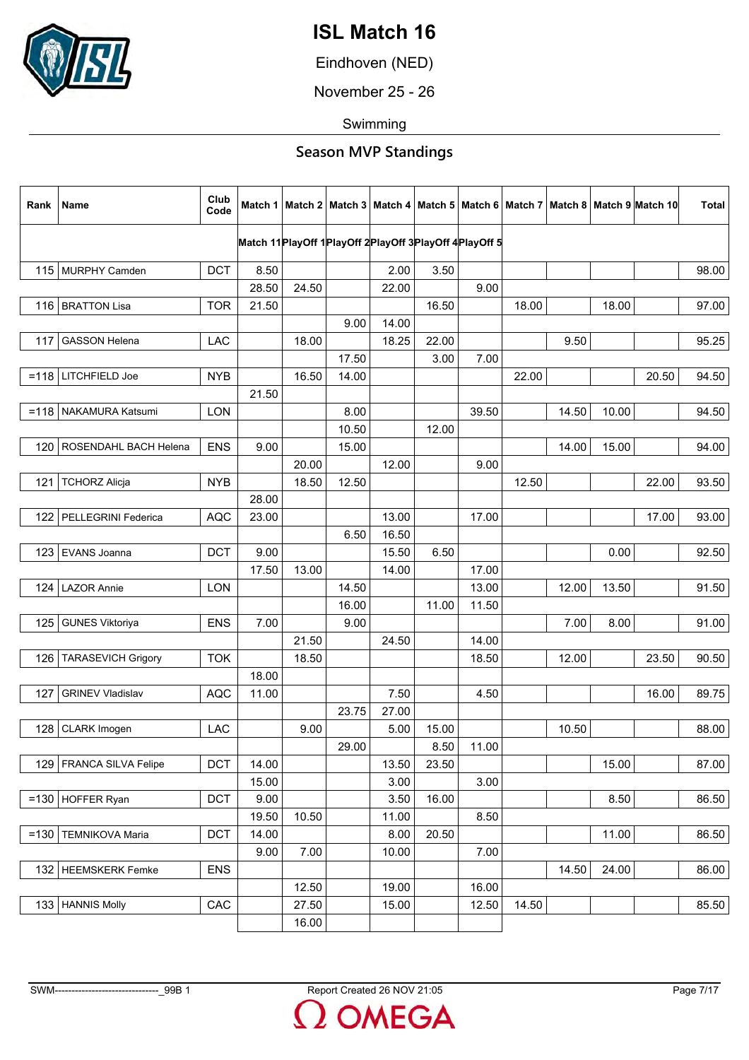

Eindhoven (NED)

November 25 - 26

Swimming

| Rank   | Name                      | Club<br>Code |       |       |                                                            |               |       |       |       |       |       | Match 1   Match 2   Match 3   Match 4   Match 5   Match 6   Match 7   Match 8   Match 9   Match 10 | <b>Total</b> |
|--------|---------------------------|--------------|-------|-------|------------------------------------------------------------|---------------|-------|-------|-------|-------|-------|----------------------------------------------------------------------------------------------------|--------------|
|        |                           |              |       |       | Match 11 PlayOff 1 PlayOff 2 PlayOff 3 PlayOff 4 PlayOff 5 |               |       |       |       |       |       |                                                                                                    |              |
|        | 115 MURPHY Camden         |              | 8.50  |       |                                                            |               |       |       |       |       |       |                                                                                                    |              |
|        |                           | <b>DCT</b>   | 28.50 | 24.50 |                                                            | 2.00<br>22.00 | 3.50  | 9.00  |       |       |       |                                                                                                    | 98.00        |
|        |                           |              |       |       |                                                            |               | 16.50 |       | 18.00 |       |       |                                                                                                    |              |
|        | 116   BRATTON Lisa        | <b>TOR</b>   | 21.50 |       | 9.00                                                       | 14.00         |       |       |       |       | 18.00 |                                                                                                    | 97.00        |
| 117    | <b>GASSON Helena</b>      | LAC          |       | 18.00 |                                                            | 18.25         | 22.00 |       |       | 9.50  |       |                                                                                                    | 95.25        |
|        |                           |              |       |       | 17.50                                                      |               | 3.00  | 7.00  |       |       |       |                                                                                                    |              |
|        | $=118$ LITCHFIELD Joe     | <b>NYB</b>   |       | 16.50 | 14.00                                                      |               |       |       | 22.00 |       |       | 20.50                                                                                              | 94.50        |
|        |                           |              | 21.50 |       |                                                            |               |       |       |       |       |       |                                                                                                    |              |
|        | =118   NAKAMURA Katsumi   | <b>LON</b>   |       |       | 8.00                                                       |               |       | 39.50 |       | 14.50 | 10.00 |                                                                                                    | 94.50        |
|        |                           |              |       |       | 10.50                                                      |               | 12.00 |       |       |       |       |                                                                                                    |              |
| 120    | ROSENDAHL BACH Helena     | <b>ENS</b>   | 9.00  |       | 15.00                                                      |               |       |       |       | 14.00 | 15.00 |                                                                                                    | 94.00        |
|        |                           |              |       | 20.00 |                                                            | 12.00         |       | 9.00  |       |       |       |                                                                                                    |              |
| 121    | <b>TCHORZ Alicja</b>      | <b>NYB</b>   |       | 18.50 | 12.50                                                      |               |       |       | 12.50 |       |       | 22.00                                                                                              | 93.50        |
|        |                           |              | 28.00 |       |                                                            |               |       |       |       |       |       |                                                                                                    |              |
| 122    | PELLEGRINI Federica       | <b>AQC</b>   | 23.00 |       |                                                            | 13.00         |       | 17.00 |       |       |       | 17.00                                                                                              | 93.00        |
|        |                           |              |       |       | 6.50                                                       | 16.50         |       |       |       |       |       |                                                                                                    |              |
| 123    | EVANS Joanna              | <b>DCT</b>   | 9.00  |       |                                                            | 15.50         | 6.50  |       |       |       | 0.00  |                                                                                                    | 92.50        |
|        |                           |              | 17.50 | 13.00 |                                                            | 14.00         |       | 17.00 |       |       |       |                                                                                                    |              |
| 124    | LAZOR Annie               | LON          |       |       | 14.50                                                      |               |       | 13.00 |       | 12.00 | 13.50 |                                                                                                    | 91.50        |
|        |                           |              |       |       | 16.00                                                      |               | 11.00 | 11.50 |       |       |       |                                                                                                    |              |
| 125    | <b>GUNES Viktoriya</b>    | <b>ENS</b>   | 7.00  |       | 9.00                                                       |               |       |       |       | 7.00  | 8.00  |                                                                                                    | 91.00        |
|        |                           |              |       | 21.50 |                                                            | 24.50         |       | 14.00 |       |       |       |                                                                                                    |              |
| 126    | <b>TARASEVICH Grigory</b> | <b>TOK</b>   |       | 18.50 |                                                            |               |       | 18.50 |       | 12.00 |       | 23.50                                                                                              | 90.50        |
|        |                           |              | 18.00 |       |                                                            |               |       |       |       |       |       |                                                                                                    |              |
| 127    | <b>GRINEV Vladislav</b>   | <b>AQC</b>   | 11.00 |       |                                                            | 7.50          |       | 4.50  |       |       |       | 16.00                                                                                              | 89.75        |
|        |                           |              |       |       | 23.75                                                      | 27.00         |       |       |       |       |       |                                                                                                    |              |
| 128    | CLARK Imogen              | LAC          |       | 9.00  |                                                            | 5.00          | 15.00 |       |       | 10.50 |       |                                                                                                    | 88.00        |
|        |                           |              |       |       | 29.00                                                      |               | 8.50  | 11.00 |       |       |       |                                                                                                    |              |
|        | 129   FRANCA SILVA Felipe | <b>DCT</b>   | 14.00 |       |                                                            | 13.50         | 23.50 |       |       |       | 15.00 |                                                                                                    | 87.00        |
|        |                           |              | 15.00 |       |                                                            | 3.00          |       | 3.00  |       |       |       |                                                                                                    |              |
|        | $=130$ HOFFER Ryan        | <b>DCT</b>   | 9.00  |       |                                                            | 3.50          | 16.00 |       |       |       | 8.50  |                                                                                                    | 86.50        |
|        |                           |              | 19.50 | 10.50 |                                                            | 11.00         |       | 8.50  |       |       |       |                                                                                                    |              |
| $=130$ | <b>TEMNIKOVA Maria</b>    | <b>DCT</b>   | 14.00 |       |                                                            | 8.00          | 20.50 |       |       |       | 11.00 |                                                                                                    | 86.50        |
|        |                           |              | 9.00  | 7.00  |                                                            | 10.00         |       | 7.00  |       |       |       |                                                                                                    |              |
|        | 132   HEEMSKERK Femke     | <b>ENS</b>   |       |       |                                                            |               |       |       |       | 14.50 | 24.00 |                                                                                                    | 86.00        |
|        |                           |              |       | 12.50 |                                                            | 19.00         |       | 16.00 |       |       |       |                                                                                                    |              |
|        | 133   HANNIS Molly        | CAC          |       | 27.50 |                                                            | 15.00         |       | 12.50 | 14.50 |       |       |                                                                                                    | 85.50        |
|        |                           |              |       | 16.00 |                                                            |               |       |       |       |       |       |                                                                                                    |              |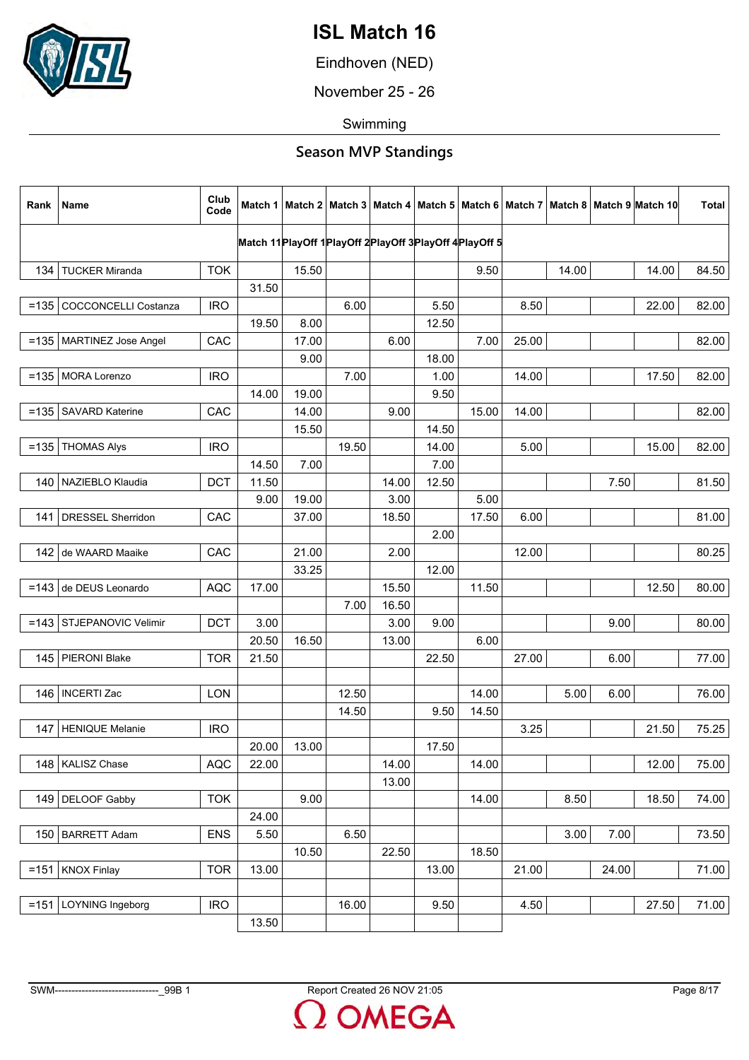

Eindhoven (NED)

November 25 - 26

Swimming

| Rank    | Name                        | Club<br>Code |       |       |                                                                 |       |       |       |       |       |       | Match 1   Match 2   Match 3   Match 4   Match 5   Match 6   Match 7   Match 8   Match 9  Match 10 | <b>Total</b> |
|---------|-----------------------------|--------------|-------|-------|-----------------------------------------------------------------|-------|-------|-------|-------|-------|-------|---------------------------------------------------------------------------------------------------|--------------|
|         |                             |              |       |       | Match 11 Play Off 1 Play Off 2 Play Off 3 Play Off 4 Play Off 5 |       |       |       |       |       |       |                                                                                                   |              |
| 134     | <b>TUCKER Miranda</b>       | <b>TOK</b>   |       | 15.50 |                                                                 |       |       | 9.50  |       | 14.00 |       | 14.00                                                                                             | 84.50        |
|         |                             |              | 31.50 |       |                                                                 |       |       |       |       |       |       |                                                                                                   |              |
|         | =135   COCCONCELLI Costanza | <b>IRO</b>   |       |       | 6.00                                                            |       | 5.50  |       | 8.50  |       |       | 22.00                                                                                             | 82.00        |
|         |                             |              | 19.50 | 8.00  |                                                                 |       | 12.50 |       |       |       |       |                                                                                                   |              |
|         | =135   MARTINEZ Jose Angel  | CAC          |       | 17.00 |                                                                 | 6.00  |       | 7.00  | 25.00 |       |       |                                                                                                   | 82.00        |
|         |                             |              |       | 9.00  |                                                                 |       | 18.00 |       |       |       |       |                                                                                                   |              |
|         | =135   MORA Lorenzo         | <b>IRO</b>   |       |       | 7.00                                                            |       | 1.00  |       | 14.00 |       |       | 17.50                                                                                             | 82.00        |
|         |                             |              | 14.00 | 19.00 |                                                                 |       | 9.50  |       |       |       |       |                                                                                                   |              |
| $=135$  | <b>SAVARD Katerine</b>      | CAC          |       | 14.00 |                                                                 | 9.00  |       | 15.00 | 14.00 |       |       |                                                                                                   | 82.00        |
|         |                             |              |       | 15.50 |                                                                 |       | 14.50 |       |       |       |       |                                                                                                   |              |
| $= 135$ | <b>THOMAS Alys</b>          | <b>IRO</b>   |       |       | 19.50                                                           |       | 14.00 |       | 5.00  |       |       | 15.00                                                                                             | 82.00        |
|         |                             |              | 14.50 | 7.00  |                                                                 |       | 7.00  |       |       |       |       |                                                                                                   |              |
|         | 140 NAZIEBLO Klaudia        | <b>DCT</b>   | 11.50 |       |                                                                 | 14.00 | 12.50 |       |       |       | 7.50  |                                                                                                   | 81.50        |
|         |                             |              | 9.00  | 19.00 |                                                                 | 3.00  |       | 5.00  |       |       |       |                                                                                                   |              |
| 141     | <b>DRESSEL Sherridon</b>    | CAC          |       | 37.00 |                                                                 | 18.50 |       | 17.50 | 6.00  |       |       |                                                                                                   | 81.00        |
|         |                             |              |       |       |                                                                 |       | 2.00  |       |       |       |       |                                                                                                   |              |
| 142     | de WAARD Maaike             | CAC          |       | 21.00 |                                                                 | 2.00  |       |       | 12.00 |       |       |                                                                                                   | 80.25        |
|         |                             |              |       | 33.25 |                                                                 |       | 12.00 |       |       |       |       |                                                                                                   |              |
|         | =143 de DEUS Leonardo       | <b>AQC</b>   | 17.00 |       |                                                                 | 15.50 |       | 11.50 |       |       |       | 12.50                                                                                             | 80.00        |
|         |                             |              |       |       | 7.00                                                            | 16.50 |       |       |       |       |       |                                                                                                   |              |
| $=143$  | STJEPANOVIC Velimir         | <b>DCT</b>   | 3.00  |       |                                                                 | 3.00  | 9.00  |       |       |       | 9.00  |                                                                                                   | 80.00        |
|         |                             |              | 20.50 | 16.50 |                                                                 | 13.00 |       | 6.00  |       |       |       |                                                                                                   |              |
|         | 145 PIERONI Blake           | <b>TOR</b>   | 21.50 |       |                                                                 |       | 22.50 |       | 27.00 |       | 6.00  |                                                                                                   | 77.00        |
|         |                             |              |       |       |                                                                 |       |       |       |       |       |       |                                                                                                   |              |
|         | 146   INCERTI Zac           | LON          |       |       | 12.50                                                           |       |       | 14.00 |       | 5.00  | 6.00  |                                                                                                   | 76.00        |
|         |                             |              |       |       | 14.50                                                           |       | 9.50  | 14.50 |       |       |       |                                                                                                   |              |
| 147     | HENIQUE Melanie             | <b>IRO</b>   |       |       |                                                                 |       |       |       | 3.25  |       |       | 21.50                                                                                             | 75.25        |
|         |                             |              | 20.00 | 13.00 |                                                                 |       | 17.50 |       |       |       |       |                                                                                                   |              |
|         | 148   KALISZ Chase          | <b>AQC</b>   | 22.00 |       |                                                                 | 14.00 |       | 14.00 |       |       |       | 12.00                                                                                             | 75.00        |
|         |                             |              |       |       |                                                                 | 13.00 |       |       |       |       |       |                                                                                                   |              |
|         | 149 DELOOF Gabby            | <b>TOK</b>   |       | 9.00  |                                                                 |       |       | 14.00 |       | 8.50  |       | 18.50                                                                                             | 74.00        |
|         |                             |              | 24.00 |       |                                                                 |       |       |       |       |       |       |                                                                                                   |              |
| 150     | <b>BARRETT Adam</b>         | <b>ENS</b>   | 5.50  |       | 6.50                                                            |       |       |       |       | 3.00  | 7.00  |                                                                                                   | 73.50        |
|         |                             |              |       | 10.50 |                                                                 | 22.50 |       | 18.50 |       |       |       |                                                                                                   |              |
|         | $= 151$ KNOX Finlay         | <b>TOR</b>   | 13.00 |       |                                                                 |       | 13.00 |       | 21.00 |       | 24.00 |                                                                                                   | 71.00        |
|         |                             |              |       |       |                                                                 |       |       |       |       |       |       |                                                                                                   |              |
|         | =151   LOYNING Ingeborg     | <b>IRO</b>   |       |       | 16.00                                                           |       | 9.50  |       | 4.50  |       |       | 27.50                                                                                             | 71.00        |
|         |                             |              | 13.50 |       |                                                                 |       |       |       |       |       |       |                                                                                                   |              |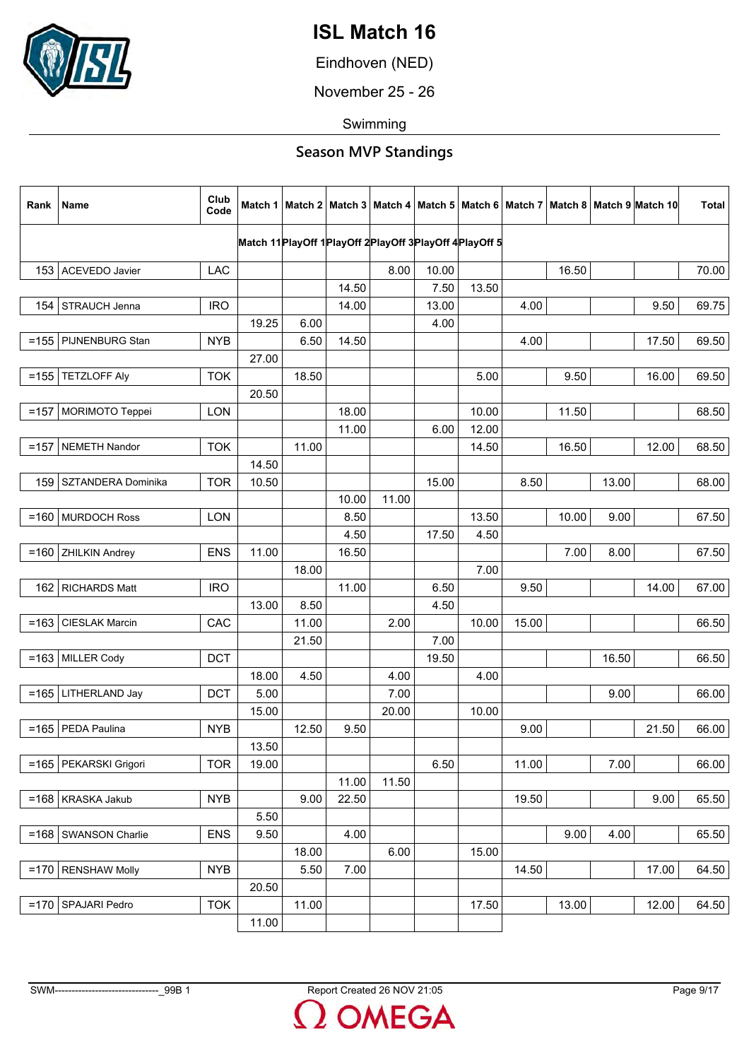

Eindhoven (NED)

November 25 - 26

Swimming

| Rank    | Name                     | Club<br>Code |       |       |                |       |       |                                                            |       |       |       | Match 1   Match 2   Match 3   Match 4   Match 5   Match 6   Match 7   Match 8   Match 9   Match 10 | <b>Total</b> |
|---------|--------------------------|--------------|-------|-------|----------------|-------|-------|------------------------------------------------------------|-------|-------|-------|----------------------------------------------------------------------------------------------------|--------------|
|         |                          |              |       |       |                |       |       | Match 11 PlayOff 1 PlayOff 2 PlayOff 3 PlayOff 4 PlayOff 5 |       |       |       |                                                                                                    |              |
|         | 153 ACEVEDO Javier       | <b>LAC</b>   |       |       |                | 8.00  | 10.00 |                                                            |       | 16.50 |       |                                                                                                    | 70.00        |
|         |                          |              |       |       | 14.50          |       | 7.50  | 13.50                                                      |       |       |       |                                                                                                    |              |
| 154     | STRAUCH Jenna            | <b>IRO</b>   |       |       | 14.00          |       | 13.00 |                                                            | 4.00  |       |       | 9.50                                                                                               | 69.75        |
|         |                          |              | 19.25 | 6.00  |                |       | 4.00  |                                                            |       |       |       |                                                                                                    |              |
|         | $=155$ PIJNENBURG Stan   | <b>NYB</b>   |       | 6.50  | 14.50          |       |       |                                                            | 4.00  |       |       | 17.50                                                                                              | 69.50        |
|         |                          |              | 27.00 |       |                |       |       |                                                            |       |       |       |                                                                                                    |              |
|         | $=155$ TETZLOFF Aly      | <b>TOK</b>   |       | 18.50 |                |       |       | 5.00                                                       |       | 9.50  |       | 16.00                                                                                              | 69.50        |
|         |                          |              | 20.50 |       |                |       |       |                                                            |       |       |       |                                                                                                    |              |
|         | =157   MORIMOTO Teppei   | <b>LON</b>   |       |       | 18.00          |       |       | 10.00                                                      |       | 11.50 |       |                                                                                                    | 68.50        |
|         |                          |              |       |       | 11.00          |       | 6.00  | 12.00                                                      |       |       |       |                                                                                                    |              |
| $=157$  | NEMETH Nandor            | <b>TOK</b>   |       | 11.00 |                |       |       | 14.50                                                      |       | 16.50 |       | 12.00                                                                                              | 68.50        |
|         |                          |              | 14.50 |       |                |       |       |                                                            |       |       |       |                                                                                                    |              |
|         | 159   SZTANDERA Dominika | <b>TOR</b>   | 10.50 |       |                |       | 15.00 |                                                            | 8.50  |       | 13.00 |                                                                                                    | 68.00        |
|         |                          |              |       |       | 10.00          | 11.00 |       |                                                            |       |       |       |                                                                                                    |              |
|         | $=160$ MURDOCH Ross      | <b>LON</b>   |       |       | 8.50           |       |       | 13.50                                                      |       | 10.00 | 9.00  |                                                                                                    | 67.50        |
|         |                          |              |       |       | 4.50           |       | 17.50 | 4.50                                                       |       |       |       |                                                                                                    |              |
| $=160$  | <b>ZHILKIN Andrey</b>    | <b>ENS</b>   | 11.00 |       | 16.50          |       |       |                                                            |       | 7.00  | 8.00  |                                                                                                    | 67.50        |
|         |                          |              |       | 18.00 |                |       |       | 7.00                                                       |       |       |       |                                                                                                    |              |
|         | 162   RICHARDS Matt      | <b>IRO</b>   |       |       | 11.00          |       | 6.50  |                                                            | 9.50  |       |       | 14.00                                                                                              | 67.00        |
|         |                          |              | 13.00 | 8.50  |                |       | 4.50  |                                                            |       |       |       |                                                                                                    |              |
| $= 163$ | <b>CIESLAK Marcin</b>    | CAC          |       | 11.00 |                | 2.00  |       | 10.00                                                      | 15.00 |       |       |                                                                                                    | 66.50        |
|         |                          |              |       | 21.50 |                |       | 7.00  |                                                            |       |       |       |                                                                                                    |              |
|         | $=163$ MILLER Cody       | <b>DCT</b>   |       |       |                |       | 19.50 |                                                            |       |       | 16.50 |                                                                                                    | 66.50        |
|         |                          |              | 18.00 | 4.50  |                | 4.00  |       | 4.00                                                       |       |       |       |                                                                                                    |              |
|         | =165   LITHERLAND Jay    | <b>DCT</b>   | 5.00  |       |                | 7.00  |       |                                                            |       |       | 9.00  |                                                                                                    | 66.00        |
|         |                          |              | 15.00 |       |                | 20.00 |       | 10.00                                                      |       |       |       |                                                                                                    |              |
| $= 165$ | PEDA Paulina             | <b>NYB</b>   |       | 12.50 | 9.50           |       |       |                                                            | 9.00  |       |       | 21.50                                                                                              | 66.00        |
|         |                          |              | 13.50 |       |                |       |       |                                                            |       |       |       |                                                                                                    |              |
|         | =165   PEKARSKI Grigori  | <b>TOR</b>   | 19.00 |       |                | 11.50 | 6.50  |                                                            | 11.00 |       | 7.00  |                                                                                                    | 66.00        |
|         | $=168$ KRASKA Jakub      | <b>NYB</b>   |       | 9.00  | 11.00<br>22.50 |       |       |                                                            | 19.50 |       |       | 9.00                                                                                               | 65.50        |
|         |                          |              | 5.50  |       |                |       |       |                                                            |       |       |       |                                                                                                    |              |
| $=168$  | <b>SWANSON Charlie</b>   | <b>ENS</b>   | 9.50  |       | 4.00           |       |       |                                                            |       | 9.00  | 4.00  |                                                                                                    | 65.50        |
|         |                          |              |       | 18.00 |                | 6.00  |       | 15.00                                                      |       |       |       |                                                                                                    |              |
| $=170$  | <b>RENSHAW Molly</b>     | <b>NYB</b>   |       | 5.50  | 7.00           |       |       |                                                            | 14.50 |       |       | 17.00                                                                                              | 64.50        |
|         |                          |              | 20.50 |       |                |       |       |                                                            |       |       |       |                                                                                                    |              |
| $=170$  | SPAJARI Pedro            | <b>TOK</b>   |       | 11.00 |                |       |       | 17.50                                                      |       | 13.00 |       | 12.00                                                                                              | 64.50        |
|         |                          |              | 11.00 |       |                |       |       |                                                            |       |       |       |                                                                                                    |              |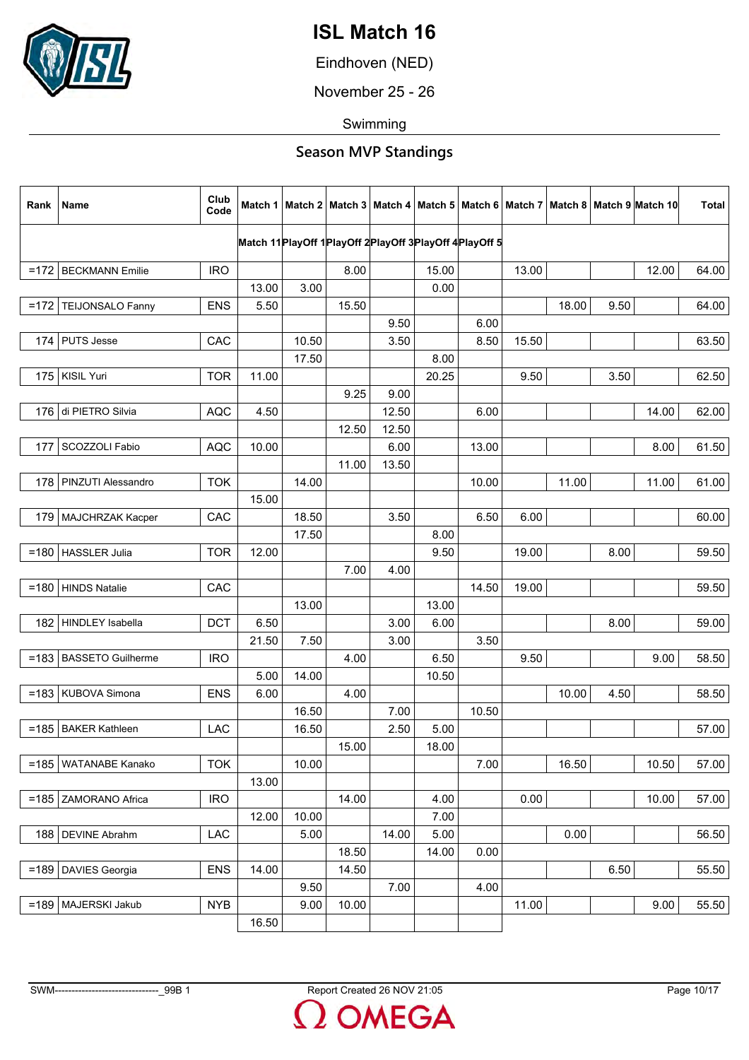

Eindhoven (NED)

November 25 - 26

Swimming

| Match 11 Play Off 1 Play Off 2 Play Off 3 Play Off 4 Play Off 5<br>13.00<br>12.00<br>64.00<br>=172   BECKMANN Emilie<br><b>IRO</b><br>8.00<br>15.00<br>13.00<br>3.00<br>0.00<br>TEIJONSALO Fanny<br><b>ENS</b><br>5.50<br>15.50<br>18.00<br>9.50<br>64.00<br>$=172$<br>9.50<br>6.00<br>15.50<br>CAC<br>10.50<br>3.50<br>8.50<br>63.50<br>174<br><b>PUTS Jesse</b><br>17.50<br>8.00<br>175   KISIL Yuri<br><b>TOR</b><br>11.00<br>20.25<br>9.50<br>3.50<br>62.50<br>9.25<br>9.00<br>12.50<br>176 di PIETRO Silvia<br><b>AQC</b><br>4.50<br>6.00<br>14.00<br>62.00<br>12.50<br>12.50<br>SCOZZOLI Fabio<br><b>AQC</b><br>10.00<br>6.00<br>13.00<br>8.00<br>61.50<br>177<br>11.00<br>13.50<br><b>TOK</b><br>14.00<br>11.00<br>61.00<br>178   PINZUTI Alessandro<br>10.00<br>11.00<br>15.00<br>18.50<br>3.50<br>6.50<br>179   MAJCHRZAK Kacper<br>CAC<br>6.00<br>60.00<br>17.50<br>8.00<br><b>TOR</b><br>12.00<br>19.00<br>8.00<br>$=180$<br>HASSLER Julia<br>9.50<br>59.50<br>7.00<br>4.00<br>=180 HINDS Natalie<br>CAC<br>19.00<br>14.50<br>59.50<br>13.00<br>13.00<br><b>HINDLEY</b> Isabella<br>6.50<br>3.00<br><b>DCT</b><br>6.00<br>8.00<br>59.00<br>182<br>3.00<br>3.50<br>21.50<br>7.50<br>6.50<br>9.50<br>9.00<br>=183   BASSETO Guilherme<br><b>IRO</b><br>4.00<br>58.50<br>14.00<br>5.00<br>10.50<br>4.00<br>10.00<br>=183   KUBOVA Simona<br><b>ENS</b><br>6.00<br>4.50<br>58.50<br>7.00<br>16.50<br>10.50<br>2.50<br>5.00<br>$=185$<br><b>BAKER Kathleen</b><br>LAC<br>16.50<br>57.00<br>15.00<br>18.00<br>7.00<br>16.50<br><b>TOK</b><br>10.00<br>10.50<br>57.00<br>=185   WATANABE Kanako<br>13.00<br><b>IRO</b><br>14.00<br>0.00<br>10.00<br>57.00<br>ZAMORANO Africa<br>4.00<br>$=185$<br>12.00<br>10.00<br>7.00<br><b>DEVINE Abrahm</b><br>5.00<br>14.00<br>5.00<br>0.00<br>56.50<br>188<br>LAC<br>18.50<br>14.00<br>0.00<br><b>ENS</b><br>14.00<br>6.50<br>=189   DAVIES Georgia<br>14.50<br>55.50<br>7.00<br>9.50<br>4.00 | Rank | Name | Club<br>Code |  |  |  |  | Match 1   Match 2   Match 3   Match 4   Match 5   Match 6   Match 7   Match 8   Match 9  Match 10 | <b>Total</b> |
|------------------------------------------------------------------------------------------------------------------------------------------------------------------------------------------------------------------------------------------------------------------------------------------------------------------------------------------------------------------------------------------------------------------------------------------------------------------------------------------------------------------------------------------------------------------------------------------------------------------------------------------------------------------------------------------------------------------------------------------------------------------------------------------------------------------------------------------------------------------------------------------------------------------------------------------------------------------------------------------------------------------------------------------------------------------------------------------------------------------------------------------------------------------------------------------------------------------------------------------------------------------------------------------------------------------------------------------------------------------------------------------------------------------------------------------------------------------------------------------------------------------------------------------------------------------------------------------------------------------------------------------------------------------------------------------------------------------------------------------------------------------------------------------------------------------------------------------------------------------------------------------------------------------------------------------|------|------|--------------|--|--|--|--|---------------------------------------------------------------------------------------------------|--------------|
|                                                                                                                                                                                                                                                                                                                                                                                                                                                                                                                                                                                                                                                                                                                                                                                                                                                                                                                                                                                                                                                                                                                                                                                                                                                                                                                                                                                                                                                                                                                                                                                                                                                                                                                                                                                                                                                                                                                                          |      |      |              |  |  |  |  |                                                                                                   |              |
|                                                                                                                                                                                                                                                                                                                                                                                                                                                                                                                                                                                                                                                                                                                                                                                                                                                                                                                                                                                                                                                                                                                                                                                                                                                                                                                                                                                                                                                                                                                                                                                                                                                                                                                                                                                                                                                                                                                                          |      |      |              |  |  |  |  |                                                                                                   |              |
|                                                                                                                                                                                                                                                                                                                                                                                                                                                                                                                                                                                                                                                                                                                                                                                                                                                                                                                                                                                                                                                                                                                                                                                                                                                                                                                                                                                                                                                                                                                                                                                                                                                                                                                                                                                                                                                                                                                                          |      |      |              |  |  |  |  |                                                                                                   |              |
|                                                                                                                                                                                                                                                                                                                                                                                                                                                                                                                                                                                                                                                                                                                                                                                                                                                                                                                                                                                                                                                                                                                                                                                                                                                                                                                                                                                                                                                                                                                                                                                                                                                                                                                                                                                                                                                                                                                                          |      |      |              |  |  |  |  |                                                                                                   |              |
|                                                                                                                                                                                                                                                                                                                                                                                                                                                                                                                                                                                                                                                                                                                                                                                                                                                                                                                                                                                                                                                                                                                                                                                                                                                                                                                                                                                                                                                                                                                                                                                                                                                                                                                                                                                                                                                                                                                                          |      |      |              |  |  |  |  |                                                                                                   |              |
|                                                                                                                                                                                                                                                                                                                                                                                                                                                                                                                                                                                                                                                                                                                                                                                                                                                                                                                                                                                                                                                                                                                                                                                                                                                                                                                                                                                                                                                                                                                                                                                                                                                                                                                                                                                                                                                                                                                                          |      |      |              |  |  |  |  |                                                                                                   |              |
|                                                                                                                                                                                                                                                                                                                                                                                                                                                                                                                                                                                                                                                                                                                                                                                                                                                                                                                                                                                                                                                                                                                                                                                                                                                                                                                                                                                                                                                                                                                                                                                                                                                                                                                                                                                                                                                                                                                                          |      |      |              |  |  |  |  |                                                                                                   |              |
|                                                                                                                                                                                                                                                                                                                                                                                                                                                                                                                                                                                                                                                                                                                                                                                                                                                                                                                                                                                                                                                                                                                                                                                                                                                                                                                                                                                                                                                                                                                                                                                                                                                                                                                                                                                                                                                                                                                                          |      |      |              |  |  |  |  |                                                                                                   |              |
|                                                                                                                                                                                                                                                                                                                                                                                                                                                                                                                                                                                                                                                                                                                                                                                                                                                                                                                                                                                                                                                                                                                                                                                                                                                                                                                                                                                                                                                                                                                                                                                                                                                                                                                                                                                                                                                                                                                                          |      |      |              |  |  |  |  |                                                                                                   |              |
|                                                                                                                                                                                                                                                                                                                                                                                                                                                                                                                                                                                                                                                                                                                                                                                                                                                                                                                                                                                                                                                                                                                                                                                                                                                                                                                                                                                                                                                                                                                                                                                                                                                                                                                                                                                                                                                                                                                                          |      |      |              |  |  |  |  |                                                                                                   |              |
|                                                                                                                                                                                                                                                                                                                                                                                                                                                                                                                                                                                                                                                                                                                                                                                                                                                                                                                                                                                                                                                                                                                                                                                                                                                                                                                                                                                                                                                                                                                                                                                                                                                                                                                                                                                                                                                                                                                                          |      |      |              |  |  |  |  |                                                                                                   |              |
|                                                                                                                                                                                                                                                                                                                                                                                                                                                                                                                                                                                                                                                                                                                                                                                                                                                                                                                                                                                                                                                                                                                                                                                                                                                                                                                                                                                                                                                                                                                                                                                                                                                                                                                                                                                                                                                                                                                                          |      |      |              |  |  |  |  |                                                                                                   |              |
|                                                                                                                                                                                                                                                                                                                                                                                                                                                                                                                                                                                                                                                                                                                                                                                                                                                                                                                                                                                                                                                                                                                                                                                                                                                                                                                                                                                                                                                                                                                                                                                                                                                                                                                                                                                                                                                                                                                                          |      |      |              |  |  |  |  |                                                                                                   |              |
|                                                                                                                                                                                                                                                                                                                                                                                                                                                                                                                                                                                                                                                                                                                                                                                                                                                                                                                                                                                                                                                                                                                                                                                                                                                                                                                                                                                                                                                                                                                                                                                                                                                                                                                                                                                                                                                                                                                                          |      |      |              |  |  |  |  |                                                                                                   |              |
|                                                                                                                                                                                                                                                                                                                                                                                                                                                                                                                                                                                                                                                                                                                                                                                                                                                                                                                                                                                                                                                                                                                                                                                                                                                                                                                                                                                                                                                                                                                                                                                                                                                                                                                                                                                                                                                                                                                                          |      |      |              |  |  |  |  |                                                                                                   |              |
|                                                                                                                                                                                                                                                                                                                                                                                                                                                                                                                                                                                                                                                                                                                                                                                                                                                                                                                                                                                                                                                                                                                                                                                                                                                                                                                                                                                                                                                                                                                                                                                                                                                                                                                                                                                                                                                                                                                                          |      |      |              |  |  |  |  |                                                                                                   |              |
|                                                                                                                                                                                                                                                                                                                                                                                                                                                                                                                                                                                                                                                                                                                                                                                                                                                                                                                                                                                                                                                                                                                                                                                                                                                                                                                                                                                                                                                                                                                                                                                                                                                                                                                                                                                                                                                                                                                                          |      |      |              |  |  |  |  |                                                                                                   |              |
|                                                                                                                                                                                                                                                                                                                                                                                                                                                                                                                                                                                                                                                                                                                                                                                                                                                                                                                                                                                                                                                                                                                                                                                                                                                                                                                                                                                                                                                                                                                                                                                                                                                                                                                                                                                                                                                                                                                                          |      |      |              |  |  |  |  |                                                                                                   |              |
|                                                                                                                                                                                                                                                                                                                                                                                                                                                                                                                                                                                                                                                                                                                                                                                                                                                                                                                                                                                                                                                                                                                                                                                                                                                                                                                                                                                                                                                                                                                                                                                                                                                                                                                                                                                                                                                                                                                                          |      |      |              |  |  |  |  |                                                                                                   |              |
|                                                                                                                                                                                                                                                                                                                                                                                                                                                                                                                                                                                                                                                                                                                                                                                                                                                                                                                                                                                                                                                                                                                                                                                                                                                                                                                                                                                                                                                                                                                                                                                                                                                                                                                                                                                                                                                                                                                                          |      |      |              |  |  |  |  |                                                                                                   |              |
|                                                                                                                                                                                                                                                                                                                                                                                                                                                                                                                                                                                                                                                                                                                                                                                                                                                                                                                                                                                                                                                                                                                                                                                                                                                                                                                                                                                                                                                                                                                                                                                                                                                                                                                                                                                                                                                                                                                                          |      |      |              |  |  |  |  |                                                                                                   |              |
|                                                                                                                                                                                                                                                                                                                                                                                                                                                                                                                                                                                                                                                                                                                                                                                                                                                                                                                                                                                                                                                                                                                                                                                                                                                                                                                                                                                                                                                                                                                                                                                                                                                                                                                                                                                                                                                                                                                                          |      |      |              |  |  |  |  |                                                                                                   |              |
|                                                                                                                                                                                                                                                                                                                                                                                                                                                                                                                                                                                                                                                                                                                                                                                                                                                                                                                                                                                                                                                                                                                                                                                                                                                                                                                                                                                                                                                                                                                                                                                                                                                                                                                                                                                                                                                                                                                                          |      |      |              |  |  |  |  |                                                                                                   |              |
|                                                                                                                                                                                                                                                                                                                                                                                                                                                                                                                                                                                                                                                                                                                                                                                                                                                                                                                                                                                                                                                                                                                                                                                                                                                                                                                                                                                                                                                                                                                                                                                                                                                                                                                                                                                                                                                                                                                                          |      |      |              |  |  |  |  |                                                                                                   |              |
|                                                                                                                                                                                                                                                                                                                                                                                                                                                                                                                                                                                                                                                                                                                                                                                                                                                                                                                                                                                                                                                                                                                                                                                                                                                                                                                                                                                                                                                                                                                                                                                                                                                                                                                                                                                                                                                                                                                                          |      |      |              |  |  |  |  |                                                                                                   |              |
|                                                                                                                                                                                                                                                                                                                                                                                                                                                                                                                                                                                                                                                                                                                                                                                                                                                                                                                                                                                                                                                                                                                                                                                                                                                                                                                                                                                                                                                                                                                                                                                                                                                                                                                                                                                                                                                                                                                                          |      |      |              |  |  |  |  |                                                                                                   |              |
|                                                                                                                                                                                                                                                                                                                                                                                                                                                                                                                                                                                                                                                                                                                                                                                                                                                                                                                                                                                                                                                                                                                                                                                                                                                                                                                                                                                                                                                                                                                                                                                                                                                                                                                                                                                                                                                                                                                                          |      |      |              |  |  |  |  |                                                                                                   |              |
|                                                                                                                                                                                                                                                                                                                                                                                                                                                                                                                                                                                                                                                                                                                                                                                                                                                                                                                                                                                                                                                                                                                                                                                                                                                                                                                                                                                                                                                                                                                                                                                                                                                                                                                                                                                                                                                                                                                                          |      |      |              |  |  |  |  |                                                                                                   |              |
|                                                                                                                                                                                                                                                                                                                                                                                                                                                                                                                                                                                                                                                                                                                                                                                                                                                                                                                                                                                                                                                                                                                                                                                                                                                                                                                                                                                                                                                                                                                                                                                                                                                                                                                                                                                                                                                                                                                                          |      |      |              |  |  |  |  |                                                                                                   |              |
|                                                                                                                                                                                                                                                                                                                                                                                                                                                                                                                                                                                                                                                                                                                                                                                                                                                                                                                                                                                                                                                                                                                                                                                                                                                                                                                                                                                                                                                                                                                                                                                                                                                                                                                                                                                                                                                                                                                                          |      |      |              |  |  |  |  |                                                                                                   |              |
|                                                                                                                                                                                                                                                                                                                                                                                                                                                                                                                                                                                                                                                                                                                                                                                                                                                                                                                                                                                                                                                                                                                                                                                                                                                                                                                                                                                                                                                                                                                                                                                                                                                                                                                                                                                                                                                                                                                                          |      |      |              |  |  |  |  |                                                                                                   |              |
|                                                                                                                                                                                                                                                                                                                                                                                                                                                                                                                                                                                                                                                                                                                                                                                                                                                                                                                                                                                                                                                                                                                                                                                                                                                                                                                                                                                                                                                                                                                                                                                                                                                                                                                                                                                                                                                                                                                                          |      |      |              |  |  |  |  |                                                                                                   |              |
|                                                                                                                                                                                                                                                                                                                                                                                                                                                                                                                                                                                                                                                                                                                                                                                                                                                                                                                                                                                                                                                                                                                                                                                                                                                                                                                                                                                                                                                                                                                                                                                                                                                                                                                                                                                                                                                                                                                                          |      |      |              |  |  |  |  |                                                                                                   |              |
|                                                                                                                                                                                                                                                                                                                                                                                                                                                                                                                                                                                                                                                                                                                                                                                                                                                                                                                                                                                                                                                                                                                                                                                                                                                                                                                                                                                                                                                                                                                                                                                                                                                                                                                                                                                                                                                                                                                                          |      |      |              |  |  |  |  |                                                                                                   |              |
|                                                                                                                                                                                                                                                                                                                                                                                                                                                                                                                                                                                                                                                                                                                                                                                                                                                                                                                                                                                                                                                                                                                                                                                                                                                                                                                                                                                                                                                                                                                                                                                                                                                                                                                                                                                                                                                                                                                                          |      |      |              |  |  |  |  |                                                                                                   |              |
|                                                                                                                                                                                                                                                                                                                                                                                                                                                                                                                                                                                                                                                                                                                                                                                                                                                                                                                                                                                                                                                                                                                                                                                                                                                                                                                                                                                                                                                                                                                                                                                                                                                                                                                                                                                                                                                                                                                                          |      |      |              |  |  |  |  |                                                                                                   |              |
|                                                                                                                                                                                                                                                                                                                                                                                                                                                                                                                                                                                                                                                                                                                                                                                                                                                                                                                                                                                                                                                                                                                                                                                                                                                                                                                                                                                                                                                                                                                                                                                                                                                                                                                                                                                                                                                                                                                                          |      |      |              |  |  |  |  |                                                                                                   |              |
|                                                                                                                                                                                                                                                                                                                                                                                                                                                                                                                                                                                                                                                                                                                                                                                                                                                                                                                                                                                                                                                                                                                                                                                                                                                                                                                                                                                                                                                                                                                                                                                                                                                                                                                                                                                                                                                                                                                                          |      |      |              |  |  |  |  |                                                                                                   |              |
| <b>NYB</b><br>10.00<br>11.00<br>9.00<br>=189   MAJERSKI Jakub<br>9.00<br>55.50                                                                                                                                                                                                                                                                                                                                                                                                                                                                                                                                                                                                                                                                                                                                                                                                                                                                                                                                                                                                                                                                                                                                                                                                                                                                                                                                                                                                                                                                                                                                                                                                                                                                                                                                                                                                                                                           |      |      |              |  |  |  |  |                                                                                                   |              |
| 16.50                                                                                                                                                                                                                                                                                                                                                                                                                                                                                                                                                                                                                                                                                                                                                                                                                                                                                                                                                                                                                                                                                                                                                                                                                                                                                                                                                                                                                                                                                                                                                                                                                                                                                                                                                                                                                                                                                                                                    |      |      |              |  |  |  |  |                                                                                                   |              |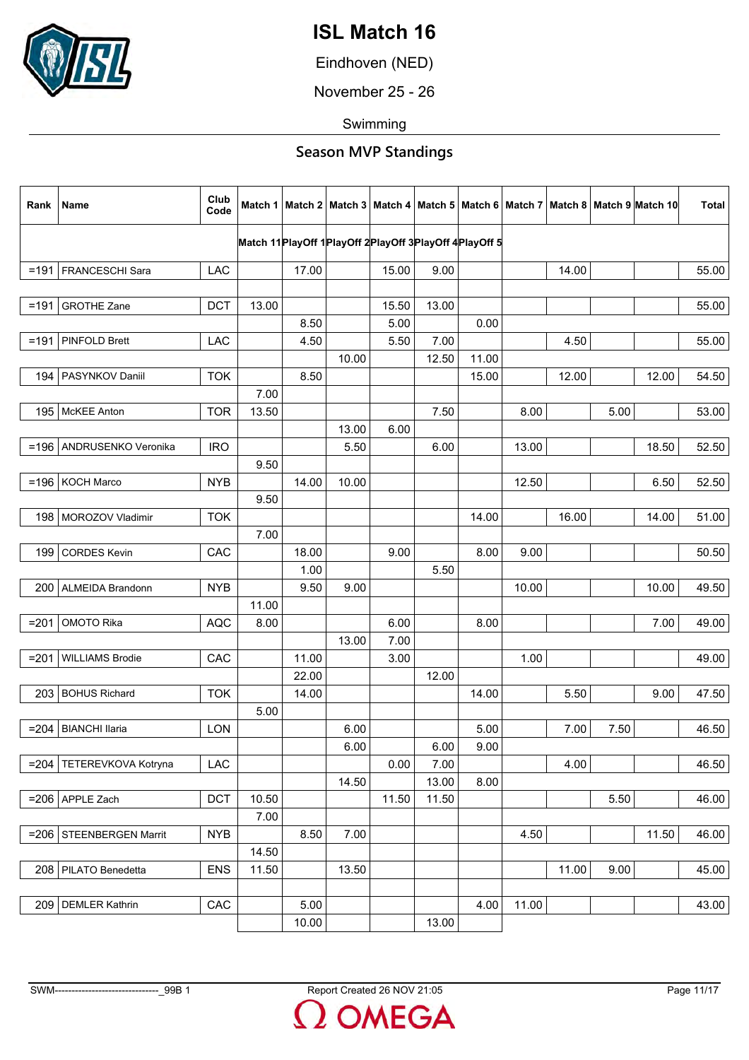

Eindhoven (NED)

November 25 - 26

Swimming

| Rank    | <b>Name</b>                | Club<br>Code |       |       |       |                                                                 |       |       |       |       |      | Match 1   Match 2   Match 3   Match 4   Match 5   Match 6   Match 7   Match 8   Match 9  Match 10 | <b>Total</b> |
|---------|----------------------------|--------------|-------|-------|-------|-----------------------------------------------------------------|-------|-------|-------|-------|------|---------------------------------------------------------------------------------------------------|--------------|
|         |                            |              |       |       |       | Match 11 Play Off 1 Play Off 2 Play Off 3 Play Off 4 Play Off 5 |       |       |       |       |      |                                                                                                   |              |
|         | =191   FRANCESCHI Sara     | LAC          |       | 17.00 |       | 15.00                                                           | 9.00  |       |       | 14.00 |      |                                                                                                   | 55.00        |
|         |                            |              |       |       |       |                                                                 |       |       |       |       |      |                                                                                                   |              |
| $=191$  | <b>GROTHE Zane</b>         | <b>DCT</b>   | 13.00 |       |       | 15.50                                                           | 13.00 |       |       |       |      |                                                                                                   | 55.00        |
|         |                            |              |       | 8.50  |       | 5.00                                                            |       | 0.00  |       |       |      |                                                                                                   |              |
| $=191$  | PINFOLD Brett              | LAC          |       | 4.50  |       | 5.50                                                            | 7.00  |       |       | 4.50  |      |                                                                                                   | 55.00        |
|         |                            |              |       |       | 10.00 |                                                                 | 12.50 | 11.00 |       |       |      |                                                                                                   |              |
|         | 194   PASYNKOV Daniil      | <b>TOK</b>   |       | 8.50  |       |                                                                 |       | 15.00 |       | 12.00 |      | 12.00                                                                                             | 54.50        |
|         |                            |              | 7.00  |       |       |                                                                 |       |       |       |       |      |                                                                                                   |              |
|         | 195   McKEE Anton          | <b>TOR</b>   | 13.50 |       |       |                                                                 | 7.50  |       | 8.00  |       | 5.00 |                                                                                                   | 53.00        |
|         |                            |              |       |       | 13.00 | 6.00                                                            |       |       |       |       |      |                                                                                                   |              |
|         | =196   ANDRUSENKO Veronika | <b>IRO</b>   |       |       | 5.50  |                                                                 | 6.00  |       | 13.00 |       |      | 18.50                                                                                             | 52.50        |
|         |                            |              | 9.50  |       |       |                                                                 |       |       |       |       |      |                                                                                                   |              |
|         | $=196$ KOCH Marco          | <b>NYB</b>   |       | 14.00 | 10.00 |                                                                 |       |       | 12.50 |       |      | 6.50                                                                                              | 52.50        |
|         |                            |              | 9.50  |       |       |                                                                 |       |       |       |       |      |                                                                                                   |              |
|         | 198 MOROZOV Vladimir       | <b>TOK</b>   |       |       |       |                                                                 |       | 14.00 |       | 16.00 |      | 14.00                                                                                             | 51.00        |
|         |                            |              | 7.00  |       |       |                                                                 |       |       |       |       |      |                                                                                                   |              |
| 199     | <b>CORDES Kevin</b>        | CAC          |       | 18.00 |       | 9.00                                                            |       | 8.00  | 9.00  |       |      |                                                                                                   | 50.50        |
|         |                            |              |       | 1.00  |       |                                                                 | 5.50  |       |       |       |      |                                                                                                   |              |
|         | 200   ALMEIDA Brandonn     | <b>NYB</b>   |       | 9.50  | 9.00  |                                                                 |       |       | 10.00 |       |      | 10.00                                                                                             | 49.50        |
|         |                            |              | 11.00 |       |       |                                                                 |       |       |       |       |      | 7.00                                                                                              |              |
| $= 201$ | <b>OMOTO Rika</b>          | <b>AQC</b>   | 8.00  |       | 13.00 | 6.00<br>7.00                                                    |       | 8.00  |       |       |      |                                                                                                   | 49.00        |
| $= 201$ | <b>WILLIAMS Brodie</b>     | CAC          |       | 11.00 |       | 3.00                                                            |       |       | 1.00  |       |      |                                                                                                   | 49.00        |
|         |                            |              |       | 22.00 |       |                                                                 | 12.00 |       |       |       |      |                                                                                                   |              |
|         | 203 BOHUS Richard          | <b>TOK</b>   |       | 14.00 |       |                                                                 |       | 14.00 |       | 5.50  |      | 9.00                                                                                              | 47.50        |
|         |                            |              | 5.00  |       |       |                                                                 |       |       |       |       |      |                                                                                                   |              |
| $= 204$ | <b>BIANCHI Ilaria</b>      | LON          |       |       | 6.00  |                                                                 |       | 5.00  |       | 7.00  | 7.50 |                                                                                                   | 46.50        |
|         |                            |              |       |       | 6.00  |                                                                 | 6.00  | 9.00  |       |       |      |                                                                                                   |              |
| $= 204$ | TETEREVKOVA Kotryna        | LAC          |       |       |       | 0.00                                                            | 7.00  |       |       | 4.00  |      |                                                                                                   | 46.50        |
|         |                            |              |       |       | 14.50 |                                                                 | 13.00 | 8.00  |       |       |      |                                                                                                   |              |
|         | $=206$ APPLE Zach          | <b>DCT</b>   | 10.50 |       |       | 11.50                                                           | 11.50 |       |       |       | 5.50 |                                                                                                   | 46.00        |
|         |                            |              | 7.00  |       |       |                                                                 |       |       |       |       |      |                                                                                                   |              |
| $= 206$ | STEENBERGEN Marrit         | <b>NYB</b>   |       | 8.50  | 7.00  |                                                                 |       |       | 4.50  |       |      | 11.50                                                                                             | 46.00        |
|         |                            |              | 14.50 |       |       |                                                                 |       |       |       |       |      |                                                                                                   |              |
|         | 208   PILATO Benedetta     | <b>ENS</b>   | 11.50 |       | 13.50 |                                                                 |       |       |       | 11.00 | 9.00 |                                                                                                   | 45.00        |
|         |                            |              |       |       |       |                                                                 |       |       |       |       |      |                                                                                                   |              |
| 209     | <b>DEMLER Kathrin</b>      | CAC          |       | 5.00  |       |                                                                 |       | 4.00  | 11.00 |       |      |                                                                                                   | 43.00        |
|         |                            |              |       | 10.00 |       |                                                                 | 13.00 |       |       |       |      |                                                                                                   |              |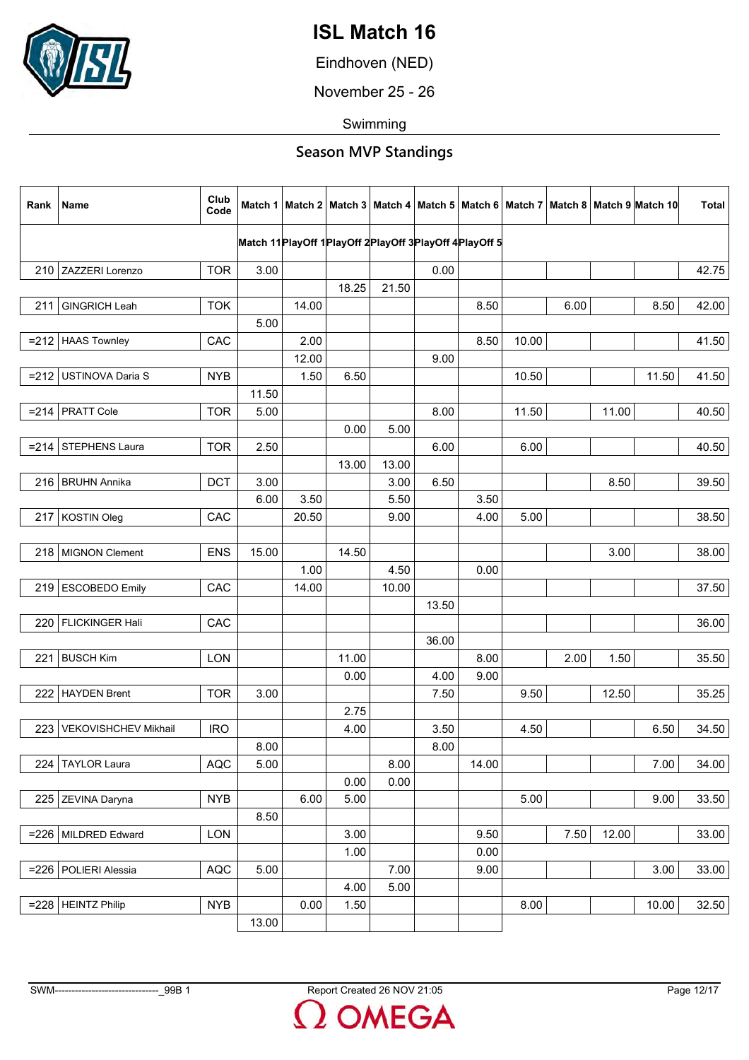

Eindhoven (NED)

November 25 - 26

Swimming

| Rank | Name                   | Club<br>Code |       |       |       |       |                                                                 |       |       |      |       | Match 1   Match 2   Match 3   Match 4   Match 5   Match 6   Match 7   Match 8   Match 9   Match 10 | <b>Total</b> |
|------|------------------------|--------------|-------|-------|-------|-------|-----------------------------------------------------------------|-------|-------|------|-------|----------------------------------------------------------------------------------------------------|--------------|
|      |                        |              |       |       |       |       | Match 11 Play Off 1 Play Off 2 Play Off 3 Play Off 4 Play Off 5 |       |       |      |       |                                                                                                    |              |
|      |                        |              |       |       |       |       |                                                                 |       |       |      |       |                                                                                                    |              |
|      | 210 ZAZZERI Lorenzo    | <b>TOR</b>   | 3.00  |       |       |       | 0.00                                                            |       |       |      |       |                                                                                                    | 42.75        |
|      |                        |              |       |       | 18.25 | 21.50 |                                                                 |       |       |      |       |                                                                                                    |              |
| 211  | <b>GINGRICH Leah</b>   | <b>TOK</b>   |       | 14.00 |       |       |                                                                 | 8.50  |       | 6.00 |       | 8.50                                                                                               | 42.00        |
|      |                        |              | 5.00  |       |       |       |                                                                 |       |       |      |       |                                                                                                    |              |
|      | $= 212$ HAAS Townley   | CAC          |       | 2.00  |       |       |                                                                 | 8.50  | 10.00 |      |       |                                                                                                    | 41.50        |
|      |                        |              |       | 12.00 |       |       | 9.00                                                            |       |       |      |       |                                                                                                    |              |
|      | =212 USTINOVA Daria S  | <b>NYB</b>   |       | 1.50  | 6.50  |       |                                                                 |       | 10.50 |      |       | 11.50                                                                                              | 41.50        |
|      |                        |              | 11.50 |       |       |       |                                                                 |       |       |      |       |                                                                                                    |              |
|      | $= 214$ PRATT Cole     | <b>TOR</b>   | 5.00  |       |       |       | 8.00                                                            |       | 11.50 |      | 11.00 |                                                                                                    | 40.50        |
|      |                        |              |       |       | 0.00  | 5.00  |                                                                 |       |       |      |       |                                                                                                    |              |
|      | $=$ 214 STEPHENS Laura | <b>TOR</b>   | 2.50  |       |       |       | 6.00                                                            |       | 6.00  |      |       |                                                                                                    | 40.50        |
|      |                        |              |       |       | 13.00 | 13.00 |                                                                 |       |       |      |       |                                                                                                    |              |
|      | 216   BRUHN Annika     | DCT          | 3.00  |       |       | 3.00  | 6.50                                                            |       |       |      | 8.50  |                                                                                                    | 39.50        |
|      |                        |              | 6.00  | 3.50  |       | 5.50  |                                                                 | 3.50  |       |      |       |                                                                                                    |              |
|      | 217 KOSTIN Oleg        | CAC          |       | 20.50 |       | 9.00  |                                                                 | 4.00  | 5.00  |      |       |                                                                                                    | 38.50        |
|      |                        |              |       |       |       |       |                                                                 |       |       |      |       |                                                                                                    |              |
|      | 218 MIGNON Clement     | <b>ENS</b>   | 15.00 |       | 14.50 |       |                                                                 |       |       |      | 3.00  |                                                                                                    | 38.00        |
|      |                        |              |       | 1.00  |       | 4.50  |                                                                 | 0.00  |       |      |       |                                                                                                    |              |
|      | 219 ESCOBEDO Emily     | CAC          |       | 14.00 |       | 10.00 |                                                                 |       |       |      |       |                                                                                                    | 37.50        |
|      |                        |              |       |       |       |       | 13.50                                                           |       |       |      |       |                                                                                                    |              |
| 220  | <b>FLICKINGER Hali</b> | CAC          |       |       |       |       |                                                                 |       |       |      |       |                                                                                                    | 36.00        |
|      |                        |              |       |       |       |       | 36.00                                                           |       |       |      |       |                                                                                                    |              |
| 221  | <b>BUSCH Kim</b>       | <b>LON</b>   |       |       | 11.00 |       |                                                                 | 8.00  |       | 2.00 | 1.50  |                                                                                                    | 35.50        |
|      |                        |              |       |       | 0.00  |       | 4.00                                                            | 9.00  |       |      |       |                                                                                                    |              |
|      | 222   HAYDEN Brent     | <b>TOR</b>   | 3.00  |       |       |       | 7.50                                                            |       | 9.50  |      | 12.50 |                                                                                                    | 35.25        |
|      |                        |              |       |       | 2.75  |       |                                                                 |       |       |      |       |                                                                                                    |              |
| 223  | VEKOVISHCHEV Mikhail   | <b>IRO</b>   |       |       | 4.00  |       | 3.50                                                            |       | 4.50  |      |       | 6.50                                                                                               | 34.50        |
|      |                        |              | 8.00  |       |       |       | 8.00                                                            |       |       |      |       |                                                                                                    |              |
| 224  | <b>TAYLOR Laura</b>    | <b>AQC</b>   | 5.00  |       |       | 8.00  |                                                                 | 14.00 |       |      |       | 7.00                                                                                               | 34.00        |
|      |                        |              |       |       | 0.00  | 0.00  |                                                                 |       |       |      |       |                                                                                                    |              |
|      |                        |              |       |       |       |       |                                                                 |       |       |      |       |                                                                                                    |              |
|      | 225 ZEVINA Daryna      | <b>NYB</b>   |       | 6.00  | 5.00  |       |                                                                 |       | 5.00  |      |       | 9.00                                                                                               | 33.50        |
|      |                        |              | 8.50  |       |       |       |                                                                 |       |       |      |       |                                                                                                    |              |
|      | =226   MILDRED Edward  | LON          |       |       | 3.00  |       |                                                                 | 9.50  |       | 7.50 | 12.00 |                                                                                                    | 33.00        |
|      |                        |              |       |       | 1.00  |       |                                                                 | 0.00  |       |      |       |                                                                                                    |              |
|      | =226   POLIERI Alessia | <b>AQC</b>   | 5.00  |       |       | 7.00  |                                                                 | 9.00  |       |      |       | 3.00                                                                                               | 33.00        |
|      |                        |              |       |       | 4.00  | 5.00  |                                                                 |       |       |      |       |                                                                                                    |              |
|      | $= 228$ HEINTZ Philip  | <b>NYB</b>   |       | 0.00  | 1.50  |       |                                                                 |       | 8.00  |      |       | 10.00                                                                                              | 32.50        |
|      |                        |              | 13.00 |       |       |       |                                                                 |       |       |      |       |                                                                                                    |              |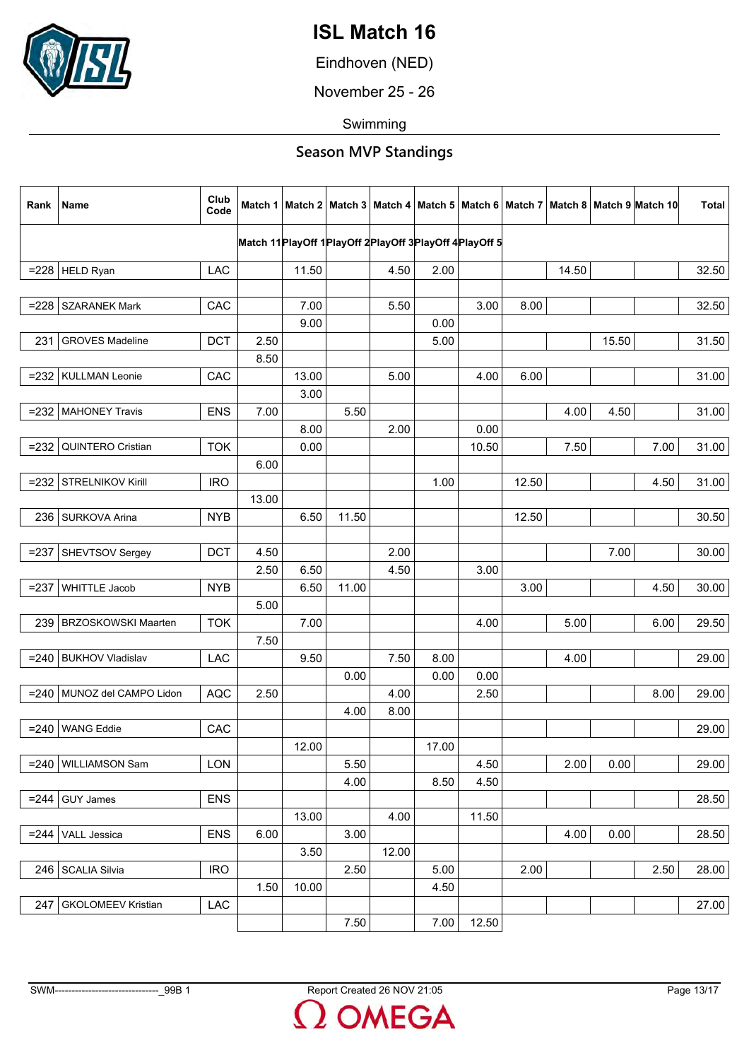

Eindhoven (NED)

November 25 - 26

Swimming

| Rank    | Name                       | Club<br>Code |       |       |       |       |                                                                 |       |       |       |       | Match 1   Match 2   Match 3   Match 4   Match 5   Match 6   Match 7   Match 8   Match 9   Match 10 | Total |
|---------|----------------------------|--------------|-------|-------|-------|-------|-----------------------------------------------------------------|-------|-------|-------|-------|----------------------------------------------------------------------------------------------------|-------|
|         |                            |              |       |       |       |       | Match 11 Play Off 1 Play Off 2 Play Off 3 Play Off 4 Play Off 5 |       |       |       |       |                                                                                                    |       |
|         | $= 228$ HELD Ryan          | <b>LAC</b>   |       | 11.50 |       | 4.50  | 2.00                                                            |       |       | 14.50 |       |                                                                                                    | 32.50 |
|         |                            |              |       |       |       |       |                                                                 |       |       |       |       |                                                                                                    |       |
| $= 228$ | <b>SZARANEK Mark</b>       | CAC          |       | 7.00  |       | 5.50  |                                                                 | 3.00  | 8.00  |       |       |                                                                                                    | 32.50 |
|         |                            |              |       | 9.00  |       |       | 0.00                                                            |       |       |       |       |                                                                                                    |       |
| 231     | <b>GROVES Madeline</b>     | <b>DCT</b>   | 2.50  |       |       |       | 5.00                                                            |       |       |       | 15.50 |                                                                                                    | 31.50 |
|         |                            |              | 8.50  |       |       |       |                                                                 |       |       |       |       |                                                                                                    |       |
|         | =232   KULLMAN Leonie      | CAC          |       | 13.00 |       | 5.00  |                                                                 | 4.00  | 6.00  |       |       |                                                                                                    | 31.00 |
|         |                            |              |       | 3.00  |       |       |                                                                 |       |       |       |       |                                                                                                    |       |
| $= 232$ | <b>MAHONEY Travis</b>      | <b>ENS</b>   | 7.00  |       | 5.50  |       |                                                                 |       |       | 4.00  | 4.50  |                                                                                                    | 31.00 |
|         |                            |              |       | 8.00  |       | 2.00  |                                                                 | 0.00  |       |       |       |                                                                                                    |       |
| $= 232$ | QUINTERO Cristian          | <b>TOK</b>   |       | 0.00  |       |       |                                                                 | 10.50 |       | 7.50  |       | 7.00                                                                                               | 31.00 |
|         |                            |              | 6.00  |       |       |       |                                                                 |       |       |       |       |                                                                                                    |       |
|         | $=$ 232 STRELNIKOV Kirill  | <b>IRO</b>   |       |       |       |       | 1.00                                                            |       | 12.50 |       |       | 4.50                                                                                               | 31.00 |
|         |                            |              | 13.00 |       |       |       |                                                                 |       |       |       |       |                                                                                                    |       |
|         | 236   SURKOVA Arina        | <b>NYB</b>   |       | 6.50  | 11.50 |       |                                                                 |       | 12.50 |       |       |                                                                                                    | 30.50 |
|         |                            |              |       |       |       |       |                                                                 |       |       |       |       |                                                                                                    |       |
| $= 237$ | SHEVTSOV Sergey            | <b>DCT</b>   | 4.50  |       |       | 2.00  |                                                                 |       |       |       | 7.00  |                                                                                                    | 30.00 |
|         |                            |              | 2.50  | 6.50  |       | 4.50  |                                                                 | 3.00  |       |       |       |                                                                                                    |       |
| $= 237$ | <b>WHITTLE Jacob</b>       | <b>NYB</b>   |       | 6.50  | 11.00 |       |                                                                 |       | 3.00  |       |       | 4.50                                                                                               | 30.00 |
|         |                            |              | 5.00  |       |       |       |                                                                 |       |       |       |       |                                                                                                    |       |
| 239     | <b>BRZOSKOWSKI Maarten</b> | <b>TOK</b>   |       | 7.00  |       |       |                                                                 | 4.00  |       | 5.00  |       | 6.00                                                                                               | 29.50 |
|         |                            |              | 7.50  |       |       |       |                                                                 |       |       |       |       |                                                                                                    |       |
| $= 240$ | <b>BUKHOV Vladislav</b>    | LAC          |       | 9.50  |       | 7.50  | 8.00                                                            |       |       | 4.00  |       |                                                                                                    | 29.00 |
|         |                            |              |       |       | 0.00  |       | 0.00                                                            | 0.00  |       |       |       |                                                                                                    |       |
|         | =240 MUNOZ del CAMPO Lidon | <b>AQC</b>   | 2.50  |       |       | 4.00  |                                                                 | 2.50  |       |       |       | 8.00                                                                                               | 29.00 |
|         |                            |              |       |       | 4.00  | 8.00  |                                                                 |       |       |       |       |                                                                                                    |       |
| $= 240$ | <b>WANG Eddie</b>          | CAC          |       |       |       |       |                                                                 |       |       |       |       |                                                                                                    | 29.00 |
|         |                            |              |       | 12.00 |       |       | 17.00                                                           |       |       |       |       |                                                                                                    |       |
|         | $= 240$ WILLIAMSON Sam     | <b>LON</b>   |       |       | 5.50  |       |                                                                 | 4.50  |       | 2.00  | 0.00  |                                                                                                    | 29.00 |
|         |                            |              |       |       | 4.00  |       | 8.50                                                            | 4.50  |       |       |       |                                                                                                    |       |
| $= 244$ | <b>GUY James</b>           | <b>ENS</b>   |       |       |       |       |                                                                 |       |       |       |       |                                                                                                    | 28.50 |
|         |                            |              |       | 13.00 |       | 4.00  |                                                                 | 11.50 |       |       |       |                                                                                                    |       |
| $= 244$ | VALL Jessica               | <b>ENS</b>   | 6.00  |       | 3.00  |       |                                                                 |       |       | 4.00  | 0.00  |                                                                                                    | 28.50 |
|         |                            |              |       | 3.50  |       | 12.00 |                                                                 |       |       |       |       |                                                                                                    |       |
|         | 246   SCALIA Silvia        | <b>IRO</b>   |       |       | 2.50  |       | 5.00                                                            |       | 2.00  |       |       | 2.50                                                                                               | 28.00 |
|         |                            |              | 1.50  | 10.00 |       |       | 4.50                                                            |       |       |       |       |                                                                                                    |       |
| 247     | <b>GKOLOMEEV Kristian</b>  | <b>LAC</b>   |       |       |       |       |                                                                 |       |       |       |       |                                                                                                    | 27.00 |
|         |                            |              |       |       | 7.50  |       | 7.00                                                            | 12.50 |       |       |       |                                                                                                    |       |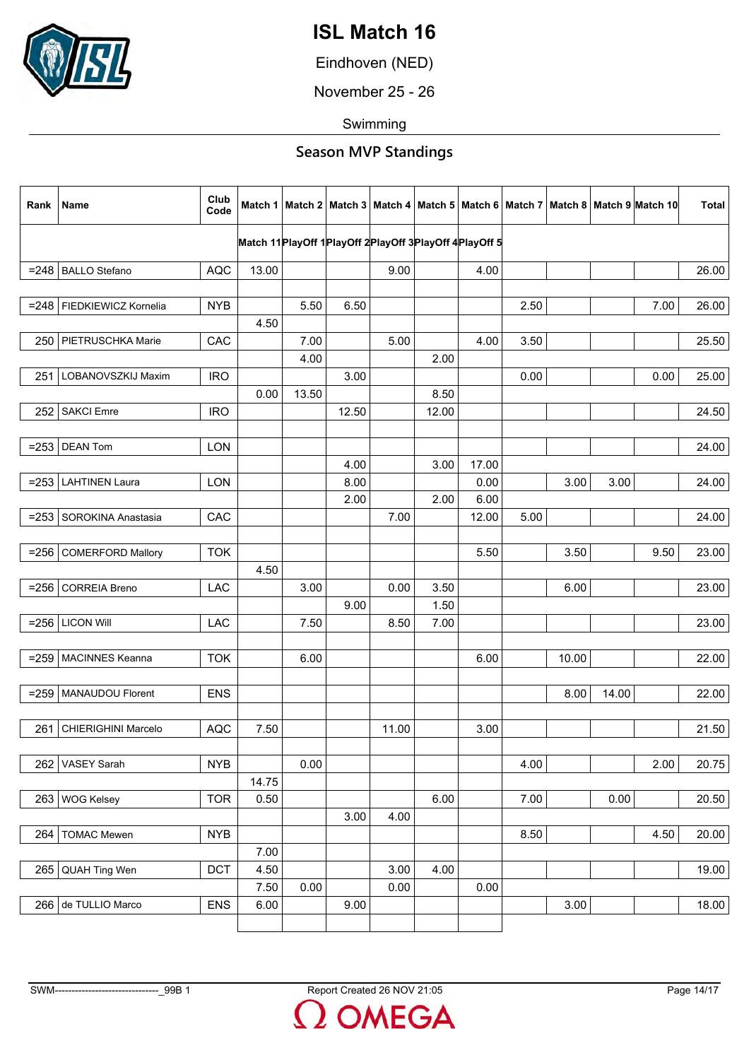

Eindhoven (NED)

November 25 - 26

Swimming

| Match 11 PlayOff 1 PlayOff 2 PlayOff 3 PlayOff 4 PlayOff 5<br>$= 248$ BALLO Stefano<br>13.00<br><b>AQC</b><br>9.00<br>4.00<br>26.00<br>=248   FIEDKIEWICZ Kornelia<br>7.00<br><b>NYB</b><br>5.50<br>6.50<br>2.50<br>26.00<br>4.50<br>CAC<br>7.00<br>5.00<br>4.00<br>3.50<br>25.50<br>250<br>PIETRUSCHKA Marie<br>4.00<br>2.00<br>LOBANOVSZKIJ Maxim<br>0.00<br>25.00<br><b>IRO</b><br>3.00<br>0.00<br>251<br>0.00<br>13.50<br>8.50<br><b>SAKCI Emre</b><br><b>IRO</b><br>12.50<br>12.00<br>24.50<br>252<br><b>DEAN Tom</b><br><b>LON</b><br>$= 253$<br>24.00<br>17.00<br>4.00<br>3.00<br>$=$ 253 LAHTINEN Laura<br>3.00<br>3.00<br><b>LON</b><br>8.00<br>0.00<br>24.00<br>2.00<br>2.00<br>6.00<br>7.00<br>5.00<br>SOROKINA Anastasia<br>CAC<br>12.00<br>24.00<br>$= 253$<br>5.50<br>9.50<br><b>TOK</b><br>3.50<br>23.00<br>$= 256$<br><b>COMERFORD Mallory</b><br>4.50<br><b>CORREIA Breno</b><br><b>LAC</b><br>0.00<br>23.00<br>3.00<br>3.50<br>6.00<br>$= 256$<br>9.00<br>1.50<br><b>LICON Will</b><br>$= 256$<br><b>LAC</b><br>7.50<br>8.50<br>7.00<br>23.00<br><b>TOK</b><br>10.00<br>$= 259$<br><b>MACINNES Keanna</b><br>6.00<br>6.00<br>22.00<br>MANAUDOU Florent<br>14.00<br><b>ENS</b><br>8.00<br>22.00<br>$= 259$<br>21.50<br><b>CHIERIGHINI Marcelo</b><br><b>AQC</b><br>7.50<br>11.00<br>3.00<br>261<br>2.00<br><b>NYB</b><br>0.00<br>4.00<br>20.75<br>VASEY Sarah<br>262<br>14.75<br><b>WOG Kelsey</b><br><b>TOR</b><br>0.50<br>6.00<br>7.00<br>0.00<br>20.50<br>263<br>3.00<br>4.00<br><b>TOMAC Mewen</b><br><b>NYB</b><br>8.50<br>4.50<br>20.00<br>264<br>7.00<br><b>DCT</b><br>3.00<br>QUAH Ting Wen<br>4.50<br>4.00<br>265<br>19.00<br>7.50<br>0.00<br>0.00<br>0.00<br>266 de TULLIO Marco<br><b>ENS</b><br>9.00<br>3.00<br>18.00<br>6.00 | Rank | Name | Club<br>Code |  |  |  |  | Match 1   Match 2   Match 3   Match 4   Match 5   Match 6   Match 7   Match 8   Match 9   Match 10 | <b>Total</b> |
|------------------------------------------------------------------------------------------------------------------------------------------------------------------------------------------------------------------------------------------------------------------------------------------------------------------------------------------------------------------------------------------------------------------------------------------------------------------------------------------------------------------------------------------------------------------------------------------------------------------------------------------------------------------------------------------------------------------------------------------------------------------------------------------------------------------------------------------------------------------------------------------------------------------------------------------------------------------------------------------------------------------------------------------------------------------------------------------------------------------------------------------------------------------------------------------------------------------------------------------------------------------------------------------------------------------------------------------------------------------------------------------------------------------------------------------------------------------------------------------------------------------------------------------------------------------------------------------------------------------------------------------------------------------------------------------------------------------------------------------------------------|------|------|--------------|--|--|--|--|----------------------------------------------------------------------------------------------------|--------------|
|                                                                                                                                                                                                                                                                                                                                                                                                                                                                                                                                                                                                                                                                                                                                                                                                                                                                                                                                                                                                                                                                                                                                                                                                                                                                                                                                                                                                                                                                                                                                                                                                                                                                                                                                                            |      |      |              |  |  |  |  |                                                                                                    |              |
|                                                                                                                                                                                                                                                                                                                                                                                                                                                                                                                                                                                                                                                                                                                                                                                                                                                                                                                                                                                                                                                                                                                                                                                                                                                                                                                                                                                                                                                                                                                                                                                                                                                                                                                                                            |      |      |              |  |  |  |  |                                                                                                    |              |
|                                                                                                                                                                                                                                                                                                                                                                                                                                                                                                                                                                                                                                                                                                                                                                                                                                                                                                                                                                                                                                                                                                                                                                                                                                                                                                                                                                                                                                                                                                                                                                                                                                                                                                                                                            |      |      |              |  |  |  |  |                                                                                                    |              |
|                                                                                                                                                                                                                                                                                                                                                                                                                                                                                                                                                                                                                                                                                                                                                                                                                                                                                                                                                                                                                                                                                                                                                                                                                                                                                                                                                                                                                                                                                                                                                                                                                                                                                                                                                            |      |      |              |  |  |  |  |                                                                                                    |              |
|                                                                                                                                                                                                                                                                                                                                                                                                                                                                                                                                                                                                                                                                                                                                                                                                                                                                                                                                                                                                                                                                                                                                                                                                                                                                                                                                                                                                                                                                                                                                                                                                                                                                                                                                                            |      |      |              |  |  |  |  |                                                                                                    |              |
|                                                                                                                                                                                                                                                                                                                                                                                                                                                                                                                                                                                                                                                                                                                                                                                                                                                                                                                                                                                                                                                                                                                                                                                                                                                                                                                                                                                                                                                                                                                                                                                                                                                                                                                                                            |      |      |              |  |  |  |  |                                                                                                    |              |
|                                                                                                                                                                                                                                                                                                                                                                                                                                                                                                                                                                                                                                                                                                                                                                                                                                                                                                                                                                                                                                                                                                                                                                                                                                                                                                                                                                                                                                                                                                                                                                                                                                                                                                                                                            |      |      |              |  |  |  |  |                                                                                                    |              |
|                                                                                                                                                                                                                                                                                                                                                                                                                                                                                                                                                                                                                                                                                                                                                                                                                                                                                                                                                                                                                                                                                                                                                                                                                                                                                                                                                                                                                                                                                                                                                                                                                                                                                                                                                            |      |      |              |  |  |  |  |                                                                                                    |              |
|                                                                                                                                                                                                                                                                                                                                                                                                                                                                                                                                                                                                                                                                                                                                                                                                                                                                                                                                                                                                                                                                                                                                                                                                                                                                                                                                                                                                                                                                                                                                                                                                                                                                                                                                                            |      |      |              |  |  |  |  |                                                                                                    |              |
|                                                                                                                                                                                                                                                                                                                                                                                                                                                                                                                                                                                                                                                                                                                                                                                                                                                                                                                                                                                                                                                                                                                                                                                                                                                                                                                                                                                                                                                                                                                                                                                                                                                                                                                                                            |      |      |              |  |  |  |  |                                                                                                    |              |
|                                                                                                                                                                                                                                                                                                                                                                                                                                                                                                                                                                                                                                                                                                                                                                                                                                                                                                                                                                                                                                                                                                                                                                                                                                                                                                                                                                                                                                                                                                                                                                                                                                                                                                                                                            |      |      |              |  |  |  |  |                                                                                                    |              |
|                                                                                                                                                                                                                                                                                                                                                                                                                                                                                                                                                                                                                                                                                                                                                                                                                                                                                                                                                                                                                                                                                                                                                                                                                                                                                                                                                                                                                                                                                                                                                                                                                                                                                                                                                            |      |      |              |  |  |  |  |                                                                                                    |              |
|                                                                                                                                                                                                                                                                                                                                                                                                                                                                                                                                                                                                                                                                                                                                                                                                                                                                                                                                                                                                                                                                                                                                                                                                                                                                                                                                                                                                                                                                                                                                                                                                                                                                                                                                                            |      |      |              |  |  |  |  |                                                                                                    |              |
|                                                                                                                                                                                                                                                                                                                                                                                                                                                                                                                                                                                                                                                                                                                                                                                                                                                                                                                                                                                                                                                                                                                                                                                                                                                                                                                                                                                                                                                                                                                                                                                                                                                                                                                                                            |      |      |              |  |  |  |  |                                                                                                    |              |
|                                                                                                                                                                                                                                                                                                                                                                                                                                                                                                                                                                                                                                                                                                                                                                                                                                                                                                                                                                                                                                                                                                                                                                                                                                                                                                                                                                                                                                                                                                                                                                                                                                                                                                                                                            |      |      |              |  |  |  |  |                                                                                                    |              |
|                                                                                                                                                                                                                                                                                                                                                                                                                                                                                                                                                                                                                                                                                                                                                                                                                                                                                                                                                                                                                                                                                                                                                                                                                                                                                                                                                                                                                                                                                                                                                                                                                                                                                                                                                            |      |      |              |  |  |  |  |                                                                                                    |              |
|                                                                                                                                                                                                                                                                                                                                                                                                                                                                                                                                                                                                                                                                                                                                                                                                                                                                                                                                                                                                                                                                                                                                                                                                                                                                                                                                                                                                                                                                                                                                                                                                                                                                                                                                                            |      |      |              |  |  |  |  |                                                                                                    |              |
|                                                                                                                                                                                                                                                                                                                                                                                                                                                                                                                                                                                                                                                                                                                                                                                                                                                                                                                                                                                                                                                                                                                                                                                                                                                                                                                                                                                                                                                                                                                                                                                                                                                                                                                                                            |      |      |              |  |  |  |  |                                                                                                    |              |
|                                                                                                                                                                                                                                                                                                                                                                                                                                                                                                                                                                                                                                                                                                                                                                                                                                                                                                                                                                                                                                                                                                                                                                                                                                                                                                                                                                                                                                                                                                                                                                                                                                                                                                                                                            |      |      |              |  |  |  |  |                                                                                                    |              |
|                                                                                                                                                                                                                                                                                                                                                                                                                                                                                                                                                                                                                                                                                                                                                                                                                                                                                                                                                                                                                                                                                                                                                                                                                                                                                                                                                                                                                                                                                                                                                                                                                                                                                                                                                            |      |      |              |  |  |  |  |                                                                                                    |              |
|                                                                                                                                                                                                                                                                                                                                                                                                                                                                                                                                                                                                                                                                                                                                                                                                                                                                                                                                                                                                                                                                                                                                                                                                                                                                                                                                                                                                                                                                                                                                                                                                                                                                                                                                                            |      |      |              |  |  |  |  |                                                                                                    |              |
|                                                                                                                                                                                                                                                                                                                                                                                                                                                                                                                                                                                                                                                                                                                                                                                                                                                                                                                                                                                                                                                                                                                                                                                                                                                                                                                                                                                                                                                                                                                                                                                                                                                                                                                                                            |      |      |              |  |  |  |  |                                                                                                    |              |
|                                                                                                                                                                                                                                                                                                                                                                                                                                                                                                                                                                                                                                                                                                                                                                                                                                                                                                                                                                                                                                                                                                                                                                                                                                                                                                                                                                                                                                                                                                                                                                                                                                                                                                                                                            |      |      |              |  |  |  |  |                                                                                                    |              |
|                                                                                                                                                                                                                                                                                                                                                                                                                                                                                                                                                                                                                                                                                                                                                                                                                                                                                                                                                                                                                                                                                                                                                                                                                                                                                                                                                                                                                                                                                                                                                                                                                                                                                                                                                            |      |      |              |  |  |  |  |                                                                                                    |              |
|                                                                                                                                                                                                                                                                                                                                                                                                                                                                                                                                                                                                                                                                                                                                                                                                                                                                                                                                                                                                                                                                                                                                                                                                                                                                                                                                                                                                                                                                                                                                                                                                                                                                                                                                                            |      |      |              |  |  |  |  |                                                                                                    |              |
|                                                                                                                                                                                                                                                                                                                                                                                                                                                                                                                                                                                                                                                                                                                                                                                                                                                                                                                                                                                                                                                                                                                                                                                                                                                                                                                                                                                                                                                                                                                                                                                                                                                                                                                                                            |      |      |              |  |  |  |  |                                                                                                    |              |
|                                                                                                                                                                                                                                                                                                                                                                                                                                                                                                                                                                                                                                                                                                                                                                                                                                                                                                                                                                                                                                                                                                                                                                                                                                                                                                                                                                                                                                                                                                                                                                                                                                                                                                                                                            |      |      |              |  |  |  |  |                                                                                                    |              |
|                                                                                                                                                                                                                                                                                                                                                                                                                                                                                                                                                                                                                                                                                                                                                                                                                                                                                                                                                                                                                                                                                                                                                                                                                                                                                                                                                                                                                                                                                                                                                                                                                                                                                                                                                            |      |      |              |  |  |  |  |                                                                                                    |              |
|                                                                                                                                                                                                                                                                                                                                                                                                                                                                                                                                                                                                                                                                                                                                                                                                                                                                                                                                                                                                                                                                                                                                                                                                                                                                                                                                                                                                                                                                                                                                                                                                                                                                                                                                                            |      |      |              |  |  |  |  |                                                                                                    |              |
|                                                                                                                                                                                                                                                                                                                                                                                                                                                                                                                                                                                                                                                                                                                                                                                                                                                                                                                                                                                                                                                                                                                                                                                                                                                                                                                                                                                                                                                                                                                                                                                                                                                                                                                                                            |      |      |              |  |  |  |  |                                                                                                    |              |
|                                                                                                                                                                                                                                                                                                                                                                                                                                                                                                                                                                                                                                                                                                                                                                                                                                                                                                                                                                                                                                                                                                                                                                                                                                                                                                                                                                                                                                                                                                                                                                                                                                                                                                                                                            |      |      |              |  |  |  |  |                                                                                                    |              |
|                                                                                                                                                                                                                                                                                                                                                                                                                                                                                                                                                                                                                                                                                                                                                                                                                                                                                                                                                                                                                                                                                                                                                                                                                                                                                                                                                                                                                                                                                                                                                                                                                                                                                                                                                            |      |      |              |  |  |  |  |                                                                                                    |              |
|                                                                                                                                                                                                                                                                                                                                                                                                                                                                                                                                                                                                                                                                                                                                                                                                                                                                                                                                                                                                                                                                                                                                                                                                                                                                                                                                                                                                                                                                                                                                                                                                                                                                                                                                                            |      |      |              |  |  |  |  |                                                                                                    |              |
|                                                                                                                                                                                                                                                                                                                                                                                                                                                                                                                                                                                                                                                                                                                                                                                                                                                                                                                                                                                                                                                                                                                                                                                                                                                                                                                                                                                                                                                                                                                                                                                                                                                                                                                                                            |      |      |              |  |  |  |  |                                                                                                    |              |
|                                                                                                                                                                                                                                                                                                                                                                                                                                                                                                                                                                                                                                                                                                                                                                                                                                                                                                                                                                                                                                                                                                                                                                                                                                                                                                                                                                                                                                                                                                                                                                                                                                                                                                                                                            |      |      |              |  |  |  |  |                                                                                                    |              |
|                                                                                                                                                                                                                                                                                                                                                                                                                                                                                                                                                                                                                                                                                                                                                                                                                                                                                                                                                                                                                                                                                                                                                                                                                                                                                                                                                                                                                                                                                                                                                                                                                                                                                                                                                            |      |      |              |  |  |  |  |                                                                                                    |              |
|                                                                                                                                                                                                                                                                                                                                                                                                                                                                                                                                                                                                                                                                                                                                                                                                                                                                                                                                                                                                                                                                                                                                                                                                                                                                                                                                                                                                                                                                                                                                                                                                                                                                                                                                                            |      |      |              |  |  |  |  |                                                                                                    |              |
|                                                                                                                                                                                                                                                                                                                                                                                                                                                                                                                                                                                                                                                                                                                                                                                                                                                                                                                                                                                                                                                                                                                                                                                                                                                                                                                                                                                                                                                                                                                                                                                                                                                                                                                                                            |      |      |              |  |  |  |  |                                                                                                    |              |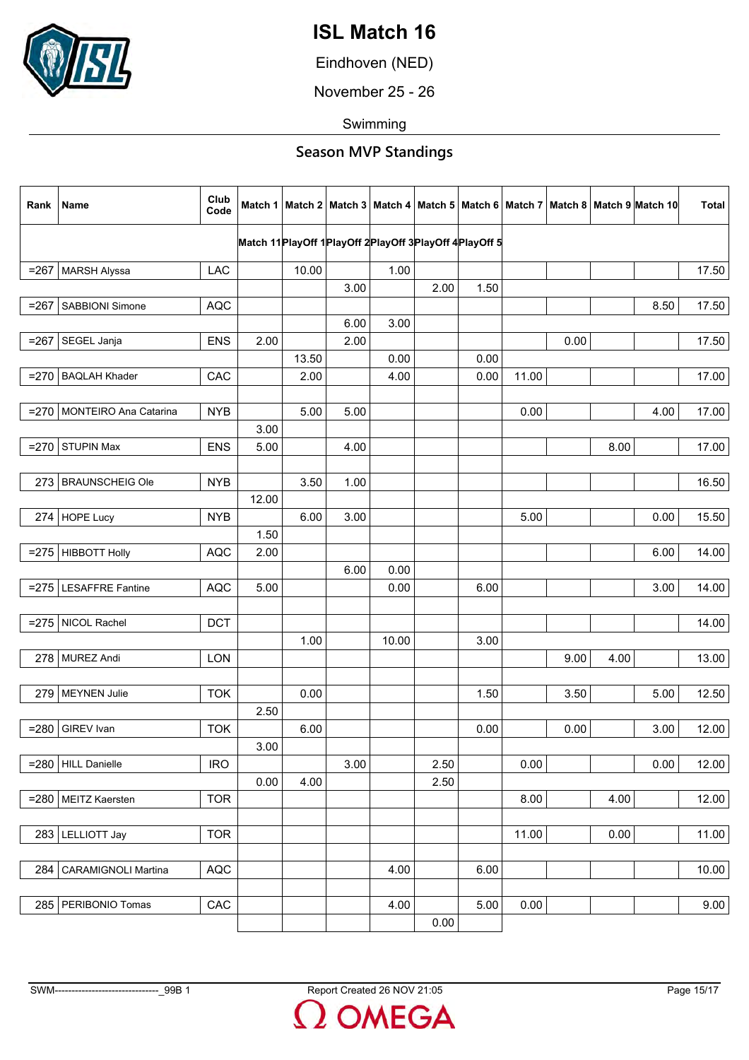

Eindhoven (NED)

November 25 - 26

Swimming

| Rank    | Name                         | Club<br>Code |       |       |      |       |                                                                 |      |       |      |      | Match 1   Match 2   Match 3   Match 4   Match 5   Match 6   Match 7   Match 8   Match 9   Match 10 | <b>Total</b> |
|---------|------------------------------|--------------|-------|-------|------|-------|-----------------------------------------------------------------|------|-------|------|------|----------------------------------------------------------------------------------------------------|--------------|
|         |                              |              |       |       |      |       | Match 11 Play Off 1 Play Off 2 Play Off 3 Play Off 4 Play Off 5 |      |       |      |      |                                                                                                    |              |
| $= 267$ | <b>MARSH Alyssa</b>          | <b>LAC</b>   |       | 10.00 |      | 1.00  |                                                                 |      |       |      |      |                                                                                                    | 17.50        |
|         |                              |              |       |       | 3.00 |       | 2.00                                                            | 1.50 |       |      |      |                                                                                                    |              |
| $= 267$ | SABBIONI Simone              | <b>AQC</b>   |       |       |      |       |                                                                 |      |       |      |      | 8.50                                                                                               | 17.50        |
|         |                              |              |       |       | 6.00 | 3.00  |                                                                 |      |       |      |      |                                                                                                    |              |
| $= 267$ | SEGEL Janja                  | <b>ENS</b>   | 2.00  |       | 2.00 |       |                                                                 |      |       | 0.00 |      |                                                                                                    | 17.50        |
|         |                              |              |       | 13.50 |      | 0.00  |                                                                 | 0.00 |       |      |      |                                                                                                    |              |
|         | =270   BAQLAH Khader         | CAC          |       | 2.00  |      | 4.00  |                                                                 | 0.00 | 11.00 |      |      |                                                                                                    | 17.00        |
|         |                              |              |       |       |      |       |                                                                 |      |       |      |      |                                                                                                    |              |
|         | =270   MONTEIRO Ana Catarina | <b>NYB</b>   |       | 5.00  | 5.00 |       |                                                                 |      | 0.00  |      |      | 4.00                                                                                               | 17.00        |
|         |                              |              | 3.00  |       |      |       |                                                                 |      |       |      |      |                                                                                                    |              |
| $= 270$ | <b>STUPIN Max</b>            | <b>ENS</b>   | 5.00  |       | 4.00 |       |                                                                 |      |       |      | 8.00 |                                                                                                    | 17.00        |
|         |                              |              |       |       |      |       |                                                                 |      |       |      |      |                                                                                                    |              |
|         | 273 BRAUNSCHEIG Ole          | <b>NYB</b>   |       | 3.50  | 1.00 |       |                                                                 |      |       |      |      |                                                                                                    | 16.50        |
|         |                              |              | 12.00 |       |      |       |                                                                 |      |       |      |      |                                                                                                    |              |
|         | 274 HOPE Lucy                | <b>NYB</b>   |       | 6.00  | 3.00 |       |                                                                 |      | 5.00  |      |      | 0.00                                                                                               | 15.50        |
|         |                              |              | 1.50  |       |      |       |                                                                 |      |       |      |      |                                                                                                    |              |
| $= 275$ | <b>HIBBOTT Holly</b>         | <b>AQC</b>   | 2.00  |       |      |       |                                                                 |      |       |      |      | 6.00                                                                                               | 14.00        |
|         |                              |              |       |       | 6.00 | 0.00  |                                                                 |      |       |      |      |                                                                                                    |              |
|         | $=$ 275 LESAFFRE Fantine     | <b>AQC</b>   | 5.00  |       |      | 0.00  |                                                                 | 6.00 |       |      |      | 3.00                                                                                               | 14.00        |
|         |                              |              |       |       |      |       |                                                                 |      |       |      |      |                                                                                                    |              |
|         | $= 275$ NICOL Rachel         | <b>DCT</b>   |       |       |      |       |                                                                 |      |       |      |      |                                                                                                    | 14.00        |
|         |                              |              |       | 1.00  |      | 10.00 |                                                                 | 3.00 |       |      |      |                                                                                                    |              |
|         | 278 MUREZ Andi               | <b>LON</b>   |       |       |      |       |                                                                 |      |       | 9.00 | 4.00 |                                                                                                    | 13.00        |
|         |                              |              |       |       |      |       |                                                                 |      |       |      |      |                                                                                                    |              |
|         | 279 MEYNEN Julie             | <b>TOK</b>   |       | 0.00  |      |       |                                                                 | 1.50 |       | 3.50 |      | 5.00                                                                                               | 12.50        |
|         |                              |              | 2.50  |       |      |       |                                                                 |      |       |      |      |                                                                                                    |              |
| $= 280$ | GIREV Ivan                   | <b>TOK</b>   |       | 6.00  |      |       |                                                                 | 0.00 |       | 0.00 |      | 3.00                                                                                               | 12.00        |
|         |                              |              | 3.00  |       |      |       |                                                                 |      |       |      |      |                                                                                                    |              |
|         | $= 280$   HILL Danielle      | <b>IRO</b>   |       |       | 3.00 |       | 2.50                                                            |      | 0.00  |      |      | 0.00                                                                                               | 12.00        |
|         |                              |              | 0.00  | 4.00  |      |       | 2.50                                                            |      |       |      |      |                                                                                                    |              |
|         | =280   MEITZ Kaersten        | <b>TOR</b>   |       |       |      |       |                                                                 |      | 8.00  |      | 4.00 |                                                                                                    | 12.00        |
|         |                              |              |       |       |      |       |                                                                 |      |       |      |      |                                                                                                    |              |
|         | 283   LELLIOTT Jay           | <b>TOR</b>   |       |       |      |       |                                                                 |      | 11.00 |      | 0.00 |                                                                                                    | 11.00        |
|         |                              |              |       |       |      |       |                                                                 |      |       |      |      |                                                                                                    |              |
| 284     | <b>CARAMIGNOLI Martina</b>   | AQC          |       |       |      | 4.00  |                                                                 | 6.00 |       |      |      |                                                                                                    | 10.00        |
|         |                              |              |       |       |      |       |                                                                 |      |       |      |      |                                                                                                    |              |
| 285     | PERIBONIO Tomas              | CAC          |       |       |      | 4.00  |                                                                 | 5.00 | 0.00  |      |      |                                                                                                    | 9.00         |
|         |                              |              |       |       |      |       | 0.00                                                            |      |       |      |      |                                                                                                    |              |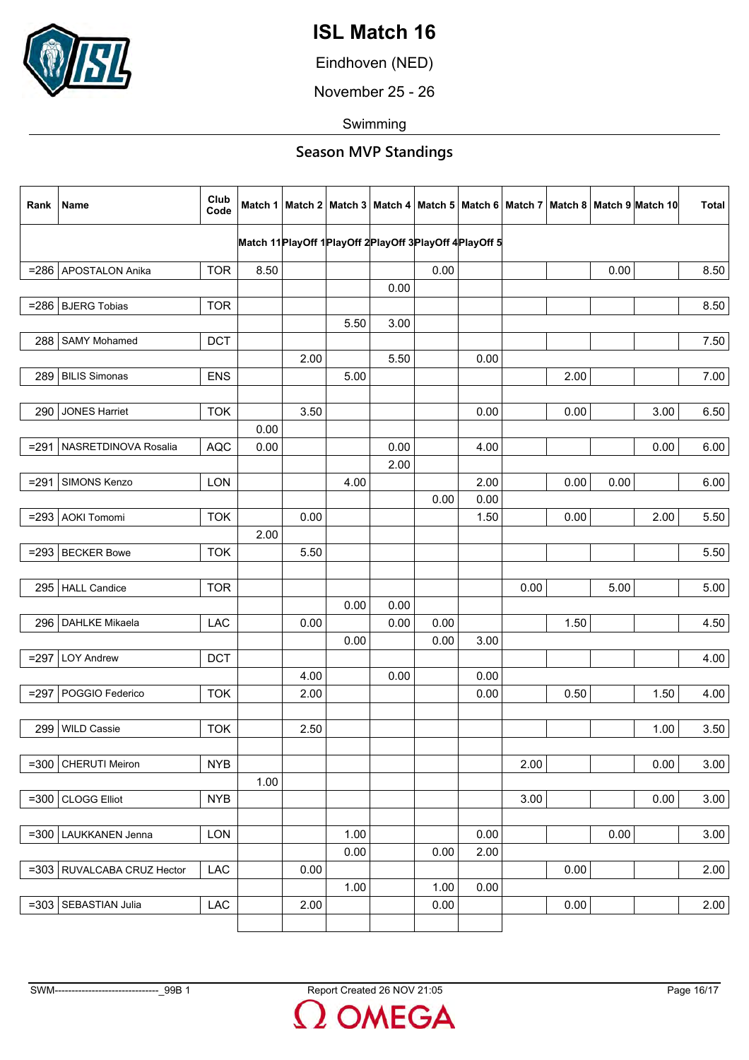

Eindhoven (NED)

November 25 - 26

Swimming

| Rank    | Name                         | Club<br>Code |      |      |      |                                                                 |      |      |      |      |      | Match 1   Match 2   Match 3   Match 4   Match 5   Match 6   Match 7   Match 8   Match 9   Match 10 | <b>Total</b> |
|---------|------------------------------|--------------|------|------|------|-----------------------------------------------------------------|------|------|------|------|------|----------------------------------------------------------------------------------------------------|--------------|
|         |                              |              |      |      |      | Match 11 Play Off 1 Play Off 2 Play Off 3 Play Off 4 Play Off 5 |      |      |      |      |      |                                                                                                    |              |
|         | =286 APOSTALON Anika         | <b>TOR</b>   | 8.50 |      |      |                                                                 | 0.00 |      |      |      | 0.00 |                                                                                                    | 8.50         |
|         |                              |              |      |      |      | 0.00                                                            |      |      |      |      |      |                                                                                                    |              |
|         | $= 286$ BJERG Tobias         | <b>TOR</b>   |      |      |      |                                                                 |      |      |      |      |      |                                                                                                    | 8.50         |
|         |                              |              |      |      | 5.50 | 3.00                                                            |      |      |      |      |      |                                                                                                    |              |
| 288     | <b>SAMY Mohamed</b>          | <b>DCT</b>   |      |      |      |                                                                 |      |      |      |      |      |                                                                                                    | 7.50         |
|         |                              |              |      | 2.00 |      | 5.50                                                            |      | 0.00 |      |      |      |                                                                                                    |              |
|         | 289 BILIS Simonas            | <b>ENS</b>   |      |      | 5.00 |                                                                 |      |      |      | 2.00 |      |                                                                                                    | 7.00         |
|         |                              |              |      |      |      |                                                                 |      |      |      |      |      |                                                                                                    |              |
| 290     | <b>JONES Harriet</b>         | <b>TOK</b>   |      | 3.50 |      |                                                                 |      | 0.00 |      | 0.00 |      | 3.00                                                                                               | 6.50         |
|         |                              |              | 0.00 |      |      |                                                                 |      |      |      |      |      |                                                                                                    |              |
|         | =291   NASRETDINOVA Rosalia  | <b>AQC</b>   | 0.00 |      |      | 0.00                                                            |      | 4.00 |      |      |      | 0.00                                                                                               | 6.00         |
|         |                              |              |      |      |      | 2.00                                                            |      |      |      |      |      |                                                                                                    |              |
| $= 291$ | SIMONS Kenzo                 | <b>LON</b>   |      |      | 4.00 |                                                                 |      | 2.00 |      | 0.00 | 0.00 |                                                                                                    | 6.00         |
|         |                              |              |      |      |      |                                                                 | 0.00 | 0.00 |      |      |      |                                                                                                    |              |
| $= 293$ | <b>AOKI Tomomi</b>           | <b>TOK</b>   |      | 0.00 |      |                                                                 |      | 1.50 |      | 0.00 |      | 2.00                                                                                               | 5.50         |
|         |                              |              | 2.00 |      |      |                                                                 |      |      |      |      |      |                                                                                                    |              |
|         | $= 293$ BECKER Bowe          | <b>TOK</b>   |      | 5.50 |      |                                                                 |      |      |      |      |      |                                                                                                    | 5.50         |
|         |                              |              |      |      |      |                                                                 |      |      |      |      |      |                                                                                                    |              |
|         | 295 HALL Candice             | <b>TOR</b>   |      |      |      |                                                                 |      |      | 0.00 |      | 5.00 |                                                                                                    | 5.00         |
|         |                              |              |      |      | 0.00 | 0.00                                                            |      |      |      |      |      |                                                                                                    |              |
| 296     | <b>DAHLKE Mikaela</b>        | LAC          |      | 0.00 |      | 0.00                                                            | 0.00 |      |      | 1.50 |      |                                                                                                    | 4.50         |
|         |                              |              |      |      | 0.00 |                                                                 | 0.00 | 3.00 |      |      |      |                                                                                                    |              |
| $= 297$ | <b>LOY Andrew</b>            | <b>DCT</b>   |      | 4.00 |      |                                                                 |      | 0.00 |      |      |      |                                                                                                    | 4.00         |
|         | =297   POGGIO Federico       | <b>TOK</b>   |      | 2.00 |      | 0.00                                                            |      | 0.00 |      | 0.50 |      | 1.50                                                                                               | 4.00         |
|         |                              |              |      |      |      |                                                                 |      |      |      |      |      |                                                                                                    |              |
| 299     | <b>WILD Cassie</b>           | <b>TOK</b>   |      | 2.50 |      |                                                                 |      |      |      |      |      | 1.00                                                                                               | 3.50         |
|         |                              |              |      |      |      |                                                                 |      |      |      |      |      |                                                                                                    |              |
| $= 300$ | CHERUTI Meiron               | <b>NYB</b>   |      |      |      |                                                                 |      |      | 2.00 |      |      | 0.00                                                                                               | 3.00         |
|         |                              |              | 1.00 |      |      |                                                                 |      |      |      |      |      |                                                                                                    |              |
|         | $=300$ CLOGG Elliot          | <b>NYB</b>   |      |      |      |                                                                 |      |      | 3.00 |      |      | 0.00                                                                                               | 3.00         |
|         |                              |              |      |      |      |                                                                 |      |      |      |      |      |                                                                                                    |              |
| $= 300$ | LAUKKANEN Jenna              | LON          |      |      | 1.00 |                                                                 |      | 0.00 |      |      | 0.00 |                                                                                                    | 3.00         |
|         |                              |              |      |      | 0.00 |                                                                 | 0.00 | 2.00 |      |      |      |                                                                                                    |              |
|         | =303   RUVALCABA CRUZ Hector | LAC          |      | 0.00 |      |                                                                 |      |      |      | 0.00 |      |                                                                                                    | 2.00         |
|         |                              |              |      |      | 1.00 |                                                                 | 1.00 | 0.00 |      |      |      |                                                                                                    |              |
|         | =303   SEBASTIAN Julia       | LAC          |      | 2.00 |      |                                                                 | 0.00 |      |      | 0.00 |      |                                                                                                    | 2.00         |
|         |                              |              |      |      |      |                                                                 |      |      |      |      |      |                                                                                                    |              |